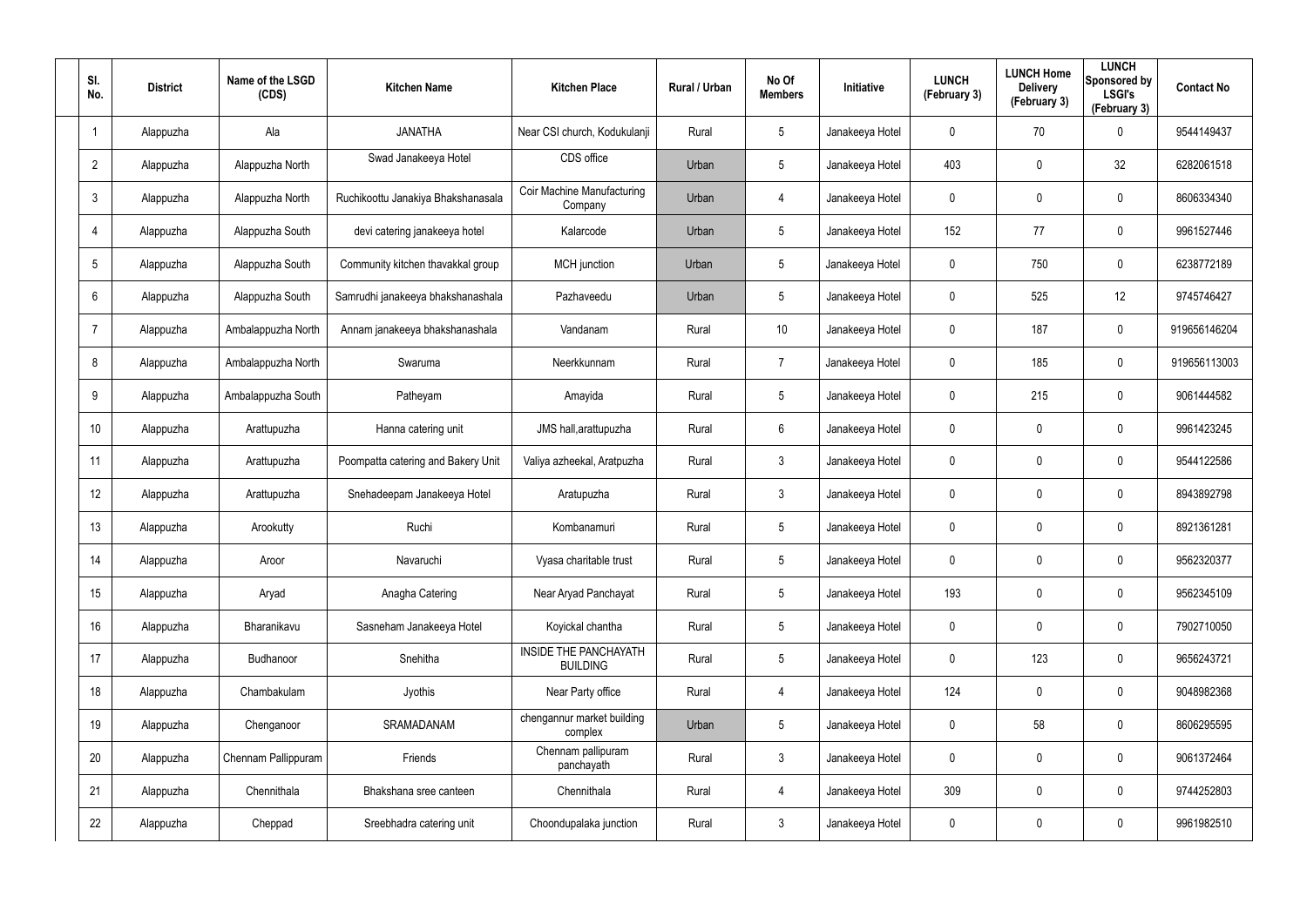| SI.<br>No.              | <b>District</b> | Name of the LSGD<br>(CDS) | <b>Kitchen Name</b>                | <b>Kitchen Place</b>                     | Rural / Urban | No Of<br><b>Members</b> | Initiative      | <b>LUNCH</b><br>(February 3) | <b>LUNCH Home</b><br><b>Delivery</b><br>(February 3) | <b>LUNCH</b><br>Sponsored by<br><b>LSGI's</b><br>(February 3) | <b>Contact No</b> |
|-------------------------|-----------------|---------------------------|------------------------------------|------------------------------------------|---------------|-------------------------|-----------------|------------------------------|------------------------------------------------------|---------------------------------------------------------------|-------------------|
| $\overline{\mathbf{1}}$ | Alappuzha       | Ala                       | <b>JANATHA</b>                     | Near CSI church, Kodukulanji             | Rural         | 5                       | Janakeeya Hotel | 0                            | 70                                                   | $\mathbf 0$                                                   | 9544149437        |
| $\overline{2}$          | Alappuzha       | Alappuzha North           | Swad Janakeeya Hotel               | CDS office                               | Urban         | 5                       | Janakeeya Hotel | 403                          | 0                                                    | 32                                                            | 6282061518        |
| $\mathfrak{Z}$          | Alappuzha       | Alappuzha North           | Ruchikoottu Janakiya Bhakshanasala | Coir Machine Manufacturing<br>Company    | Urban         | 4                       | Janakeeya Hotel | 0                            | 0                                                    | $\boldsymbol{0}$                                              | 8606334340        |
| $\overline{4}$          | Alappuzha       | Alappuzha South           | devi catering janakeeya hotel      | Kalarcode                                | Urban         | 5                       | Janakeeya Hotel | 152                          | 77                                                   | $\pmb{0}$                                                     | 9961527446        |
| $5\phantom{.0}$         | Alappuzha       | Alappuzha South           | Community kitchen thavakkal group  | <b>MCH</b> junction                      | Urban         | $5\phantom{.0}$         | Janakeeya Hotel | 0                            | 750                                                  | $\boldsymbol{0}$                                              | 6238772189        |
| 6                       | Alappuzha       | Alappuzha South           | Samrudhi janakeeya bhakshanashala  | Pazhaveedu                               | Urban         | 5                       | Janakeeya Hotel | 0                            | 525                                                  | 12                                                            | 9745746427        |
| $\overline{7}$          | Alappuzha       | Ambalappuzha North        | Annam janakeeya bhakshanashala     | Vandanam                                 | Rural         | 10                      | Janakeeya Hotel | 0                            | 187                                                  | $\pmb{0}$                                                     | 919656146204      |
| 8                       | Alappuzha       | Ambalappuzha North        | Swaruma                            | Neerkkunnam                              | Rural         | $\overline{7}$          | Janakeeya Hotel | 0                            | 185                                                  | $\mathbf 0$                                                   | 919656113003      |
| 9                       | Alappuzha       | Ambalappuzha South        | Patheyam                           | Amayida                                  | Rural         | $5\phantom{.0}$         | Janakeeya Hotel | 0                            | 215                                                  | $\mathbf 0$                                                   | 9061444582        |
| 10 <sup>°</sup>         | Alappuzha       | Arattupuzha               | Hanna catering unit                | JMS hall, arattupuzha                    | Rural         | 6                       | Janakeeya Hotel | 0                            | 0                                                    | $\mathbf 0$                                                   | 9961423245        |
| 11                      | Alappuzha       | Arattupuzha               | Poompatta catering and Bakery Unit | Valiya azheekal, Aratpuzha               | Rural         | $\mathbf{3}$            | Janakeeya Hotel | 0                            | 0                                                    | $\mathbf 0$                                                   | 9544122586        |
| 12                      | Alappuzha       | Arattupuzha               | Snehadeepam Janakeeya Hotel        | Aratupuzha                               | Rural         | $\mathbf{3}$            | Janakeeya Hotel | 0                            | 0                                                    | $\mathbf 0$                                                   | 8943892798        |
| 13                      | Alappuzha       | Arookutty                 | Ruchi                              | Kombanamuri                              | Rural         | $5\phantom{.0}$         | Janakeeya Hotel | 0                            | 0                                                    | $\mathbf 0$                                                   | 8921361281        |
| 14                      | Alappuzha       | Aroor                     | Navaruchi                          | Vyasa charitable trust                   | Rural         | 5                       | Janakeeya Hotel | 0                            | 0                                                    | $\mathbf 0$                                                   | 9562320377        |
| 15                      | Alappuzha       | Aryad                     | Anagha Catering                    | Near Aryad Panchayat                     | Rural         | $5\phantom{.0}$         | Janakeeya Hotel | 193                          | 0                                                    | $\mathbf 0$                                                   | 9562345109        |
| 16                      | Alappuzha       | Bharanikavu               | Sasneham Janakeeya Hotel           | Koyickal chantha                         | Rural         | $5\phantom{.0}$         | Janakeeya Hotel | $\pmb{0}$                    | 0                                                    | $\mathbf 0$                                                   | 7902710050        |
| 17                      | Alappuzha       | Budhanoor                 | Snehitha                           | INSIDE THE PANCHAYATH<br><b>BUILDING</b> | Rural         | $5\phantom{.0}$         | Janakeeya Hotel | 0                            | 123                                                  | $\mathbf 0$                                                   | 9656243721        |
| 18                      | Alappuzha       | Chambakulam               | Jyothis                            | Near Party office                        | Rural         | 4                       | Janakeeya Hotel | 124                          | 0                                                    | $\mathbf 0$                                                   | 9048982368        |
| 19                      | Alappuzha       | Chenganoor                | SRAMADANAM                         | chengannur market building<br>complex    | Urban         | $5\phantom{.0}$         | Janakeeya Hotel | 0                            | 58                                                   | $\mathbf 0$                                                   | 8606295595        |
| 20                      | Alappuzha       | Chennam Pallippuram       | Friends                            | Chennam pallipuram<br>panchayath         | Rural         | $\mathbf{3}$            | Janakeeya Hotel | 0                            | 0                                                    | $\mathbf 0$                                                   | 9061372464        |
| 21                      | Alappuzha       | Chennithala               | Bhakshana sree canteen             | Chennithala                              | Rural         | 4                       | Janakeeya Hotel | 309                          | 0                                                    | $\mathbf 0$                                                   | 9744252803        |
| 22                      | Alappuzha       | Cheppad                   | Sreebhadra catering unit           | Choondupalaka junction                   | Rural         | $\mathfrak{Z}$          | Janakeeya Hotel | 0                            | 0                                                    | $\mathsf{0}$                                                  | 9961982510        |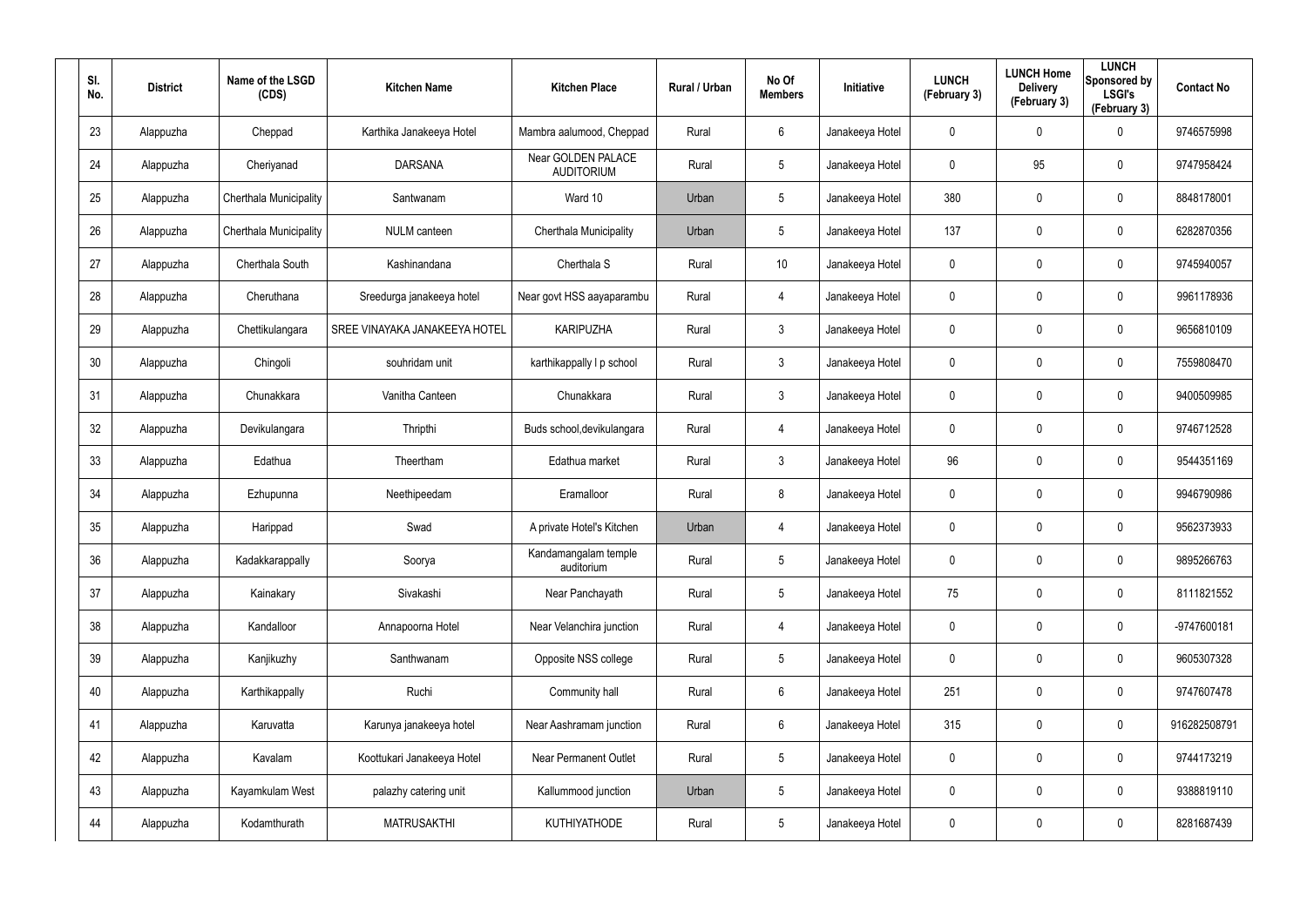| SI.<br>No. | <b>District</b> | Name of the LSGD<br>(CDS) | <b>Kitchen Name</b>           | <b>Kitchen Place</b>                    | Rural / Urban | No Of<br><b>Members</b> | <b>Initiative</b> | <b>LUNCH</b><br>(February 3) | <b>LUNCH Home</b><br><b>Delivery</b><br>(February 3) | <b>LUNCH</b><br>Sponsored by<br><b>LSGI's</b><br>(February 3) | <b>Contact No</b> |
|------------|-----------------|---------------------------|-------------------------------|-----------------------------------------|---------------|-------------------------|-------------------|------------------------------|------------------------------------------------------|---------------------------------------------------------------|-------------------|
| 23         | Alappuzha       | Cheppad                   | Karthika Janakeeya Hotel      | Mambra aalumood, Cheppad                | Rural         | 6                       | Janakeeya Hotel   | 0                            | 0                                                    | $\mathbf 0$                                                   | 9746575998        |
| 24         | Alappuzha       | Cheriyanad                | <b>DARSANA</b>                | Near GOLDEN PALACE<br><b>AUDITORIUM</b> | Rural         | $5\phantom{.0}$         | Janakeeya Hotel   | 0                            | 95                                                   | $\pmb{0}$                                                     | 9747958424        |
| 25         | Alappuzha       | Cherthala Municipality    | Santwanam                     | Ward 10                                 | Urban         | $5\phantom{.0}$         | Janakeeya Hotel   | 380                          | 0                                                    | $\pmb{0}$                                                     | 8848178001        |
| 26         | Alappuzha       | Cherthala Municipality    | <b>NULM</b> canteen           | Cherthala Municipality                  | Urban         | $5\phantom{.0}$         | Janakeeya Hotel   | 137                          | 0                                                    | $\pmb{0}$                                                     | 6282870356        |
| 27         | Alappuzha       | Cherthala South           | Kashinandana                  | Cherthala S                             | Rural         | 10 <sup>°</sup>         | Janakeeya Hotel   | 0                            | 0                                                    | $\pmb{0}$                                                     | 9745940057        |
| 28         | Alappuzha       | Cheruthana                | Sreedurga janakeeya hotel     | Near govt HSS aayaparambu               | Rural         | 4                       | Janakeeya Hotel   | 0                            | 0                                                    | $\mathbf 0$                                                   | 9961178936        |
| 29         | Alappuzha       | Chettikulangara           | SREE VINAYAKA JANAKEEYA HOTEL | <b>KARIPUZHA</b>                        | Rural         | $\mathbf{3}$            | Janakeeya Hotel   | 0                            | 0                                                    | $\pmb{0}$                                                     | 9656810109        |
| 30         | Alappuzha       | Chingoli                  | souhridam unit                | karthikappally I p school               | Rural         | $\mathbf{3}$            | Janakeeya Hotel   | 0                            | 0                                                    | $\mathbf 0$                                                   | 7559808470        |
| 31         | Alappuzha       | Chunakkara                | Vanitha Canteen               | Chunakkara                              | Rural         | $\mathbf{3}$            | Janakeeya Hotel   | 0                            | 0                                                    | $\pmb{0}$                                                     | 9400509985        |
| 32         | Alappuzha       | Devikulangara             | Thripthi                      | Buds school, devikulangara              | Rural         | 4                       | Janakeeya Hotel   | 0                            | 0                                                    | $\mathbf 0$                                                   | 9746712528        |
| 33         | Alappuzha       | Edathua                   | Theertham                     | Edathua market                          | Rural         | $\mathbf{3}$            | Janakeeya Hotel   | 96                           | 0                                                    | $\mathbf 0$                                                   | 9544351169        |
| 34         | Alappuzha       | Ezhupunna                 | Neethipeedam                  | Eramalloor                              | Rural         | 8                       | Janakeeya Hotel   | 0                            | 0                                                    | $\mathbf 0$                                                   | 9946790986        |
| 35         | Alappuzha       | Harippad                  | Swad                          | A private Hotel's Kitchen               | Urban         | 4                       | Janakeeya Hotel   | 0                            | 0                                                    | $\mathbf 0$                                                   | 9562373933        |
| 36         | Alappuzha       | Kadakkarappally           | Soorya                        | Kandamangalam temple<br>auditorium      | Rural         | 5                       | Janakeeya Hotel   | 0                            | 0                                                    | $\pmb{0}$                                                     | 9895266763        |
| 37         | Alappuzha       | Kainakary                 | Sivakashi                     | Near Panchayath                         | Rural         | $5\phantom{.0}$         | Janakeeya Hotel   | 75                           | 0                                                    | $\mathbf 0$                                                   | 8111821552        |
| 38         | Alappuzha       | Kandalloor                | Annapoorna Hotel              | Near Velanchira junction                | Rural         | 4                       | Janakeeya Hotel   | $\mathbf 0$                  | 0                                                    | $\mathbf 0$                                                   | -9747600181       |
| 39         | Alappuzha       | Kanjikuzhy                | Santhwanam                    | Opposite NSS college                    | Rural         | $5\phantom{.0}$         | Janakeeya Hotel   | 0                            | 0                                                    | $\mathbf 0$                                                   | 9605307328        |
| 40         | Alappuzha       | Karthikappally            | Ruchi                         | Community hall                          | Rural         | $6\phantom{.}$          | Janakeeya Hotel   | 251                          | 0                                                    | $\mathbf 0$                                                   | 9747607478        |
| 41         | Alappuzha       | Karuvatta                 | Karunya janakeeya hotel       | Near Aashramam junction                 | Rural         | 6                       | Janakeeya Hotel   | 315                          | 0                                                    | $\mathbf 0$                                                   | 916282508791      |
| 42         | Alappuzha       | Kavalam                   | Koottukari Janakeeya Hotel    | <b>Near Permanent Outlet</b>            | Rural         | $5\phantom{.0}$         | Janakeeya Hotel   | 0                            | 0                                                    | $\mathbf 0$                                                   | 9744173219        |
| 43         | Alappuzha       | Kayamkulam West           | palazhy catering unit         | Kallummood junction                     | Urban         | $5\phantom{.0}$         | Janakeeya Hotel   | 0                            | 0                                                    | $\mathbf 0$                                                   | 9388819110        |
| 44         | Alappuzha       | Kodamthurath              | <b>MATRUSAKTHI</b>            | KUTHIYATHODE                            | Rural         | $5\phantom{.0}$         | Janakeeya Hotel   | 0                            | 0                                                    | $\pmb{0}$                                                     | 8281687439        |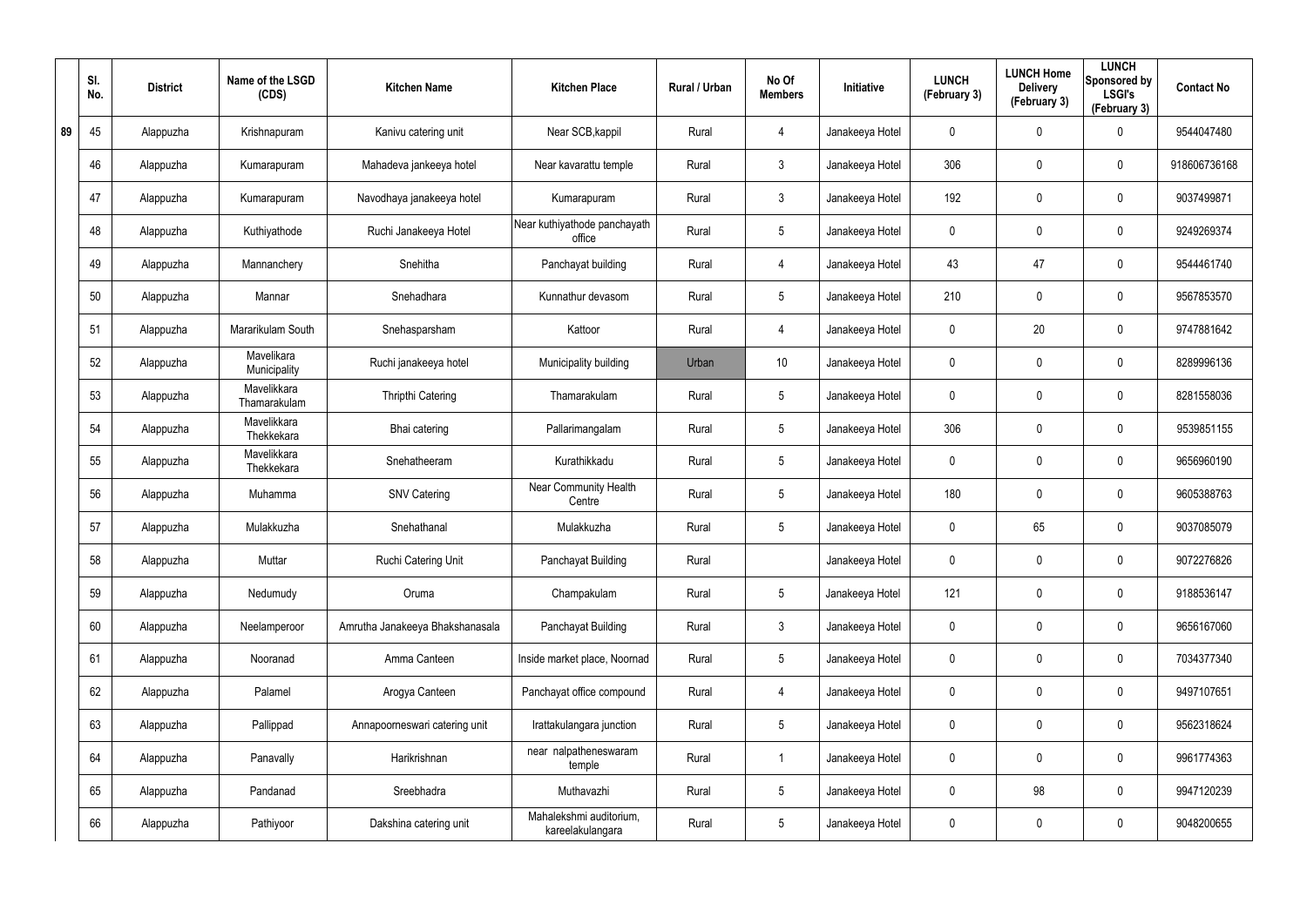|    | SI.<br>No. | <b>District</b> | Name of the LSGD<br>(CDS)   | <b>Kitchen Name</b>             | <b>Kitchen Place</b>                        | Rural / Urban | No Of<br><b>Members</b> | Initiative      | <b>LUNCH</b><br>(February 3) | <b>LUNCH Home</b><br><b>Delivery</b><br>(February 3) | <b>LUNCH</b><br>Sponsored by<br><b>LSGI's</b><br>(February 3) | <b>Contact No</b> |
|----|------------|-----------------|-----------------------------|---------------------------------|---------------------------------------------|---------------|-------------------------|-----------------|------------------------------|------------------------------------------------------|---------------------------------------------------------------|-------------------|
| 89 | 45         | Alappuzha       | Krishnapuram                | Kanivu catering unit            | Near SCB, kappil                            | Rural         | $\overline{4}$          | Janakeeya Hotel | 0                            | 0                                                    | 0                                                             | 9544047480        |
|    | 46         | Alappuzha       | Kumarapuram                 | Mahadeva jankeeya hotel         | Near kavarattu temple                       | Rural         | $\mathbf{3}$            | Janakeeya Hotel | 306                          | $\boldsymbol{0}$                                     | $\boldsymbol{0}$                                              | 918606736168      |
|    | 47         | Alappuzha       | Kumarapuram                 | Navodhaya janakeeya hotel       | Kumarapuram                                 | Rural         | $\mathbf{3}$            | Janakeeya Hotel | 192                          | $\mathbf 0$                                          | 0                                                             | 9037499871        |
|    | 48         | Alappuzha       | Kuthiyathode                | Ruchi Janakeeya Hotel           | Near kuthiyathode panchayath<br>office      | Rural         | $5\phantom{.0}$         | Janakeeya Hotel | 0                            | 0                                                    | $\boldsymbol{0}$                                              | 9249269374        |
|    | 49         | Alappuzha       | Mannanchery                 | Snehitha                        | Panchayat building                          | Rural         | $\overline{4}$          | Janakeeya Hotel | 43                           | 47                                                   | $\boldsymbol{0}$                                              | 9544461740        |
|    | 50         | Alappuzha       | Mannar                      | Snehadhara                      | Kunnathur devasom                           | Rural         | $5\phantom{.0}$         | Janakeeya Hotel | 210                          | 0                                                    | $\boldsymbol{0}$                                              | 9567853570        |
|    | 51         | Alappuzha       | Mararikulam South           | Snehasparsham                   | Kattoor                                     | Rural         | $\overline{4}$          | Janakeeya Hotel | 0                            | 20                                                   | $\boldsymbol{0}$                                              | 9747881642        |
|    | 52         | Alappuzha       | Mavelikara<br>Municipality  | Ruchi janakeeya hotel           | Municipality building                       | Urban         | 10                      | Janakeeya Hotel | 0                            | 0                                                    | $\boldsymbol{0}$                                              | 8289996136        |
|    | 53         | Alappuzha       | Mavelikkara<br>Thamarakulam | <b>Thripthi Catering</b>        | Thamarakulam                                | Rural         | $5\phantom{.0}$         | Janakeeya Hotel | 0                            | 0                                                    | $\boldsymbol{0}$                                              | 8281558036        |
|    | 54         | Alappuzha       | Mavelikkara<br>Thekkekara   | Bhai catering                   | Pallarimangalam                             | Rural         | $5\phantom{.0}$         | Janakeeya Hotel | 306                          | 0                                                    | $\boldsymbol{0}$                                              | 9539851155        |
|    | 55         | Alappuzha       | Mavelikkara<br>Thekkekara   | Snehatheeram                    | Kurathikkadu                                | Rural         | $5\phantom{.0}$         | Janakeeya Hotel | 0                            | 0                                                    | $\boldsymbol{0}$                                              | 9656960190        |
|    | 56         | Alappuzha       | Muhamma                     | <b>SNV Catering</b>             | <b>Near Community Health</b><br>Centre      | Rural         | $5\phantom{.0}$         | Janakeeya Hotel | 180                          | 0                                                    | $\boldsymbol{0}$                                              | 9605388763        |
|    | 57         | Alappuzha       | Mulakkuzha                  | Snehathanal                     | Mulakkuzha                                  | Rural         | $5\phantom{.0}$         | Janakeeya Hotel | 0                            | 65                                                   | $\boldsymbol{0}$                                              | 9037085079        |
|    | 58         | Alappuzha       | Muttar                      | Ruchi Catering Unit             | Panchayat Building                          | Rural         |                         | Janakeeya Hotel | 0                            | 0                                                    | $\mathbf 0$                                                   | 9072276826        |
|    | 59         | Alappuzha       | Nedumudy                    | Oruma                           | Champakulam                                 | Rural         | $5\phantom{.0}$         | Janakeeya Hotel | 121                          | $\mathbf 0$                                          | $\mathbf 0$                                                   | 9188536147        |
|    | 60         | Alappuzha       | Neelamperoor                | Amrutha Janakeeya Bhakshanasala | Panchayat Building                          | Rural         | 3 <sup>1</sup>          | Janakeeya Hotel | 0                            | 0                                                    | $\mathbf 0$                                                   | 9656167060        |
|    | 61         | Alappuzha       | Nooranad                    | Amma Canteen                    | Inside market place, Noornad                | Rural         | $5\phantom{.0}$         | Janakeeya Hotel | $\pmb{0}$                    | $\mathbf 0$                                          | $\mathbf 0$                                                   | 7034377340        |
|    | 62         | Alappuzha       | Palamel                     | Arogya Canteen                  | Panchayat office compound                   | Rural         | $\overline{4}$          | Janakeeya Hotel | 0                            | 0                                                    | $\mathbf 0$                                                   | 9497107651        |
|    | 63         | Alappuzha       | Pallippad                   | Annapoorneswari catering unit   | Irattakulangara junction                    | Rural         | $5\phantom{.0}$         | Janakeeya Hotel | 0                            | $\boldsymbol{0}$                                     | $\mathbf 0$                                                   | 9562318624        |
|    | 64         | Alappuzha       | Panavally                   | Harikrishnan                    | near nalpatheneswaram<br>temple             | Rural         | $\mathbf{1}$            | Janakeeya Hotel | 0                            | 0                                                    | $\mathbf 0$                                                   | 9961774363        |
|    | 65         | Alappuzha       | Pandanad                    | Sreebhadra                      | Muthavazhi                                  | Rural         | $5\phantom{.0}$         | Janakeeya Hotel | $\mathbf 0$                  | 98                                                   | $\mathbf 0$                                                   | 9947120239        |
|    | 66         | Alappuzha       | Pathiyoor                   | Dakshina catering unit          | Mahalekshmi auditorium,<br>kareelakulangara | Rural         | $5\phantom{.0}$         | Janakeeya Hotel | 0                            | 0                                                    | $\boldsymbol{0}$                                              | 9048200655        |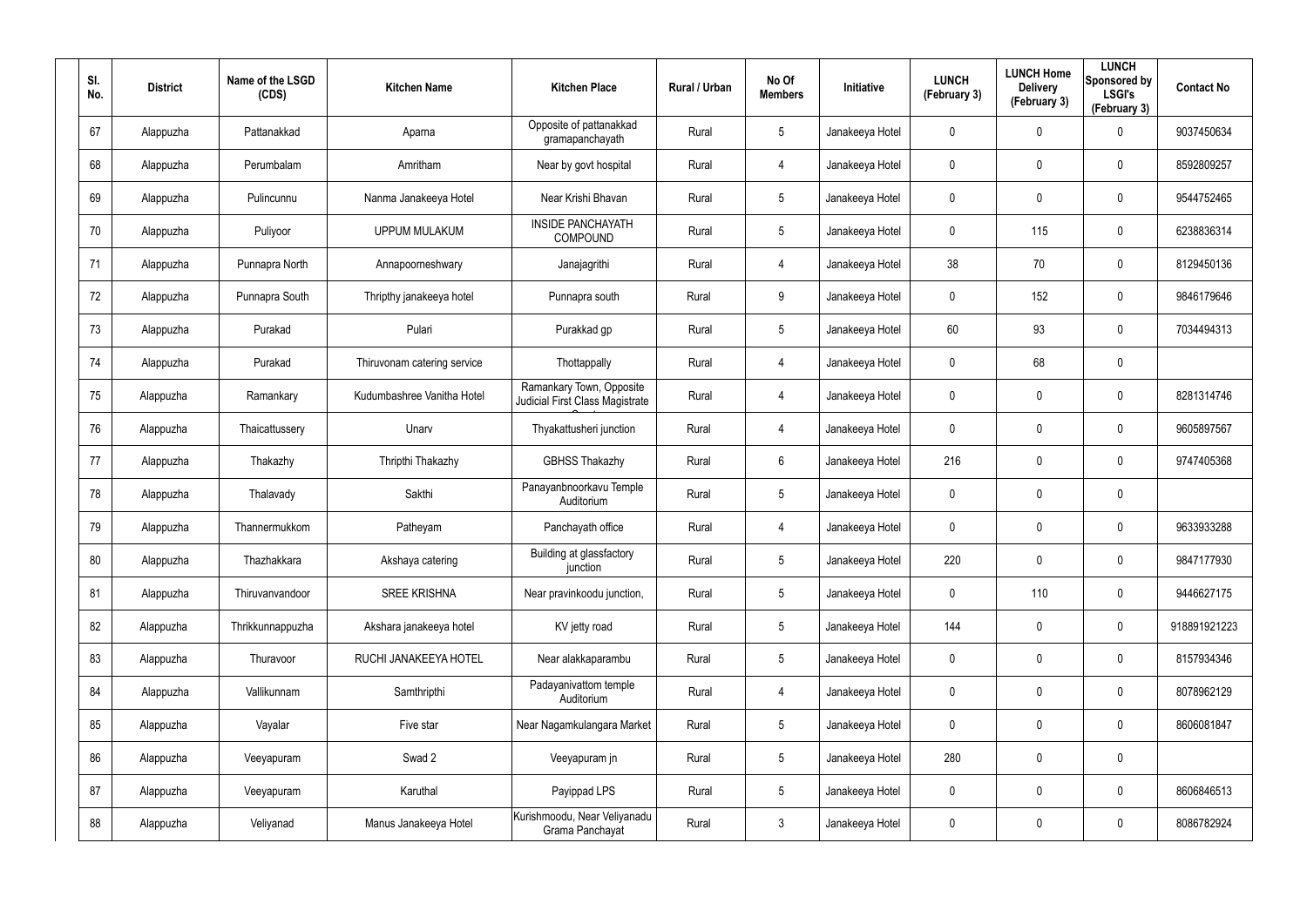| SI.<br>No. | <b>District</b> | Name of the LSGD<br>(CDS) | <b>Kitchen Name</b>         | <b>Kitchen Place</b>                                               | Rural / Urban | No Of<br><b>Members</b> | Initiative      | <b>LUNCH</b><br>(February 3) | <b>LUNCH Home</b><br><b>Delivery</b><br>(February 3) | <b>LUNCH</b><br>Sponsored by<br><b>LSGI's</b><br>(February 3) | <b>Contact No</b> |
|------------|-----------------|---------------------------|-----------------------------|--------------------------------------------------------------------|---------------|-------------------------|-----------------|------------------------------|------------------------------------------------------|---------------------------------------------------------------|-------------------|
| 67         | Alappuzha       | Pattanakkad               | Aparna                      | Opposite of pattanakkad<br>gramapanchayath                         | Rural         | $5\phantom{.0}$         | Janakeeya Hotel | $\mathbf 0$                  | 0                                                    | 0                                                             | 9037450634        |
| 68         | Alappuzha       | Perumbalam                | Amritham                    | Near by govt hospital                                              | Rural         | 4                       | Janakeeya Hotel | 0                            | 0                                                    | $\boldsymbol{0}$                                              | 8592809257        |
| 69         | Alappuzha       | Pulincunnu                | Nanma Janakeeya Hotel       | Near Krishi Bhavan                                                 | Rural         | $5\phantom{.0}$         | Janakeeya Hotel | $\mathbf 0$                  | $\mathbf 0$                                          | $\mathbf 0$                                                   | 9544752465        |
| 70         | Alappuzha       | Puliyoor                  | <b>UPPUM MULAKUM</b>        | <b>INSIDE PANCHAYATH</b><br><b>COMPOUND</b>                        | Rural         | $5\phantom{.0}$         | Janakeeya Hotel | 0                            | 115                                                  | $\mathbf 0$                                                   | 6238836314        |
| 71         | Alappuzha       | Punnapra North            | Annapoorneshwary            | Janajagrithi                                                       | Rural         | 4                       | Janakeeya Hotel | 38                           | 70                                                   | $\boldsymbol{0}$                                              | 8129450136        |
| 72         | Alappuzha       | Punnapra South            | Thripthy janakeeya hotel    | Punnapra south                                                     | Rural         | 9                       | Janakeeya Hotel | 0                            | 152                                                  | $\mathbf 0$                                                   | 9846179646        |
| 73         | Alappuzha       | Purakad                   | Pulari                      | Purakkad gp                                                        | Rural         | $5\phantom{.0}$         | Janakeeya Hotel | 60                           | 93                                                   | $\mathbf 0$                                                   | 7034494313        |
| 74         | Alappuzha       | Purakad                   | Thiruvonam catering service | Thottappally                                                       | Rural         | 4                       | Janakeeya Hotel | 0                            | 68                                                   | $\mathbf 0$                                                   |                   |
| 75         | Alappuzha       | Ramankary                 | Kudumbashree Vanitha Hotel  | Ramankary Town, Opposite<br><b>Judicial First Class Magistrate</b> | Rural         | 4                       | Janakeeya Hotel | 0                            | 0                                                    | $\pmb{0}$                                                     | 8281314746        |
| 76         | Alappuzha       | Thaicattussery            | Unarv                       | Thyakattusheri junction                                            | Rural         | 4                       | Janakeeya Hotel | 0                            | 0                                                    | $\mathbf 0$                                                   | 9605897567        |
| 77         | Alappuzha       | Thakazhy                  | Thripthi Thakazhy           | <b>GBHSS Thakazhy</b>                                              | Rural         | 6                       | Janakeeya Hotel | 216                          | 0                                                    | $\mathbf 0$                                                   | 9747405368        |
| 78         | Alappuzha       | Thalavady                 | Sakthi                      | Panayanbnoorkavu Temple<br>Auditorium                              | Rural         | $5\phantom{.0}$         | Janakeeya Hotel | 0                            | 0                                                    | $\mathbf 0$                                                   |                   |
| 79         | Alappuzha       | Thannermukkom             | Patheyam                    | Panchayath office                                                  | Rural         | 4                       | Janakeeya Hotel | 0                            | 0                                                    | $\mathbf 0$                                                   | 9633933288        |
| 80         | Alappuzha       | Thazhakkara               | Akshaya catering            | Building at glassfactory<br>junction                               | Rural         | $5\phantom{.0}$         | Janakeeya Hotel | 220                          | $\mathbf 0$                                          | $\pmb{0}$                                                     | 9847177930        |
| 81         | Alappuzha       | Thiruvanvandoor           | <b>SREE KRISHNA</b>         | Near pravinkoodu junction,                                         | Rural         | $5\phantom{.0}$         | Janakeeya Hotel | $\mathbf 0$                  | 110                                                  | $\mathbf 0$                                                   | 9446627175        |
| 82         | Alappuzha       | Thrikkunnappuzha          | Akshara janakeeya hotel     | KV jetty road                                                      | Rural         | $5\phantom{.0}$         | Janakeeya Hotel | 144                          | $\mathbf 0$                                          | $\mathbf 0$                                                   | 918891921223      |
| 83         | Alappuzha       | Thuravoor                 | RUCHI JANAKEEYA HOTEL       | Near alakkaparambu                                                 | Rural         | $5\phantom{.0}$         | Janakeeya Hotel | 0                            | $\mathbf 0$                                          | $\mathbf 0$                                                   | 8157934346        |
| 84         | Alappuzha       | Vallikunnam               | Samthripthi                 | Padayanivattom temple<br>Auditorium                                | Rural         | 4                       | Janakeeya Hotel | 0                            | 0                                                    | $\mathbf 0$                                                   | 8078962129        |
| 85         | Alappuzha       | Vayalar                   | Five star                   | Near Nagamkulangara Market                                         | Rural         | $5\phantom{.0}$         | Janakeeya Hotel | $\mathbf 0$                  | 0                                                    | $\mathbf 0$                                                   | 8606081847        |
| 86         | Alappuzha       | Veeyapuram                | Swad 2                      | Veeyapuram jn                                                      | Rural         | $5\phantom{.0}$         | Janakeeya Hotel | 280                          | $\mathbf 0$                                          | $\pmb{0}$                                                     |                   |
| 87         | Alappuzha       | Veeyapuram                | Karuthal                    | Payippad LPS                                                       | Rural         | $5\phantom{.0}$         | Janakeeya Hotel | 0                            | 0                                                    | $\mathbf 0$                                                   | 8606846513        |
| 88         | Alappuzha       | Veliyanad                 | Manus Janakeeya Hotel       | Kurishmoodu, Near Veliyanadu<br>Grama Panchayat                    | Rural         | $\mathfrak{Z}$          | Janakeeya Hotel | 0                            | 0                                                    | $\pmb{0}$                                                     | 8086782924        |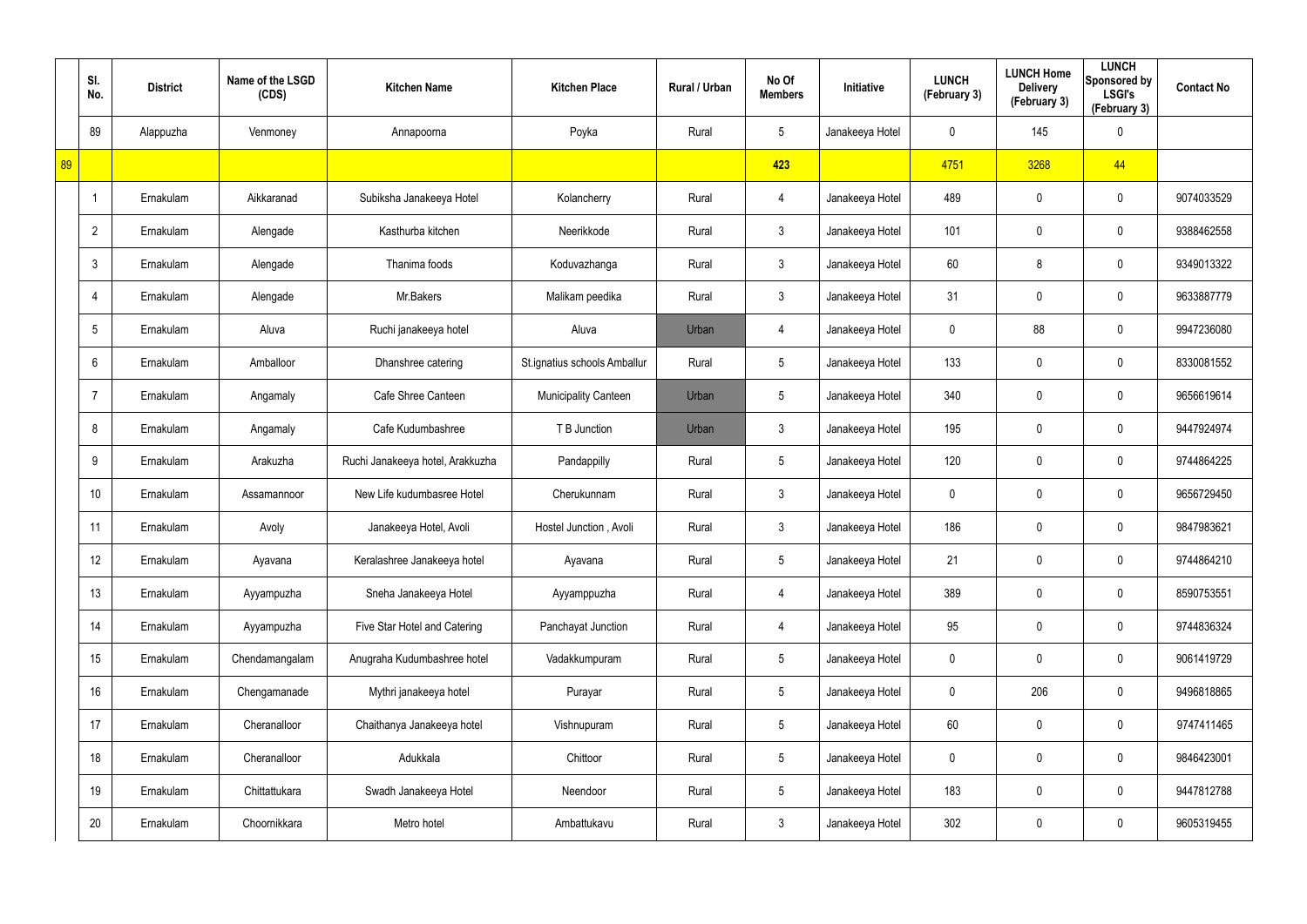|    | SI.<br>No.      | <b>District</b> | Name of the LSGD<br>(CDS) | <b>Kitchen Name</b>              | <b>Kitchen Place</b>         | Rural / Urban | No Of<br><b>Members</b> | Initiative      | <b>LUNCH</b><br>(February 3) | <b>LUNCH Home</b><br><b>Delivery</b><br>(February 3) | <b>LUNCH</b><br>Sponsored by<br><b>LSGI's</b><br>(February 3) | <b>Contact No</b> |
|----|-----------------|-----------------|---------------------------|----------------------------------|------------------------------|---------------|-------------------------|-----------------|------------------------------|------------------------------------------------------|---------------------------------------------------------------|-------------------|
|    | 89              | Alappuzha       | Venmoney                  | Annapoorna                       | Poyka                        | Rural         | $5\phantom{.0}$         | Janakeeya Hotel | 0                            | 145                                                  | $\mathbf 0$                                                   |                   |
| 89 |                 |                 |                           |                                  |                              |               | 423                     |                 | 4751                         | 3268                                                 | 44                                                            |                   |
|    |                 | Ernakulam       | Aikkaranad                | Subiksha Janakeeya Hotel         | Kolancherry                  | Rural         | $\overline{4}$          | Janakeeya Hotel | 489                          | 0                                                    | $\mathbf 0$                                                   | 9074033529        |
|    | $\overline{2}$  | Ernakulam       | Alengade                  | Kasthurba kitchen                | Neerikkode                   | Rural         | $\mathbf{3}$            | Janakeeya Hotel | 101                          | 0                                                    | $\mathbf 0$                                                   | 9388462558        |
|    | $\mathbf{3}$    | Ernakulam       | Alengade                  | Thanima foods                    | Koduvazhanga                 | Rural         | $\mathbf{3}$            | Janakeeya Hotel | 60                           | 8                                                    | $\mathbf 0$                                                   | 9349013322        |
|    | $\overline{4}$  | Ernakulam       | Alengade                  | Mr.Bakers                        | Malikam peedika              | Rural         | $\mathbf{3}$            | Janakeeya Hotel | 31                           | 0                                                    | $\mathbf 0$                                                   | 9633887779        |
|    | $5\phantom{.0}$ | Ernakulam       | Aluva                     | Ruchi janakeeya hotel            | Aluva                        | Urban         | $\overline{4}$          | Janakeeya Hotel | 0                            | 88                                                   | $\mathbf 0$                                                   | 9947236080        |
|    | $6^{\circ}$     | Ernakulam       | Amballoor                 | Dhanshree catering               | St.ignatius schools Amballur | Rural         | $5\overline{)}$         | Janakeeya Hotel | 133                          | 0                                                    | $\mathbf 0$                                                   | 8330081552        |
|    | $\overline{7}$  | Ernakulam       | Angamaly                  | Cafe Shree Canteen               | <b>Municipality Canteen</b>  | Urban         | $5\overline{)}$         | Janakeeya Hotel | 340                          | 0                                                    | $\mathbf 0$                                                   | 9656619614        |
|    | 8               | Ernakulam       | Angamaly                  | Cafe Kudumbashree                | T B Junction                 | Urban         | 3                       | Janakeeya Hotel | 195                          | 0                                                    | $\mathbf 0$                                                   | 9447924974        |
|    | 9               | Ernakulam       | Arakuzha                  | Ruchi Janakeeya hotel, Arakkuzha | Pandappilly                  | Rural         | $5\phantom{.0}$         | Janakeeya Hotel | 120                          | 0                                                    | $\mathbf 0$                                                   | 9744864225        |
|    | 10              | Ernakulam       | Assamannoor               | New Life kudumbasree Hotel       | Cherukunnam                  | Rural         | $\mathbf{3}$            | Janakeeya Hotel | 0                            | 0                                                    | $\mathbf 0$                                                   | 9656729450        |
|    | 11              | Ernakulam       | Avoly                     | Janakeeya Hotel, Avoli           | Hostel Junction, Avoli       | Rural         | $\mathbf{3}$            | Janakeeya Hotel | 186                          | 0                                                    | $\mathbf 0$                                                   | 9847983621        |
|    | 12              | Ernakulam       | Ayavana                   | Keralashree Janakeeya hotel      | Ayavana                      | Rural         | $5\phantom{.0}$         | Janakeeya Hotel | 21                           | $\mathbf 0$                                          | $\pmb{0}$                                                     | 9744864210        |
|    | 13              | Ernakulam       | Ayyampuzha                | Sneha Janakeeya Hotel            | Ayyamppuzha                  | Rural         | $\overline{4}$          | Janakeeya Hotel | 389                          | $\mathbf 0$                                          | $\mathbf 0$                                                   | 8590753551        |
|    | 14              | Ernakulam       | Ayyampuzha                | Five Star Hotel and Catering     | Panchayat Junction           | Rural         | $\overline{4}$          | Janakeeya Hotel | 95                           | $\mathbf 0$                                          | $\pmb{0}$                                                     | 9744836324        |
|    | 15              | Ernakulam       | Chendamangalam            | Anugraha Kudumbashree hotel      | Vadakkumpuram                | Rural         | $5\phantom{.0}$         | Janakeeya Hotel | 0                            | $\mathbf 0$                                          | $\mathbf 0$                                                   | 9061419729        |
|    | 16              | Ernakulam       | Chengamanade              | Mythri janakeeya hotel           | Purayar                      | Rural         | $5\phantom{.0}$         | Janakeeya Hotel | 0                            | 206                                                  | $\mathbf 0$                                                   | 9496818865        |
|    | 17              | Ernakulam       | Cheranalloor              | Chaithanya Janakeeya hotel       | Vishnupuram                  | Rural         | $5\phantom{.0}$         | Janakeeya Hotel | 60                           | 0                                                    | $\mathbf 0$                                                   | 9747411465        |
|    | 18              | Ernakulam       | Cheranalloor              | Adukkala                         | Chittoor                     | Rural         | $5\phantom{.0}$         | Janakeeya Hotel | 0                            | 0                                                    | $\pmb{0}$                                                     | 9846423001        |
|    | 19              | Ernakulam       | Chittattukara             | Swadh Janakeeya Hotel            | Neendoor                     | Rural         | $5\phantom{.0}$         | Janakeeya Hotel | 183                          | 0                                                    | $\mathbf 0$                                                   | 9447812788        |
|    | 20              | Ernakulam       | Choornikkara              | Metro hotel                      | Ambattukavu                  | Rural         | $\mathfrak{Z}$          | Janakeeya Hotel | 302                          | 0                                                    | $\pmb{0}$                                                     | 9605319455        |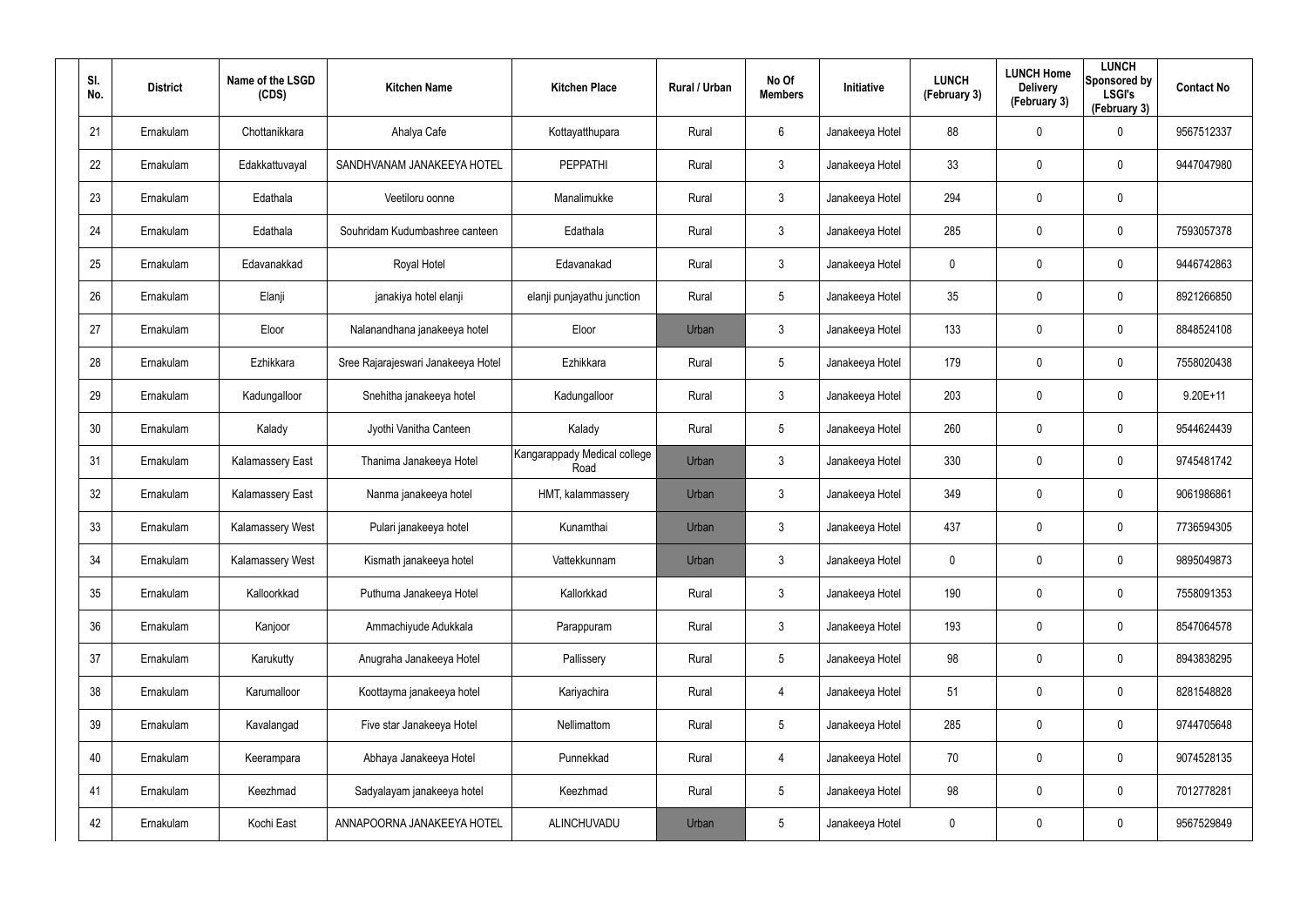| SI.<br>No. | <b>District</b> | Name of the LSGD<br>(CDS) | <b>Kitchen Name</b>                | <b>Kitchen Place</b>                 | Rural / Urban | No Of<br><b>Members</b> | <b>Initiative</b> | <b>LUNCH</b><br>(February 3) | <b>LUNCH Home</b><br><b>Delivery</b><br>(February 3) | <b>LUNCH</b><br>Sponsored by<br><b>LSGI's</b><br>(February 3) | <b>Contact No</b> |
|------------|-----------------|---------------------------|------------------------------------|--------------------------------------|---------------|-------------------------|-------------------|------------------------------|------------------------------------------------------|---------------------------------------------------------------|-------------------|
| 21         | Ernakulam       | Chottanikkara             | Ahalya Cafe                        | Kottayatthupara                      | Rural         | 6                       | Janakeeya Hotel   | 88                           | 0                                                    | $\mathbf 0$                                                   | 9567512337        |
| 22         | Ernakulam       | Edakkattuvayal            | SANDHVANAM JANAKEEYA HOTEL         | <b>PEPPATHI</b>                      | Rural         | $\mathbf{3}$            | Janakeeya Hotel   | 33                           | 0                                                    | $\mathbf 0$                                                   | 9447047980        |
| 23         | Ernakulam       | Edathala                  | Veetiloru oonne                    | Manalimukke                          | Rural         | $\mathbf{3}$            | Janakeeya Hotel   | 294                          | 0                                                    | $\pmb{0}$                                                     |                   |
| 24         | Ernakulam       | Edathala                  | Souhridam Kudumbashree canteen     | Edathala                             | Rural         | $\mathbf{3}$            | Janakeeya Hotel   | 285                          | 0                                                    | $\mathbf 0$                                                   | 7593057378        |
| 25         | Ernakulam       | Edavanakkad               | Royal Hotel                        | Edavanakad                           | Rural         | $\mathbf{3}$            | Janakeeya Hotel   | 0                            | 0                                                    | $\mathbf 0$                                                   | 9446742863        |
| 26         | Ernakulam       | Elanji                    | janakiya hotel elanji              | elanji punjayathu junction           | Rural         | $5\phantom{.0}$         | Janakeeya Hotel   | 35 <sub>5</sub>              | 0                                                    | $\mathbf 0$                                                   | 8921266850        |
| 27         | Ernakulam       | Eloor                     | Nalanandhana janakeeya hotel       | Eloor                                | Urban         | $\mathbf{3}$            | Janakeeya Hotel   | 133                          | 0                                                    | $\mathbf 0$                                                   | 8848524108        |
| 28         | Ernakulam       | Ezhikkara                 | Sree Rajarajeswari Janakeeya Hotel | Ezhikkara                            | Rural         | $5\overline{)}$         | Janakeeya Hotel   | 179                          | 0                                                    | $\mathbf 0$                                                   | 7558020438        |
| 29         | Ernakulam       | Kadungalloor              | Snehitha janakeeya hotel           | Kadungalloor                         | Rural         | $\mathbf{3}$            | Janakeeya Hotel   | 203                          | 0                                                    | $\mathbf 0$                                                   | $9.20E + 11$      |
| 30         | Ernakulam       | Kalady                    | Jyothi Vanitha Canteen             | Kalady                               | Rural         | $5\overline{)}$         | Janakeeya Hotel   | 260                          | 0                                                    | $\mathbf 0$                                                   | 9544624439        |
| 31         | Ernakulam       | <b>Kalamassery East</b>   | Thanima Janakeeya Hotel            | Kangarappady Medical college<br>Road | Urban         | $\mathbf{3}$            | Janakeeya Hotel   | 330                          | 0                                                    | $\mathbf 0$                                                   | 9745481742        |
| 32         | Ernakulam       | <b>Kalamassery East</b>   | Nanma janakeeya hotel              | HMT, kalammassery                    | Urban         | $\mathbf{3}$            | Janakeeya Hotel   | 349                          | 0                                                    | $\mathbf 0$                                                   | 9061986861        |
| 33         | Ernakulam       | Kalamassery West          | Pulari janakeeya hotel             | Kunamthai                            | Urban         | $\mathbf{3}$            | Janakeeya Hotel   | 437                          | $\mathbf 0$                                          | $\mathbf 0$                                                   | 7736594305        |
| 34         | Ernakulam       | Kalamassery West          | Kismath janakeeya hotel            | Vattekkunnam                         | Urban         | $\mathfrak{Z}$          | Janakeeya Hotel   | 0                            | 0                                                    | $\pmb{0}$                                                     | 9895049873        |
| 35         | Ernakulam       | Kalloorkkad               | Puthuma Janakeeya Hotel            | Kallorkkad                           | Rural         | $\mathbf{3}$            | Janakeeya Hotel   | 190                          | $\mathbf 0$                                          | $\mathbf 0$                                                   | 7558091353        |
| 36         | Ernakulam       | Kanjoor                   | Ammachiyude Adukkala               | Parappuram                           | Rural         | $\mathbf{3}$            | Janakeeya Hotel   | 193                          | 0                                                    | $\mathbf 0$                                                   | 8547064578        |
| 37         | Ernakulam       | Karukutty                 | Anugraha Janakeeya Hotel           | Pallissery                           | Rural         | $5\phantom{.0}$         | Janakeeya Hotel   | 98                           | 0                                                    | $\mathbf 0$                                                   | 8943838295        |
| 38         | Ernakulam       | Karumalloor               | Koottayma janakeeya hotel          | Kariyachira                          | Rural         | 4                       | Janakeeya Hotel   | 51                           | 0                                                    | $\mathbf 0$                                                   | 8281548828        |
| 39         | Ernakulam       | Kavalangad                | Five star Janakeeya Hotel          | Nellimattom                          | Rural         | $5\phantom{.0}$         | Janakeeya Hotel   | 285                          | 0                                                    | $\mathbf 0$                                                   | 9744705648        |
| 40         | Ernakulam       | Keerampara                | Abhaya Janakeeya Hotel             | Punnekkad                            | Rural         | 4                       | Janakeeya Hotel   | 70                           | 0                                                    | $\mathbf 0$                                                   | 9074528135        |
| 41         | Ernakulam       | Keezhmad                  | Sadyalayam janakeeya hotel         | Keezhmad                             | Rural         | $5\phantom{.0}$         | Janakeeya Hotel   | 98                           | 0                                                    | $\mathbf 0$                                                   | 7012778281        |
| 42         | Ernakulam       | Kochi East                | ANNAPOORNA JANAKEEYA HOTEL         | ALINCHUVADU                          | Urban         | $5\phantom{.0}$         | Janakeeya Hotel   | 0                            | 0                                                    | $\pmb{0}$                                                     | 9567529849        |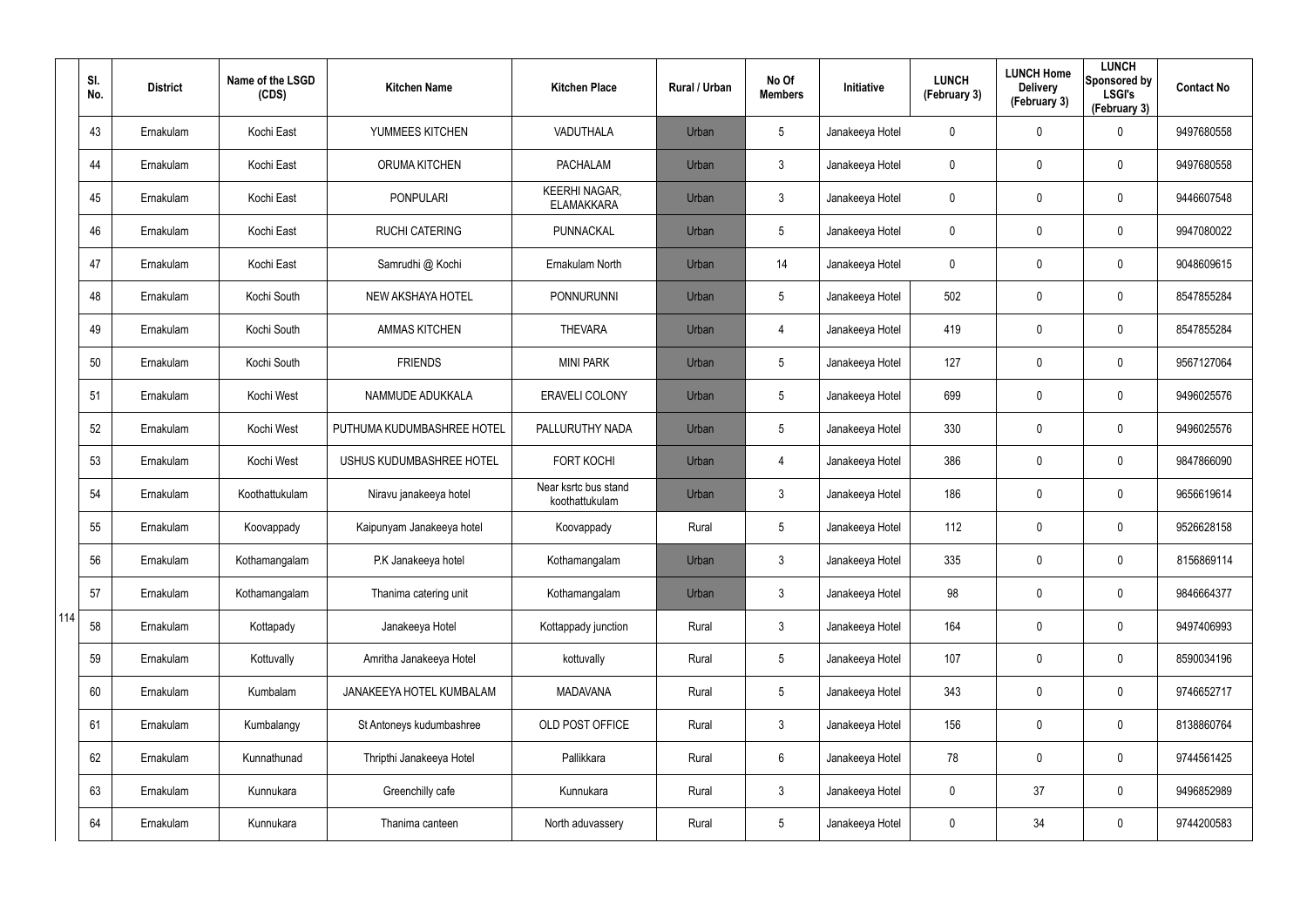|     | SI.<br>No. | <b>District</b> | Name of the LSGD<br>(CDS) | <b>Kitchen Name</b>        | <b>Kitchen Place</b>                      | Rural / Urban | No Of<br><b>Members</b> | Initiative      | <b>LUNCH</b><br>(February 3) | <b>LUNCH Home</b><br><b>Delivery</b><br>(February 3) | <b>LUNCH</b><br>Sponsored by<br><b>LSGI's</b><br>(February 3) | <b>Contact No</b> |
|-----|------------|-----------------|---------------------------|----------------------------|-------------------------------------------|---------------|-------------------------|-----------------|------------------------------|------------------------------------------------------|---------------------------------------------------------------|-------------------|
|     | 43         | Ernakulam       | Kochi East                | YUMMEES KITCHEN            | VADUTHALA                                 | Urban         | $5\overline{)}$         | Janakeeya Hotel | 0                            | 0                                                    | 0                                                             | 9497680558        |
|     | 44         | Ernakulam       | Kochi East                | <b>ORUMA KITCHEN</b>       | <b>PACHALAM</b>                           | Urban         | 3                       | Janakeeya Hotel | 0                            | $\mathbf 0$                                          | 0                                                             | 9497680558        |
|     | 45         | Ernakulam       | Kochi East                | <b>PONPULARI</b>           | <b>KEERHI NAGAR,</b><br><b>ELAMAKKARA</b> | Urban         | 3                       | Janakeeya Hotel | 0                            | $\mathbf 0$                                          | 0                                                             | 9446607548        |
|     | 46         | Ernakulam       | Kochi East                | <b>RUCHI CATERING</b>      | PUNNACKAL                                 | Urban         | 5                       | Janakeeya Hotel | 0                            | 0                                                    | 0                                                             | 9947080022        |
|     | 47         | Ernakulam       | Kochi East                | Samrudhi @ Kochi           | Ernakulam North                           | Urban         | 14                      | Janakeeya Hotel | 0                            | 0                                                    | 0                                                             | 9048609615        |
|     | 48         | Ernakulam       | Kochi South               | NEW AKSHAYA HOTEL          | <b>PONNURUNNI</b>                         | Urban         | 5                       | Janakeeya Hotel | 502                          | 0                                                    | 0                                                             | 8547855284        |
|     | 49         | Ernakulam       | Kochi South               | <b>AMMAS KITCHEN</b>       | <b>THEVARA</b>                            | Urban         | $\overline{4}$          | Janakeeya Hotel | 419                          | 0                                                    | 0                                                             | 8547855284        |
|     | 50         | Ernakulam       | Kochi South               | <b>FRIENDS</b>             | <b>MINI PARK</b>                          | Urban         | $5\overline{)}$         | Janakeeya Hotel | 127                          | 0                                                    | $\mathbf 0$                                                   | 9567127064        |
|     | 51         | Ernakulam       | Kochi West                | NAMMUDE ADUKKALA           | <b>ERAVELI COLONY</b>                     | Urban         | $5\overline{)}$         | Janakeeya Hotel | 699                          | 0                                                    | 0                                                             | 9496025576        |
|     | 52         | Ernakulam       | Kochi West                | PUTHUMA KUDUMBASHREE HOTEL | PALLURUTHY NADA                           | Urban         | $5\overline{)}$         | Janakeeya Hotel | 330                          | 0                                                    | $\mathbf 0$                                                   | 9496025576        |
|     | 53         | Ernakulam       | Kochi West                | USHUS KUDUMBASHREE HOTEL   | <b>FORT KOCHI</b>                         | Urban         | 4                       | Janakeeya Hotel | 386                          | 0                                                    | 0                                                             | 9847866090        |
|     | 54         | Ernakulam       | Koothattukulam            | Niravu janakeeya hotel     | Near ksrtc bus stand<br>koothattukulam    | Urban         | 3                       | Janakeeya Hotel | 186                          | 0                                                    | 0                                                             | 9656619614        |
|     | 55         | Ernakulam       | Koovappady                | Kaipunyam Janakeeya hotel  | Koovappady                                | Rural         | $5\overline{)}$         | Janakeeya Hotel | 112                          | 0                                                    | 0                                                             | 9526628158        |
|     | 56         | Ernakulam       | Kothamangalam             | P.K Janakeeya hotel        | Kothamangalam                             | Urban         | 3                       | Janakeeya Hotel | 335                          | $\mathbf 0$                                          | $\pmb{0}$                                                     | 8156869114        |
|     | 57         | Ernakulam       | Kothamangalam             | Thanima catering unit      | Kothamangalam                             | Urban         | $\mathfrak{Z}$          | Janakeeya Hotel | 98                           | $\mathbf 0$                                          | $\mathbf 0$                                                   | 9846664377        |
| 114 | 58         | Ernakulam       | Kottapady                 | Janakeeya Hotel            | Kottappady junction                       | Rural         | $\mathbf{3}$            | Janakeeya Hotel | 164                          | $\mathbf 0$                                          | $\mathbf 0$                                                   | 9497406993        |
|     | 59         | Ernakulam       | Kottuvally                | Amritha Janakeeya Hotel    | kottuvally                                | Rural         | $\sqrt{5}$              | Janakeeya Hotel | 107                          | 0                                                    | $\mathbf 0$                                                   | 8590034196        |
|     | 60         | Ernakulam       | Kumbalam                  | JANAKEEYA HOTEL KUMBALAM   | <b>MADAVANA</b>                           | Rural         | $5\phantom{.0}$         | Janakeeya Hotel | 343                          | 0                                                    | $\mathbf 0$                                                   | 9746652717        |
|     | 61         | Ernakulam       | Kumbalangy                | St Antoneys kudumbashree   | OLD POST OFFICE                           | Rural         | $\mathfrak{Z}$          | Janakeeya Hotel | 156                          | 0                                                    | $\mathbf 0$                                                   | 8138860764        |
|     | 62         | Ernakulam       | Kunnathunad               | Thripthi Janakeeya Hotel   | Pallikkara                                | Rural         | $6\overline{6}$         | Janakeeya Hotel | 78                           | 0                                                    | $\mathsf{0}$                                                  | 9744561425        |
|     | 63         | Ernakulam       | Kunnukara                 | Greenchilly cafe           | Kunnukara                                 | Rural         | $\mathfrak{Z}$          | Janakeeya Hotel | 0                            | 37                                                   | $\mathbf 0$                                                   | 9496852989        |
|     | 64         | Ernakulam       | Kunnukara                 | Thanima canteen            | North aduvassery                          | Rural         | $\sqrt{5}$              | Janakeeya Hotel | 0                            | 34                                                   | $\pmb{0}$                                                     | 9744200583        |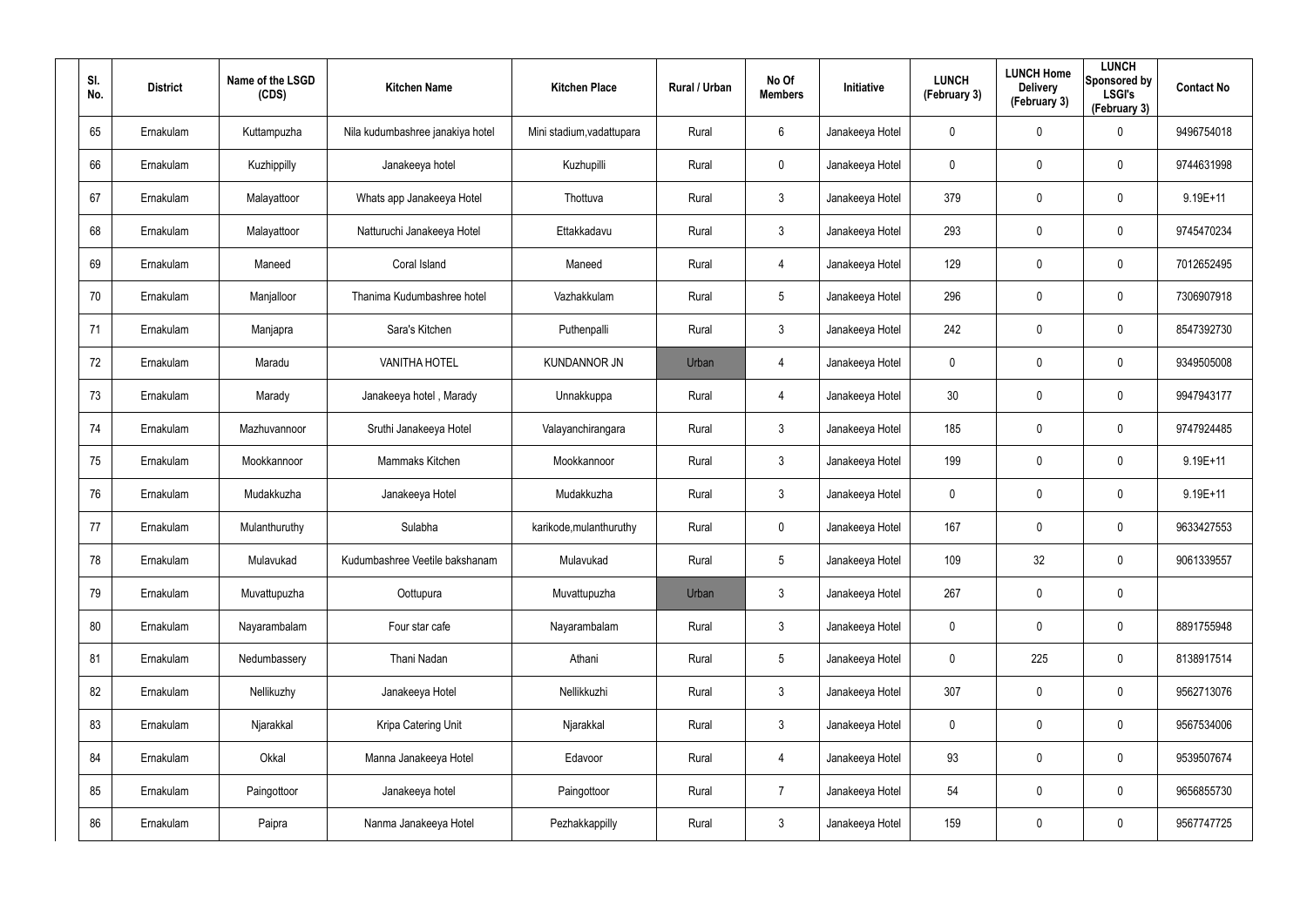| SI.<br>No. | <b>District</b> | Name of the LSGD<br>(CDS) | <b>Kitchen Name</b>              | <b>Kitchen Place</b>      | Rural / Urban | No Of<br><b>Members</b> | <b>Initiative</b> | <b>LUNCH</b><br>(February 3) | <b>LUNCH Home</b><br><b>Delivery</b><br>(February 3) | <b>LUNCH</b><br>Sponsored by<br><b>LSGI's</b><br>(February 3) | <b>Contact No</b> |
|------------|-----------------|---------------------------|----------------------------------|---------------------------|---------------|-------------------------|-------------------|------------------------------|------------------------------------------------------|---------------------------------------------------------------|-------------------|
| 65         | Ernakulam       | Kuttampuzha               | Nila kudumbashree janakiya hotel | Mini stadium, vadattupara | Rural         | 6                       | Janakeeya Hotel   | 0                            | 0                                                    | $\mathbf 0$                                                   | 9496754018        |
| 66         | Ernakulam       | Kuzhippilly               | Janakeeya hotel                  | Kuzhupilli                | Rural         | $\mathbf 0$             | Janakeeya Hotel   | 0                            | 0                                                    | $\boldsymbol{0}$                                              | 9744631998        |
| 67         | Ernakulam       | Malayattoor               | Whats app Janakeeya Hotel        | Thottuva                  | Rural         | $\mathfrak{Z}$          | Janakeeya Hotel   | 379                          | 0                                                    | $\mathbf 0$                                                   | $9.19E + 11$      |
| 68         | Ernakulam       | Malayattoor               | Natturuchi Janakeeya Hotel       | Ettakkadavu               | Rural         | $\mathbf{3}$            | Janakeeya Hotel   | 293                          | 0                                                    | $\mathbf 0$                                                   | 9745470234        |
| 69         | Ernakulam       | Maneed                    | Coral Island                     | Maneed                    | Rural         | $\overline{4}$          | Janakeeya Hotel   | 129                          | 0                                                    | $\mathbf 0$                                                   | 7012652495        |
| 70         | Ernakulam       | Manjalloor                | Thanima Kudumbashree hotel       | Vazhakkulam               | Rural         | $5\overline{)}$         | Janakeeya Hotel   | 296                          | 0                                                    | $\mathbf 0$                                                   | 7306907918        |
| 71         | Ernakulam       | Manjapra                  | Sara's Kitchen                   | Puthenpalli               | Rural         | $\mathbf{3}$            | Janakeeya Hotel   | 242                          | 0                                                    | $\pmb{0}$                                                     | 8547392730        |
| 72         | Ernakulam       | Maradu                    | <b>VANITHA HOTEL</b>             | <b>KUNDANNOR JN</b>       | Urban         | 4                       | Janakeeya Hotel   | 0                            | 0                                                    | $\pmb{0}$                                                     | 9349505008        |
| 73         | Ernakulam       | Marady                    | Janakeeya hotel, Marady          | Unnakkuppa                | Rural         | $\overline{4}$          | Janakeeya Hotel   | 30 <sub>o</sub>              | 0                                                    | $\pmb{0}$                                                     | 9947943177        |
| 74         | Ernakulam       | Mazhuvannoor              | Sruthi Janakeeya Hotel           | Valayanchirangara         | Rural         | $\mathbf{3}$            | Janakeeya Hotel   | 185                          | 0                                                    | $\boldsymbol{0}$                                              | 9747924485        |
| 75         | Ernakulam       | Mookkannoor               | Mammaks Kitchen                  | Mookkannoor               | Rural         | $\mathbf{3}$            | Janakeeya Hotel   | 199                          | 0                                                    | $\boldsymbol{0}$                                              | $9.19E + 11$      |
| 76         | Ernakulam       | Mudakkuzha                | Janakeeya Hotel                  | Mudakkuzha                | Rural         | $\mathbf{3}$            | Janakeeya Hotel   | 0                            | 0                                                    | $\boldsymbol{0}$                                              | $9.19E + 11$      |
| 77         | Ernakulam       | Mulanthuruthy             | Sulabha                          | karikode, mulanthuruthy   | Rural         | $\mathbf 0$             | Janakeeya Hotel   | 167                          | 0                                                    | $\boldsymbol{0}$                                              | 9633427553        |
| 78         | Ernakulam       | Mulavukad                 | Kudumbashree Veetile bakshanam   | Mulavukad                 | Rural         | $5\phantom{.0}$         | Janakeeya Hotel   | 109                          | 32                                                   | $\pmb{0}$                                                     | 9061339557        |
| 79         | Ernakulam       | Muvattupuzha              | Oottupura                        | Muvattupuzha              | Urban         | $\mathfrak{Z}$          | Janakeeya Hotel   | 267                          | 0                                                    | $\pmb{0}$                                                     |                   |
| 80         | Ernakulam       | Nayarambalam              | Four star cafe                   | Nayarambalam              | Rural         | $\mathfrak{Z}$          | Janakeeya Hotel   | $\mathbf 0$                  | 0                                                    | $\mathsf{0}$                                                  | 8891755948        |
| 81         | Ernakulam       | Nedumbassery              | Thani Nadan                      | Athani                    | Rural         | $5\phantom{.0}$         | Janakeeya Hotel   | 0                            | 225                                                  | $\mathsf{0}$                                                  | 8138917514        |
| 82         | Ernakulam       | Nellikuzhy                | Janakeeya Hotel                  | Nellikkuzhi               | Rural         | $\mathfrak{Z}$          | Janakeeya Hotel   | 307                          | $\mathbf 0$                                          | $\mathsf{0}$                                                  | 9562713076        |
| 83         | Ernakulam       | Njarakkal                 | Kripa Catering Unit              | Njarakkal                 | Rural         | $\mathbf{3}$            | Janakeeya Hotel   | 0                            | 0                                                    | $\mathsf{0}$                                                  | 9567534006        |
| 84         | Ernakulam       | Okkal                     | Manna Janakeeya Hotel            | Edavoor                   | Rural         | $\overline{4}$          | Janakeeya Hotel   | 93                           | $\mathbf 0$                                          | $\mathsf{0}$                                                  | 9539507674        |
| 85         | Ernakulam       | Paingottoor               | Janakeeya hotel                  | Paingottoor               | Rural         | $\overline{7}$          | Janakeeya Hotel   | 54                           | 0                                                    | $\mathsf{0}$                                                  | 9656855730        |
| 86         | Ernakulam       | Paipra                    | Nanma Janakeeya Hotel            | Pezhakkappilly            | Rural         | $\mathfrak{Z}$          | Janakeeya Hotel   | 159                          | 0                                                    | $\pmb{0}$                                                     | 9567747725        |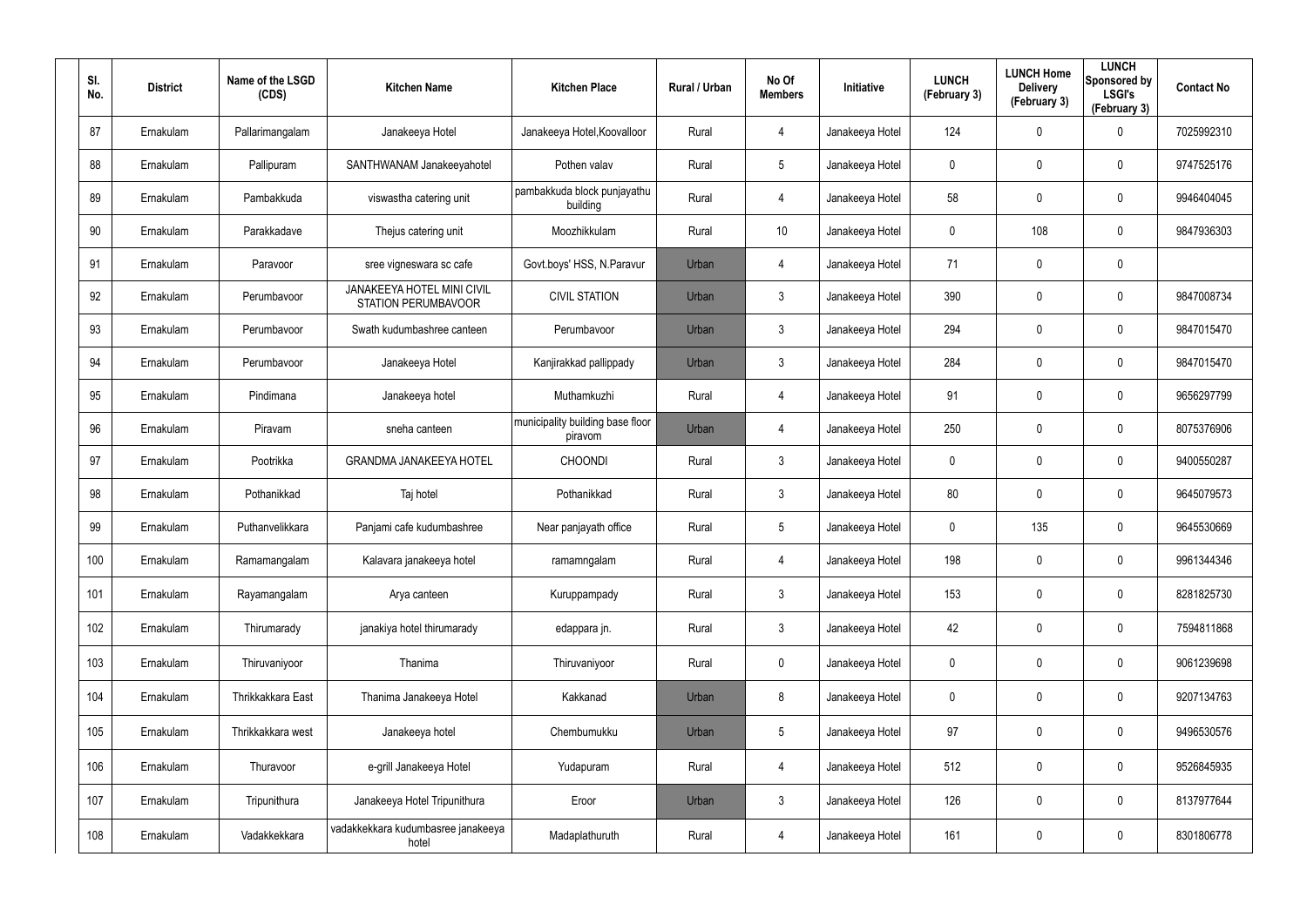| SI.<br>No. | <b>District</b> | Name of the LSGD<br>(CDS) | <b>Kitchen Name</b>                                      | <b>Kitchen Place</b>                        | Rural / Urban | No Of<br><b>Members</b> | <b>Initiative</b> | <b>LUNCH</b><br>(February 3) | <b>LUNCH Home</b><br><b>Delivery</b><br>(February 3) | <b>LUNCH</b><br>Sponsored by<br><b>LSGI's</b><br>(February 3) | <b>Contact No</b> |
|------------|-----------------|---------------------------|----------------------------------------------------------|---------------------------------------------|---------------|-------------------------|-------------------|------------------------------|------------------------------------------------------|---------------------------------------------------------------|-------------------|
| 87         | Ernakulam       | Pallarimangalam           | Janakeeya Hotel                                          | Janakeeya Hotel, Koovalloor                 | Rural         | 4                       | Janakeeya Hotel   | 124                          | 0                                                    | $\mathbf 0$                                                   | 7025992310        |
| 88         | Ernakulam       | Pallipuram                | SANTHWANAM Janakeeyahotel                                | Pothen valav                                | Rural         | $5\phantom{.0}$         | Janakeeya Hotel   | 0                            | 0                                                    | $\pmb{0}$                                                     | 9747525176        |
| 89         | Ernakulam       | Pambakkuda                | viswastha catering unit                                  | pambakkuda block punjayathu<br>building     | Rural         | 4                       | Janakeeya Hotel   | 58                           | 0                                                    | $\mathbf 0$                                                   | 9946404045        |
| 90         | Ernakulam       | Parakkadave               | Thejus catering unit                                     | Moozhikkulam                                | Rural         | 10                      | Janakeeya Hotel   | 0                            | 108                                                  | $\mathbf 0$                                                   | 9847936303        |
| 91         | Ernakulam       | Paravoor                  | sree vigneswara sc cafe                                  | Govt.boys' HSS, N.Paravur                   | Urban         | 4                       | Janakeeya Hotel   | 71                           | $\mathbf 0$                                          | $\pmb{0}$                                                     |                   |
| 92         | Ernakulam       | Perumbavoor               | JANAKEEYA HOTEL MINI CIVIL<br><b>STATION PERUMBAVOOR</b> | <b>CIVIL STATION</b>                        | Urban         | 3                       | Janakeeya Hotel   | 390                          | 0                                                    | $\mathbf 0$                                                   | 9847008734        |
| 93         | Ernakulam       | Perumbavoor               | Swath kudumbashree canteen                               | Perumbavoor                                 | Urban         | $\mathbf{3}$            | Janakeeya Hotel   | 294                          | 0                                                    | $\pmb{0}$                                                     | 9847015470        |
| 94         | Ernakulam       | Perumbayoor               | Janakeeya Hotel                                          | Kanjirakkad pallippady                      | Urban         | $\mathbf{3}$            | Janakeeya Hotel   | 284                          | 0                                                    | $\mathbf 0$                                                   | 9847015470        |
| 95         | Ernakulam       | Pindimana                 | Janakeeya hotel                                          | Muthamkuzhi                                 | Rural         | 4                       | Janakeeya Hotel   | 91                           | 0                                                    | $\mathbf 0$                                                   | 9656297799        |
| 96         | Ernakulam       | Piravam                   | sneha canteen                                            | municipality building base floor<br>piravom | Urban         | 4                       | Janakeeya Hotel   | 250                          | 0                                                    | $\mathbf 0$                                                   | 8075376906        |
| 97         | Ernakulam       | Pootrikka                 | <b>GRANDMA JANAKEEYA HOTEL</b>                           | <b>CHOONDI</b>                              | Rural         | $\mathbf{3}$            | Janakeeya Hotel   | $\mathbf 0$                  | 0                                                    | $\mathbf 0$                                                   | 9400550287        |
| 98         | Ernakulam       | Pothanikkad               | Taj hotel                                                | Pothanikkad                                 | Rural         | $\mathbf{3}$            | Janakeeya Hotel   | 80                           | 0                                                    | $\mathbf 0$                                                   | 9645079573        |
| 99         | Ernakulam       | Puthanvelikkara           | Panjami cafe kudumbashree                                | Near panjayath office                       | Rural         | $5\overline{)}$         | Janakeeya Hotel   | 0                            | 135                                                  | $\mathbf 0$                                                   | 9645530669        |
| 100        | Ernakulam       | Ramamangalam              | Kalavara janakeeya hotel                                 | ramamngalam                                 | Rural         | 4                       | Janakeeya Hotel   | 198                          | $\mathbf 0$                                          | $\pmb{0}$                                                     | 9961344346        |
| 101        | Ernakulam       | Rayamangalam              | Arya canteen                                             | Kuruppampady                                | Rural         | $\mathbf{3}$            | Janakeeya Hotel   | 153                          | $\pmb{0}$                                            | $\pmb{0}$                                                     | 8281825730        |
| 102        | Ernakulam       | Thirumarady               | janakiya hotel thirumarady                               | edappara jn.                                | Rural         | $\mathfrak{Z}$          | Janakeeya Hotel   | 42                           | 0                                                    | $\pmb{0}$                                                     | 7594811868        |
| 103        | Ernakulam       | Thiruvaniyoor             | Thanima                                                  | Thiruvaniyoor                               | Rural         | $\mathbf 0$             | Janakeeya Hotel   | 0                            | 0                                                    | $\pmb{0}$                                                     | 9061239698        |
| 104        | Ernakulam       | Thrikkakkara East         | Thanima Janakeeya Hotel                                  | Kakkanad                                    | Urban         | 8                       | Janakeeya Hotel   | $\pmb{0}$                    | $\pmb{0}$                                            | $\pmb{0}$                                                     | 9207134763        |
| 105        | Ernakulam       | Thrikkakkara west         | Janakeeya hotel                                          | Chembumukku                                 | Urban         | $5\phantom{.0}$         | Janakeeya Hotel   | 97                           | $\mathbf 0$                                          | $\pmb{0}$                                                     | 9496530576        |
| 106        | Ernakulam       | Thuravoor                 | e-grill Janakeeya Hotel                                  | Yudapuram                                   | Rural         | 4                       | Janakeeya Hotel   | 512                          | $\pmb{0}$                                            | $\pmb{0}$                                                     | 9526845935        |
| 107        | Ernakulam       | Tripunithura              | Janakeeya Hotel Tripunithura                             | Eroor                                       | Urban         | $\mathfrak{Z}$          | Janakeeya Hotel   | 126                          | $\mathbf 0$                                          | $\pmb{0}$                                                     | 8137977644        |
| 108        | Ernakulam       | Vadakkekkara              | vadakkekkara kudumbasree janakeeya<br>hotel              | Madaplathuruth                              | Rural         | 4                       | Janakeeya Hotel   | 161                          | 0                                                    | $\pmb{0}$                                                     | 8301806778        |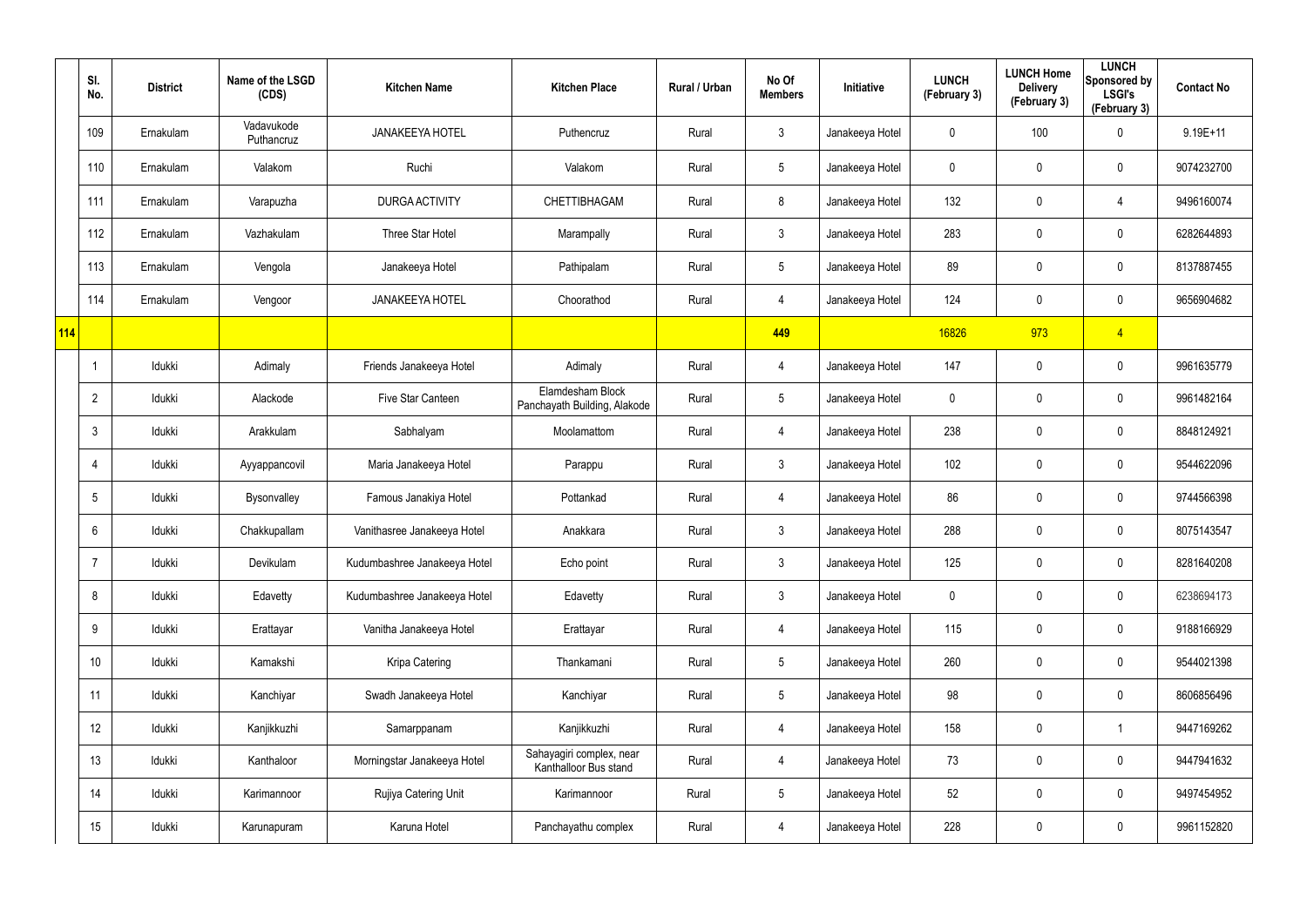|     | SI.<br>No.      | <b>District</b> | Name of the LSGD<br>(CDS) | <b>Kitchen Name</b>          | <b>Kitchen Place</b>                              | Rural / Urban | No Of<br><b>Members</b> | Initiative      | <b>LUNCH</b><br>(February 3) | <b>LUNCH Home</b><br><b>Delivery</b><br>(February 3) | <b>LUNCH</b><br>Sponsored by<br><b>LSGI's</b><br>(February 3) | <b>Contact No</b> |
|-----|-----------------|-----------------|---------------------------|------------------------------|---------------------------------------------------|---------------|-------------------------|-----------------|------------------------------|------------------------------------------------------|---------------------------------------------------------------|-------------------|
|     | 109             | Ernakulam       | Vadavukode<br>Puthancruz  | <b>JANAKEEYA HOTEL</b>       | Puthencruz                                        | Rural         | $\mathfrak{Z}$          | Janakeeya Hotel | 0                            | 100                                                  | $\mathbf 0$                                                   | $9.19E + 11$      |
|     | 110             | Ernakulam       | Valakom                   | Ruchi                        | Valakom                                           | Rural         | $5\phantom{.0}$         | Janakeeya Hotel | 0                            | 0                                                    | $\pmb{0}$                                                     | 9074232700        |
|     | 111             | Ernakulam       | Varapuzha                 | <b>DURGA ACTIVITY</b>        | CHETTIBHAGAM                                      | Rural         | 8                       | Janakeeya Hotel | 132                          | 0                                                    | $\overline{4}$                                                | 9496160074        |
|     | 112             | Ernakulam       | Vazhakulam                | Three Star Hotel             | Marampally                                        | Rural         | $\mathfrak{Z}$          | Janakeeya Hotel | 283                          | 0                                                    | $\mathbf 0$                                                   | 6282644893        |
|     | 113             | Ernakulam       | Vengola                   | Janakeeya Hotel              | Pathipalam                                        | Rural         | $5\phantom{.0}$         | Janakeeya Hotel | 89                           | 0                                                    | $\pmb{0}$                                                     | 8137887455        |
|     | 114             | Ernakulam       | Vengoor                   | <b>JANAKEEYA HOTEL</b>       | Choorathod                                        | Rural         | 4                       | Janakeeya Hotel | 124                          | 0                                                    | $\boldsymbol{0}$                                              | 9656904682        |
| 114 |                 |                 |                           |                              |                                                   |               | 449                     |                 | 16826                        | 973                                                  | $\overline{4}$                                                |                   |
|     |                 | Idukki          | Adimaly                   | Friends Janakeeya Hotel      | Adimaly                                           | Rural         | 4                       | Janakeeya Hotel | 147                          | 0                                                    | $\pmb{0}$                                                     | 9961635779        |
|     | $\overline{2}$  | Idukki          | Alackode                  | Five Star Canteen            | Elamdesham Block<br>Panchayath Building, Alakode  | Rural         | $5\phantom{.0}$         | Janakeeya Hotel | $\boldsymbol{0}$             | 0                                                    | $\pmb{0}$                                                     | 9961482164        |
|     | 3               | Idukki          | Arakkulam                 | Sabhalyam                    | Moolamattom                                       | Rural         | 4                       | Janakeeya Hotel | 238                          | 0                                                    | $\pmb{0}$                                                     | 8848124921        |
|     |                 | Idukki          | Ayyappancovil             | Maria Janakeeya Hotel        | Parappu                                           | Rural         | $\mathfrak{Z}$          | Janakeeya Hotel | 102                          | 0                                                    | $\mathbf 0$                                                   | 9544622096        |
|     | $5\phantom{.0}$ | Idukki          | Bysonvalley               | Famous Janakiya Hotel        | Pottankad                                         | Rural         | 4                       | Janakeeya Hotel | 86                           | 0                                                    | $\mathbf 0$                                                   | 9744566398        |
|     | 6               | Idukki          | Chakkupallam              | Vanithasree Janakeeya Hotel  | Anakkara                                          | Rural         | $\mathfrak{Z}$          | Janakeeya Hotel | 288                          | 0                                                    | $\pmb{0}$                                                     | 8075143547        |
|     | -7              | Idukki          | Devikulam                 | Kudumbashree Janakeeya Hotel | Echo point                                        | Rural         | $\mathfrak{Z}$          | Janakeeya Hotel | 125                          | 0                                                    | $\pmb{0}$                                                     | 8281640208        |
|     | 8               | Idukki          | Edavetty                  | Kudumbashree Janakeeya Hotel | Edavetty                                          | Rural         | $\mathfrak{Z}$          | Janakeeya Hotel | $\mathbf 0$                  | 0                                                    | $\pmb{0}$                                                     | 6238694173        |
|     | 9               | Idukki          | Erattayar                 | Vanitha Janakeeya Hotel      | Erattayar                                         | Rural         | 4                       | Janakeeya Hotel | 115                          | 0                                                    | $\mathsf{0}$                                                  | 9188166929        |
|     | 10 <sup>°</sup> | Idukki          | Kamakshi                  | Kripa Catering               | Thankamani                                        | Rural         | $5\phantom{.0}$         | Janakeeya Hotel | 260                          | 0                                                    | $\mathbf 0$                                                   | 9544021398        |
|     | 11              | Idukki          | Kanchiyar                 | Swadh Janakeeya Hotel        | Kanchiyar                                         | Rural         | $5\phantom{.0}$         | Janakeeya Hotel | 98                           | 0                                                    | $\mathsf{0}$                                                  | 8606856496        |
|     | 12              | Idukki          | Kanjikkuzhi               | Samarppanam                  | Kanjikkuzhi                                       | Rural         | 4                       | Janakeeya Hotel | 158                          | 0                                                    | $\overline{\mathbf{1}}$                                       | 9447169262        |
|     | 13              | Idukki          | Kanthaloor                | Morningstar Janakeeya Hotel  | Sahayagiri complex, near<br>Kanthalloor Bus stand | Rural         | 4                       | Janakeeya Hotel | 73                           | 0                                                    | $\mathbf 0$                                                   | 9447941632        |
|     | 14              | Idukki          | Karimannoor               | Rujiya Catering Unit         | Karimannoor                                       | Rural         | $5\phantom{.0}$         | Janakeeya Hotel | 52                           | 0                                                    | $\pmb{0}$                                                     | 9497454952        |
|     | 15              | Idukki          | Karunapuram               | Karuna Hotel                 | Panchayathu complex                               | Rural         | 4                       | Janakeeya Hotel | 228                          | 0                                                    | $\mathsf{0}$                                                  | 9961152820        |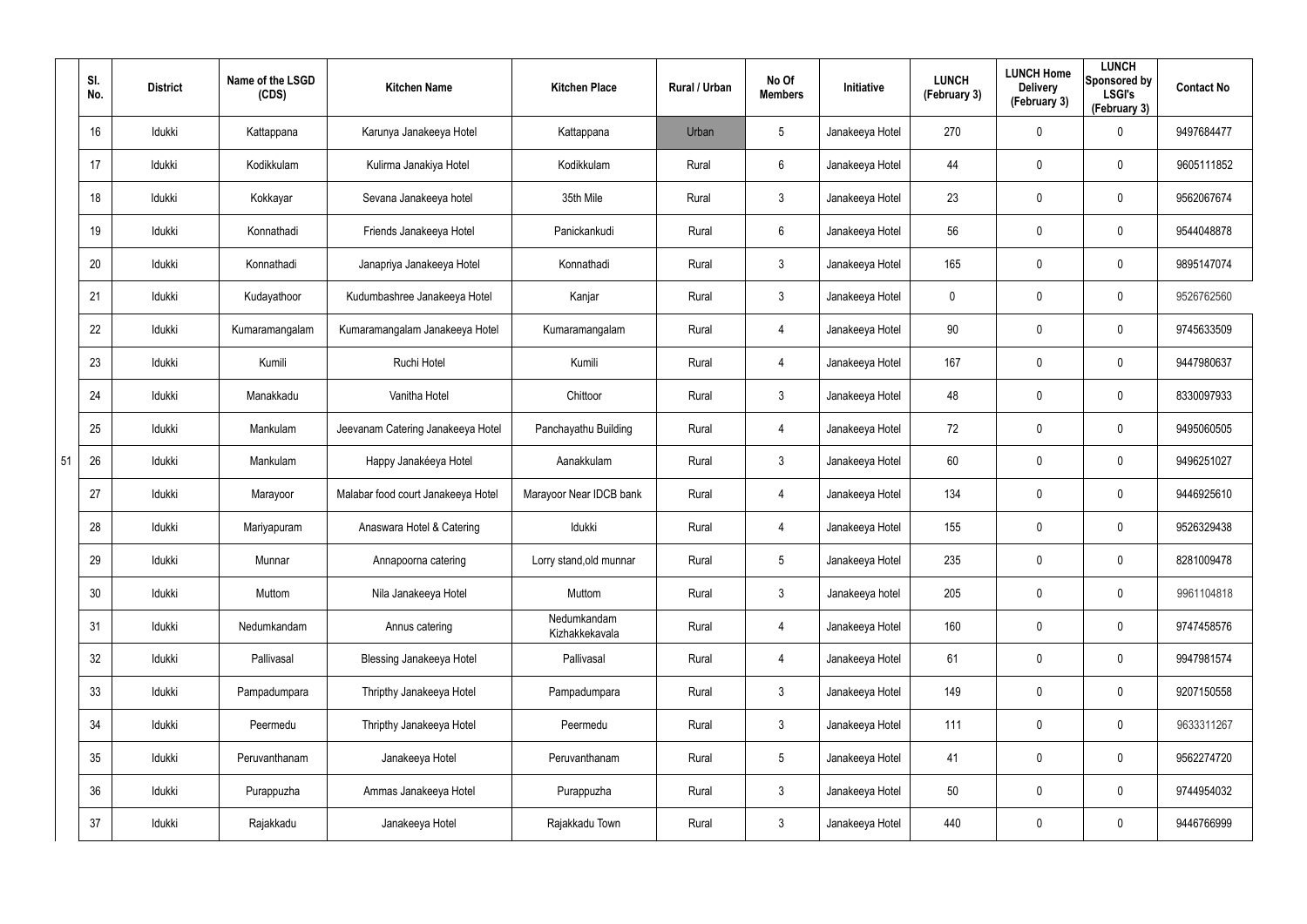|    | SI.<br>No. | <b>District</b> | Name of the LSGD<br>(CDS) | <b>Kitchen Name</b>                | <b>Kitchen Place</b>          | Rural / Urban | No Of<br><b>Members</b> | Initiative      | <b>LUNCH</b><br>(February 3) | <b>LUNCH Home</b><br><b>Delivery</b><br>(February 3) | <b>LUNCH</b><br>Sponsored by<br><b>LSGI's</b><br>(February 3) | <b>Contact No</b> |
|----|------------|-----------------|---------------------------|------------------------------------|-------------------------------|---------------|-------------------------|-----------------|------------------------------|------------------------------------------------------|---------------------------------------------------------------|-------------------|
|    | 16         | Idukki          | Kattappana                | Karunya Janakeeya Hotel            | Kattappana                    | Urban         | 5                       | Janakeeya Hotel | 270                          | $\mathbf 0$                                          | 0                                                             | 9497684477        |
|    | 17         | Idukki          | Kodikkulam                | Kulirma Janakiya Hotel             | Kodikkulam                    | Rural         | 6                       | Janakeeya Hotel | 44                           | $\mathsf{0}$                                         | 0                                                             | 9605111852        |
|    | 18         | Idukki          | Kokkayar                  | Sevana Janakeeya hotel             | 35th Mile                     | Rural         | 3                       | Janakeeya Hotel | 23                           | $\mathsf{0}$                                         | 0                                                             | 9562067674        |
|    | 19         | Idukki          | Konnathadi                | Friends Janakeeya Hotel            | Panickankudi                  | Rural         | 6                       | Janakeeya Hotel | 56                           | $\mathbf 0$                                          | 0                                                             | 9544048878        |
|    | 20         | Idukki          | Konnathadi                | Janapriya Janakeeya Hotel          | Konnathadi                    | Rural         | 3                       | Janakeeya Hotel | 165                          | $\mathbf 0$                                          | 0                                                             | 9895147074        |
|    | 21         | Idukki          | Kudayathoor               | Kudumbashree Janakeeya Hotel       | Kanjar                        | Rural         | 3                       | Janakeeya Hotel | 0                            | $\mathbf 0$                                          | 0                                                             | 9526762560        |
|    | 22         | Idukki          | Kumaramangalam            | Kumaramangalam Janakeeya Hotel     | Kumaramangalam                | Rural         | 4                       | Janakeeya Hotel | 90                           | $\mathbf 0$                                          | 0                                                             | 9745633509        |
|    | 23         | Idukki          | Kumili                    | Ruchi Hotel                        | Kumili                        | Rural         | 4                       | Janakeeya Hotel | 167                          | $\mathbf 0$                                          | 0                                                             | 9447980637        |
|    | 24         | Idukki          | Manakkadu                 | Vanitha Hotel                      | Chittoor                      | Rural         | $\mathfrak{Z}$          | Janakeeya Hotel | 48                           | $\mathbf 0$                                          | 0                                                             | 8330097933        |
|    | 25         | Idukki          | Mankulam                  | Jeevanam Catering Janakeeya Hotel  | Panchayathu Building          | Rural         | 4                       | Janakeeya Hotel | 72                           | $\mathbf 0$                                          | 0                                                             | 9495060505        |
| 51 | 26         | Idukki          | Mankulam                  | Happy Janakéeya Hotel              | Aanakkulam                    | Rural         | $\mathfrak{Z}$          | Janakeeya Hotel | 60                           | $\mathbf 0$                                          | 0                                                             | 9496251027        |
|    | 27         | Idukki          | Marayoor                  | Malabar food court Janakeeya Hotel | Marayoor Near IDCB bank       | Rural         | 4                       | Janakeeya Hotel | 134                          | $\mathbf 0$                                          | 0                                                             | 9446925610        |
|    | 28         | Idukki          | Mariyapuram               | Anaswara Hotel & Catering          | Idukki                        | Rural         | 4                       | Janakeeya Hotel | 155                          | $\mathbf 0$                                          | 0                                                             | 9526329438        |
|    | 29         | Idukki          | Munnar                    | Annapoorna catering                | Lorry stand, old munnar       | Rural         | 5                       | Janakeeya Hotel | 235                          | $\mathbf 0$                                          | 0                                                             | 8281009478        |
|    | 30         | Idukki          | Muttom                    | Nila Janakeeya Hotel               | Muttom                        | Rural         | $\mathfrak{Z}$          | Janakeeya hotel | 205                          | $\mathbf 0$                                          | 0                                                             | 9961104818        |
|    | 31         | Idukki          | Nedumkandam               | Annus catering                     | Nedumkandam<br>Kizhakkekavala | Rural         | 4                       | Janakeeya Hotel | 160                          | $\mathbf 0$                                          | 0                                                             | 9747458576        |
|    | 32         | Idukki          | Pallivasal                | <b>Blessing Janakeeya Hotel</b>    | Pallivasal                    | Rural         | 4                       | Janakeeya Hotel | 61                           | $\mathbf 0$                                          | 0                                                             | 9947981574        |
|    | 33         | Idukki          | Pampadumpara              | Thripthy Janakeeya Hotel           | Pampadumpara                  | Rural         | $\mathbf{3}$            | Janakeeya Hotel | 149                          | $\mathbf 0$                                          | 0                                                             | 9207150558        |
|    | 34         | Idukki          | Peermedu                  | Thripthy Janakeeya Hotel           | Peermedu                      | Rural         | $\mathbf{3}$            | Janakeeya Hotel | 111                          | $\mathbf 0$                                          | 0                                                             | 9633311267        |
|    | 35         | ldukki          | Peruvanthanam             | Janakeeya Hotel                    | Peruvanthanam                 | Rural         | $5\phantom{.0}$         | Janakeeya Hotel | 41                           | $\mathbf 0$                                          | 0                                                             | 9562274720        |
|    | 36         | Idukki          | Purappuzha                | Ammas Janakeeya Hotel              | Purappuzha                    | Rural         | $\mathbf{3}$            | Janakeeya Hotel | 50                           | $\mathbf 0$                                          | 0                                                             | 9744954032        |
|    | 37         | ldukki          | Rajakkadu                 | Janakeeya Hotel                    | Rajakkadu Town                | Rural         | $\mathbf{3}$            | Janakeeya Hotel | 440                          | $\mathbf 0$                                          | 0                                                             | 9446766999        |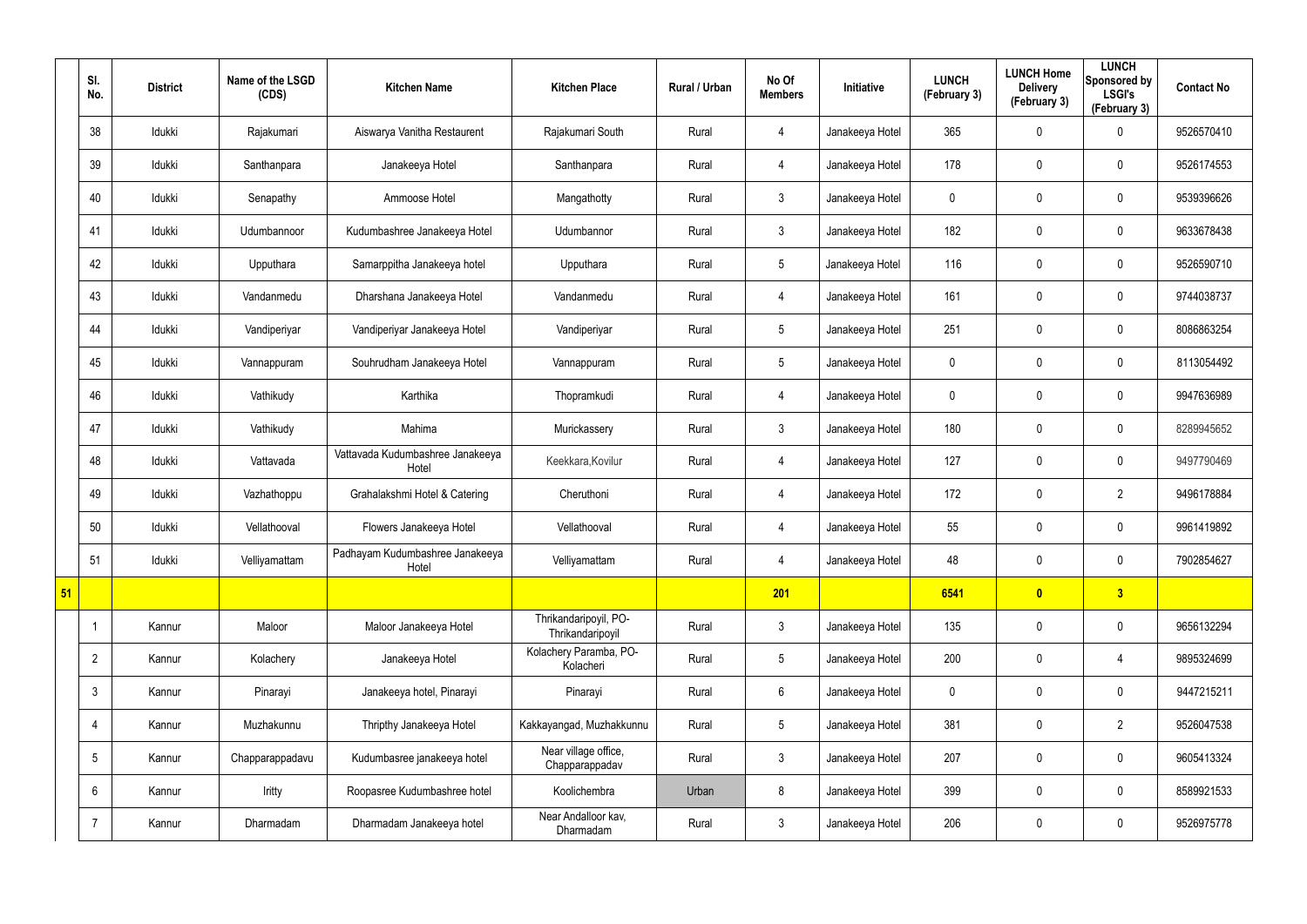|    | SI.<br>No.      | <b>District</b> | Name of the LSGD<br>(CDS) | <b>Kitchen Name</b>                       | <b>Kitchen Place</b>                      | Rural / Urban | No Of<br><b>Members</b> | Initiative      | <b>LUNCH</b><br>(February 3) | <b>LUNCH Home</b><br><b>Delivery</b><br>(February 3) | <b>LUNCH</b><br>Sponsored by<br><b>LSGI's</b><br>(February 3) | <b>Contact No</b> |
|----|-----------------|-----------------|---------------------------|-------------------------------------------|-------------------------------------------|---------------|-------------------------|-----------------|------------------------------|------------------------------------------------------|---------------------------------------------------------------|-------------------|
|    | 38              | Idukki          | Rajakumari                | Aiswarya Vanitha Restaurent               | Rajakumari South                          | Rural         | 4                       | Janakeeya Hotel | 365                          | 0                                                    | $\mathbf 0$                                                   | 9526570410        |
|    | 39              | Idukki          | Santhanpara               | Janakeeya Hotel                           | Santhanpara                               | Rural         | $\overline{4}$          | Janakeeya Hotel | 178                          | 0                                                    | $\pmb{0}$                                                     | 9526174553        |
|    | 40              | Idukki          | Senapathy                 | Ammoose Hotel                             | Mangathotty                               | Rural         | $3\phantom{.0}$         | Janakeeya Hotel | 0                            | $\mathbf 0$                                          | $\mathbf 0$                                                   | 9539396626        |
|    | 41              | Idukki          | Udumbannoor               | Kudumbashree Janakeeya Hotel              | Udumbannor                                | Rural         | $\mathbf{3}$            | Janakeeya Hotel | 182                          | 0                                                    | $\pmb{0}$                                                     | 9633678438        |
|    | 42              | Idukki          | Upputhara                 | Samarppitha Janakeeya hotel               | Upputhara                                 | Rural         | $5\phantom{.0}$         | Janakeeya Hotel | 116                          | $\mathbf 0$                                          | $\mathbf 0$                                                   | 9526590710        |
|    | 43              | Idukki          | Vandanmedu                | Dharshana Janakeeya Hotel                 | Vandanmedu                                | Rural         | 4                       | Janakeeya Hotel | 161                          | 0                                                    | $\pmb{0}$                                                     | 9744038737        |
|    | 44              | Idukki          | Vandiperiyar              | Vandiperiyar Janakeeya Hotel              | Vandiperiyar                              | Rural         | $5\phantom{.0}$         | Janakeeya Hotel | 251                          | 0                                                    | $\mathbf 0$                                                   | 8086863254        |
|    | 45              | Idukki          | Vannappuram               | Souhrudham Janakeeya Hotel                | Vannappuram                               | Rural         | $5\phantom{.0}$         | Janakeeya Hotel | 0                            | 0                                                    | $\mathbf 0$                                                   | 8113054492        |
|    | 46              | Idukki          | Vathikudy                 | Karthika                                  | Thopramkudi                               | Rural         | $\overline{4}$          | Janakeeya Hotel | 0                            | 0                                                    | $\pmb{0}$                                                     | 9947636989        |
|    | 47              | Idukki          | Vathikudy                 | Mahima                                    | Murickassery                              | Rural         | $\mathbf{3}$            | Janakeeya Hotel | 180                          | 0                                                    | $\mathbf 0$                                                   | 8289945652        |
|    | 48              | Idukki          | Vattavada                 | Vattavada Kudumbashree Janakeeya<br>Hotel | Keekkara, Kovilur                         | Rural         | $\overline{4}$          | Janakeeya Hotel | 127                          | $\mathbf 0$                                          | $\pmb{0}$                                                     | 9497790469        |
|    | 49              | Idukki          | Vazhathoppu               | Grahalakshmi Hotel & Catering             | Cheruthoni                                | Rural         | 4                       | Janakeeya Hotel | 172                          | 0                                                    | $\overline{2}$                                                | 9496178884        |
|    | 50              | Idukki          | Vellathooval              | Flowers Janakeeya Hotel                   | Vellathooval                              | Rural         | 4                       | Janakeeya Hotel | 55                           | 0                                                    | $\mathbf 0$                                                   | 9961419892        |
|    | 51              | Idukki          | Velliyamattam             | Padhayam Kudumbashree Janakeeya<br>Hotel  | Velliyamattam                             | Rural         | $\overline{4}$          | Janakeeya Hotel | 48                           | 0                                                    | $\pmb{0}$                                                     | 7902854627        |
| 51 |                 |                 |                           |                                           |                                           |               | 201                     |                 | 6541                         | $\bullet$                                            | 3                                                             |                   |
|    |                 | Kannur          | Maloor                    | Maloor Janakeeya Hotel                    | Thrikandaripoyil, PO-<br>Thrikandaripoyil | Rural         | $3\phantom{.0}$         | Janakeeya Hotel | 135                          | 0                                                    | $\mathbf 0$                                                   | 9656132294        |
|    | $\overline{2}$  | Kannur          | Kolachery                 | Janakeeya Hotel                           | Kolachery Paramba, PO-<br>Kolacheri       | Rural         | $5\phantom{.0}$         | Janakeeya Hotel | 200                          | $\mathbf 0$                                          | 4                                                             | 9895324699        |
|    | $\mathbf{3}$    | Kannur          | Pinarayi                  | Janakeeya hotel, Pinarayi                 | Pinarayi                                  | Rural         | $6\overline{6}$         | Janakeeya Hotel | 0                            | $\mathbf 0$                                          | $\mathbf 0$                                                   | 9447215211        |
|    | 4               | Kannur          | Muzhakunnu                | Thripthy Janakeeya Hotel                  | Kakkayangad, Muzhakkunnu                  | Rural         | $5\phantom{.0}$         | Janakeeya Hotel | 381                          | $\mathbf 0$                                          | $\overline{2}$                                                | 9526047538        |
|    | $5\overline{)}$ | Kannur          | Chapparappadavu           | Kudumbasree janakeeya hotel               | Near village office,<br>Chapparappadav    | Rural         | $3\phantom{.0}$         | Janakeeya Hotel | 207                          | $\mathbf 0$                                          | $\mathbf 0$                                                   | 9605413324        |
|    | $6^{\circ}$     | Kannur          | Iritty                    | Roopasree Kudumbashree hotel              | Koolichembra                              | Urban         | 8                       | Janakeeya Hotel | 399                          | 0                                                    | $\mathbf 0$                                                   | 8589921533        |
|    | $\overline{7}$  | Kannur          | Dharmadam                 | Dharmadam Janakeeya hotel                 | Near Andalloor kav,<br>Dharmadam          | Rural         | $\mathbf{3}$            | Janakeeya Hotel | 206                          | 0                                                    | $\pmb{0}$                                                     | 9526975778        |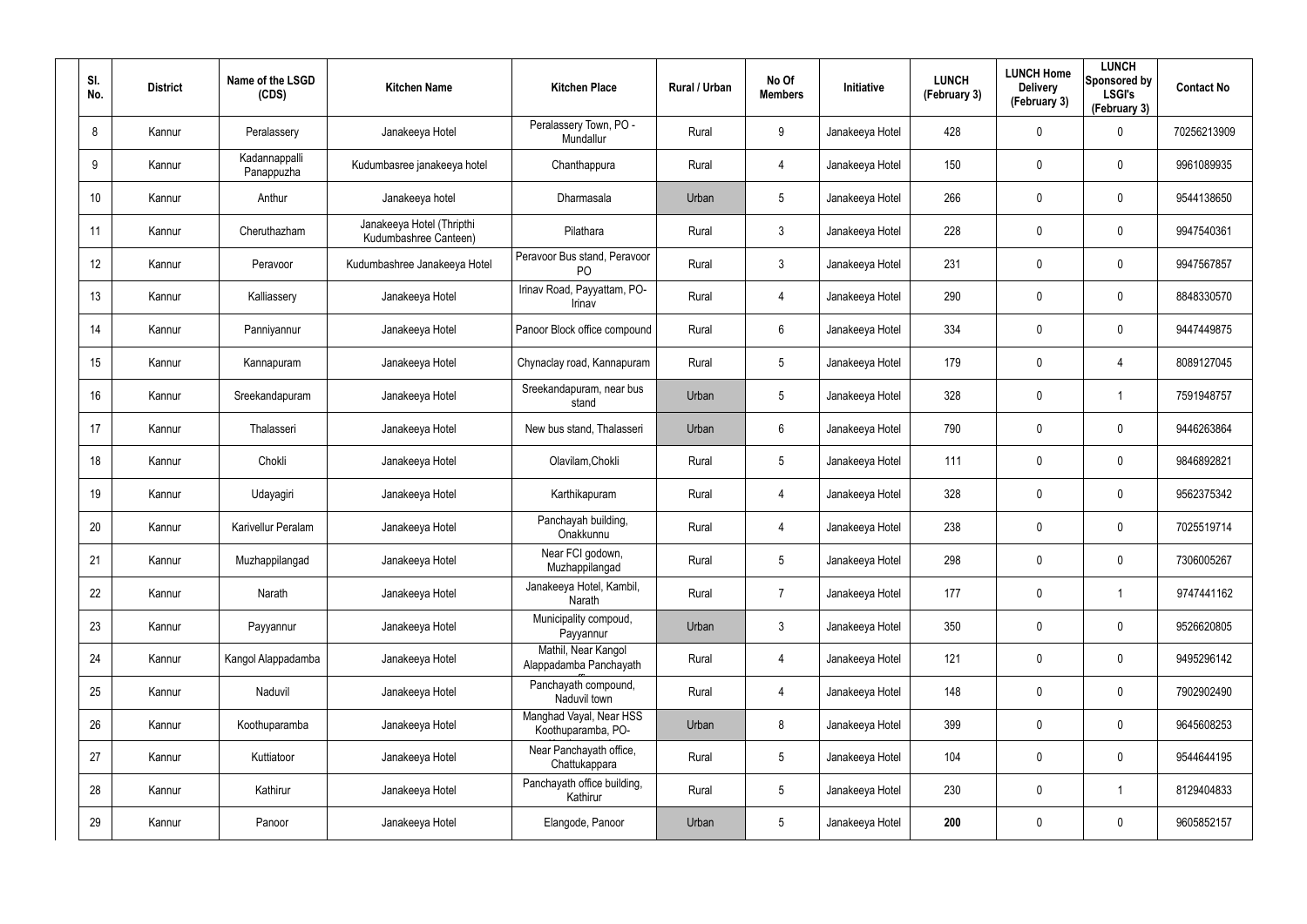| SI.<br>No.      | <b>District</b> | Name of the LSGD<br>(CDS)   | <b>Kitchen Name</b>                                | <b>Kitchen Place</b>                           | Rural / Urban | No Of<br><b>Members</b> | <b>Initiative</b> | <b>LUNCH</b><br>(February 3) | <b>LUNCH Home</b><br><b>Delivery</b><br>(February 3) | <b>LUNCH</b><br>Sponsored by<br><b>LSGI's</b><br>(February 3) | <b>Contact No</b> |
|-----------------|-----------------|-----------------------------|----------------------------------------------------|------------------------------------------------|---------------|-------------------------|-------------------|------------------------------|------------------------------------------------------|---------------------------------------------------------------|-------------------|
| 8               | Kannur          | Peralassery                 | Janakeeya Hotel                                    | Peralassery Town, PO -<br>Mundallur            | Rural         | 9                       | Janakeeya Hotel   | 428                          | 0                                                    | $\mathbf 0$                                                   | 70256213909       |
| 9               | Kannur          | Kadannappalli<br>Panappuzha | Kudumbasree janakeeya hotel                        | Chanthappura                                   | Rural         | 4                       | Janakeeya Hotel   | 150                          | 0                                                    | $\mathbf 0$                                                   | 9961089935        |
| 10 <sup>°</sup> | Kannur          | Anthur                      | Janakeeya hotel                                    | Dharmasala                                     | Urban         | 5                       | Janakeeya Hotel   | 266                          | 0                                                    | $\mathbf 0$                                                   | 9544138650        |
| 11              | Kannur          | Cheruthazham                | Janakeeya Hotel (Thripthi<br>Kudumbashree Canteen) | Pilathara                                      | Rural         | 3                       | Janakeeya Hotel   | 228                          | 0                                                    | $\mathbf 0$                                                   | 9947540361        |
| 12 <sup>°</sup> | Kannur          | Peravoor                    | Kudumbashree Janakeeya Hotel                       | Peravoor Bus stand, Peravoor<br>P <sub>O</sub> | Rural         | 3                       | Janakeeya Hotel   | 231                          | 0                                                    | $\mathbf 0$                                                   | 9947567857        |
| 13              | Kannur          | Kalliassery                 | Janakeeya Hotel                                    | Irinav Road, Payyattam, PO-<br>Irinav          | Rural         | 4                       | Janakeeya Hotel   | 290                          | 0                                                    | $\mathbf 0$                                                   | 8848330570        |
| 14              | Kannur          | Panniyannur                 | Janakeeya Hotel                                    | Panoor Block office compound                   | Rural         | 6                       | Janakeeya Hotel   | 334                          | 0                                                    | $\mathbf 0$                                                   | 9447449875        |
| 15              | Kannur          | Kannapuram                  | Janakeeya Hotel                                    | Chynaclay road, Kannapuram                     | Rural         | $5\overline{)}$         | Janakeeya Hotel   | 179                          | 0                                                    | 4                                                             | 8089127045        |
| 16              | Kannur          | Sreekandapuram              | Janakeeya Hotel                                    | Sreekandapuram, near bus<br>stand              | Urban         | $\sqrt{5}$              | Janakeeya Hotel   | 328                          | 0                                                    | -1                                                            | 7591948757        |
| 17              | Kannur          | Thalasseri                  | Janakeeya Hotel                                    | New bus stand, Thalasseri                      | Urban         | 6                       | Janakeeya Hotel   | 790                          | 0                                                    | $\mathbf 0$                                                   | 9446263864        |
| 18              | Kannur          | Chokli                      | Janakeeya Hotel                                    | Olavilam, Chokli                               | Rural         | $5\phantom{.0}$         | Janakeeya Hotel   | 111                          | 0                                                    | $\mathbf 0$                                                   | 9846892821        |
| 19              | Kannur          | Udayagiri                   | Janakeeya Hotel                                    | Karthikapuram                                  | Rural         | 4                       | Janakeeya Hotel   | 328                          | 0                                                    | $\mathbf 0$                                                   | 9562375342        |
| 20              | Kannur          | Karivellur Peralam          | Janakeeya Hotel                                    | Panchayah building,<br>Onakkunnu               | Rural         | 4                       | Janakeeya Hotel   | 238                          | 0                                                    | $\mathbf 0$                                                   | 7025519714        |
| 21              | Kannur          | Muzhappilangad              | Janakeeya Hotel                                    | Near FCI godown,<br>Muzhappilangad             | Rural         | 5                       | Janakeeya Hotel   | 298                          | 0                                                    | $\pmb{0}$                                                     | 7306005267        |
| 22              | Kannur          | Narath                      | Janakeeya Hotel                                    | Janakeeya Hotel, Kambil,<br>Narath             | Rural         | $\overline{7}$          | Janakeeya Hotel   | 177                          | 0                                                    | $\mathbf{1}$                                                  | 9747441162        |
| 23              | Kannur          | Payyannur                   | Janakeeya Hotel                                    | Municipality compoud,<br>Payyannur             | Urban         | $\mathbf{3}$            | Janakeeya Hotel   | 350                          | 0                                                    | $\mathbf 0$                                                   | 9526620805        |
| 24              | Kannur          | Kangol Alappadamba          | Janakeeya Hotel                                    | Mathil, Near Kangol<br>Alappadamba Panchayath  | Rural         | 4                       | Janakeeya Hotel   | 121                          | 0                                                    | $\mathbf 0$                                                   | 9495296142        |
| 25              | Kannur          | Naduvil                     | Janakeeya Hotel                                    | Panchayath compound,<br>Naduvil town           | Rural         | 4                       | Janakeeya Hotel   | 148                          | 0                                                    | $\mathbf 0$                                                   | 7902902490        |
| 26              | Kannur          | Koothuparamba               | Janakeeya Hotel                                    | Manghad Vayal, Near HSS<br>Koothuparamba, PO-  | Urban         | 8                       | Janakeeya Hotel   | 399                          | 0                                                    | $\mathbf 0$                                                   | 9645608253        |
| 27              | Kannur          | Kuttiatoor                  | Janakeeya Hotel                                    | Near Panchayath office,<br>Chattukappara       | Rural         | $5\phantom{.0}$         | Janakeeya Hotel   | 104                          | 0                                                    | $\mathsf{0}$                                                  | 9544644195        |
| 28              | Kannur          | Kathirur                    | Janakeeya Hotel                                    | Panchayath office building,<br>Kathirur        | Rural         | $5\phantom{.0}$         | Janakeeya Hotel   | 230                          | 0                                                    | $\mathbf{1}$                                                  | 8129404833        |
| 29              | Kannur          | Panoor                      | Janakeeya Hotel                                    | Elangode, Panoor                               | Urban         | $5\phantom{.0}$         | Janakeeya Hotel   | 200                          | 0                                                    | $\pmb{0}$                                                     | 9605852157        |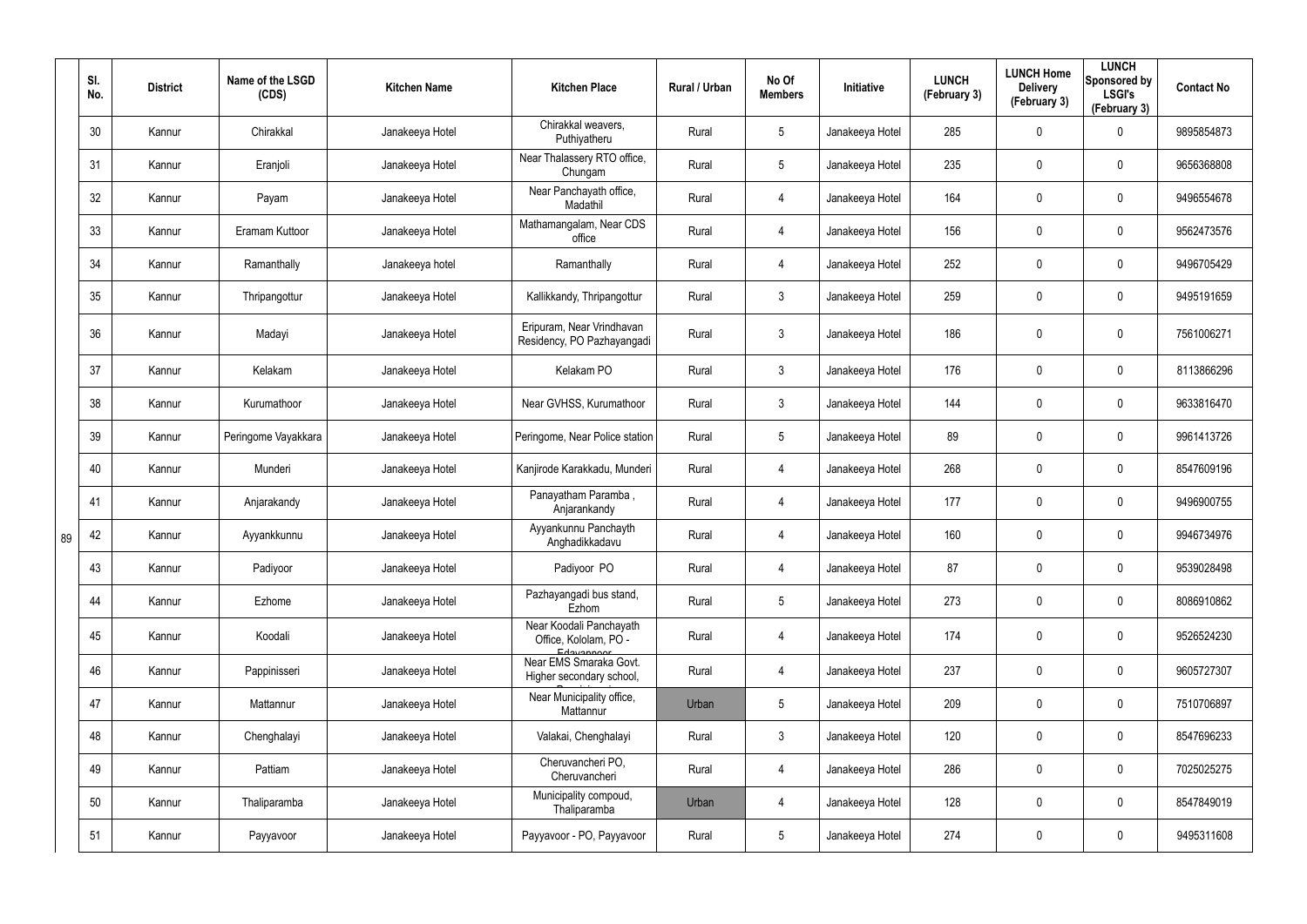|    | SI.<br>No. | <b>District</b> | Name of the LSGD<br>(CDS) | <b>Kitchen Name</b> | <b>Kitchen Place</b>                                           | Rural / Urban | No Of<br><b>Members</b> | Initiative      | <b>LUNCH</b><br>(February 3) | <b>LUNCH Home</b><br><b>Delivery</b><br>(February 3) | <b>LUNCH</b><br>Sponsored by<br><b>LSGI's</b><br>(February 3) | <b>Contact No</b> |
|----|------------|-----------------|---------------------------|---------------------|----------------------------------------------------------------|---------------|-------------------------|-----------------|------------------------------|------------------------------------------------------|---------------------------------------------------------------|-------------------|
|    | 30         | Kannur          | Chirakkal                 | Janakeeya Hotel     | Chirakkal weavers,<br>Puthiyatheru                             | Rural         | $5\phantom{.0}$         | Janakeeya Hotel | 285                          | 0                                                    | $\boldsymbol{0}$                                              | 9895854873        |
|    | 31         | Kannur          | Eranjoli                  | Janakeeya Hotel     | Near Thalassery RTO office,<br>Chungam                         | Rural         | $5\phantom{.0}$         | Janakeeya Hotel | 235                          | 0                                                    | $\pmb{0}$                                                     | 9656368808        |
|    | 32         | Kannur          | Payam                     | Janakeeya Hotel     | Near Panchayath office,<br>Madathil                            | Rural         | $\overline{4}$          | Janakeeya Hotel | 164                          | $\mathbf 0$                                          | $\pmb{0}$                                                     | 9496554678        |
|    | 33         | Kannur          | Eramam Kuttoor            | Janakeeya Hotel     | Mathamangalam, Near CDS<br>office                              | Rural         | $\overline{4}$          | Janakeeya Hotel | 156                          | 0                                                    | $\pmb{0}$                                                     | 9562473576        |
|    | 34         | Kannur          | Ramanthally               | Janakeeya hotel     | Ramanthally                                                    | Rural         | $\overline{4}$          | Janakeeya Hotel | 252                          | 0                                                    | $\pmb{0}$                                                     | 9496705429        |
|    | 35         | Kannur          | Thripangottur             | Janakeeya Hotel     | Kallikkandy, Thripangottur                                     | Rural         | $\mathbf{3}$            | Janakeeya Hotel | 259                          | 0                                                    | $\pmb{0}$                                                     | 9495191659        |
|    | 36         | Kannur          | Madayi                    | Janakeeya Hotel     | Eripuram, Near Vrindhavan<br>Residency, PO Pazhayangadi        | Rural         | $\mathbf{3}$            | Janakeeya Hotel | 186                          | 0                                                    | $\pmb{0}$                                                     | 7561006271        |
|    | 37         | Kannur          | Kelakam                   | Janakeeya Hotel     | Kelakam PO                                                     | Rural         | $\mathbf{3}$            | Janakeeya Hotel | 176                          | $\mathbf 0$                                          | $\pmb{0}$                                                     | 8113866296        |
|    | 38         | Kannur          | Kurumathoor               | Janakeeya Hotel     | Near GVHSS, Kurumathoor                                        | Rural         | $\mathbf{3}$            | Janakeeya Hotel | 144                          | 0                                                    | $\pmb{0}$                                                     | 9633816470        |
|    | 39         | Kannur          | Peringome Vayakkara       | Janakeeya Hotel     | Peringome, Near Police station                                 | Rural         | $5\,$                   | Janakeeya Hotel | 89                           | $\mathbf 0$                                          | $\pmb{0}$                                                     | 9961413726        |
|    | 40         | Kannur          | Munderi                   | Janakeeya Hotel     | Kanjirode Karakkadu, Munderi                                   | Rural         | $\overline{4}$          | Janakeeya Hotel | 268                          | 0                                                    | $\mathbf 0$                                                   | 8547609196        |
|    | 41         | Kannur          | Anjarakandy               | Janakeeya Hotel     | Panayatham Paramba,<br>Anjarankandy                            | Rural         | 4                       | Janakeeya Hotel | 177                          | $\mathbf 0$                                          | $\pmb{0}$                                                     | 9496900755        |
| 89 | 42         | Kannur          | Ayyankkunnu               | Janakeeya Hotel     | Ayyankunnu Panchayth<br>Anghadikkadavu                         | Rural         | 4                       | Janakeeya Hotel | 160                          | 0                                                    | $\pmb{0}$                                                     | 9946734976        |
|    | 43         | Kannur          | Padiyoor                  | Janakeeya Hotel     | Padiyoor PO                                                    | Rural         | $\overline{4}$          | Janakeeya Hotel | 87                           | 0                                                    | $\mathbf 0$                                                   | 9539028498        |
|    | 44         | Kannur          | Ezhome                    | Janakeeya Hotel     | Pazhayangadi bus stand,<br>Ezhom                               | Rural         | $5\phantom{.0}$         | Janakeeya Hotel | 273                          | 0                                                    | $\pmb{0}$                                                     | 8086910862        |
|    | 45         | Kannur          | Koodali                   | Janakeeya Hotel     | Near Koodali Panchayath<br>Office, Kololam, PO -<br>Edgygnnoor | Rural         | 4                       | Janakeeya Hotel | 174                          | 0                                                    | $\pmb{0}$                                                     | 9526524230        |
|    | 46         | Kannur          | Pappinisseri              | Janakeeya Hotel     | Near EMS Smaraka Govt.<br>Higher secondary school,             | Rural         | $\overline{4}$          | Janakeeya Hotel | 237                          | $\mathbf 0$                                          | $\mathbf 0$                                                   | 9605727307        |
|    | 47         | Kannur          | Mattannur                 | Janakeeya Hotel     | Near Municipality office,<br>Mattannur                         | Urban         | $5\phantom{.0}$         | Janakeeya Hotel | 209                          | 0                                                    | $\pmb{0}$                                                     | 7510706897        |
|    | 48         | Kannur          | Chenghalayi               | Janakeeya Hotel     | Valakai, Chenghalayi                                           | Rural         | $\mathbf{3}$            | Janakeeya Hotel | 120                          | $\mathbf 0$                                          | $\mathbf 0$                                                   | 8547696233        |
|    | 49         | Kannur          | Pattiam                   | Janakeeya Hotel     | Cheruvancheri PO,<br>Cheruvancheri                             | Rural         | $\overline{4}$          | Janakeeya Hotel | 286                          | 0                                                    | $\pmb{0}$                                                     | 7025025275        |
|    | 50         | Kannur          | Thaliparamba              | Janakeeya Hotel     | Municipality compoud,<br>Thaliparamba                          | Urban         | $\overline{4}$          | Janakeeya Hotel | 128                          | $\mathbf 0$                                          | $\mathbf 0$                                                   | 8547849019        |
|    | 51         | Kannur          | Payyavoor                 | Janakeeya Hotel     | Payyavoor - PO, Payyavoor                                      | Rural         | $5\overline{)}$         | Janakeeya Hotel | 274                          | 0                                                    | $\pmb{0}$                                                     | 9495311608        |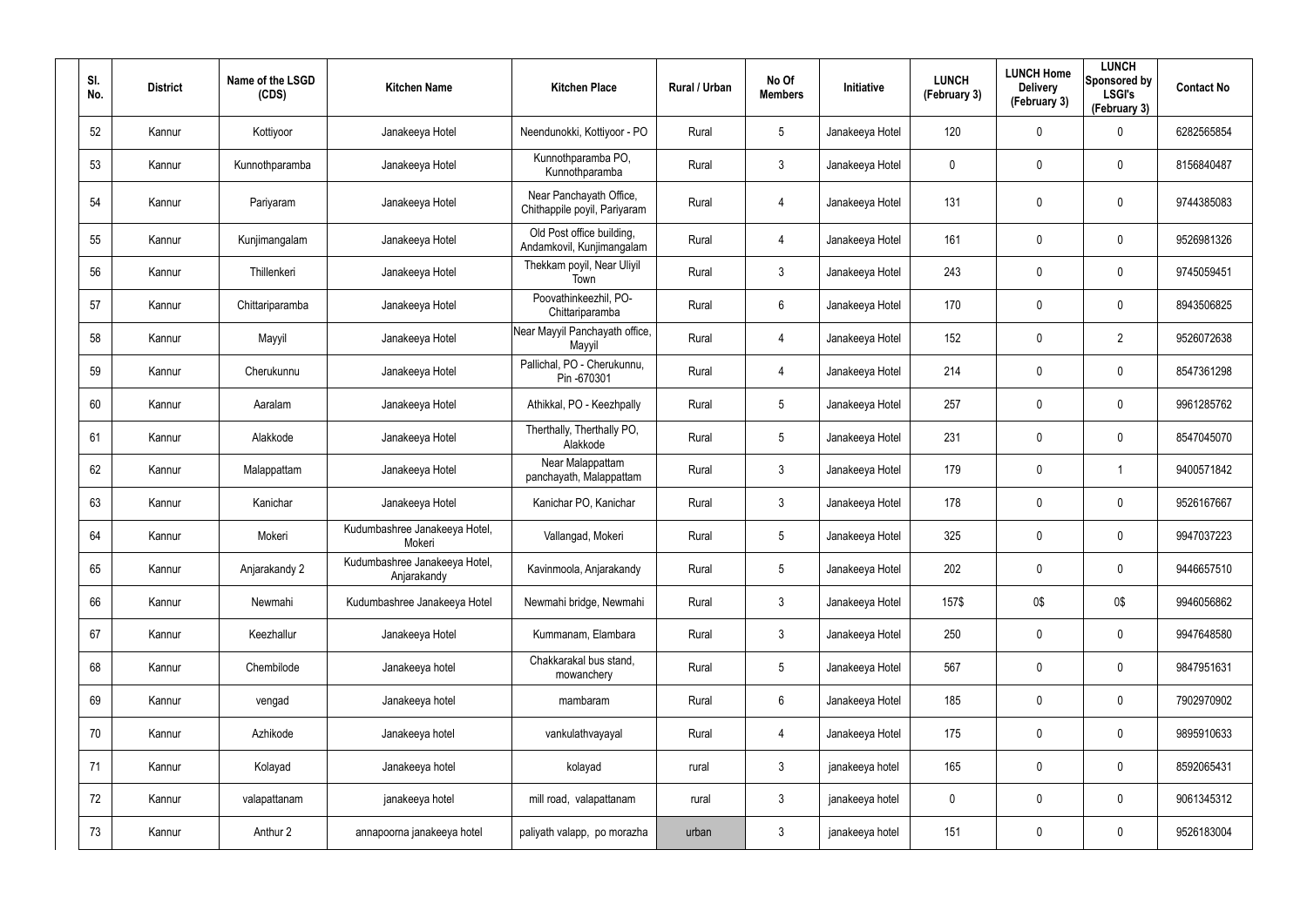| SI.<br>No. | <b>District</b> | Name of the LSGD<br>(CDS) | <b>Kitchen Name</b>                          | <b>Kitchen Place</b>                                    | Rural / Urban | No Of<br><b>Members</b> | Initiative      | <b>LUNCH</b><br>(February 3) | <b>LUNCH Home</b><br><b>Delivery</b><br>(February 3) | <b>LUNCH</b><br>Sponsored by<br><b>LSGI's</b><br>(February 3) | <b>Contact No</b> |
|------------|-----------------|---------------------------|----------------------------------------------|---------------------------------------------------------|---------------|-------------------------|-----------------|------------------------------|------------------------------------------------------|---------------------------------------------------------------|-------------------|
| 52         | Kannur          | Kottiyoor                 | Janakeeya Hotel                              | Neendunokki, Kottiyoor - PO                             | Rural         | $5\phantom{.0}$         | Janakeeya Hotel | 120                          | 0                                                    | 0                                                             | 6282565854        |
| 53         | Kannur          | Kunnothparamba            | Janakeeya Hotel                              | Kunnothparamba PO,<br>Kunnothparamba                    | Rural         | $\mathbf{3}$            | Janakeeya Hotel | 0                            | 0                                                    | $\boldsymbol{0}$                                              | 8156840487        |
| 54         | Kannur          | Pariyaram                 | Janakeeya Hotel                              | Near Panchayath Office,<br>Chithappile poyil, Pariyaram | Rural         | $\overline{4}$          | Janakeeya Hotel | 131                          | 0                                                    | $\pmb{0}$                                                     | 9744385083        |
| 55         | Kannur          | Kunjimangalam             | Janakeeya Hotel                              | Old Post office building,<br>Andamkovil, Kunjimangalam  | Rural         | $\overline{4}$          | Janakeeya Hotel | 161                          | $\mathbf 0$                                          | $\pmb{0}$                                                     | 9526981326        |
| 56         | Kannur          | Thillenkeri               | Janakeeya Hotel                              | Thekkam poyil, Near Uliyil<br>Town                      | Rural         | $\mathfrak{Z}$          | Janakeeya Hotel | 243                          | 0                                                    | $\mathbf 0$                                                   | 9745059451        |
| 57         | Kannur          | Chittariparamba           | Janakeeya Hotel                              | Poovathinkeezhil, PO-<br>Chittariparamba                | Rural         | $6\phantom{.}$          | Janakeeya Hotel | 170                          | $\mathbf 0$                                          | $\pmb{0}$                                                     | 8943506825        |
| 58         | Kannur          | Mayyil                    | Janakeeya Hotel                              | Near Mayyil Panchayath office,<br>Mayyil                | Rural         | $\overline{4}$          | Janakeeya Hotel | 152                          | 0                                                    | $\overline{2}$                                                | 9526072638        |
| 59         | Kannur          | Cherukunnu                | Janakeeya Hotel                              | Pallichal, PO - Cherukunnu,<br>Pin-670301               | Rural         | $\overline{4}$          | Janakeeya Hotel | 214                          | 0                                                    | $\mathbf 0$                                                   | 8547361298        |
| 60         | Kannur          | Aaralam                   | Janakeeya Hotel                              | Athikkal, PO - Keezhpally                               | Rural         | $5\phantom{.0}$         | Janakeeya Hotel | 257                          | 0                                                    | $\mathbf 0$                                                   | 9961285762        |
| 61         | Kannur          | Alakkode                  | Janakeeya Hotel                              | Therthally, Therthally PO,<br>Alakkode                  | Rural         | $5\phantom{.0}$         | Janakeeya Hotel | 231                          | 0                                                    | $\mathbf 0$                                                   | 8547045070        |
| 62         | Kannur          | Malappattam               | Janakeeya Hotel                              | Near Malappattam<br>panchayath, Malappattam             | Rural         | $\mathbf{3}$            | Janakeeya Hotel | 179                          | 0                                                    | -1                                                            | 9400571842        |
| 63         | Kannur          | Kanichar                  | Janakeeya Hotel                              | Kanichar PO, Kanichar                                   | Rural         | $\mathfrak{Z}$          | Janakeeya Hotel | 178                          | 0                                                    | $\mathbf 0$                                                   | 9526167667        |
| 64         | Kannur          | Mokeri                    | Kudumbashree Janakeeya Hotel,<br>Mokeri      | Vallangad, Mokeri                                       | Rural         | $5\phantom{.0}$         | Janakeeya Hotel | 325                          | $\boldsymbol{0}$                                     | 0                                                             | 9947037223        |
| 65         | Kannur          | Anjarakandy 2             | Kudumbashree Janakeeya Hotel,<br>Anjarakandy | Kavinmoola, Anjarakandy                                 | Rural         | $5\phantom{.0}$         | Janakeeya Hotel | 202                          | $\mathbf 0$                                          | $\pmb{0}$                                                     | 9446657510        |
| 66         | Kannur          | Newmahi                   | Kudumbashree Janakeeya Hotel                 | Newmahi bridge, Newmahi                                 | Rural         | $\mathfrak{Z}$          | Janakeeya Hotel | 157\$                        | 0\$                                                  | 0\$                                                           | 9946056862        |
| 67         | Kannur          | Keezhallur                | Janakeeya Hotel                              | Kummanam, Elambara                                      | Rural         | $\mathbf{3}$            | Janakeeya Hotel | 250                          | 0                                                    | $\mathbf 0$                                                   | 9947648580        |
| 68         | Kannur          | Chembilode                | Janakeeya hotel                              | Chakkarakal bus stand,<br>mowanchery                    | Rural         | $5\phantom{.0}$         | Janakeeya Hotel | 567                          | 0                                                    | $\mathbf 0$                                                   | 9847951631        |
| 69         | Kannur          | vengad                    | Janakeeya hotel                              | mambaram                                                | Rural         | $6\phantom{.}6$         | Janakeeya Hotel | 185                          | 0                                                    | $\pmb{0}$                                                     | 7902970902        |
| 70         | Kannur          | Azhikode                  | Janakeeya hotel                              | vankulathvayayal                                        | Rural         | $\overline{4}$          | Janakeeya Hotel | 175                          | 0                                                    | $\mathbf 0$                                                   | 9895910633        |
| 71         | Kannur          | Kolayad                   | Janakeeya hotel                              | kolayad                                                 | rural         | $\mathbf{3}$            | janakeeya hotel | 165                          | 0                                                    | $\pmb{0}$                                                     | 8592065431        |
| 72         | Kannur          | valapattanam              | janakeeya hotel                              | mill road, valapattanam                                 | rural         | $\mathbf{3}$            | janakeeya hotel | 0                            | 0                                                    | $\mathbf 0$                                                   | 9061345312        |
| 73         | Kannur          | Anthur 2                  | annapoorna janakeeya hotel                   | paliyath valapp, po morazha                             | urban         | $\mathbf{3}$            | janakeeya hotel | 151                          | 0                                                    | $\pmb{0}$                                                     | 9526183004        |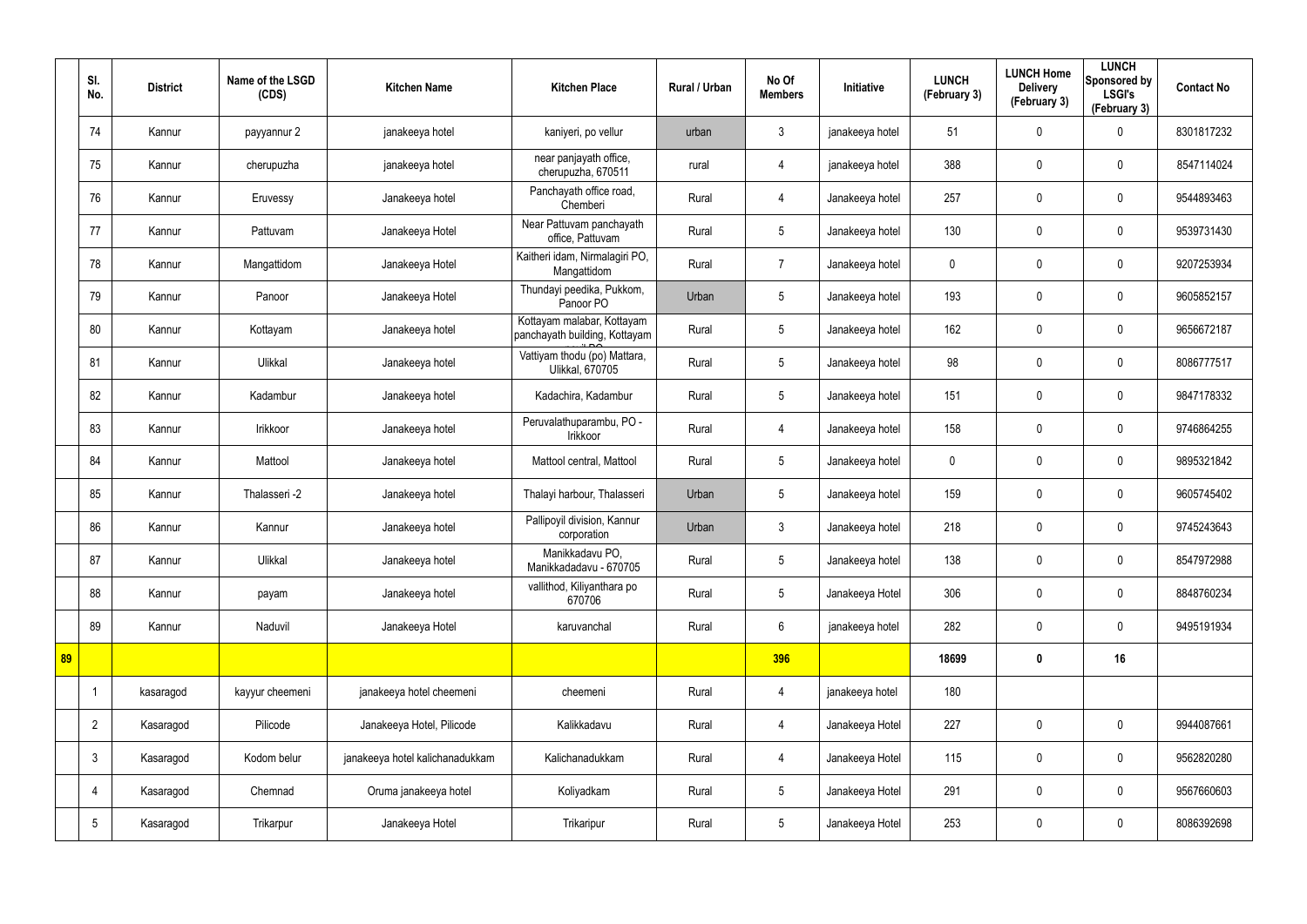|    | SI.<br>No.      | <b>District</b> | Name of the LSGD<br>(CDS) | <b>Kitchen Name</b>             | <b>Kitchen Place</b>                                        | Rural / Urban | No Of<br><b>Members</b> | Initiative      | <b>LUNCH</b><br>(February 3) | <b>LUNCH Home</b><br><b>Delivery</b><br>(February 3) | <b>LUNCH</b><br>Sponsored by<br><b>LSGI's</b><br>(February 3) | <b>Contact No</b> |
|----|-----------------|-----------------|---------------------------|---------------------------------|-------------------------------------------------------------|---------------|-------------------------|-----------------|------------------------------|------------------------------------------------------|---------------------------------------------------------------|-------------------|
|    | 74              | Kannur          | payyannur 2               | janakeeya hotel                 | kaniyeri, po vellur                                         | urban         | $\mathbf{3}$            | janakeeya hotel | 51                           | $\mathbf 0$                                          | 0                                                             | 8301817232        |
|    | 75              | Kannur          | cherupuzha                | janakeeya hotel                 | near panjayath office,<br>cherupuzha, 670511                | rural         | $\overline{4}$          | janakeeya hotel | 388                          | $\mathbf 0$                                          | $\boldsymbol{0}$                                              | 8547114024        |
|    | 76              | Kannur          | Eruvessy                  | Janakeeya hotel                 | Panchayath office road,<br>Chemberi                         | Rural         | $\overline{4}$          | Janakeeya hotel | 257                          | $\mathbf 0$                                          | 0                                                             | 9544893463        |
|    | 77              | Kannur          | Pattuvam                  | Janakeeya Hotel                 | Near Pattuvam panchayath<br>office, Pattuvam                | Rural         | $5\overline{)}$         | Janakeeya hotel | 130                          | 0                                                    | $\boldsymbol{0}$                                              | 9539731430        |
|    | 78              | Kannur          | Mangattidom               | Janakeeya Hotel                 | Kaitheri idam, Nirmalagiri PO,<br>Mangattidom               | Rural         | $\overline{7}$          | Janakeeya hotel | $\mathbf 0$                  | $\mathbf 0$                                          | $\mathbf 0$                                                   | 9207253934        |
|    | 79              | Kannur          | Panoor                    | Janakeeya Hotel                 | Thundayi peedika, Pukkom,<br>Panoor PO                      | Urban         | 5                       | Janakeeya hotel | 193                          | $\boldsymbol{0}$                                     | $\mathbf 0$                                                   | 9605852157        |
|    | 80              | Kannur          | Kottayam                  | Janakeeya hotel                 | Kottayam malabar, Kottayam<br>panchayath building, Kottayam | Rural         | $5\phantom{.0}$         | Janakeeya hotel | 162                          | $\mathbf 0$                                          | $\mathbf 0$                                                   | 9656672187        |
|    | 81              | Kannur          | Ulikkal                   | Janakeeya hotel                 | Vattiyam thodu (po) Mattara,<br>Ulikkal, 670705             | Rural         | $5\overline{)}$         | Janakeeya hotel | 98                           | 0                                                    | $\mathbf 0$                                                   | 8086777517        |
|    | 82              | Kannur          | Kadambur                  | Janakeeya hotel                 | Kadachira, Kadambur                                         | Rural         | $5\phantom{.0}$         | Janakeeya hotel | 151                          | 0                                                    | $\boldsymbol{0}$                                              | 9847178332        |
|    | 83              | Kannur          | Irikkoor                  | Janakeeya hotel                 | Peruvalathuparambu, PO -<br>Irikkoor                        | Rural         | $\overline{4}$          | Janakeeya hotel | 158                          | 0                                                    | $\boldsymbol{0}$                                              | 9746864255        |
|    | 84              | Kannur          | Mattool                   | Janakeeya hotel                 | Mattool central, Mattool                                    | Rural         | $5\overline{)}$         | Janakeeya hotel | $\mathbf 0$                  | $\mathbf 0$                                          | $\boldsymbol{0}$                                              | 9895321842        |
|    | 85              | Kannur          | Thalasseri -2             | Janakeeya hotel                 | Thalayi harbour, Thalasseri                                 | Urban         | $5\overline{)}$         | Janakeeya hotel | 159                          | 0                                                    | $\boldsymbol{0}$                                              | 9605745402        |
|    | 86              | Kannur          | Kannur                    | Janakeeya hotel                 | Pallipoyil division, Kannur<br>corporation                  | Urban         | $\mathbf{3}$            | Janakeeya hotel | 218                          | $\mathbf 0$                                          | $\boldsymbol{0}$                                              | 9745243643        |
|    | 87              | Kannur          | Ulikkal                   | Janakeeya hotel                 | Manikkadavu PO,<br>Manikkadadavu - 670705                   | Rural         | $5\phantom{.0}$         | Janakeeya hotel | 138                          | $\pmb{0}$                                            | $\pmb{0}$                                                     | 8547972988        |
|    | 88              | Kannur          | payam                     | Janakeeya hotel                 | vallithod, Kiliyanthara po<br>670706                        | Rural         | $5\phantom{.0}$         | Janakeeya Hotel | 306                          | 0                                                    | $\mathbf 0$                                                   | 8848760234        |
|    | 89              | Kannur          | Naduvil                   | Janakeeya Hotel                 | karuvanchal                                                 | Rural         | $6\overline{6}$         | janakeeya hotel | 282                          | $\pmb{0}$                                            | $\mathbf 0$                                                   | 9495191934        |
| 89 |                 |                 |                           |                                 |                                                             |               | 396                     |                 | 18699                        | $\boldsymbol{0}$                                     | 16                                                            |                   |
|    |                 | kasaragod       | kayyur cheemeni           | janakeeya hotel cheemeni        | cheemeni                                                    | Rural         | $\overline{4}$          | janakeeya hotel | 180                          |                                                      |                                                               |                   |
|    | $\overline{2}$  | Kasaragod       | Pilicode                  | Janakeeya Hotel, Pilicode       | Kalikkadavu                                                 | Rural         | $\overline{4}$          | Janakeeya Hotel | 227                          | 0                                                    | $\mathbf 0$                                                   | 9944087661        |
|    | $\mathbf{3}$    | Kasaragod       | Kodom belur               | janakeeya hotel kalichanadukkam | Kalichanadukkam                                             | Rural         | $\overline{4}$          | Janakeeya Hotel | 115                          | 0                                                    | $\pmb{0}$                                                     | 9562820280        |
|    | 4               | Kasaragod       | Chemnad                   | Oruma janakeeya hotel           | Koliyadkam                                                  | Rural         | 5 <sup>5</sup>          | Janakeeya Hotel | 291                          | 0                                                    | $\mathbf 0$                                                   | 9567660603        |
|    | $5\phantom{.0}$ | Kasaragod       | Trikarpur                 | Janakeeya Hotel                 | Trikaripur                                                  | Rural         | $5\phantom{.0}$         | Janakeeya Hotel | 253                          | 0                                                    | $\boldsymbol{0}$                                              | 8086392698        |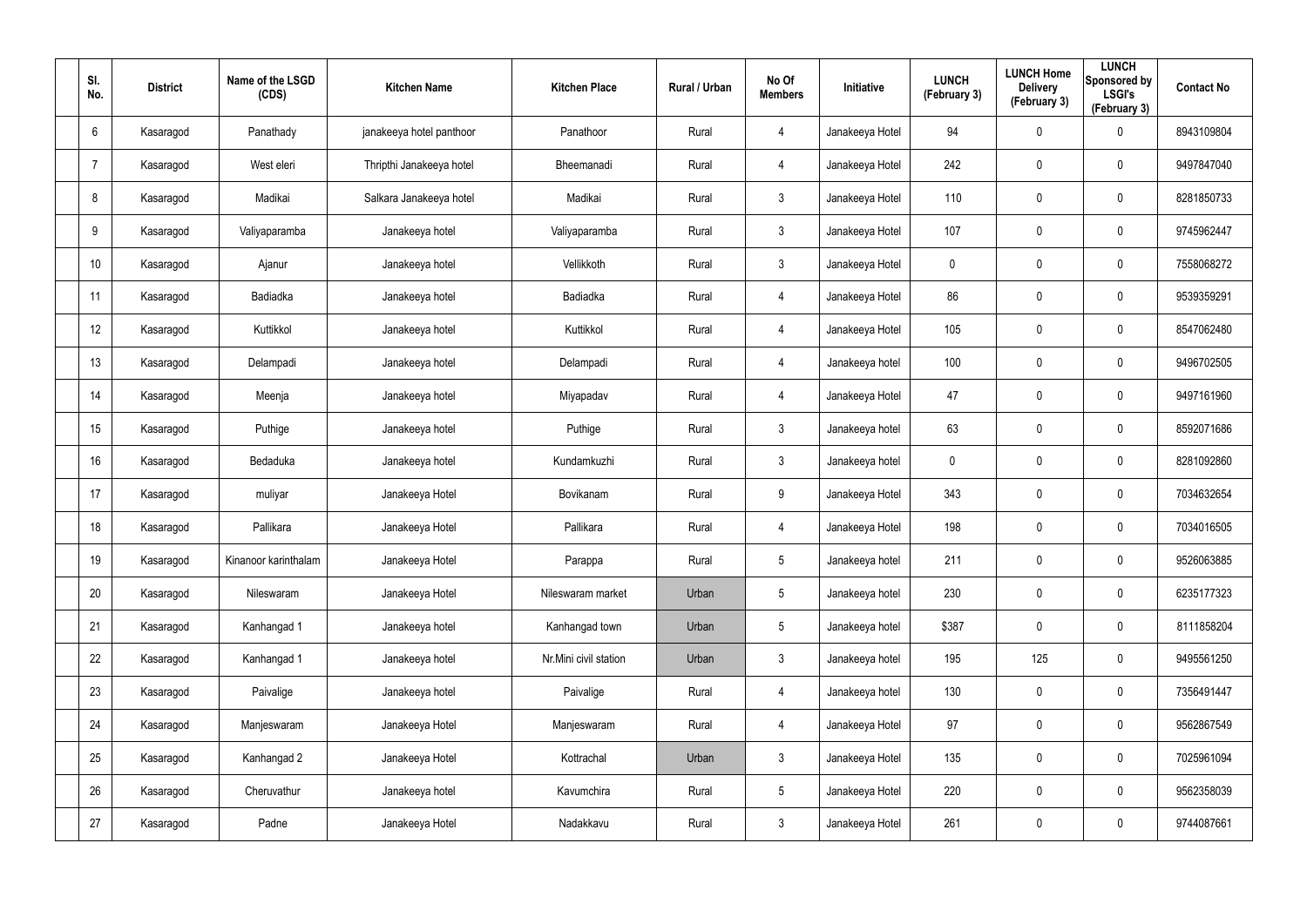| SI.<br>No.      | <b>District</b> | Name of the LSGD<br>(CDS) | <b>Kitchen Name</b>      | <b>Kitchen Place</b>  | Rural / Urban | No Of<br><b>Members</b> | Initiative      | <b>LUNCH</b><br>(February 3) | <b>LUNCH Home</b><br><b>Delivery</b><br>(February 3) | <b>LUNCH</b><br>Sponsored by<br><b>LSGI's</b><br>(February 3) | <b>Contact No</b> |
|-----------------|-----------------|---------------------------|--------------------------|-----------------------|---------------|-------------------------|-----------------|------------------------------|------------------------------------------------------|---------------------------------------------------------------|-------------------|
| 6               | Kasaragod       | Panathady                 | janakeeya hotel panthoor | Panathoor             | Rural         | $\overline{4}$          | Janakeeya Hotel | 94                           | $\mathbf 0$                                          | $\mathbf 0$                                                   | 8943109804        |
| -7              | Kasaragod       | West eleri                | Thripthi Janakeeya hotel | Bheemanadi            | Rural         | $\overline{4}$          | Janakeeya Hotel | 242                          | $\mathbf 0$                                          | $\mathbf 0$                                                   | 9497847040        |
| 8               | Kasaragod       | Madikai                   | Salkara Janakeeya hotel  | Madikai               | Rural         | $\mathbf{3}$            | Janakeeya Hotel | 110                          | 0                                                    | $\boldsymbol{0}$                                              | 8281850733        |
| 9               | Kasaragod       | Valiyaparamba             | Janakeeya hotel          | Valiyaparamba         | Rural         | $\mathbf{3}$            | Janakeeya Hotel | 107                          | 0                                                    | $\mathbf 0$                                                   | 9745962447        |
| 10 <sup>°</sup> | Kasaragod       | Ajanur                    | Janakeeya hotel          | Vellikkoth            | Rural         | $\mathbf{3}$            | Janakeeya Hotel | $\pmb{0}$                    | $\pmb{0}$                                            | $\pmb{0}$                                                     | 7558068272        |
| 11              | Kasaragod       | Badiadka                  | Janakeeya hotel          | Badiadka              | Rural         | $\overline{4}$          | Janakeeya Hotel | 86                           | 0                                                    | $\mathbf 0$                                                   | 9539359291        |
| 12              | Kasaragod       | Kuttikkol                 | Janakeeya hotel          | Kuttikkol             | Rural         | $\overline{4}$          | Janakeeya Hotel | 105                          | $\pmb{0}$                                            | $\pmb{0}$                                                     | 8547062480        |
| 13              | Kasaragod       | Delampadi                 | Janakeeya hotel          | Delampadi             | Rural         | 4                       | Janakeeya hotel | 100                          | 0                                                    | $\mathbf 0$                                                   | 9496702505        |
| 14              | Kasaragod       | Meenja                    | Janakeeya hotel          | Miyapadav             | Rural         | $\overline{4}$          | Janakeeya Hotel | 47                           | 0                                                    | $\pmb{0}$                                                     | 9497161960        |
| 15              | Kasaragod       | Puthige                   | Janakeeya hotel          | Puthige               | Rural         | $\mathbf{3}$            | Janakeeya hotel | 63                           | $\mathbf 0$                                          | $\mathbf 0$                                                   | 8592071686        |
| 16              | Kasaragod       | Bedaduka                  | Janakeeya hotel          | Kundamkuzhi           | Rural         | $\mathbf{3}$            | Janakeeya hotel | $\mathbf 0$                  | $\mathbf 0$                                          | $\mathbf 0$                                                   | 8281092860        |
| 17              | Kasaragod       | muliyar                   | Janakeeya Hotel          | Bovikanam             | Rural         | 9                       | Janakeeya Hotel | 343                          | $\mathbf 0$                                          | $\mathbf 0$                                                   | 7034632654        |
| 18              | Kasaragod       | Pallikara                 | Janakeeya Hotel          | Pallikara             | Rural         | $\overline{4}$          | Janakeeya Hotel | 198                          | 0                                                    | $\boldsymbol{0}$                                              | 7034016505        |
| 19              | Kasaragod       | Kinanoor karinthalam      | Janakeeya Hotel          | Parappa               | Rural         | $5\phantom{.0}$         | Janakeeya hotel | 211                          | $\pmb{0}$                                            | $\pmb{0}$                                                     | 9526063885        |
| 20              | Kasaragod       | Nileswaram                | Janakeeya Hotel          | Nileswaram market     | Urban         | $5\phantom{.0}$         | Janakeeya hotel | 230                          | $\pmb{0}$                                            | $\mathbf 0$                                                   | 6235177323        |
| 21              | Kasaragod       | Kanhangad 1               | Janakeeya hotel          | Kanhangad town        | Urban         | $5\overline{)}$         | Janakeeya hotel | \$387                        | $\pmb{0}$                                            | $\mathbf 0$                                                   | 8111858204        |
| 22              | Kasaragod       | Kanhangad 1               | Janakeeya hotel          | Nr.Mini civil station | Urban         | $\mathbf{3}$            | Janakeeya hotel | 195                          | 125                                                  | $\mathbf 0$                                                   | 9495561250        |
| 23              | Kasaragod       | Paivalige                 | Janakeeya hotel          | Paivalige             | Rural         | $\overline{4}$          | Janakeeya hotel | 130                          | $\pmb{0}$                                            | $\mathbf 0$                                                   | 7356491447        |
| 24              | Kasaragod       | Manjeswaram               | Janakeeya Hotel          | Manjeswaram           | Rural         | $\overline{4}$          | Janakeeya Hotel | 97                           | $\pmb{0}$                                            | $\mathbf 0$                                                   | 9562867549        |
| 25              | Kasaragod       | Kanhangad 2               | Janakeeya Hotel          | Kottrachal            | Urban         | $\mathbf{3}$            | Janakeeya Hotel | 135                          | $\pmb{0}$                                            | $\mathbf 0$                                                   | 7025961094        |
| 26              | Kasaragod       | Cheruvathur               | Janakeeya hotel          | Kavumchira            | Rural         | $5\overline{)}$         | Janakeeya Hotel | 220                          | 0                                                    | $\mathbf 0$                                                   | 9562358039        |
| 27              | Kasaragod       | Padne                     | Janakeeya Hotel          | Nadakkavu             | Rural         | $\mathbf{3}$            | Janakeeya Hotel | 261                          | 0                                                    | $\mathbf 0$                                                   | 9744087661        |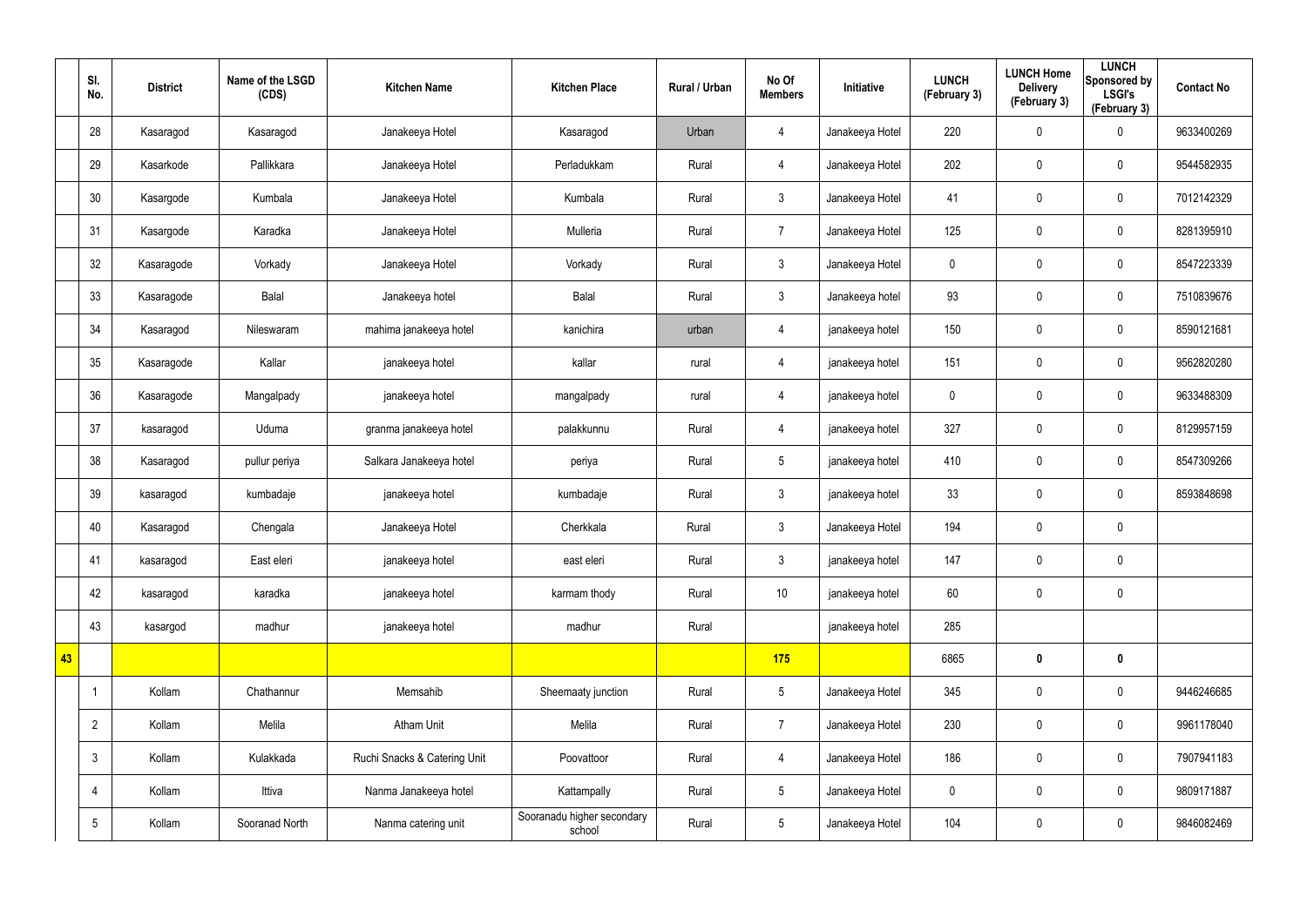|    | SI.<br>No.      | <b>District</b> | Name of the LSGD<br>(CDS) | <b>Kitchen Name</b>          | <b>Kitchen Place</b>                 | Rural / Urban | No Of<br><b>Members</b> | Initiative      | <b>LUNCH</b><br>(February 3) | <b>LUNCH Home</b><br><b>Delivery</b><br>(February 3) | <b>LUNCH</b><br>Sponsored by<br><b>LSGI's</b><br>(February 3) | <b>Contact No</b> |
|----|-----------------|-----------------|---------------------------|------------------------------|--------------------------------------|---------------|-------------------------|-----------------|------------------------------|------------------------------------------------------|---------------------------------------------------------------|-------------------|
|    | 28              | Kasaragod       | Kasaragod                 | Janakeeya Hotel              | Kasaragod                            | Urban         | 4                       | Janakeeya Hotel | 220                          | $\mathbf 0$                                          | $\boldsymbol{0}$                                              | 9633400269        |
|    | 29              | Kasarkode       | Pallikkara                | Janakeeya Hotel              | Perladukkam                          | Rural         | 4                       | Janakeeya Hotel | 202                          | $\mathbf 0$                                          | $\mathbf 0$                                                   | 9544582935        |
|    | 30              | Kasargode       | Kumbala                   | Janakeeya Hotel              | Kumbala                              | Rural         | $\mathbf{3}$            | Janakeeya Hotel | 41                           | 0                                                    | $\pmb{0}$                                                     | 7012142329        |
|    | 31              | Kasargode       | Karadka                   | Janakeeya Hotel              | Mulleria                             | Rural         | $\overline{7}$          | Janakeeya Hotel | 125                          | 0                                                    | $\pmb{0}$                                                     | 8281395910        |
|    | 32              | Kasaragode      | Vorkady                   | Janakeeya Hotel              | Vorkady                              | Rural         | $\mathbf{3}$            | Janakeeya Hotel | $\pmb{0}$                    | 0                                                    | $\pmb{0}$                                                     | 8547223339        |
|    | 33              | Kasaragode      | Balal                     | Janakeeya hotel              | Balal                                | Rural         | $\mathbf{3}$            | Janakeeya hotel | 93                           | 0                                                    | $\pmb{0}$                                                     | 7510839676        |
|    | 34              | Kasaragod       | Nileswaram                | mahima janakeeya hotel       | kanichira                            | urban         | $\overline{4}$          | janakeeya hotel | 150                          | 0                                                    | $\pmb{0}$                                                     | 8590121681        |
|    | 35              | Kasaragode      | Kallar                    | janakeeya hotel              | kallar                               | rural         | 4                       | janakeeya hotel | 151                          | 0                                                    | $\mathbf 0$                                                   | 9562820280        |
|    | 36              | Kasaragode      | Mangalpady                | janakeeya hotel              | mangalpady                           | rural         | $\overline{4}$          | janakeeya hotel | $\pmb{0}$                    | 0                                                    | $\pmb{0}$                                                     | 9633488309        |
|    | 37              | kasaragod       | Uduma                     | granma janakeeya hotel       | palakkunnu                           | Rural         | 4                       | janakeeya hotel | 327                          | 0                                                    | $\mathbf 0$                                                   | 8129957159        |
|    | 38              | Kasaragod       | pullur periya             | Salkara Janakeeya hotel      | periya                               | Rural         | $5\phantom{.0}$         | janakeeya hotel | 410                          | 0                                                    | $\mathbf 0$                                                   | 8547309266        |
|    | 39              | kasaragod       | kumbadaje                 | janakeeya hotel              | kumbadaje                            | Rural         | $\mathbf{3}$            | janakeeya hotel | 33                           | 0                                                    | $\mathbf 0$                                                   | 8593848698        |
|    | 40              | Kasaragod       | Chengala                  | Janakeeya Hotel              | Cherkkala                            | Rural         | $\mathbf{3}$            | Janakeeya Hotel | 194                          | 0                                                    | $\pmb{0}$                                                     |                   |
|    | 41              | kasaragod       | East eleri                | janakeeya hotel              | east eleri                           | Rural         | $\mathbf{3}$            | janakeeya hotel | 147                          | $\pmb{0}$                                            | $\pmb{0}$                                                     |                   |
|    | 42              | kasaragod       | karadka                   | janakeeya hotel              | karmam thody                         | Rural         | 10                      | janakeeya hotel | 60                           | 0                                                    | $\mathbf 0$                                                   |                   |
|    | 43              | kasargod        | madhur                    | janakeeya hotel              | madhur                               | Rural         |                         | janakeeya hotel | 285                          |                                                      |                                                               |                   |
| 43 |                 |                 |                           |                              |                                      |               | 175                     |                 | 6865                         | $\boldsymbol{0}$                                     | $\mathbf 0$                                                   |                   |
|    |                 | Kollam          | Chathannur                | Memsahib                     | Sheemaaty junction                   | Rural         | $5\overline{)}$         | Janakeeya Hotel | 345                          | $\pmb{0}$                                            | $\pmb{0}$                                                     | 9446246685        |
|    | $\overline{2}$  | Kollam          | Melila                    | Atham Unit                   | Melila                               | Rural         | $\overline{7}$          | Janakeeya Hotel | 230                          | $\pmb{0}$                                            | $\mathbf 0$                                                   | 9961178040        |
|    | $\mathbf{3}$    | Kollam          | Kulakkada                 | Ruchi Snacks & Catering Unit | Poovattoor                           | Rural         | $\overline{4}$          | Janakeeya Hotel | 186                          | $\pmb{0}$                                            | $\pmb{0}$                                                     | 7907941183        |
|    | $\overline{4}$  | Kollam          | Ittiva                    | Nanma Janakeeya hotel        | Kattampally                          | Rural         | $5\overline{)}$         | Janakeeya Hotel | $\mathbf 0$                  | 0                                                    | $\mathbf 0$                                                   | 9809171887        |
|    | $5\phantom{.0}$ | Kollam          | Sooranad North            | Nanma catering unit          | Sooranadu higher secondary<br>school | Rural         | $5\phantom{.0}$         | Janakeeya Hotel | 104                          | 0                                                    | $\boldsymbol{0}$                                              | 9846082469        |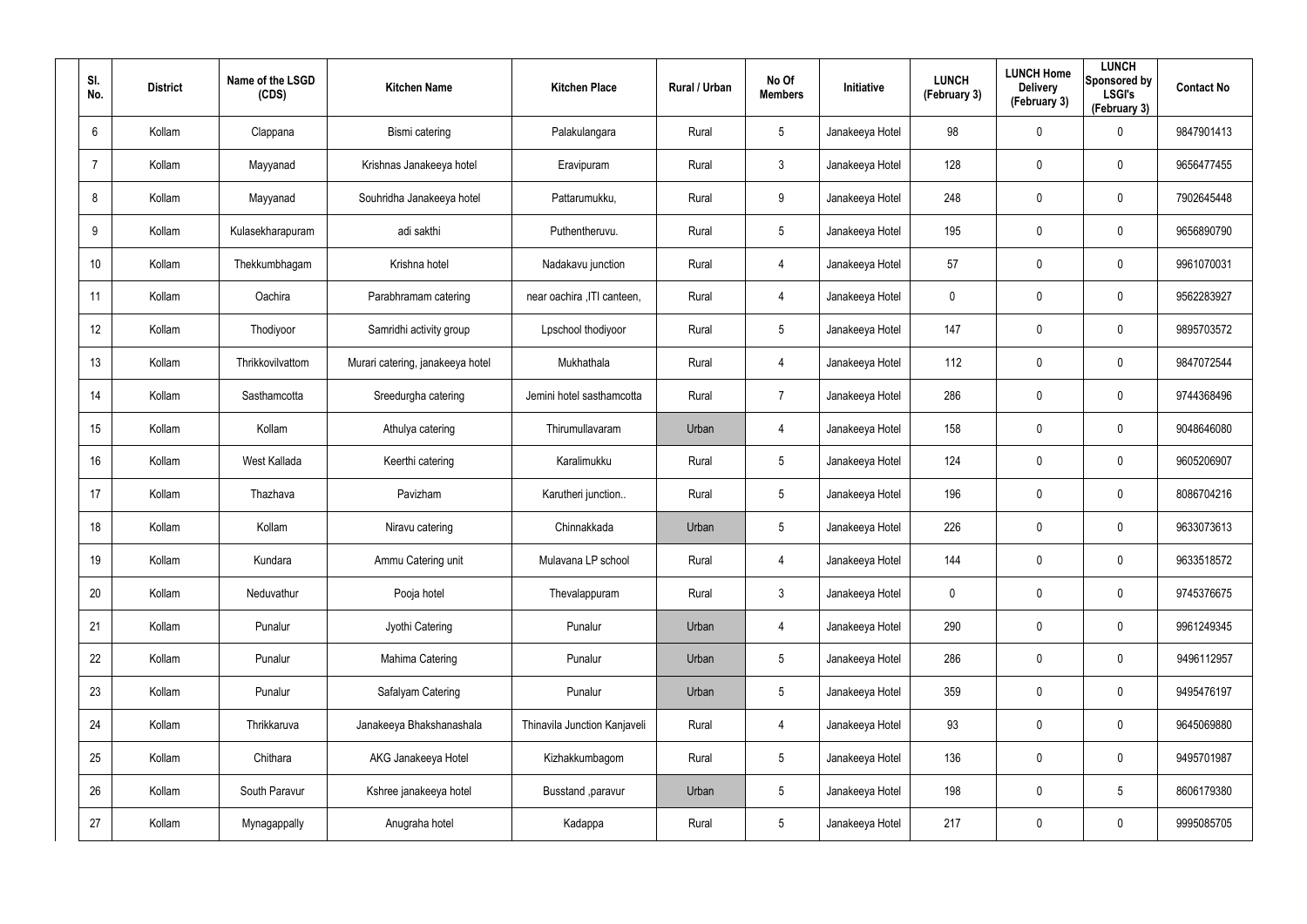| SI.<br>No.     | <b>District</b> | Name of the LSGD<br>(CDS) | <b>Kitchen Name</b>              | <b>Kitchen Place</b>         | Rural / Urban | No Of<br><b>Members</b> | Initiative      | <b>LUNCH</b><br>(February 3) | <b>LUNCH Home</b><br><b>Delivery</b><br>(February 3) | <b>LUNCH</b><br>Sponsored by<br><b>LSGI's</b><br>(February 3) | <b>Contact No</b> |
|----------------|-----------------|---------------------------|----------------------------------|------------------------------|---------------|-------------------------|-----------------|------------------------------|------------------------------------------------------|---------------------------------------------------------------|-------------------|
| 6              | Kollam          | Clappana                  | Bismi catering                   | Palakulangara                | Rural         | $5\phantom{.0}$         | Janakeeya Hotel | 98                           | 0                                                    | $\mathbf 0$                                                   | 9847901413        |
| $\overline{7}$ | Kollam          | Mayyanad                  | Krishnas Janakeeya hotel         | Eravipuram                   | Rural         | $\mathbf{3}$            | Janakeeya Hotel | 128                          | 0                                                    | $\mathbf 0$                                                   | 9656477455        |
| 8              | Kollam          | Mayyanad                  | Souhridha Janakeeya hotel        | Pattarumukku,                | Rural         | 9                       | Janakeeya Hotel | 248                          | 0                                                    | $\pmb{0}$                                                     | 7902645448        |
| 9              | Kollam          | Kulasekharapuram          | adi sakthi                       | Puthentheruvu.               | Rural         | $5\phantom{.0}$         | Janakeeya Hotel | 195                          | 0                                                    | $\mathbf 0$                                                   | 9656890790        |
| 10             | Kollam          | Thekkumbhagam             | Krishna hotel                    | Nadakavu junction            | Rural         | $\overline{4}$          | Janakeeya Hotel | 57                           | 0                                                    | $\mathbf 0$                                                   | 9961070031        |
| 11             | Kollam          | Oachira                   | Parabhramam catering             | near oachira , ITI canteen,  | Rural         | 4                       | Janakeeya Hotel | 0                            | 0                                                    | $\mathbf 0$                                                   | 9562283927        |
| 12             | Kollam          | Thodiyoor                 | Samridhi activity group          | Lpschool thodiyoor           | Rural         | $5\phantom{.0}$         | Janakeeya Hotel | 147                          | 0                                                    | $\pmb{0}$                                                     | 9895703572        |
| 13             | Kollam          | Thrikkovilvattom          | Murari catering, janakeeya hotel | Mukhathala                   | Rural         | 4                       | Janakeeya Hotel | 112                          | 0                                                    | $\mathbf 0$                                                   | 9847072544        |
| 14             | Kollam          | Sasthamcotta              | Sreedurgha catering              | Jemini hotel sasthamcotta    | Rural         | $\overline{7}$          | Janakeeya Hotel | 286                          | 0                                                    | $\mathbf 0$                                                   | 9744368496        |
| 15             | Kollam          | Kollam                    | Athulya catering                 | Thirumullavaram              | Urban         | 4                       | Janakeeya Hotel | 158                          | 0                                                    | $\mathbf 0$                                                   | 9048646080        |
| 16             | Kollam          | West Kallada              | Keerthi catering                 | Karalimukku                  | Rural         | $5\phantom{.0}$         | Janakeeya Hotel | 124                          | 0                                                    | $\mathbf 0$                                                   | 9605206907        |
| 17             | Kollam          | Thazhava                  | Pavizham                         | Karutheri junction           | Rural         | $5\overline{)}$         | Janakeeya Hotel | 196                          | $\mathbf 0$                                          | $\mathbf 0$                                                   | 8086704216        |
| 18             | Kollam          | Kollam                    | Niravu catering                  | Chinnakkada                  | Urban         | $5\overline{)}$         | Janakeeya Hotel | 226                          | 0                                                    | $\mathbf 0$                                                   | 9633073613        |
| 19             | Kollam          | Kundara                   | Ammu Catering unit               | Mulavana LP school           | Rural         | 4                       | Janakeeya Hotel | 144                          | $\mathbf 0$                                          | $\pmb{0}$                                                     | 9633518572        |
| 20             | Kollam          | Neduvathur                | Pooja hotel                      | Thevalappuram                | Rural         | $\mathbf{3}$            | Janakeeya Hotel | 0                            | 0                                                    | $\mathbf 0$                                                   | 9745376675        |
| 21             | Kollam          | Punalur                   | Jyothi Catering                  | Punalur                      | Urban         | 4                       | Janakeeya Hotel | 290                          | $\mathbf 0$                                          | $\mathbf 0$                                                   | 9961249345        |
| 22             | Kollam          | Punalur                   | Mahima Catering                  | Punalur                      | Urban         | $5\phantom{.0}$         | Janakeeya Hotel | 286                          | $\mathbf 0$                                          | $\mathbf 0$                                                   | 9496112957        |
| 23             | Kollam          | Punalur                   | Safalyam Catering                | Punalur                      | Urban         | $5\phantom{.0}$         | Janakeeya Hotel | 359                          | 0                                                    | $\mathbf 0$                                                   | 9495476197        |
| 24             | Kollam          | Thrikkaruva               | Janakeeya Bhakshanashala         | Thinavila Junction Kanjaveli | Rural         | $\overline{4}$          | Janakeeya Hotel | 93                           | 0                                                    | $\mathbf 0$                                                   | 9645069880        |
| 25             | Kollam          | Chithara                  | AKG Janakeeya Hotel              | Kizhakkumbagom               | Rural         | $5\phantom{.0}$         | Janakeeya Hotel | 136                          | 0                                                    | $\mathbf 0$                                                   | 9495701987        |
| 26             | Kollam          | South Paravur             | Kshree janakeeya hotel           | Busstand , paravur           | Urban         | $5\phantom{.0}$         | Janakeeya Hotel | 198                          | 0                                                    | $5\phantom{.0}$                                               | 8606179380        |
| 27             | Kollam          | Mynagappally              | Anugraha hotel                   | Kadappa                      | Rural         | $5\phantom{.0}$         | Janakeeya Hotel | 217                          | 0                                                    | $\mathsf{0}$                                                  | 9995085705        |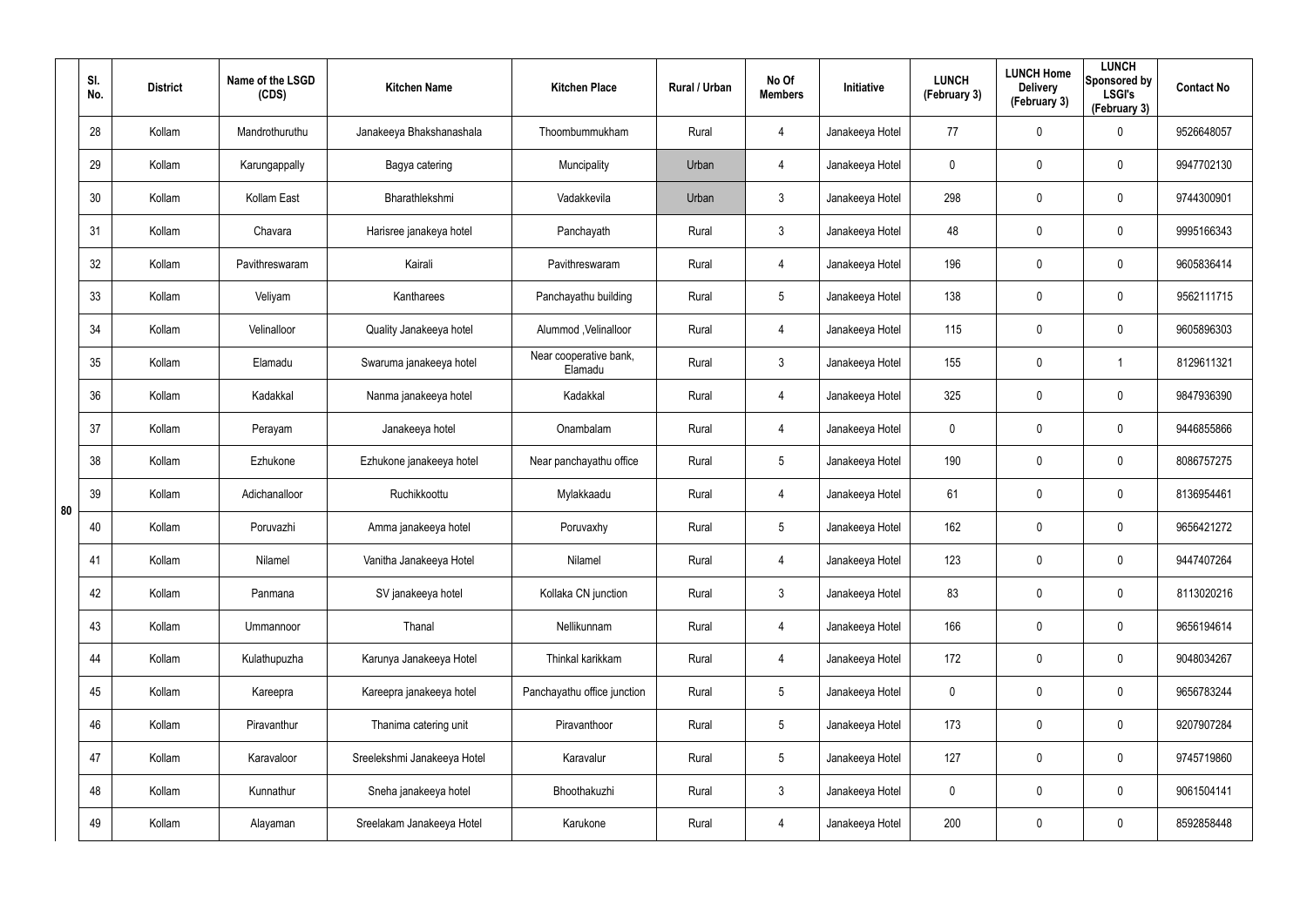|    | SI.<br>No. | <b>District</b> | Name of the LSGD<br>(CDS) | <b>Kitchen Name</b>         | <b>Kitchen Place</b>              | Rural / Urban | No Of<br><b>Members</b> | Initiative      | <b>LUNCH</b><br>(February 3) | <b>LUNCH Home</b><br><b>Delivery</b><br>(February 3) | <b>LUNCH</b><br>Sponsored by<br><b>LSGI's</b><br>(February 3) | <b>Contact No</b> |
|----|------------|-----------------|---------------------------|-----------------------------|-----------------------------------|---------------|-------------------------|-----------------|------------------------------|------------------------------------------------------|---------------------------------------------------------------|-------------------|
|    | 28         | Kollam          | Mandrothuruthu            | Janakeeya Bhakshanashala    | Thoombummukham                    | Rural         | 4                       | Janakeeya Hotel | 77                           | 0                                                    | 0                                                             | 9526648057        |
|    | 29         | Kollam          | Karungappally             | Bagya catering              | Muncipality                       | Urban         | 4                       | Janakeeya Hotel | 0                            | 0                                                    | $\pmb{0}$                                                     | 9947702130        |
|    | 30         | Kollam          | Kollam East               | Bharathlekshmi              | Vadakkevila                       | Urban         | $\mathfrak{Z}$          | Janakeeya Hotel | 298                          | $\mathbf 0$                                          | $\pmb{0}$                                                     | 9744300901        |
|    | 31         | Kollam          | Chavara                   | Harisree janakeya hotel     | Panchayath                        | Rural         | $\mathfrak{Z}$          | Janakeeya Hotel | 48                           | 0                                                    | $\pmb{0}$                                                     | 9995166343        |
|    | 32         | Kollam          | Pavithreswaram            | Kairali                     | Pavithreswaram                    | Rural         | 4                       | Janakeeya Hotel | 196                          | $\mathbf 0$                                          | $\pmb{0}$                                                     | 9605836414        |
|    | 33         | Kollam          | Veliyam                   | Kantharees                  | Panchayathu building              | Rural         | $5\phantom{.0}$         | Janakeeya Hotel | 138                          | 0                                                    | $\pmb{0}$                                                     | 9562111715        |
|    | 34         | Kollam          | Velinalloor               | Quality Janakeeya hotel     | Alummod, Velinalloor              | Rural         | 4                       | Janakeeya Hotel | 115                          | $\mathbf 0$                                          | $\pmb{0}$                                                     | 9605896303        |
|    | 35         | Kollam          | Elamadu                   | Swaruma janakeeya hotel     | Near cooperative bank,<br>Elamadu | Rural         | $\mathbf{3}$            | Janakeeya Hotel | 155                          | 0                                                    | 1                                                             | 8129611321        |
|    | 36         | Kollam          | Kadakkal                  | Nanma janakeeya hotel       | Kadakkal                          | Rural         | 4                       | Janakeeya Hotel | 325                          | $\mathbf 0$                                          | $\pmb{0}$                                                     | 9847936390        |
|    | 37         | Kollam          | Perayam                   | Janakeeya hotel             | Onambalam                         | Rural         | 4                       | Janakeeya Hotel | 0                            | 0                                                    | $\pmb{0}$                                                     | 9446855866        |
|    | 38         | Kollam          | Ezhukone                  | Ezhukone janakeeya hotel    | Near panchayathu office           | Rural         | $5\phantom{.0}$         | Janakeeya Hotel | 190                          | $\mathbf 0$                                          | $\pmb{0}$                                                     | 8086757275        |
| 80 | 39         | Kollam          | Adichanalloor             | Ruchikkoottu                | Mylakkaadu                        | Rural         | 4                       | Janakeeya Hotel | 61                           | 0                                                    | $\pmb{0}$                                                     | 8136954461        |
|    | 40         | Kollam          | Poruvazhi                 | Amma janakeeya hotel        | Poruvaxhy                         | Rural         | $5\phantom{.0}$         | Janakeeya Hotel | 162                          | 0                                                    | $\mathbf 0$                                                   | 9656421272        |
|    | 41         | Kollam          | Nilamel                   | Vanitha Janakeeya Hotel     | Nilamel                           | Rural         | 4                       | Janakeeya Hotel | 123                          | $\pmb{0}$                                            | $\pmb{0}$                                                     | 9447407264        |
|    | 42         | Kollam          | Panmana                   | SV janakeeya hotel          | Kollaka CN junction               | Rural         | $\mathbf{3}$            | Janakeeya Hotel | 83                           | $\mathbf 0$                                          | $\mathbf 0$                                                   | 8113020216        |
|    | 43         | Kollam          | Ummannoor                 | Thanal                      | Nellikunnam                       | Rural         | 4                       | Janakeeya Hotel | 166                          | $\mathbf 0$                                          | $\mathbf 0$                                                   | 9656194614        |
|    | 44         | Kollam          | Kulathupuzha              | Karunya Janakeeya Hotel     | Thinkal karikkam                  | Rural         | 4                       | Janakeeya Hotel | 172                          | $\mathbf 0$                                          | $\mathbf 0$                                                   | 9048034267        |
|    | 45         | Kollam          | Kareepra                  | Kareepra janakeeya hotel    | Panchayathu office junction       | Rural         | $5\phantom{.0}$         | Janakeeya Hotel | $\mathbf 0$                  | $\mathbf 0$                                          | $\mathbf 0$                                                   | 9656783244        |
|    | 46         | Kollam          | Piravanthur               | Thanima catering unit       | Piravanthoor                      | Rural         | $5\phantom{.0}$         | Janakeeya Hotel | 173                          | $\mathbf 0$                                          | $\mathbf 0$                                                   | 9207907284        |
|    | 47         | Kollam          | Karavaloor                | Sreelekshmi Janakeeya Hotel | Karavalur                         | Rural         | $5\phantom{.0}$         | Janakeeya Hotel | 127                          | $\mathbf 0$                                          | $\mathbf 0$                                                   | 9745719860        |
|    | 48         | Kollam          | Kunnathur                 | Sneha janakeeya hotel       | Bhoothakuzhi                      | Rural         | $\mathfrak{Z}$          | Janakeeya Hotel | $\mathbf 0$                  | 0                                                    | $\mathbf 0$                                                   | 9061504141        |
|    | 49         | Kollam          | Alayaman                  | Sreelakam Janakeeya Hotel   | Karukone                          | Rural         | 4                       | Janakeeya Hotel | 200                          | 0                                                    | $\mathsf{0}$                                                  | 8592858448        |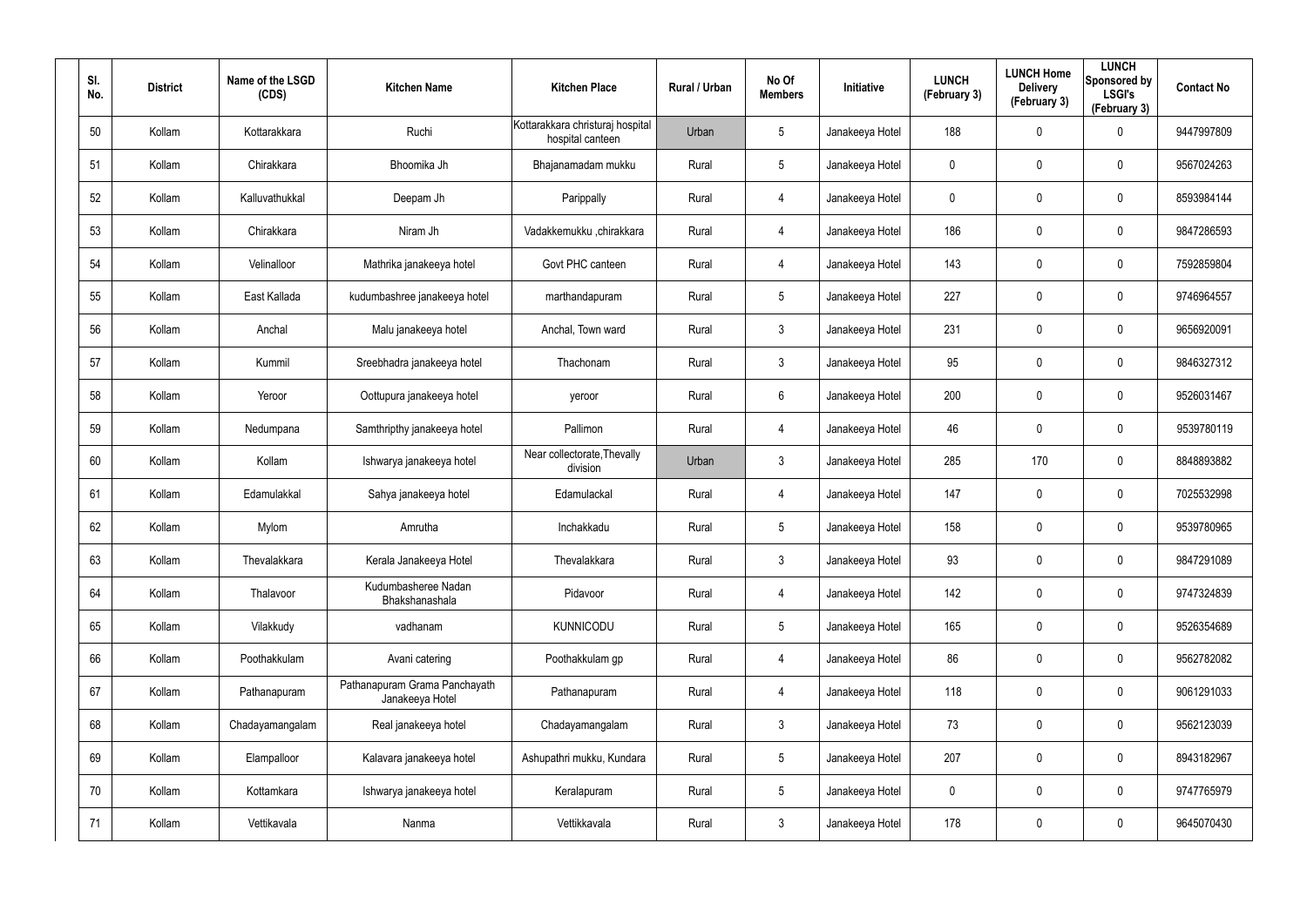| SI.<br>No. | <b>District</b> | Name of the LSGD<br>(CDS) | <b>Kitchen Name</b>                              | <b>Kitchen Place</b>                                 | Rural / Urban | No Of<br><b>Members</b> | Initiative      | <b>LUNCH</b><br>(February 3) | <b>LUNCH Home</b><br><b>Delivery</b><br>(February 3) | <b>LUNCH</b><br>Sponsored by<br><b>LSGI's</b><br>(February 3) | <b>Contact No</b> |
|------------|-----------------|---------------------------|--------------------------------------------------|------------------------------------------------------|---------------|-------------------------|-----------------|------------------------------|------------------------------------------------------|---------------------------------------------------------------|-------------------|
| 50         | Kollam          | Kottarakkara              | Ruchi                                            | Kottarakkara christuraj hospital<br>hospital canteen | Urban         | 5                       | Janakeeya Hotel | 188                          | 0                                                    | $\mathbf 0$                                                   | 9447997809        |
| 51         | Kollam          | Chirakkara                | Bhoomika Jh                                      | Bhajanamadam mukku                                   | Rural         | 5                       | Janakeeya Hotel | 0                            | 0                                                    | $\mathbf 0$                                                   | 9567024263        |
| 52         | Kollam          | Kalluvathukkal            | Deepam Jh                                        | Parippally                                           | Rural         | 4                       | Janakeeya Hotel | 0                            | 0                                                    | $\pmb{0}$                                                     | 8593984144        |
| 53         | Kollam          | Chirakkara                | Niram Jh                                         | Vadakkemukku ,chirakkara                             | Rural         | 4                       | Janakeeya Hotel | 186                          | 0                                                    | $\pmb{0}$                                                     | 9847286593        |
| 54         | Kollam          | Velinalloor               | Mathrika janakeeya hotel                         | Govt PHC canteen                                     | Rural         | 4                       | Janakeeya Hotel | 143                          | 0                                                    | $\pmb{0}$                                                     | 7592859804        |
| 55         | Kollam          | East Kallada              | kudumbashree janakeeya hotel                     | marthandapuram                                       | Rural         | 5                       | Janakeeya Hotel | 227                          | 0                                                    | $\mathbf 0$                                                   | 9746964557        |
| 56         | Kollam          | Anchal                    | Malu janakeeya hotel                             | Anchal, Town ward                                    | Rural         | $\mathbf{3}$            | Janakeeya Hotel | 231                          | 0                                                    | $\pmb{0}$                                                     | 9656920091        |
| 57         | Kollam          | Kummil                    | Sreebhadra janakeeya hotel                       | Thachonam                                            | Rural         | $\mathbf{3}$            | Janakeeya Hotel | 95                           | 0                                                    | $\mathbf 0$                                                   | 9846327312        |
| 58         | Kollam          | Yeroor                    | Oottupura janakeeya hotel                        | yeroor                                               | Rural         | 6                       | Janakeeya Hotel | 200                          | 0                                                    | $\mathbf 0$                                                   | 9526031467        |
| 59         | Kollam          | Nedumpana                 | Samthripthy janakeeya hotel                      | Pallimon                                             | Rural         | 4                       | Janakeeya Hotel | 46                           | 0                                                    | $\mathbf 0$                                                   | 9539780119        |
| 60         | Kollam          | Kollam                    | Ishwarya janakeeya hotel                         | Near collectorate, Thevally<br>division              | Urban         | $\mathbf{3}$            | Janakeeya Hotel | 285                          | 170                                                  | $\mathbf 0$                                                   | 8848893882        |
| 61         | Kollam          | Edamulakkal               | Sahya janakeeya hotel                            | Edamulackal                                          | Rural         | 4                       | Janakeeya Hotel | 147                          | 0                                                    | $\mathbf 0$                                                   | 7025532998        |
| 62         | Kollam          | Mylom                     | Amrutha                                          | Inchakkadu                                           | Rural         | $5\phantom{.0}$         | Janakeeya Hotel | 158                          | 0                                                    | $\mathbf 0$                                                   | 9539780965        |
| 63         | Kollam          | Thevalakkara              | Kerala Janakeeya Hotel                           | Thevalakkara                                         | Rural         | $\mathbf{3}$            | Janakeeya Hotel | 93                           | 0                                                    | $\pmb{0}$                                                     | 9847291089        |
| 64         | Kollam          | Thalavoor                 | Kudumbasheree Nadan<br>Bhakshanashala            | Pidavoor                                             | Rural         | 4                       | Janakeeya Hotel | 142                          | 0                                                    | $\mathbf 0$                                                   | 9747324839        |
| 65         | Kollam          | Vilakkudy                 | vadhanam                                         | <b>KUNNICODU</b>                                     | Rural         | $5\phantom{.0}$         | Janakeeya Hotel | 165                          | 0                                                    | $\mathbf 0$                                                   | 9526354689        |
| 66         | Kollam          | Poothakkulam              | Avani catering                                   | Poothakkulam gp                                      | Rural         | 4                       | Janakeeya Hotel | 86                           | 0                                                    | $\mathbf 0$                                                   | 9562782082        |
| 67         | Kollam          | Pathanapuram              | Pathanapuram Grama Panchayath<br>Janakeeya Hotel | Pathanapuram                                         | Rural         | 4                       | Janakeeya Hotel | 118                          | 0                                                    | $\mathbf 0$                                                   | 9061291033        |
| 68         | Kollam          | Chadayamangalam           | Real janakeeya hotel                             | Chadayamangalam                                      | Rural         | $\mathbf{3}$            | Janakeeya Hotel | 73                           | 0                                                    | $\mathbf 0$                                                   | 9562123039        |
| 69         | Kollam          | Elampalloor               | Kalavara janakeeya hotel                         | Ashupathri mukku, Kundara                            | Rural         | $5\phantom{.0}$         | Janakeeya Hotel | 207                          | 0                                                    | $\mathbf 0$                                                   | 8943182967        |
| 70         | Kollam          | Kottamkara                | Ishwarya janakeeya hotel                         | Keralapuram                                          | Rural         | $5\phantom{.0}$         | Janakeeya Hotel | 0                            | 0                                                    | $\mathbf 0$                                                   | 9747765979        |
| 71         | Kollam          | Vettikavala               | Nanma                                            | Vettikkavala                                         | Rural         | $\mathfrak{Z}$          | Janakeeya Hotel | 178                          | 0                                                    | $\mathsf{0}$                                                  | 9645070430        |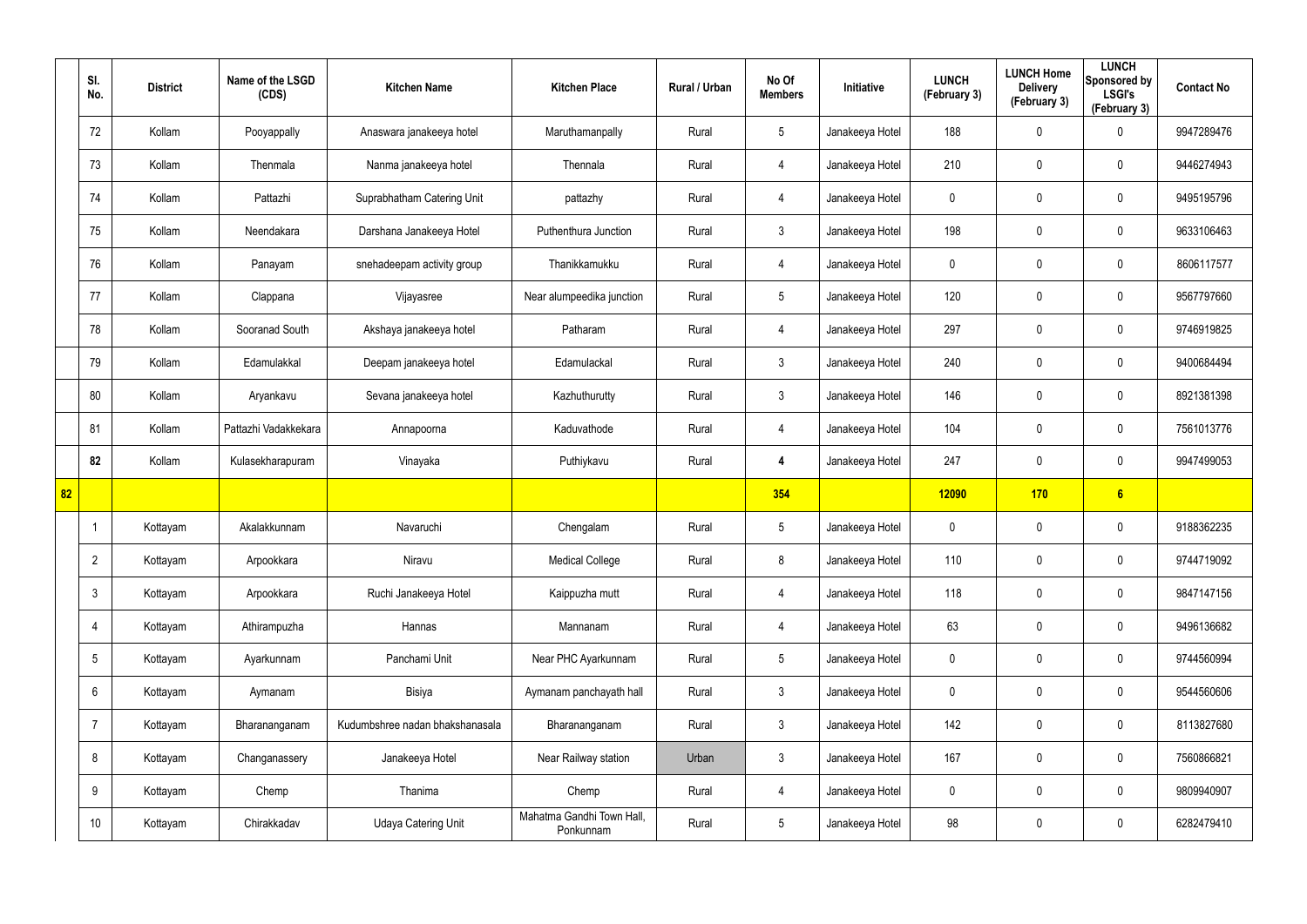|    | SI.<br>No.      | <b>District</b> | Name of the LSGD<br>(CDS) | <b>Kitchen Name</b>             | <b>Kitchen Place</b>                   | Rural / Urban | No Of<br><b>Members</b> | Initiative      | <b>LUNCH</b><br>(February 3) | <b>LUNCH Home</b><br><b>Delivery</b><br>(February 3) | <b>LUNCH</b><br>Sponsored by<br><b>LSGI's</b><br>(February 3) | <b>Contact No</b> |
|----|-----------------|-----------------|---------------------------|---------------------------------|----------------------------------------|---------------|-------------------------|-----------------|------------------------------|------------------------------------------------------|---------------------------------------------------------------|-------------------|
|    | 72              | Kollam          | Pooyappally               | Anaswara janakeeya hotel        | Maruthamanpally                        | Rural         | $5\phantom{.0}$         | Janakeeya Hotel | 188                          | 0                                                    | $\mathbf 0$                                                   | 9947289476        |
|    | 73              | Kollam          | Thenmala                  | Nanma janakeeya hotel           | Thennala                               | Rural         | $\overline{4}$          | Janakeeya Hotel | 210                          | 0                                                    | $\mathbf 0$                                                   | 9446274943        |
|    | 74              | Kollam          | Pattazhi                  | Suprabhatham Catering Unit      | pattazhy                               | Rural         | $\overline{4}$          | Janakeeya Hotel | 0                            | 0                                                    | $\mathbf 0$                                                   | 9495195796        |
|    | 75              | Kollam          | Neendakara                | Darshana Janakeeya Hotel        | Puthenthura Junction                   | Rural         | $\mathbf{3}$            | Janakeeya Hotel | 198                          | 0                                                    | $\mathbf 0$                                                   | 9633106463        |
|    | 76              | Kollam          | Panayam                   | snehadeepam activity group      | Thanikkamukku                          | Rural         | $\overline{4}$          | Janakeeya Hotel | 0                            | 0                                                    | $\mathbf 0$                                                   | 8606117577        |
|    | 77              | Kollam          | Clappana                  | Vijayasree                      | Near alumpeedika junction              | Rural         | $5\overline{)}$         | Janakeeya Hotel | 120                          | 0                                                    | $\mathbf 0$                                                   | 9567797660        |
|    | 78              | Kollam          | Sooranad South            | Akshaya janakeeya hotel         | Patharam                               | Rural         | $\overline{4}$          | Janakeeya Hotel | 297                          | 0                                                    | $\mathbf 0$                                                   | 9746919825        |
|    | 79              | Kollam          | Edamulakkal               | Deepam janakeeya hotel          | Edamulackal                            | Rural         | $\mathbf{3}$            | Janakeeya Hotel | 240                          | 0                                                    | $\mathbf 0$                                                   | 9400684494        |
|    | 80              | Kollam          | Aryankavu                 | Sevana janakeeya hotel          | Kazhuthurutty                          | Rural         | $\mathbf{3}$            | Janakeeya Hotel | 146                          | 0                                                    | $\mathbf 0$                                                   | 8921381398        |
|    | 81              | Kollam          | Pattazhi Vadakkekara      | Annapoorna                      | Kaduvathode                            | Rural         | 4                       | Janakeeya Hotel | 104                          | 0                                                    | $\mathbf 0$                                                   | 7561013776        |
|    | 82              | Kollam          | Kulasekharapuram          | Vinayaka                        | Puthiykavu                             | Rural         | 4                       | Janakeeya Hotel | 247                          | 0                                                    | $\mathbf 0$                                                   | 9947499053        |
| 82 |                 |                 |                           |                                 |                                        |               | 354                     |                 | <b>12090</b>                 | 170                                                  | 6                                                             |                   |
|    |                 | Kottayam        | Akalakkunnam              | Navaruchi                       | Chengalam                              | Rural         | $5\phantom{.0}$         | Janakeeya Hotel | 0                            | 0                                                    | $\boldsymbol{0}$                                              | 9188362235        |
|    | $\overline{2}$  | Kottayam        | Arpookkara                | Niravu                          | <b>Medical College</b>                 | Rural         | 8                       | Janakeeya Hotel | 110                          | 0                                                    | $\pmb{0}$                                                     | 9744719092        |
|    | $\mathbf{3}$    | Kottayam        | Arpookkara                | Ruchi Janakeeya Hotel           | Kaippuzha mutt                         | Rural         | $\overline{4}$          | Janakeeya Hotel | 118                          | $\mathbf 0$                                          | $\pmb{0}$                                                     | 9847147156        |
|    | $\overline{4}$  | Kottayam        | Athirampuzha              | Hannas                          | Mannanam                               | Rural         | $\overline{4}$          | Janakeeya Hotel | 63                           | 0                                                    | $\pmb{0}$                                                     | 9496136682        |
|    | $5\overline{)}$ | Kottayam        | Ayarkunnam                | Panchami Unit                   | Near PHC Ayarkunnam                    | Rural         | $5\phantom{.0}$         | Janakeeya Hotel | 0                            | $\mathbf 0$                                          | $\pmb{0}$                                                     | 9744560994        |
|    | $6\overline{6}$ | Kottayam        | Aymanam                   | Bisiya                          | Aymanam panchayath hall                | Rural         | 3 <sup>1</sup>          | Janakeeya Hotel | 0                            | 0                                                    | $\mathbf 0$                                                   | 9544560606        |
|    | $\overline{7}$  | Kottayam        | Bharananganam             | Kudumbshree nadan bhakshanasala | Bharananganam                          | Rural         | $\mathbf{3}$            | Janakeeya Hotel | 142                          | 0                                                    | $\mathbf 0$                                                   | 8113827680        |
|    | 8               | Kottayam        | Changanassery             | Janakeeya Hotel                 | Near Railway station                   | Urban         | 3 <sup>1</sup>          | Janakeeya Hotel | 167                          | 0                                                    | $\pmb{0}$                                                     | 7560866821        |
|    | 9               | Kottayam        | Chemp                     | Thanima                         | Chemp                                  | Rural         | 4                       | Janakeeya Hotel | 0                            | 0                                                    | $\mathbf 0$                                                   | 9809940907        |
|    | 10 <sup>°</sup> | Kottayam        | Chirakkadav               | Udaya Catering Unit             | Mahatma Gandhi Town Hall,<br>Ponkunnam | Rural         | $5\phantom{.0}$         | Janakeeya Hotel | 98                           | 0                                                    | $\pmb{0}$                                                     | 6282479410        |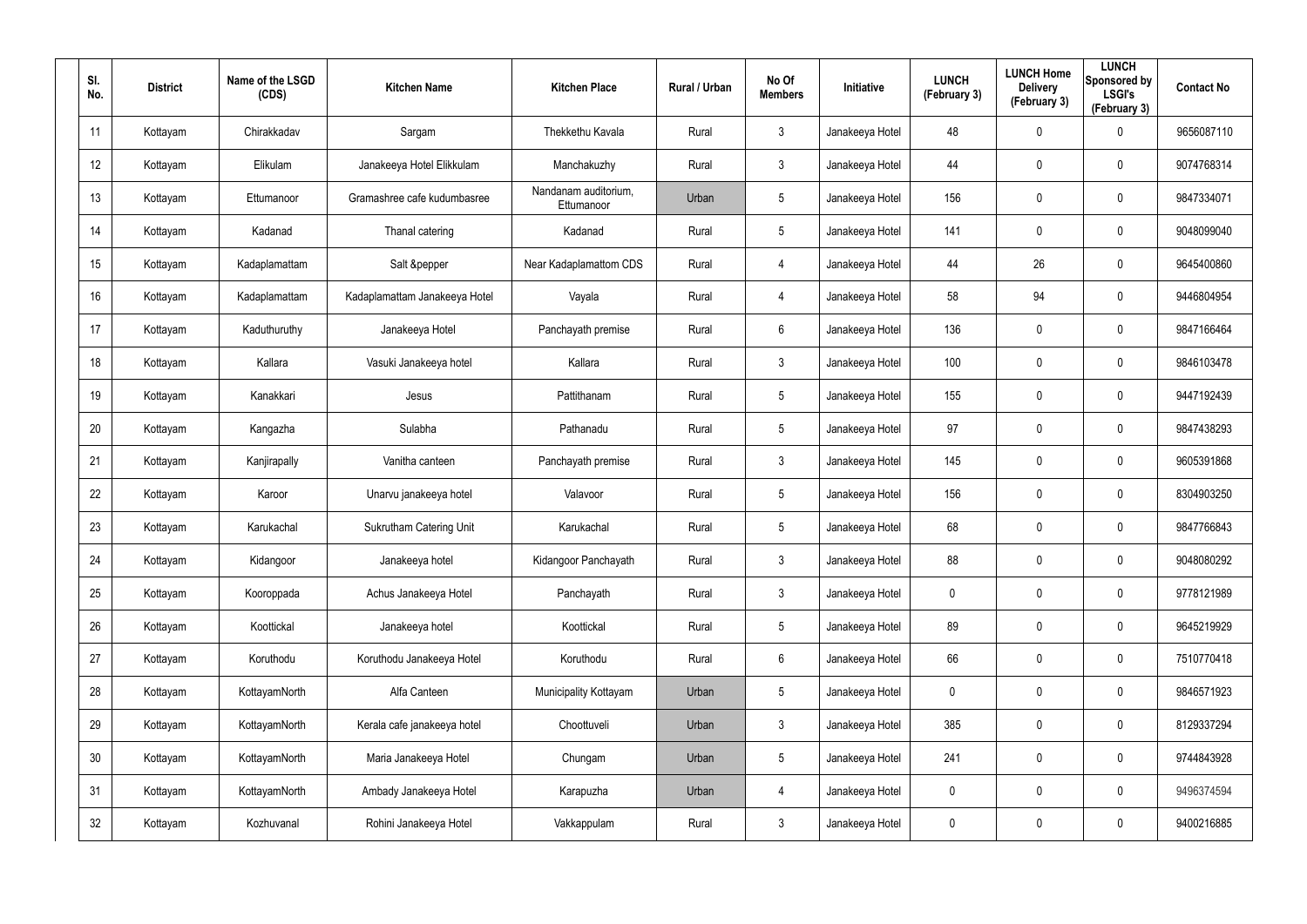| SI.<br>No.      | <b>District</b> | Name of the LSGD<br>(CDS) | <b>Kitchen Name</b>            | <b>Kitchen Place</b>               | Rural / Urban | No Of<br><b>Members</b> | <b>Initiative</b> | <b>LUNCH</b><br>(February 3) | <b>LUNCH Home</b><br><b>Delivery</b><br>(February 3) | <b>LUNCH</b><br>Sponsored by<br><b>LSGI's</b><br>(February 3) | <b>Contact No</b> |
|-----------------|-----------------|---------------------------|--------------------------------|------------------------------------|---------------|-------------------------|-------------------|------------------------------|------------------------------------------------------|---------------------------------------------------------------|-------------------|
| 11              | Kottayam        | Chirakkadav               | Sargam                         | Thekkethu Kavala                   | Rural         | $\mathbf{3}$            | Janakeeya Hotel   | 48                           | 0                                                    | $\mathbf 0$                                                   | 9656087110        |
| 12              | Kottayam        | Elikulam                  | Janakeeya Hotel Elikkulam      | Manchakuzhy                        | Rural         | $\mathbf{3}$            | Janakeeya Hotel   | 44                           | 0                                                    | $\mathbf 0$                                                   | 9074768314        |
| 13              | Kottayam        | Ettumanoor                | Gramashree cafe kudumbasree    | Nandanam auditorium,<br>Ettumanoor | Urban         | 5                       | Janakeeya Hotel   | 156                          | 0                                                    | $\pmb{0}$                                                     | 9847334071        |
| 14              | Kottayam        | Kadanad                   | Thanal catering                | Kadanad                            | Rural         | 5                       | Janakeeya Hotel   | 141                          | 0                                                    | $\mathbf 0$                                                   | 9048099040        |
| 15              | Kottayam        | Kadaplamattam             | Salt &pepper                   | Near Kadaplamattom CDS             | Rural         | $\overline{4}$          | Janakeeya Hotel   | 44                           | 26                                                   | $\pmb{0}$                                                     | 9645400860        |
| 16              | Kottayam        | Kadaplamattam             | Kadaplamattam Janakeeya Hotel  | Vayala                             | Rural         | $\overline{4}$          | Janakeeya Hotel   | 58                           | 94                                                   | $\pmb{0}$                                                     | 9446804954        |
| 17              | Kottayam        | Kaduthuruthy              | Janakeeya Hotel                | Panchayath premise                 | Rural         | 6                       | Janakeeya Hotel   | 136                          | $\mathbf 0$                                          | $\mathbf 0$                                                   | 9847166464        |
| 18              | Kottayam        | Kallara                   | Vasuki Janakeeya hotel         | Kallara                            | Rural         | $\mathbf{3}$            | Janakeeya Hotel   | 100                          | 0                                                    | $\mathbf 0$                                                   | 9846103478        |
| 19              | Kottayam        | Kanakkari                 | Jesus                          | Pattithanam                        | Rural         | $5\phantom{.0}$         | Janakeeya Hotel   | 155                          | $\mathbf 0$                                          | $\mathbf 0$                                                   | 9447192439        |
| 20              | Kottayam        | Kangazha                  | Sulabha                        | Pathanadu                          | Rural         | $5\phantom{.0}$         | Janakeeya Hotel   | 97                           | 0                                                    | $\mathbf 0$                                                   | 9847438293        |
| 21              | Kottayam        | Kanjirapally              | Vanitha canteen                | Panchayath premise                 | Rural         | $\mathbf{3}$            | Janakeeya Hotel   | 145                          | $\mathbf 0$                                          | $\mathbf 0$                                                   | 9605391868        |
| 22              | Kottayam        | Karoor                    | Unarvu janakeeya hotel         | Valavoor                           | Rural         | $5\phantom{.0}$         | Janakeeya Hotel   | 156                          | $\mathbf 0$                                          | $\mathbf 0$                                                   | 8304903250        |
| 23              | Kottayam        | Karukachal                | <b>Sukrutham Catering Unit</b> | Karukachal                         | Rural         | $5\phantom{.0}$         | Janakeeya Hotel   | 68                           | $\mathbf 0$                                          | $\mathbf 0$                                                   | 9847766843        |
| 24              | Kottayam        | Kidangoor                 | Janakeeya hotel                | Kidangoor Panchayath               | Rural         | $\mathbf{3}$            | Janakeeya Hotel   | 88                           | $\mathbf 0$                                          | $\pmb{0}$                                                     | 9048080292        |
| 25              | Kottayam        | Kooroppada                | Achus Janakeeya Hotel          | Panchayath                         | Rural         | $\mathbf{3}$            | Janakeeya Hotel   | 0                            | $\mathbf 0$                                          | $\mathbf 0$                                                   | 9778121989        |
| 26              | Kottayam        | Koottickal                | Janakeeya hotel                | Koottickal                         | Rural         | $5\phantom{.0}$         | Janakeeya Hotel   | 89                           | $\mathbf 0$                                          | $\mathbf 0$                                                   | 9645219929        |
| 27              | Kottayam        | Koruthodu                 | Koruthodu Janakeeya Hotel      | Koruthodu                          | Rural         | $6\phantom{.}6$         | Janakeeya Hotel   | 66                           | $\mathbf 0$                                          | $\mathbf 0$                                                   | 7510770418        |
| 28              | Kottayam        | KottayamNorth             | Alfa Canteen                   | Municipality Kottayam              | Urban         | 5                       | Janakeeya Hotel   | 0                            | $\mathbf 0$                                          | $\pmb{0}$                                                     | 9846571923        |
| 29              | Kottayam        | KottayamNorth             | Kerala cafe janakeeya hotel    | Choottuveli                        | Urban         | $\mathbf{3}$            | Janakeeya Hotel   | 385                          | $\mathbf 0$                                          | $\mathbf 0$                                                   | 8129337294        |
| 30 <sup>°</sup> | Kottayam        | KottayamNorth             | Maria Janakeeya Hotel          | Chungam                            | Urban         | 5                       | Janakeeya Hotel   | 241                          | $\mathbf 0$                                          | $\pmb{0}$                                                     | 9744843928        |
| 31              | Kottayam        | KottayamNorth             | Ambady Janakeeya Hotel         | Karapuzha                          | Urban         | $\overline{4}$          | Janakeeya Hotel   | 0                            | $\mathbf 0$                                          | $\pmb{0}$                                                     | 9496374594        |
| 32              | Kottayam        | Kozhuvanal                | Rohini Janakeeya Hotel         | Vakkappulam                        | Rural         | $\mathfrak{Z}$          | Janakeeya Hotel   | 0                            | $\mathbf 0$                                          | $\pmb{0}$                                                     | 9400216885        |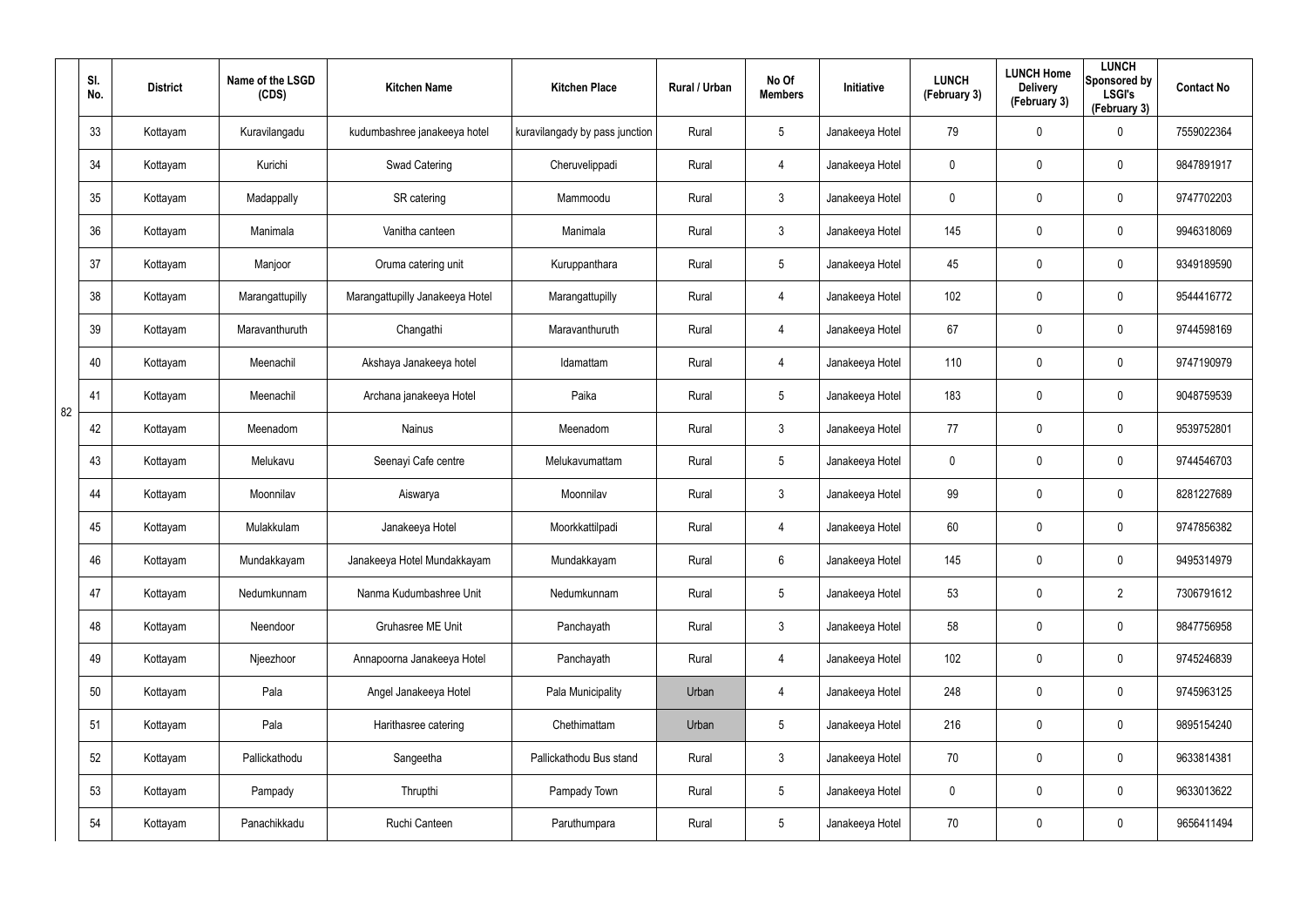|    | SI.<br>No. | <b>District</b> | Name of the LSGD<br>(CDS) | <b>Kitchen Name</b>             | <b>Kitchen Place</b>           | Rural / Urban | No Of<br><b>Members</b> | Initiative      | <b>LUNCH</b><br>(February 3) | <b>LUNCH Home</b><br><b>Delivery</b><br>(February 3) | <b>LUNCH</b><br>Sponsored by<br><b>LSGI's</b><br>(February 3) | <b>Contact No</b> |
|----|------------|-----------------|---------------------------|---------------------------------|--------------------------------|---------------|-------------------------|-----------------|------------------------------|------------------------------------------------------|---------------------------------------------------------------|-------------------|
|    | 33         | Kottayam        | Kuravilangadu             | kudumbashree janakeeya hotel    | kuravilangady by pass junction | Rural         | $5\phantom{.0}$         | Janakeeya Hotel | 79                           | 0                                                    | 0                                                             | 7559022364        |
|    | 34         | Kottayam        | Kurichi                   | Swad Catering                   | Cheruvelippadi                 | Rural         | 4                       | Janakeeya Hotel | 0                            | $\mathbf 0$                                          | $\pmb{0}$                                                     | 9847891917        |
|    | 35         | Kottayam        | Madappally                | SR catering                     | Mammoodu                       | Rural         | $\mathbf{3}$            | Janakeeya Hotel | $\boldsymbol{0}$             | $\mathbf 0$                                          | $\pmb{0}$                                                     | 9747702203        |
|    | 36         | Kottayam        | Manimala                  | Vanitha canteen                 | Manimala                       | Rural         | $\mathfrak{Z}$          | Janakeeya Hotel | 145                          | 0                                                    | $\pmb{0}$                                                     | 9946318069        |
|    | 37         | Kottayam        | Manjoor                   | Oruma catering unit             | Kuruppanthara                  | Rural         | $5\phantom{.0}$         | Janakeeya Hotel | 45                           | $\mathbf 0$                                          | $\pmb{0}$                                                     | 9349189590        |
|    | 38         | Kottayam        | Marangattupilly           | Marangattupilly Janakeeya Hotel | Marangattupilly                | Rural         | 4                       | Janakeeya Hotel | 102                          | 0                                                    | $\pmb{0}$                                                     | 9544416772        |
|    | 39         | Kottayam        | Maravanthuruth            | Changathi                       | Maravanthuruth                 | Rural         | 4                       | Janakeeya Hotel | 67                           | $\mathbf 0$                                          | $\pmb{0}$                                                     | 9744598169        |
|    | 40         | Kottayam        | Meenachil                 | Akshaya Janakeeya hotel         | Idamattam                      | Rural         | 4                       | Janakeeya Hotel | 110                          | 0                                                    | $\mathbf 0$                                                   | 9747190979        |
| 82 | 41         | Kottayam        | Meenachil                 | Archana janakeeya Hotel         | Paika                          | Rural         | $5\phantom{.0}$         | Janakeeya Hotel | 183                          | $\mathbf 0$                                          | $\pmb{0}$                                                     | 9048759539        |
|    | 42         | Kottayam        | Meenadom                  | Nainus                          | Meenadom                       | Rural         | $\mathbf{3}$            | Janakeeya Hotel | 77                           | 0                                                    | $\mathbf 0$                                                   | 9539752801        |
|    | 43         | Kottayam        | Melukavu                  | Seenayi Cafe centre             | Melukavumattam                 | Rural         | $5\phantom{.0}$         | Janakeeya Hotel | 0                            | 0                                                    | $\pmb{0}$                                                     | 9744546703        |
|    | 44         | Kottayam        | Moonnilav                 | Aiswarya                        | Moonnilav                      | Rural         | $\mathbf{3}$            | Janakeeya Hotel | 99                           | 0                                                    | $\mathbf 0$                                                   | 8281227689        |
|    | 45         | Kottayam        | Mulakkulam                | Janakeeya Hotel                 | Moorkkattilpadi                | Rural         | 4                       | Janakeeya Hotel | 60                           | 0                                                    | 0                                                             | 9747856382        |
|    | 46         | Kottayam        | Mundakkayam               | Janakeeya Hotel Mundakkayam     | Mundakkayam                    | Rural         | 6                       | Janakeeya Hotel | 145                          | 0                                                    | $\pmb{0}$                                                     | 9495314979        |
|    | 47         | Kottayam        | Nedumkunnam               | Nanma Kudumbashree Unit         | Nedumkunnam                    | Rural         | $5\phantom{.0}$         | Janakeeya Hotel | 53                           | $\mathbf 0$                                          | $\overline{2}$                                                | 7306791612        |
|    | 48         | Kottayam        | Neendoor                  | Gruhasree ME Unit               | Panchayath                     | Rural         | $\mathbf{3}$            | Janakeeya Hotel | 58                           | $\mathbf 0$                                          | $\mathbf 0$                                                   | 9847756958        |
|    | 49         | Kottayam        | Njeezhoor                 | Annapoorna Janakeeya Hotel      | Panchayath                     | Rural         | 4                       | Janakeeya Hotel | 102                          | $\mathbf 0$                                          | $\mathbf 0$                                                   | 9745246839        |
|    | 50         | Kottayam        | Pala                      | Angel Janakeeya Hotel           | Pala Municipality              | Urban         | 4                       | Janakeeya Hotel | 248                          | $\mathbf 0$                                          | $\mathbf 0$                                                   | 9745963125        |
|    | 51         | Kottayam        | Pala                      | Harithasree catering            | Chethimattam                   | Urban         | $5\phantom{.0}$         | Janakeeya Hotel | 216                          | $\mathbf 0$                                          | $\mathbf 0$                                                   | 9895154240        |
|    | 52         | Kottayam        | Pallickathodu             | Sangeetha                       | Pallickathodu Bus stand        | Rural         | $\mathbf{3}$            | Janakeeya Hotel | 70                           | $\mathbf 0$                                          | $\mathbf 0$                                                   | 9633814381        |
|    | 53         | Kottayam        | Pampady                   | Thrupthi                        | Pampady Town                   | Rural         | $5\phantom{.0}$         | Janakeeya Hotel | $\mathbf 0$                  | $\mathbf 0$                                          | $\mathbf 0$                                                   | 9633013622        |
|    | 54         | Kottayam        | Panachikkadu              | Ruchi Canteen                   | Paruthumpara                   | Rural         | $\overline{5}$          | Janakeeya Hotel | 70                           | 0                                                    | $\mathsf{0}$                                                  | 9656411494        |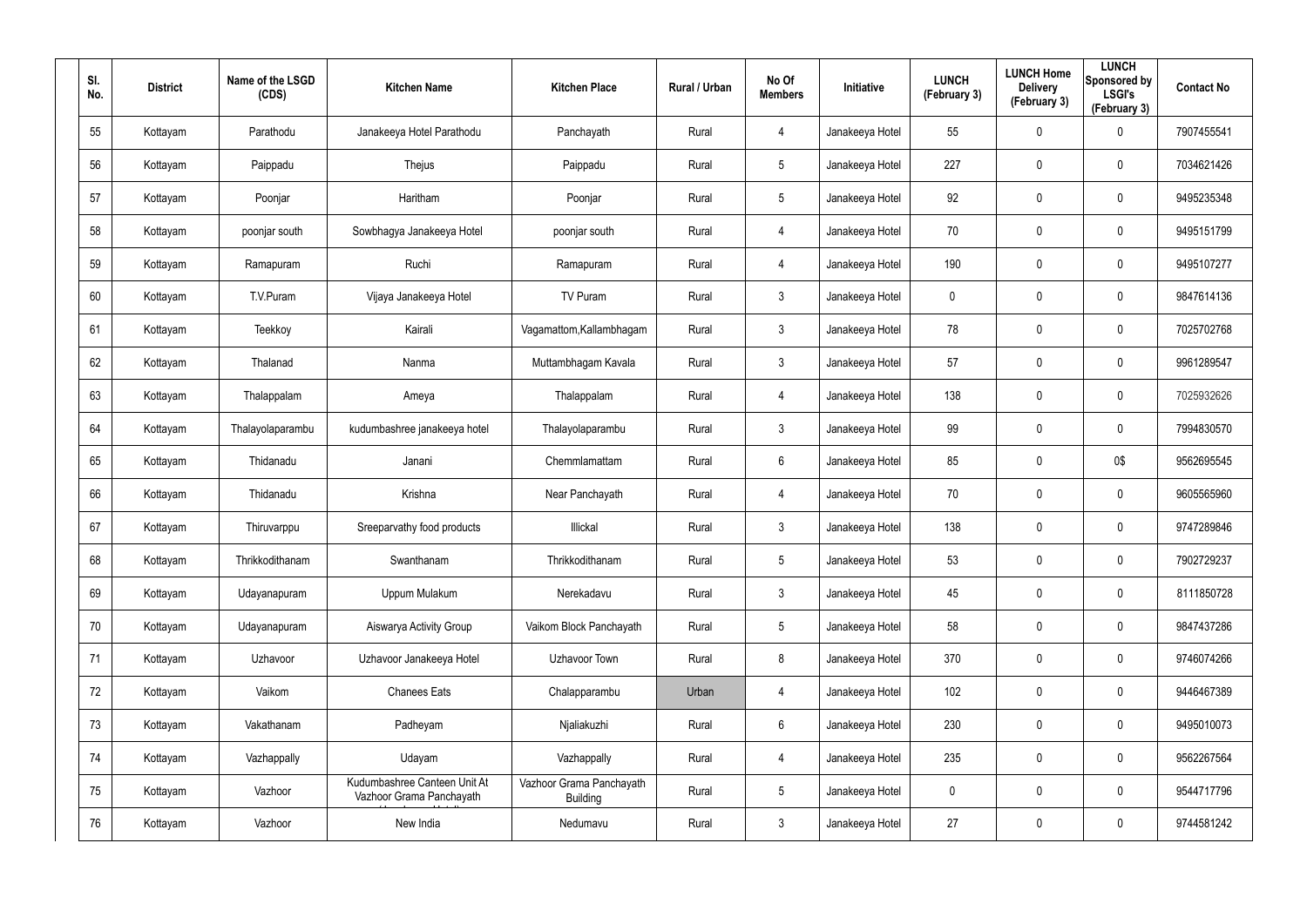| SI.<br>No. | <b>District</b> | Name of the LSGD<br>(CDS) | <b>Kitchen Name</b>                                      | <b>Kitchen Place</b>                        | Rural / Urban | No Of<br><b>Members</b> | Initiative      | <b>LUNCH</b><br>(February 3) | <b>LUNCH Home</b><br><b>Delivery</b><br>(February 3) | <b>LUNCH</b><br>Sponsored by<br><b>LSGI's</b><br>(February 3) | <b>Contact No</b> |
|------------|-----------------|---------------------------|----------------------------------------------------------|---------------------------------------------|---------------|-------------------------|-----------------|------------------------------|------------------------------------------------------|---------------------------------------------------------------|-------------------|
| 55         | Kottayam        | Parathodu                 | Janakeeya Hotel Parathodu                                | Panchayath                                  | Rural         | 4                       | Janakeeya Hotel | 55                           | 0                                                    | $\mathbf 0$                                                   | 7907455541        |
| 56         | Kottayam        | Paippadu                  | Thejus                                                   | Paippadu                                    | Rural         | $5\phantom{.0}$         | Janakeeya Hotel | 227                          | 0                                                    | $\pmb{0}$                                                     | 7034621426        |
| 57         | Kottayam        | Poonjar                   | Haritham                                                 | Poonjar                                     | Rural         | $5\phantom{.0}$         | Janakeeya Hotel | 92                           | 0                                                    | $\pmb{0}$                                                     | 9495235348        |
| 58         | Kottayam        | poonjar south             | Sowbhagya Janakeeya Hotel                                | poonjar south                               | Rural         | 4                       | Janakeeya Hotel | 70                           | 0                                                    | $\mathbf 0$                                                   | 9495151799        |
| 59         | Kottayam        | Ramapuram                 | Ruchi                                                    | Ramapuram                                   | Rural         | $\overline{4}$          | Janakeeya Hotel | 190                          | 0                                                    | $\pmb{0}$                                                     | 9495107277        |
| 60         | Kottayam        | T.V.Puram                 | Vijaya Janakeeya Hotel                                   | TV Puram                                    | Rural         | $\mathbf{3}$            | Janakeeya Hotel | 0                            | 0                                                    | $\pmb{0}$                                                     | 9847614136        |
| 61         | Kottayam        | Teekkoy                   | Kairali                                                  | Vagamattom, Kallambhagam                    | Rural         | $\mathbf{3}$            | Janakeeya Hotel | 78                           | 0                                                    | $\pmb{0}$                                                     | 7025702768        |
| 62         | Kottayam        | Thalanad                  | Nanma                                                    | Muttambhagam Kavala                         | Rural         | $\mathbf{3}$            | Janakeeya Hotel | 57                           | 0                                                    | $\mathbf 0$                                                   | 9961289547        |
| 63         | Kottayam        | Thalappalam               | Ameya                                                    | Thalappalam                                 | Rural         | 4                       | Janakeeya Hotel | 138                          | 0                                                    | $\pmb{0}$                                                     | 7025932626        |
| 64         | Kottayam        | Thalayolaparambu          | kudumbashree janakeeya hotel                             | Thalayolaparambu                            | Rural         | $\mathbf{3}$            | Janakeeya Hotel | 99                           | $\mathbf 0$                                          | $\mathbf 0$                                                   | 7994830570        |
| 65         | Kottayam        | Thidanadu                 | Janani                                                   | Chemmlamattam                               | Rural         | $6\phantom{.}6$         | Janakeeya Hotel | 85                           | 0                                                    | 0\$                                                           | 9562695545        |
| 66         | Kottayam        | Thidanadu                 | Krishna                                                  | Near Panchayath                             | Rural         | 4                       | Janakeeya Hotel | 70                           | 0                                                    | $\mathbf 0$                                                   | 9605565960        |
| 67         | Kottayam        | Thiruvarppu               | Sreeparvathy food products                               | Illickal                                    | Rural         | $\mathbf{3}$            | Janakeeya Hotel | 138                          | $\mathbf 0$                                          | $\mathbf 0$                                                   | 9747289846        |
| 68         | Kottayam        | Thrikkodithanam           | Swanthanam                                               | Thrikkodithanam                             | Rural         | $5\phantom{.0}$         | Janakeeya Hotel | 53                           | $\mathbf 0$                                          | $\pmb{0}$                                                     | 7902729237        |
| 69         | Kottayam        | Udayanapuram              | Uppum Mulakum                                            | Nerekadavu                                  | Rural         | $\mathbf{3}$            | Janakeeya Hotel | 45                           | 0                                                    | $\mathbf 0$                                                   | 8111850728        |
| 70         | Kottayam        | Udayanapuram              | Aiswarya Activity Group                                  | Vaikom Block Panchayath                     | Rural         | $5\phantom{.0}$         | Janakeeya Hotel | 58                           | $\mathbf 0$                                          | $\mathbf 0$                                                   | 9847437286        |
| 71         | Kottayam        | Uzhavoor                  | Uzhavoor Janakeeya Hotel                                 | Uzhavoor Town                               | Rural         | 8                       | Janakeeya Hotel | 370                          | $\mathbf 0$                                          | $\mathbf 0$                                                   | 9746074266        |
| 72         | Kottayam        | Vaikom                    | <b>Chanees Eats</b>                                      | Chalapparambu                               | Urban         | $\overline{4}$          | Janakeeya Hotel | 102                          | $\mathbf 0$                                          | $\mathbf 0$                                                   | 9446467389        |
| 73         | Kottayam        | Vakathanam                | Padheyam                                                 | Njaliakuzhi                                 | Rural         | $6\phantom{.}6$         | Janakeeya Hotel | 230                          | 0                                                    | $\mathbf 0$                                                   | 9495010073        |
| 74         | Kottayam        | Vazhappally               | Udayam                                                   | Vazhappally                                 | Rural         | $\overline{4}$          | Janakeeya Hotel | 235                          | $\mathbf 0$                                          | $\mathsf{0}$                                                  | 9562267564        |
| 75         | Kottayam        | Vazhoor                   | Kudumbashree Canteen Unit At<br>Vazhoor Grama Panchayath | Vazhoor Grama Panchayath<br><b>Building</b> | Rural         | $5\phantom{.0}$         | Janakeeya Hotel | 0                            | 0                                                    | $\mathbf 0$                                                   | 9544717796        |
| 76         | Kottayam        | Vazhoor                   | New India                                                | Nedumavu                                    | Rural         | $\mathfrak{Z}$          | Janakeeya Hotel | 27                           | 0                                                    | $\mathsf{0}$                                                  | 9744581242        |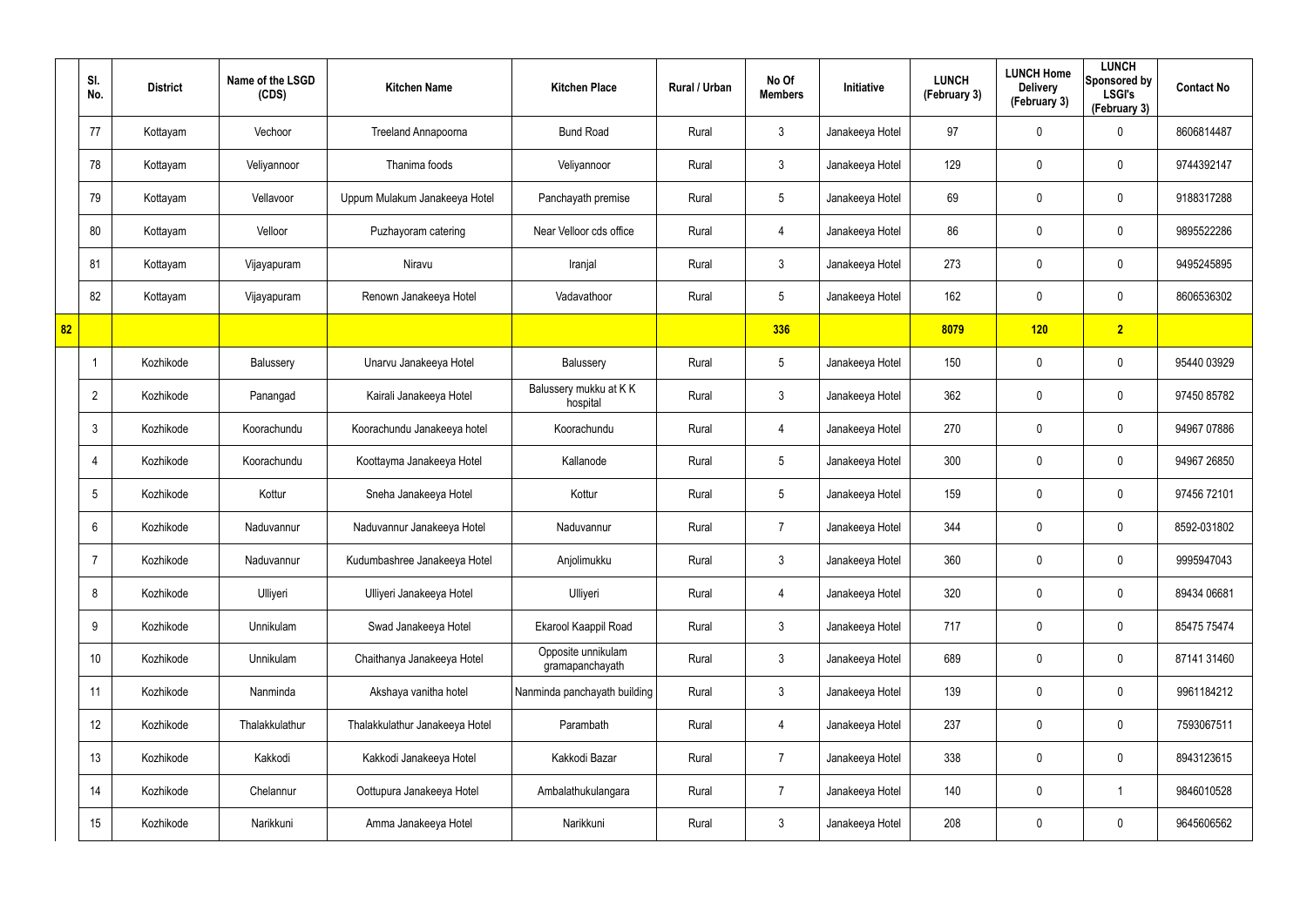|    | SI.<br>No.      | <b>District</b> | Name of the LSGD<br>(CDS) | <b>Kitchen Name</b>            | <b>Kitchen Place</b>                  | Rural / Urban | No Of<br><b>Members</b> | Initiative      | <b>LUNCH</b><br>(February 3) | <b>LUNCH Home</b><br><b>Delivery</b><br>(February 3) | <b>LUNCH</b><br>Sponsored by<br><b>LSGI's</b><br>(February 3) | <b>Contact No</b> |
|----|-----------------|-----------------|---------------------------|--------------------------------|---------------------------------------|---------------|-------------------------|-----------------|------------------------------|------------------------------------------------------|---------------------------------------------------------------|-------------------|
|    | 77              | Kottayam        | Vechoor                   | Treeland Annapoorna            | <b>Bund Road</b>                      | Rural         | $\mathbf{3}$            | Janakeeya Hotel | 97                           | 0                                                    | $\mathbf 0$                                                   | 8606814487        |
|    | 78              | Kottayam        | Veliyannoor               | Thanima foods                  | Veliyannoor                           | Rural         | $\mathbf{3}$            | Janakeeya Hotel | 129                          | 0                                                    | $\pmb{0}$                                                     | 9744392147        |
|    | 79              | Kottayam        | Vellavoor                 | Uppum Mulakum Janakeeya Hotel  | Panchayath premise                    | Rural         | $5\phantom{.0}$         | Janakeeya Hotel | 69                           | $\mathbf 0$                                          | $\pmb{0}$                                                     | 9188317288        |
|    | 80              | Kottayam        | Velloor                   | Puzhayoram catering            | Near Velloor cds office               | Rural         | $\overline{4}$          | Janakeeya Hotel | 86                           | 0                                                    | $\mathbf 0$                                                   | 9895522286        |
|    | 81              | Kottayam        | Vijayapuram               | Niravu                         | Iranjal                               | Rural         | $\mathbf{3}$            | Janakeeya Hotel | 273                          | $\mathbf 0$                                          | $\mathbf 0$                                                   | 9495245895        |
|    | 82              | Kottayam        | Vijayapuram               | Renown Janakeeya Hotel         | Vadavathoor                           | Rural         | $5\phantom{.0}$         | Janakeeya Hotel | 162                          | 0                                                    | $\mathbf 0$                                                   | 8606536302        |
| 82 |                 |                 |                           |                                |                                       |               | 336                     |                 | 8079                         | 120                                                  | $\overline{2}$                                                |                   |
|    | $\mathbf 1$     | Kozhikode       | Balussery                 | Unarvu Janakeeya Hotel         | Balussery                             | Rural         | $5\phantom{.0}$         | Janakeeya Hotel | 150                          | 0                                                    | $\mathbf 0$                                                   | 95440 03929       |
|    | $\overline{2}$  | Kozhikode       | Panangad                  | Kairali Janakeeya Hotel        | Balussery mukku at KK<br>hospital     | Rural         | $\mathbf{3}$            | Janakeeya Hotel | 362                          | 0                                                    | $\pmb{0}$                                                     | 97450 85782       |
|    | $\mathbf{3}$    | Kozhikode       | Koorachundu               | Koorachundu Janakeeya hotel    | Koorachundu                           | Rural         | $\overline{4}$          | Janakeeya Hotel | 270                          | 0                                                    | $\mathbf 0$                                                   | 94967 07886       |
|    | 4               | Kozhikode       | Koorachundu               | Koottayma Janakeeya Hotel      | Kallanode                             | Rural         | $5\phantom{.0}$         | Janakeeya Hotel | 300                          | 0                                                    | $\pmb{0}$                                                     | 94967 26850       |
|    | $5\phantom{.0}$ | Kozhikode       | Kottur                    | Sneha Janakeeya Hotel          | Kottur                                | Rural         | $5\overline{)}$         | Janakeeya Hotel | 159                          | 0                                                    | $\mathbf 0$                                                   | 97456 72101       |
|    | 6               | Kozhikode       | Naduvannur                | Naduvannur Janakeeya Hotel     | Naduvannur                            | Rural         | $\overline{7}$          | Janakeeya Hotel | 344                          | 0                                                    | $\mathbf 0$                                                   | 8592-031802       |
|    | 7               | Kozhikode       | Naduvannur                | Kudumbashree Janakeeya Hotel   | Anjolimukku                           | Rural         | $\mathfrak{Z}$          | Janakeeya Hotel | 360                          | $\mathbf 0$                                          | $\mathbf 0$                                                   | 9995947043        |
|    | 8               | Kozhikode       | Ulliyeri                  | Ulliyeri Janakeeya Hotel       | Ulliyeri                              | Rural         | 4                       | Janakeeya Hotel | 320                          | 0                                                    | $\mathbf 0$                                                   | 89434 06681       |
|    | 9               | Kozhikode       | Unnikulam                 | Swad Janakeeya Hotel           | Ekarool Kaappil Road                  | Rural         | 3 <sup>1</sup>          | Janakeeya Hotel | 717                          | 0                                                    | $\mathbf 0$                                                   | 85475 75474       |
|    | 10 <sup>°</sup> | Kozhikode       | Unnikulam                 | Chaithanya Janakeeya Hotel     | Opposite unnikulam<br>gramapanchayath | Rural         | $\mathbf{3}$            | Janakeeya Hotel | 689                          | 0                                                    | $\mathbf 0$                                                   | 87141 31460       |
|    | 11              | Kozhikode       | Nanminda                  | Akshaya vanitha hotel          | Nanminda panchayath building          | Rural         | $\mathbf{3}$            | Janakeeya Hotel | 139                          | $\mathbf 0$                                          | $\mathbf 0$                                                   | 9961184212        |
|    | 12              | Kozhikode       | Thalakkulathur            | Thalakkulathur Janakeeya Hotel | Parambath                             | Rural         | $\overline{4}$          | Janakeeya Hotel | 237                          | 0                                                    | $\pmb{0}$                                                     | 7593067511        |
|    | 13              | Kozhikode       | Kakkodi                   | Kakkodi Janakeeya Hotel        | Kakkodi Bazar                         | Rural         | $\overline{7}$          | Janakeeya Hotel | 338                          | 0                                                    | $\mathbf 0$                                                   | 8943123615        |
|    | 14              | Kozhikode       | Chelannur                 | Oottupura Janakeeya Hotel      | Ambalathukulangara                    | Rural         | $\overline{7}$          | Janakeeya Hotel | 140                          | 0                                                    | $\mathbf{1}$                                                  | 9846010528        |
|    | 15              | Kozhikode       | Narikkuni                 | Amma Janakeeya Hotel           | Narikkuni                             | Rural         | $\mathfrak{Z}$          | Janakeeya Hotel | 208                          | 0                                                    | $\mathbf 0$                                                   | 9645606562        |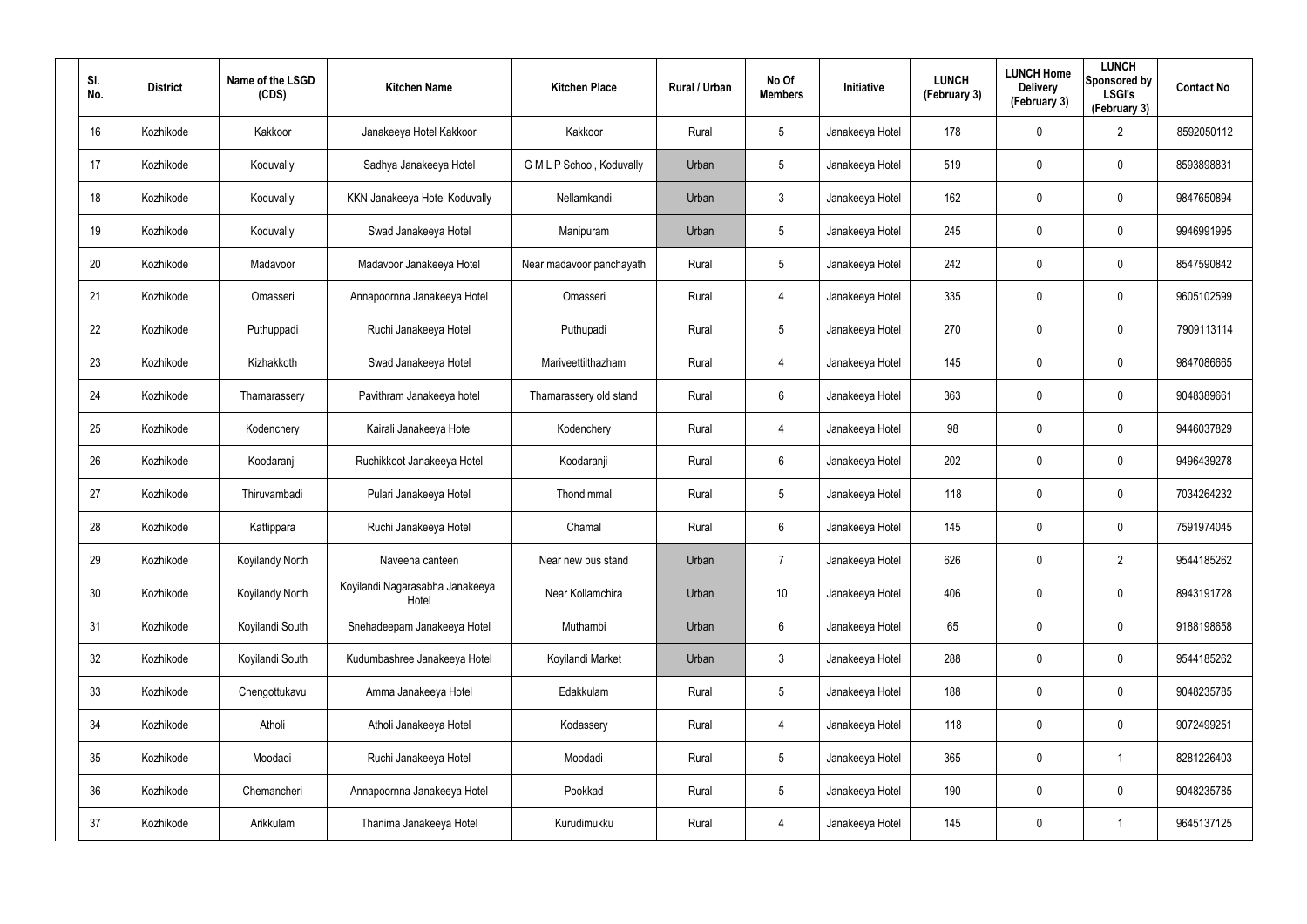| SI.<br>No. | <b>District</b> | Name of the LSGD<br>(CDS) | <b>Kitchen Name</b>                      | <b>Kitchen Place</b>      | Rural / Urban | No Of<br><b>Members</b> | Initiative      | <b>LUNCH</b><br>(February 3) | <b>LUNCH Home</b><br><b>Delivery</b><br>(February 3) | <b>LUNCH</b><br>Sponsored by<br><b>LSGI's</b><br>(February 3) | <b>Contact No</b> |
|------------|-----------------|---------------------------|------------------------------------------|---------------------------|---------------|-------------------------|-----------------|------------------------------|------------------------------------------------------|---------------------------------------------------------------|-------------------|
| 16         | Kozhikode       | Kakkoor                   | Janakeeya Hotel Kakkoor                  | Kakkoor                   | Rural         | 5                       | Janakeeya Hotel | 178                          | $\mathbf 0$                                          | 2                                                             | 8592050112        |
| 17         | Kozhikode       | Koduvally                 | Sadhya Janakeeya Hotel                   | G M L P School, Koduvally | Urban         | 5                       | Janakeeya Hotel | 519                          | 0                                                    | $\mathbf 0$                                                   | 8593898831        |
| 18         | Kozhikode       | Koduvally                 | KKN Janakeeya Hotel Koduvally            | Nellamkandi               | Urban         | $\mathbf{3}$            | Janakeeya Hotel | 162                          | 0                                                    | $\mathbf 0$                                                   | 9847650894        |
| 19         | Kozhikode       | Koduvally                 | Swad Janakeeya Hotel                     | Manipuram                 | Urban         | 5                       | Janakeeya Hotel | 245                          | 0                                                    | $\mathbf 0$                                                   | 9946991995        |
| 20         | Kozhikode       | Madavoor                  | Madavoor Janakeeya Hotel                 | Near madavoor panchayath  | Rural         | 5                       | Janakeeya Hotel | 242                          | 0                                                    | $\mathbf 0$                                                   | 8547590842        |
| 21         | Kozhikode       | Omasseri                  | Annapoornna Janakeeya Hotel              | Omasseri                  | Rural         | $\overline{4}$          | Janakeeya Hotel | 335                          | 0                                                    | $\mathbf 0$                                                   | 9605102599        |
| 22         | Kozhikode       | Puthuppadi                | Ruchi Janakeeya Hotel                    | Puthupadi                 | Rural         | 5                       | Janakeeya Hotel | 270                          | $\mathbf 0$                                          | $\mathbf 0$                                                   | 7909113114        |
| 23         | Kozhikode       | Kizhakkoth                | Swad Janakeeya Hotel                     | Mariveettilthazham        | Rural         | 4                       | Janakeeya Hotel | 145                          | 0                                                    | $\mathbf 0$                                                   | 9847086665        |
| 24         | Kozhikode       | Thamarassery              | Pavithram Janakeeya hotel                | Thamarassery old stand    | Rural         | 6                       | Janakeeya Hotel | 363                          | $\mathbf 0$                                          | $\mathbf 0$                                                   | 9048389661        |
| 25         | Kozhikode       | Kodenchery                | Kairali Janakeeya Hotel                  | Kodenchery                | Rural         | 4                       | Janakeeya Hotel | 98                           | 0                                                    | $\mathbf 0$                                                   | 9446037829        |
| 26         | Kozhikode       | Koodaranji                | Ruchikkoot Janakeeya Hotel               | Koodaranji                | Rural         | 6                       | Janakeeya Hotel | 202                          | $\mathbf 0$                                          | $\mathbf 0$                                                   | 9496439278        |
| 27         | Kozhikode       | Thiruvambadi              | Pulari Janakeeya Hotel                   | Thondimmal                | Rural         | 5                       | Janakeeya Hotel | 118                          | $\mathbf 0$                                          | $\mathbf 0$                                                   | 7034264232        |
| 28         | Kozhikode       | Kattippara                | Ruchi Janakeeya Hotel                    | Chamal                    | Rural         | 6                       | Janakeeya Hotel | 145                          | $\mathbf 0$                                          | $\mathbf 0$                                                   | 7591974045        |
| 29         | Kozhikode       | Koyilandy North           | Naveena canteen                          | Near new bus stand        | Urban         | $\overline{7}$          | Janakeeya Hotel | 626                          | $\mathbf 0$                                          | $\overline{2}$                                                | 9544185262        |
| 30         | Kozhikode       | Koyilandy North           | Koyilandi Nagarasabha Janakeeya<br>Hotel | Near Kollamchira          | Urban         | 10                      | Janakeeya Hotel | 406                          | $\mathbf 0$                                          | $\mathbf 0$                                                   | 8943191728        |
| 31         | Kozhikode       | Koyilandi South           | Snehadeepam Janakeeya Hotel              | Muthambi                  | Urban         | $6\phantom{.}$          | Janakeeya Hotel | 65                           | $\mathbf 0$                                          | $\mathbf 0$                                                   | 9188198658        |
| 32         | Kozhikode       | Koyilandi South           | Kudumbashree Janakeeya Hotel             | Koyilandi Market          | Urban         | $\mathbf{3}$            | Janakeeya Hotel | 288                          | $\mathbf 0$                                          | $\mathbf 0$                                                   | 9544185262        |
| 33         | Kozhikode       | Chengottukavu             | Amma Janakeeya Hotel                     | Edakkulam                 | Rural         | 5                       | Janakeeya Hotel | 188                          | $\mathbf 0$                                          | $\pmb{0}$                                                     | 9048235785        |
| 34         | Kozhikode       | Atholi                    | Atholi Janakeeya Hotel                   | Kodassery                 | Rural         | $\overline{4}$          | Janakeeya Hotel | 118                          | $\mathbf 0$                                          | $\pmb{0}$                                                     | 9072499251        |
| 35         | Kozhikode       | Moodadi                   | Ruchi Janakeeya Hotel                    | Moodadi                   | Rural         | 5                       | Janakeeya Hotel | 365                          | $\mathbf 0$                                          | $\overline{1}$                                                | 8281226403        |
| 36         | Kozhikode       | Chemancheri               | Annapoornna Janakeeya Hotel              | Pookkad                   | Rural         | 5                       | Janakeeya Hotel | 190                          | $\mathbf 0$                                          | $\mathbf 0$                                                   | 9048235785        |
| 37         | Kozhikode       | Arikkulam                 | Thanima Janakeeya Hotel                  | Kurudimukku               | Rural         | $\overline{4}$          | Janakeeya Hotel | 145                          | $\mathbf 0$                                          | 1                                                             | 9645137125        |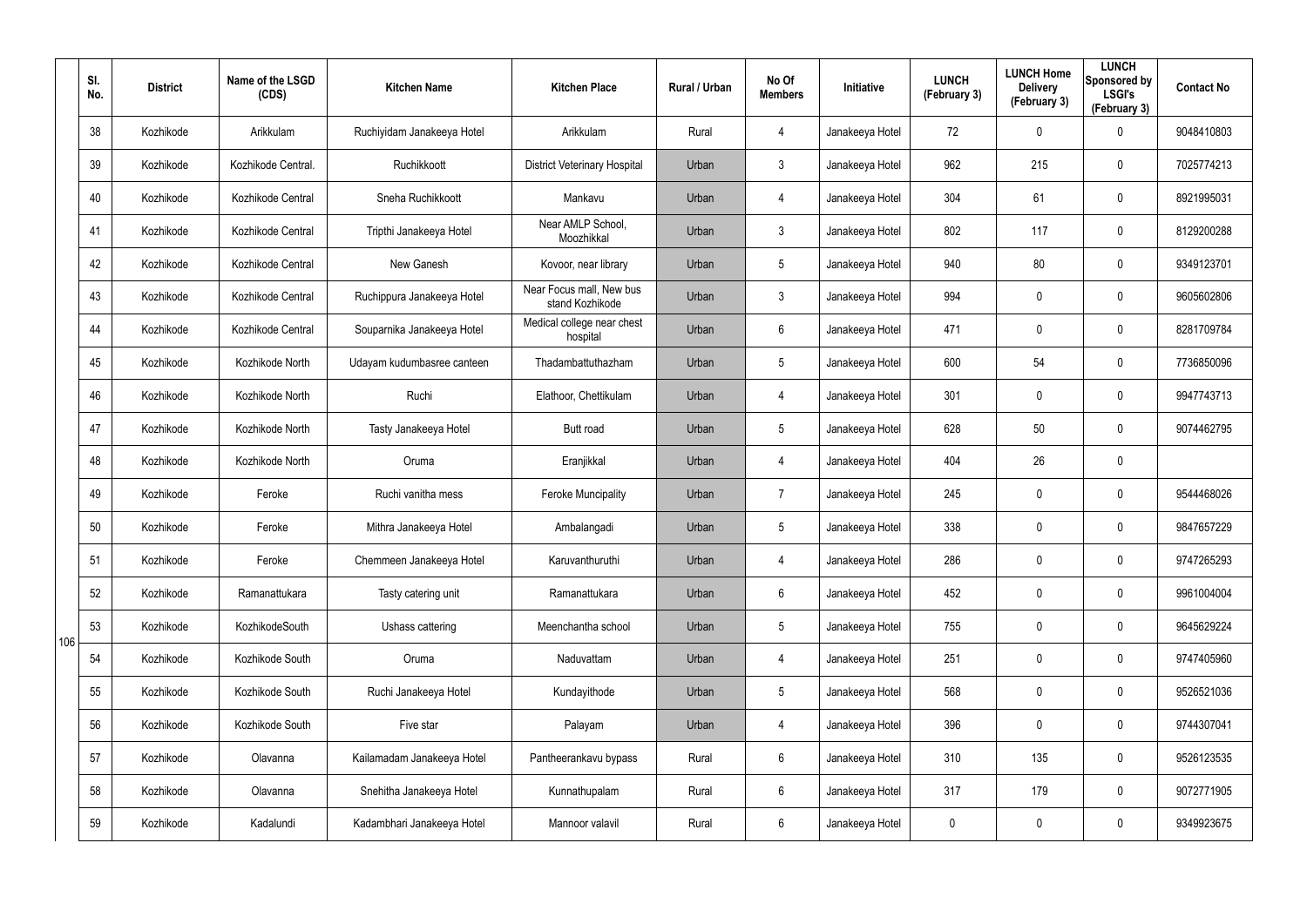|     | SI.<br>No. | <b>District</b> | Name of the LSGD<br>(CDS) | <b>Kitchen Name</b>        | <b>Kitchen Place</b>                        | Rural / Urban | No Of<br><b>Members</b> | Initiative      | <b>LUNCH</b><br>(February 3) | <b>LUNCH Home</b><br><b>Delivery</b><br>(February 3) | <b>LUNCH</b><br>Sponsored by<br><b>LSGI's</b><br>(February 3) | <b>Contact No</b> |
|-----|------------|-----------------|---------------------------|----------------------------|---------------------------------------------|---------------|-------------------------|-----------------|------------------------------|------------------------------------------------------|---------------------------------------------------------------|-------------------|
|     | 38         | Kozhikode       | Arikkulam                 | Ruchiyidam Janakeeya Hotel | Arikkulam                                   | Rural         | $\overline{4}$          | Janakeeya Hotel | 72                           | 0                                                    | $\mathbf 0$                                                   | 9048410803        |
|     | 39         | Kozhikode       | Kozhikode Central.        | Ruchikkoott                | <b>District Veterinary Hospital</b>         | Urban         | $\mathbf{3}$            | Janakeeya Hotel | 962                          | 215                                                  | $\mathbf 0$                                                   | 7025774213        |
|     | 40         | Kozhikode       | Kozhikode Central         | Sneha Ruchikkoott          | Mankavu                                     | Urban         | $\overline{4}$          | Janakeeya Hotel | 304                          | 61                                                   | $\mathbf 0$                                                   | 8921995031        |
|     | 41         | Kozhikode       | Kozhikode Central         | Tripthi Janakeeya Hotel    | Near AMLP School,<br>Moozhikkal             | Urban         | $\mathbf{3}$            | Janakeeya Hotel | 802                          | 117                                                  | $\mathbf 0$                                                   | 8129200288        |
|     | 42         | Kozhikode       | Kozhikode Central         | New Ganesh                 | Kovoor, near library                        | Urban         | $5\phantom{.0}$         | Janakeeya Hotel | 940                          | 80                                                   | $\mathbf 0$                                                   | 9349123701        |
|     | 43         | Kozhikode       | Kozhikode Central         | Ruchippura Janakeeya Hotel | Near Focus mall, New bus<br>stand Kozhikode | Urban         | $\mathbf{3}$            | Janakeeya Hotel | 994                          | 0                                                    | $\mathbf 0$                                                   | 9605602806        |
|     | 44         | Kozhikode       | Kozhikode Central         | Souparnika Janakeeya Hotel | Medical college near chest<br>hospital      | Urban         | 6                       | Janakeeya Hotel | 471                          | 0                                                    | $\mathbf 0$                                                   | 8281709784        |
|     | 45         | Kozhikode       | Kozhikode North           | Udayam kudumbasree canteen | Thadambattuthazham                          | Urban         | $5\overline{)}$         | Janakeeya Hotel | 600                          | 54                                                   | $\mathbf 0$                                                   | 7736850096        |
|     | 46         | Kozhikode       | Kozhikode North           | Ruchi                      | Elathoor, Chettikulam                       | Urban         | $\overline{4}$          | Janakeeya Hotel | 301                          | 0                                                    | $\mathbf 0$                                                   | 9947743713        |
|     | 47         | Kozhikode       | Kozhikode North           | Tasty Janakeeya Hotel      | Butt road                                   | Urban         | $5\overline{)}$         | Janakeeya Hotel | 628                          | 50                                                   | $\mathbf 0$                                                   | 9074462795        |
|     | 48         | Kozhikode       | Kozhikode North           | Oruma                      | Eranjikkal                                  | Urban         | $\overline{4}$          | Janakeeya Hotel | 404                          | 26                                                   | $\mathbf 0$                                                   |                   |
|     | 49         | Kozhikode       | Feroke                    | Ruchi vanitha mess         | <b>Feroke Muncipality</b>                   | Urban         | $\overline{7}$          | Janakeeya Hotel | 245                          | 0                                                    | $\mathbf 0$                                                   | 9544468026        |
|     | 50         | Kozhikode       | Feroke                    | Mithra Janakeeya Hotel     | Ambalangadi                                 | Urban         | $5\phantom{.0}$         | Janakeeya Hotel | 338                          | 0                                                    | $\mathbf 0$                                                   | 9847657229        |
|     | 51         | Kozhikode       | Feroke                    | Chemmeen Janakeeya Hotel   | Karuvanthuruthi                             | Urban         | $\overline{4}$          | Janakeeya Hotel | 286                          | $\mathbf 0$                                          | $\pmb{0}$                                                     | 9747265293        |
|     | 52         | Kozhikode       | Ramanattukara             | Tasty catering unit        | Ramanattukara                               | Urban         | $6\phantom{.}6$         | Janakeeya Hotel | 452                          | $\mathbf 0$                                          | $\mathbf 0$                                                   | 9961004004        |
| 106 | 53         | Kozhikode       | KozhikodeSouth            | Ushass cattering           | Meenchantha school                          | Urban         | $5\phantom{.0}$         | Janakeeya Hotel | 755                          | $\mathbf 0$                                          | $\mathbf 0$                                                   | 9645629224        |
|     | 54         | Kozhikode       | Kozhikode South           | Oruma                      | Naduvattam                                  | Urban         | $\overline{4}$          | Janakeeya Hotel | 251                          | $\mathbf 0$                                          | $\mathbf 0$                                                   | 9747405960        |
|     | 55         | Kozhikode       | Kozhikode South           | Ruchi Janakeeya Hotel      | Kundayithode                                | Urban         | $5\phantom{.0}$         | Janakeeya Hotel | 568                          | 0                                                    | $\mathbf 0$                                                   | 9526521036        |
|     | 56         | Kozhikode       | Kozhikode South           | Five star                  | Palayam                                     | Urban         | 4                       | Janakeeya Hotel | 396                          | 0                                                    | $\mathbf 0$                                                   | 9744307041        |
|     | 57         | Kozhikode       | Olavanna                  | Kailamadam Janakeeya Hotel | Pantheerankavu bypass                       | Rural         | $6\phantom{.}$          | Janakeeya Hotel | 310                          | 135                                                  | $\pmb{0}$                                                     | 9526123535        |
|     | 58         | Kozhikode       | Olavanna                  | Snehitha Janakeeya Hotel   | Kunnathupalam                               | Rural         | $6\phantom{.}$          | Janakeeya Hotel | 317                          | 179                                                  | $\pmb{0}$                                                     | 9072771905        |
|     | 59         | Kozhikode       | Kadalundi                 | Kadambhari Janakeeya Hotel | Mannoor valavil                             | Rural         | $6\phantom{.}$          | Janakeeya Hotel | 0                            | 0                                                    | $\pmb{0}$                                                     | 9349923675        |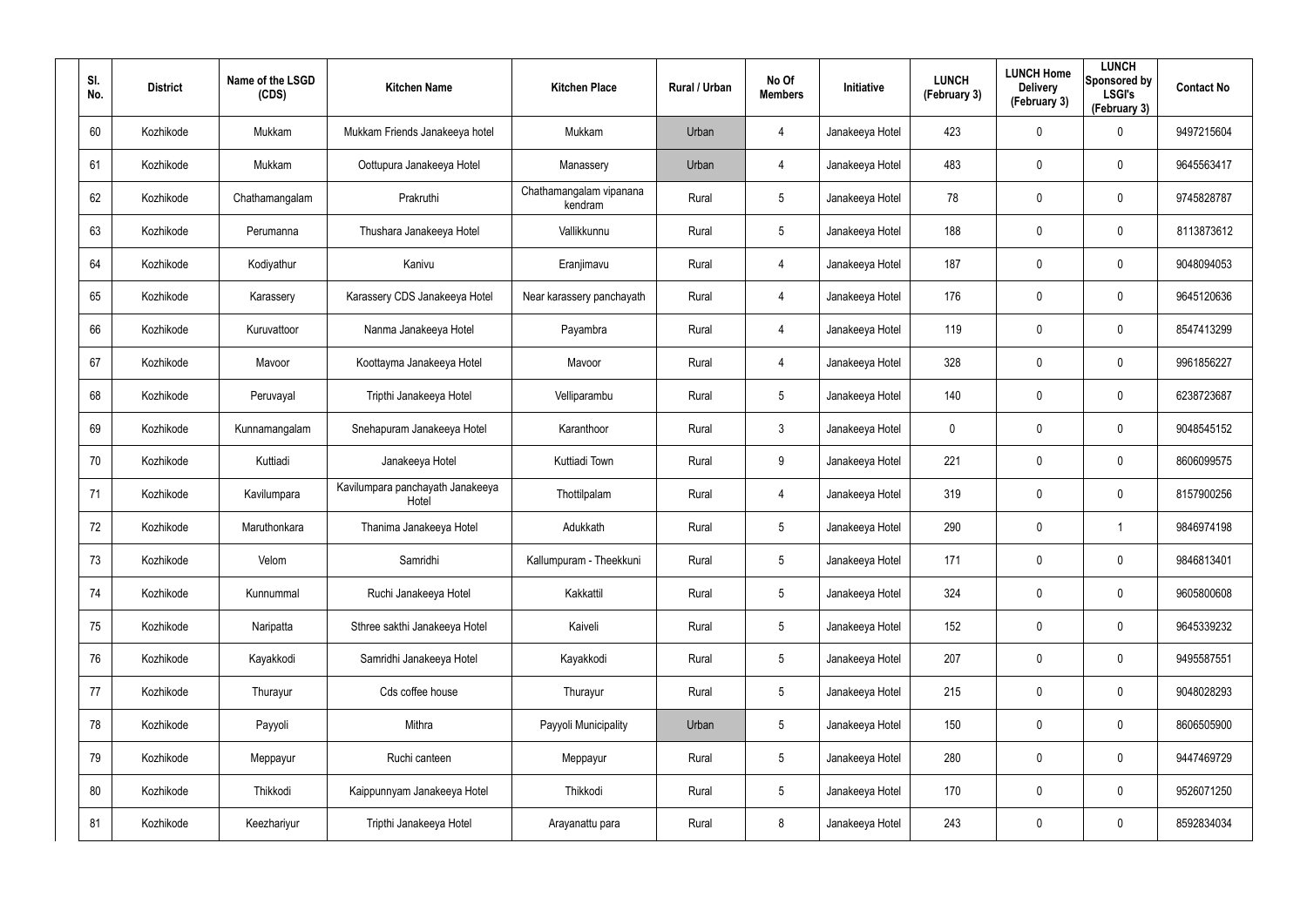| SI.<br>No. | <b>District</b> | Name of the LSGD<br>(CDS) | <b>Kitchen Name</b>                       | <b>Kitchen Place</b>               | <b>Rural / Urban</b> | No Of<br><b>Members</b> | <b>Initiative</b> | <b>LUNCH</b><br>(February 3) | <b>LUNCH Home</b><br><b>Delivery</b><br>(February 3) | <b>LUNCH</b><br>Sponsored by<br><b>LSGI's</b><br>(February 3) | <b>Contact No</b> |
|------------|-----------------|---------------------------|-------------------------------------------|------------------------------------|----------------------|-------------------------|-------------------|------------------------------|------------------------------------------------------|---------------------------------------------------------------|-------------------|
| 60         | Kozhikode       | Mukkam                    | Mukkam Friends Janakeeya hotel            | Mukkam                             | Urban                | 4                       | Janakeeya Hotel   | 423                          | 0                                                    | $\mathbf 0$                                                   | 9497215604        |
| 61         | Kozhikode       | Mukkam                    | Oottupura Janakeeya Hotel                 | Manassery                          | Urban                | 4                       | Janakeeya Hotel   | 483                          | 0                                                    | $\mathbf 0$                                                   | 9645563417        |
| 62         | Kozhikode       | Chathamangalam            | Prakruthi                                 | Chathamangalam vipanana<br>kendram | Rural                | $5\phantom{.0}$         | Janakeeya Hotel   | 78                           | 0                                                    | $\mathbf 0$                                                   | 9745828787        |
| 63         | Kozhikode       | Perumanna                 | Thushara Janakeeya Hotel                  | Vallikkunnu                        | Rural                | $5\overline{)}$         | Janakeeya Hotel   | 188                          | 0                                                    | $\mathbf 0$                                                   | 8113873612        |
| 64         | Kozhikode       | Kodiyathur                | Kanivu                                    | Eranjimavu                         | Rural                | 4                       | Janakeeya Hotel   | 187                          | 0                                                    | $\mathbf 0$                                                   | 9048094053        |
| 65         | Kozhikode       | Karassery                 | Karassery CDS Janakeeya Hotel             | Near karassery panchayath          | Rural                | 4                       | Janakeeya Hotel   | 176                          | 0                                                    | $\mathbf 0$                                                   | 9645120636        |
| 66         | Kozhikode       | Kuruvattoor               | Nanma Janakeeya Hotel                     | Payambra                           | Rural                | 4                       | Janakeeya Hotel   | 119                          | 0                                                    | $\mathbf 0$                                                   | 8547413299        |
| 67         | Kozhikode       | Mavoor                    | Koottayma Janakeeya Hotel                 | Mavoor                             | Rural                | 4                       | Janakeeya Hotel   | 328                          | 0                                                    | $\mathbf 0$                                                   | 9961856227        |
| 68         | Kozhikode       | Peruvayal                 | Tripthi Janakeeya Hotel                   | Velliparambu                       | Rural                | $5\phantom{.0}$         | Janakeeya Hotel   | 140                          | 0                                                    | $\mathbf 0$                                                   | 6238723687        |
| 69         | Kozhikode       | Kunnamangalam             | Snehapuram Janakeeya Hotel                | Karanthoor                         | Rural                | $\mathbf{3}$            | Janakeeya Hotel   | 0                            | 0                                                    | $\mathbf 0$                                                   | 9048545152        |
| 70         | Kozhikode       | Kuttiadi                  | Janakeeya Hotel                           | Kuttiadi Town                      | Rural                | 9                       | Janakeeya Hotel   | 221                          | 0                                                    | $\mathbf 0$                                                   | 8606099575        |
| 71         | Kozhikode       | Kavilumpara               | Kavilumpara panchayath Janakeeya<br>Hotel | Thottilpalam                       | Rural                | 4                       | Janakeeya Hotel   | 319                          | 0                                                    | $\mathbf 0$                                                   | 8157900256        |
| 72         | Kozhikode       | Maruthonkara              | Thanima Janakeeya Hotel                   | Adukkath                           | Rural                | 5                       | Janakeeya Hotel   | 290                          | 0                                                    | -1                                                            | 9846974198        |
| 73         | Kozhikode       | Velom                     | Samridhi                                  | Kallumpuram - Theekkuni            | Rural                | $5\phantom{.0}$         | Janakeeya Hotel   | 171                          | 0                                                    | $\pmb{0}$                                                     | 9846813401        |
| 74         | Kozhikode       | Kunnummal                 | Ruchi Janakeeya Hotel                     | Kakkattil                          | Rural                | $5\phantom{.0}$         | Janakeeya Hotel   | 324                          | 0                                                    | $\mathsf{0}$                                                  | 9605800608        |
| 75         | Kozhikode       | Naripatta                 | Sthree sakthi Janakeeya Hotel             | Kaiveli                            | Rural                | $5\phantom{.0}$         | Janakeeya Hotel   | 152                          | 0                                                    | $\mathsf{0}$                                                  | 9645339232        |
| 76         | Kozhikode       | Kayakkodi                 | Samridhi Janakeeya Hotel                  | Kayakkodi                          | Rural                | $5\phantom{.0}$         | Janakeeya Hotel   | 207                          | 0                                                    | $\mathsf{0}$                                                  | 9495587551        |
| 77         | Kozhikode       | Thurayur                  | Cds coffee house                          | Thurayur                           | Rural                | $5\phantom{.0}$         | Janakeeya Hotel   | 215                          | 0                                                    | $\mathbf 0$                                                   | 9048028293        |
| 78         | Kozhikode       | Payyoli                   | Mithra                                    | Payyoli Municipality               | Urban                | $5\phantom{.0}$         | Janakeeya Hotel   | 150                          | 0                                                    | $\mathbf 0$                                                   | 8606505900        |
| 79         | Kozhikode       | Meppayur                  | Ruchi canteen                             | Meppayur                           | Rural                | $5\phantom{.0}$         | Janakeeya Hotel   | 280                          | 0                                                    | $\mathsf{0}$                                                  | 9447469729        |
| 80         | Kozhikode       | Thikkodi                  | Kaippunnyam Janakeeya Hotel               | Thikkodi                           | Rural                | $5\phantom{.0}$         | Janakeeya Hotel   | 170                          | 0                                                    | $\mathbf 0$                                                   | 9526071250        |
| 81         | Kozhikode       | Keezhariyur               | Tripthi Janakeeya Hotel                   | Arayanattu para                    | Rural                | 8                       | Janakeeya Hotel   | 243                          | 0                                                    | $\mathsf{0}$                                                  | 8592834034        |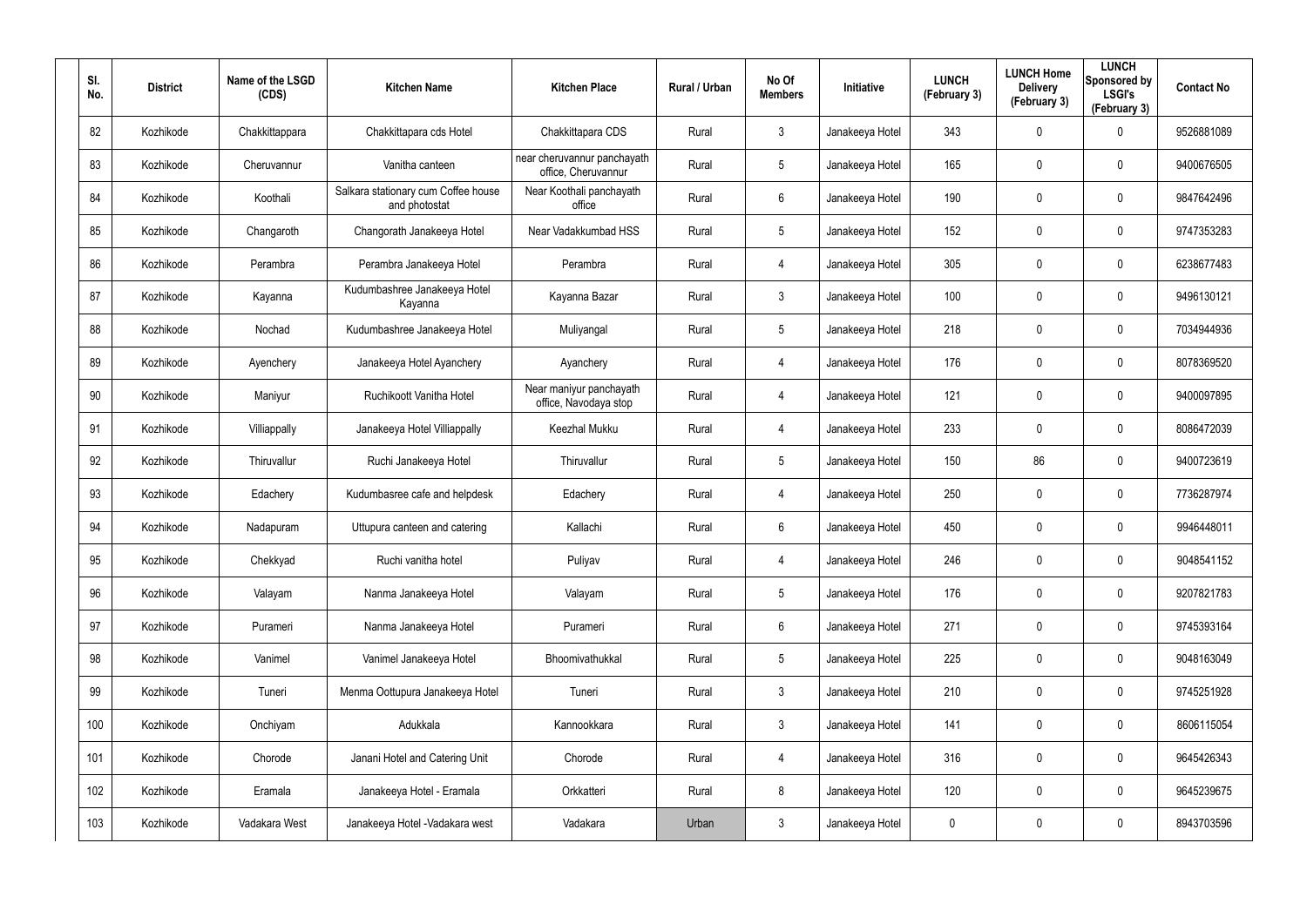| SI.<br>No. | <b>District</b> | Name of the LSGD<br>(CDS) | <b>Kitchen Name</b>                                  | <b>Kitchen Place</b>                               | Rural / Urban | No Of<br><b>Members</b> | <b>Initiative</b> | <b>LUNCH</b><br>(February 3) | <b>LUNCH Home</b><br><b>Delivery</b><br>(February 3) | <b>LUNCH</b><br>Sponsored by<br><b>LSGI's</b><br>(February 3) | <b>Contact No</b> |
|------------|-----------------|---------------------------|------------------------------------------------------|----------------------------------------------------|---------------|-------------------------|-------------------|------------------------------|------------------------------------------------------|---------------------------------------------------------------|-------------------|
| 82         | Kozhikode       | Chakkittappara            | Chakkittapara cds Hotel                              | Chakkittapara CDS                                  | Rural         | 3                       | Janakeeya Hotel   | 343                          | $\mathbf 0$                                          | $\mathbf 0$                                                   | 9526881089        |
| 83         | Kozhikode       | Cheruvannur               | Vanitha canteen                                      | near cheruvannur panchayath<br>office, Cheruvannur | Rural         | $5\phantom{.0}$         | Janakeeya Hotel   | 165                          | 0                                                    | $\mathbf 0$                                                   | 9400676505        |
| 84         | Kozhikode       | Koothali                  | Salkara stationary cum Coffee house<br>and photostat | Near Koothali panchayath<br>office                 | Rural         | 6                       | Janakeeya Hotel   | 190                          | 0                                                    | $\mathbf 0$                                                   | 9847642496        |
| 85         | Kozhikode       | Changaroth                | Changorath Janakeeya Hotel                           | Near Vadakkumbad HSS                               | Rural         | $5\phantom{.0}$         | Janakeeya Hotel   | 152                          | 0                                                    | $\mathbf 0$                                                   | 9747353283        |
| 86         | Kozhikode       | Perambra                  | Perambra Janakeeya Hotel                             | Perambra                                           | Rural         | 4                       | Janakeeya Hotel   | 305                          | 0                                                    | $\mathbf 0$                                                   | 6238677483        |
| 87         | Kozhikode       | Kayanna                   | Kudumbashree Janakeeya Hotel<br>Kayanna              | Kayanna Bazar                                      | Rural         | $\mathbf{3}$            | Janakeeya Hotel   | 100                          | 0                                                    | $\mathbf 0$                                                   | 9496130121        |
| 88         | Kozhikode       | Nochad                    | Kudumbashree Janakeeya Hotel                         | Muliyangal                                         | Rural         | $5\phantom{.0}$         | Janakeeya Hotel   | 218                          | 0                                                    | $\mathbf 0$                                                   | 7034944936        |
| 89         | Kozhikode       | Ayenchery                 | Janakeeya Hotel Ayanchery                            | Ayanchery                                          | Rural         | 4                       | Janakeeya Hotel   | 176                          | 0                                                    | $\mathbf 0$                                                   | 8078369520        |
| 90         | Kozhikode       | Maniyur                   | Ruchikoott Vanitha Hotel                             | Near maniyur panchayath<br>office, Navodaya stop   | Rural         | 4                       | Janakeeya Hotel   | 121                          | 0                                                    | $\mathbf 0$                                                   | 9400097895        |
| 91         | Kozhikode       | Villiappally              | Janakeeya Hotel Villiappally                         | Keezhal Mukku                                      | Rural         | 4                       | Janakeeya Hotel   | 233                          | 0                                                    | $\mathbf 0$                                                   | 8086472039        |
| 92         | Kozhikode       | Thiruvallur               | Ruchi Janakeeya Hotel                                | Thiruvallur                                        | Rural         | $5\phantom{.0}$         | Janakeeya Hotel   | 150                          | 86                                                   | $\mathbf 0$                                                   | 9400723619        |
| 93         | Kozhikode       | Edachery                  | Kudumbasree cafe and helpdesk                        | Edachery                                           | Rural         | 4                       | Janakeeya Hotel   | 250                          | 0                                                    | $\mathbf 0$                                                   | 7736287974        |
| 94         | Kozhikode       | Nadapuram                 | Uttupura canteen and catering                        | Kallachi                                           | Rural         | 6                       | Janakeeya Hotel   | 450                          | $\mathbf 0$                                          | $\mathbf 0$                                                   | 9946448011        |
| 95         | Kozhikode       | Chekkyad                  | Ruchi vanitha hotel                                  | Puliyav                                            | Rural         | 4                       | Janakeeya Hotel   | 246                          | $\mathbf 0$                                          | $\pmb{0}$                                                     | 9048541152        |
| 96         | Kozhikode       | Valayam                   | Nanma Janakeeya Hotel                                | Valayam                                            | Rural         | $5\phantom{.0}$         | Janakeeya Hotel   | 176                          | $\mathbf 0$                                          | $\mathbf 0$                                                   | 9207821783        |
| 97         | Kozhikode       | Purameri                  | Nanma Janakeeya Hotel                                | Purameri                                           | Rural         | $6\phantom{.}6$         | Janakeeya Hotel   | 271                          | 0                                                    | $\mathbf 0$                                                   | 9745393164        |
| 98         | Kozhikode       | Vanimel                   | Vanimel Janakeeya Hotel                              | Bhoomivathukkal                                    | Rural         | $5\phantom{.0}$         | Janakeeya Hotel   | 225                          | $\mathbf 0$                                          | $\mathbf 0$                                                   | 9048163049        |
| 99         | Kozhikode       | Tuneri                    | Menma Oottupura Janakeeya Hotel                      | Tuneri                                             | Rural         | 3 <sup>1</sup>          | Janakeeya Hotel   | 210                          | 0                                                    | $\mathbf 0$                                                   | 9745251928        |
| 100        | Kozhikode       | Onchiyam                  | Adukkala                                             | Kannookkara                                        | Rural         | 3 <sup>5</sup>          | Janakeeya Hotel   | 141                          | 0                                                    | $\mathbf 0$                                                   | 8606115054        |
| 101        | Kozhikode       | Chorode                   | Janani Hotel and Catering Unit                       | Chorode                                            | Rural         | 4                       | Janakeeya Hotel   | 316                          | 0                                                    | $\mathbf 0$                                                   | 9645426343        |
| 102        | Kozhikode       | Eramala                   | Janakeeya Hotel - Eramala                            | Orkkatteri                                         | Rural         | 8                       | Janakeeya Hotel   | 120                          | 0                                                    | $\mathbf 0$                                                   | 9645239675        |
| 103        | Kozhikode       | Vadakara West             | Janakeeya Hotel - Vadakara west                      | Vadakara                                           | Urban         | $\mathfrak{Z}$          | Janakeeya Hotel   | 0                            | 0                                                    | $\mathbf 0$                                                   | 8943703596        |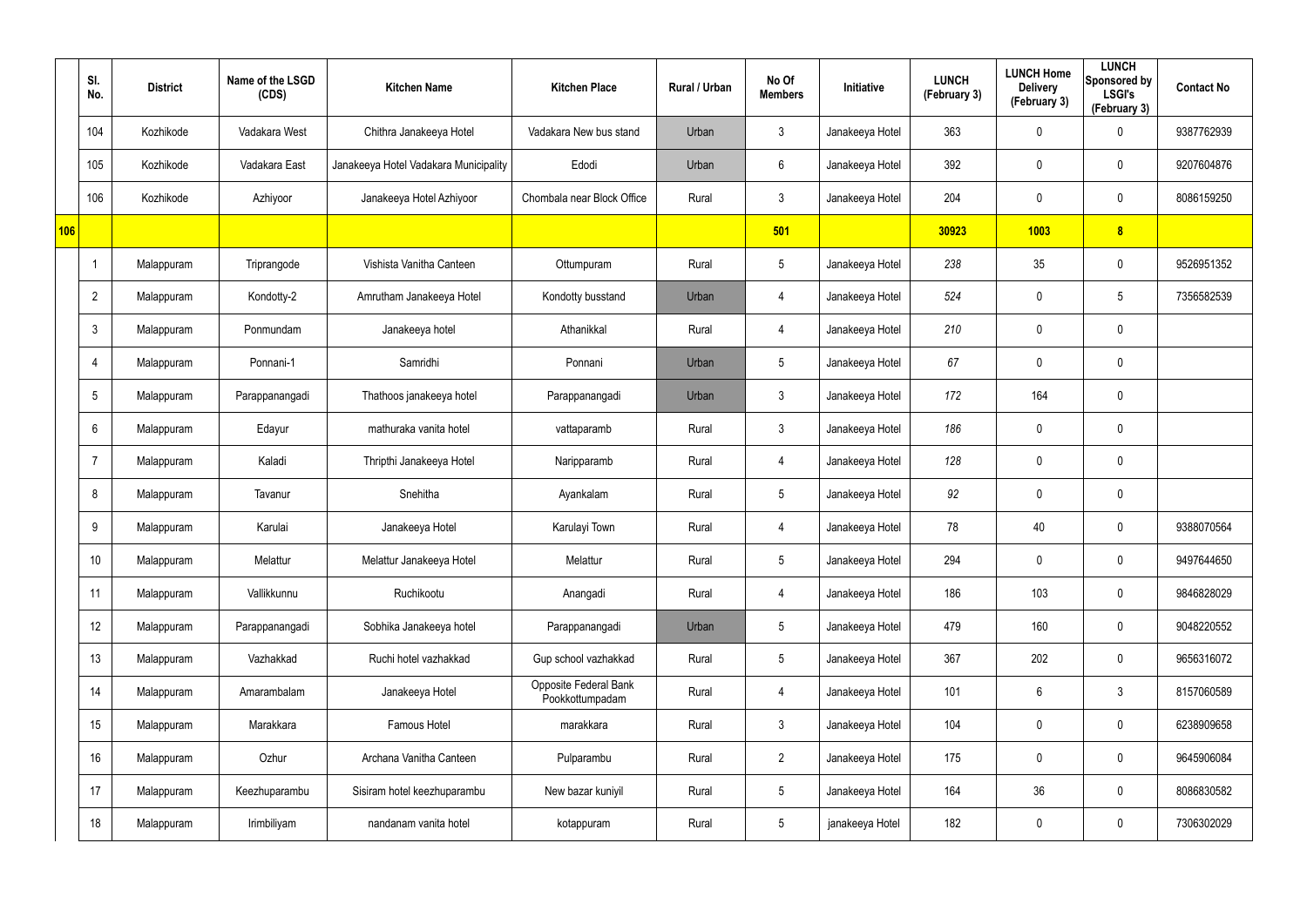|     | SI.<br>No.      | <b>District</b> | Name of the LSGD<br>(CDS) | <b>Kitchen Name</b>                   | <b>Kitchen Place</b>                     | Rural / Urban | No Of<br><b>Members</b> | Initiative      | <b>LUNCH</b><br>(February 3) | <b>LUNCH Home</b><br><b>Delivery</b><br>(February 3) | <b>LUNCH</b><br>Sponsored by<br><b>LSGI's</b><br>(February 3) | <b>Contact No</b> |
|-----|-----------------|-----------------|---------------------------|---------------------------------------|------------------------------------------|---------------|-------------------------|-----------------|------------------------------|------------------------------------------------------|---------------------------------------------------------------|-------------------|
|     | 104             | Kozhikode       | Vadakara West             | Chithra Janakeeya Hotel               | Vadakara New bus stand                   | Urban         | $\mathbf{3}$            | Janakeeya Hotel | 363                          | 0                                                    | $\mathbf 0$                                                   | 9387762939        |
|     | 105             | Kozhikode       | Vadakara East             | Janakeeya Hotel Vadakara Municipality | Edodi                                    | Urban         | 6                       | Janakeeya Hotel | 392                          | 0                                                    | $\mathbf 0$                                                   | 9207604876        |
|     | 106             | Kozhikode       | Azhiyoor                  | Janakeeya Hotel Azhiyoor              | Chombala near Block Office               | Rural         | 3 <sup>1</sup>          | Janakeeya Hotel | 204                          | 0                                                    | $\mathbf 0$                                                   | 8086159250        |
| 106 |                 |                 |                           |                                       |                                          |               | 501                     |                 | 30923                        | 1003                                                 | 8                                                             |                   |
|     |                 | Malappuram      | Triprangode               | Vishista Vanitha Canteen              | Ottumpuram                               | Rural         | $5\phantom{.0}$         | Janakeeya Hotel | 238                          | 35                                                   | $\mathbf 0$                                                   | 9526951352        |
|     | $\overline{2}$  | Malappuram      | Kondotty-2                | Amrutham Janakeeya Hotel              | Kondotty busstand                        | Urban         | $\overline{4}$          | Janakeeya Hotel | 524                          | 0                                                    | 5                                                             | 7356582539        |
|     | $\mathbf{3}$    | Malappuram      | Ponmundam                 | Janakeeya hotel                       | Athanikkal                               | Rural         | $\overline{4}$          | Janakeeya Hotel | 210                          | 0                                                    | $\pmb{0}$                                                     |                   |
|     | $\overline{4}$  | Malappuram      | Ponnani-1                 | Samridhi                              | Ponnani                                  | Urban         | $5\phantom{.0}$         | Janakeeya Hotel | 67                           | 0                                                    | $\mathbf 0$                                                   |                   |
|     | $5\phantom{.0}$ | Malappuram      | Parappanangadi            | Thathoos janakeeya hotel              | Parappanangadi                           | Urban         | $\mathbf{3}$            | Janakeeya Hotel | 172                          | 164                                                  | $\pmb{0}$                                                     |                   |
|     | $6^{\circ}$     | Malappuram      | Edayur                    | mathuraka vanita hotel                | vattaparamb                              | Rural         | $\mathbf{3}$            | Janakeeya Hotel | 186                          | 0                                                    | $\mathbf 0$                                                   |                   |
|     | $\overline{7}$  | Malappuram      | Kaladi                    | Thripthi Janakeeya Hotel              | Naripparamb                              | Rural         | 4                       | Janakeeya Hotel | 128                          | 0                                                    | $\pmb{0}$                                                     |                   |
|     | 8               | Malappuram      | Tavanur                   | Snehitha                              | Ayankalam                                | Rural         | $5\overline{)}$         | Janakeeya Hotel | 92                           | 0                                                    | $\mathbf 0$                                                   |                   |
|     | 9               | Malappuram      | Karulai                   | Janakeeya Hotel                       | Karulayi Town                            | Rural         | 4                       | Janakeeya Hotel | 78                           | 40                                                   | $\boldsymbol{0}$                                              | 9388070564        |
|     | 10 <sup>°</sup> | Malappuram      | Melattur                  | Melattur Janakeeya Hotel              | Melattur                                 | Rural         | $5\phantom{.0}$         | Janakeeya Hotel | 294                          | $\mathbf 0$                                          | $\pmb{0}$                                                     | 9497644650        |
|     | 11              | Malappuram      | Vallikkunnu               | Ruchikootu                            | Anangadi                                 | Rural         | $\overline{4}$          | Janakeeya Hotel | 186                          | 103                                                  | $\pmb{0}$                                                     | 9846828029        |
|     | 12              | Malappuram      | Parappanangadi            | Sobhika Janakeeya hotel               | Parappanangadi                           | Urban         | $5\phantom{.0}$         | Janakeeya Hotel | 479                          | 160                                                  | $\pmb{0}$                                                     | 9048220552        |
|     | 13              | Malappuram      | Vazhakkad                 | Ruchi hotel vazhakkad                 | Gup school vazhakkad                     | Rural         | $5\phantom{.0}$         | Janakeeya Hotel | 367                          | 202                                                  | $\pmb{0}$                                                     | 9656316072        |
|     | 14              | Malappuram      | Amarambalam               | Janakeeya Hotel                       | Opposite Federal Bank<br>Pookkottumpadam | Rural         | $\overline{4}$          | Janakeeya Hotel | 101                          | 6                                                    | $3\phantom{.0}$                                               | 8157060589        |
|     | 15              | Malappuram      | Marakkara                 | Famous Hotel                          | marakkara                                | Rural         | $\mathbf{3}$            | Janakeeya Hotel | 104                          | 0                                                    | $\mathbf 0$                                                   | 6238909658        |
|     | 16              | Malappuram      | Ozhur                     | Archana Vanitha Canteen               | Pulparambu                               | Rural         | $2^{\circ}$             | Janakeeya Hotel | 175                          | 0                                                    | $\pmb{0}$                                                     | 9645906084        |
|     | 17              | Malappuram      | Keezhuparambu             | Sisiram hotel keezhuparambu           | New bazar kuniyil                        | Rural         | $5\phantom{.0}$         | Janakeeya Hotel | 164                          | 36                                                   | $\mathbf 0$                                                   | 8086830582        |
|     | 18              | Malappuram      | Irimbiliyam               | nandanam vanita hotel                 | kotappuram                               | Rural         | $5\phantom{.0}$         | janakeeya Hotel | 182                          | 0                                                    | $\pmb{0}$                                                     | 7306302029        |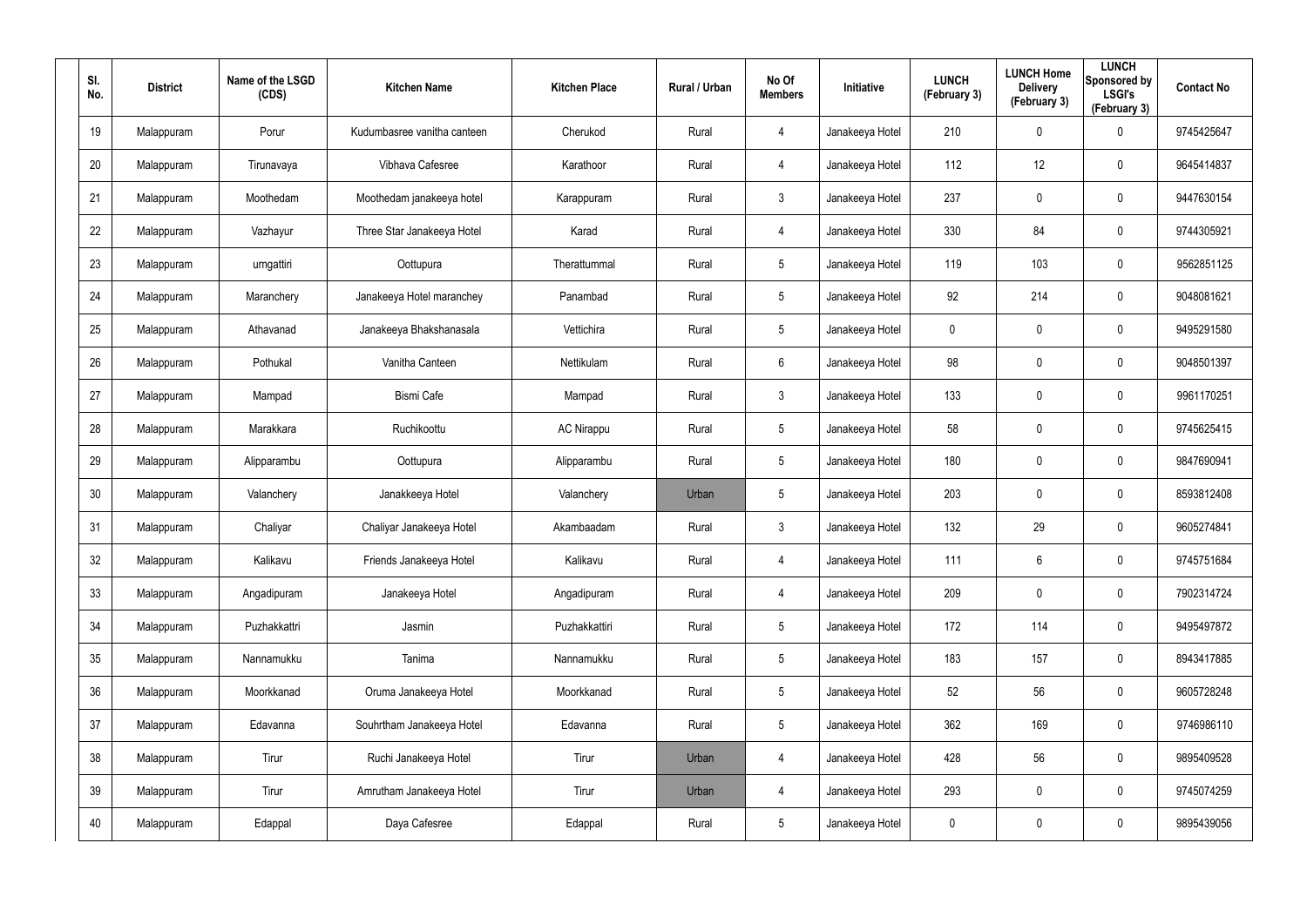| SI.<br>No. | <b>District</b> | Name of the LSGD<br>(CDS) | <b>Kitchen Name</b>         | <b>Kitchen Place</b> | Rural / Urban | No Of<br><b>Members</b> | Initiative      | <b>LUNCH</b><br>(February 3) | <b>LUNCH Home</b><br><b>Delivery</b><br>(February 3) | <b>LUNCH</b><br>Sponsored by<br><b>LSGI's</b><br>(February 3) | <b>Contact No</b> |
|------------|-----------------|---------------------------|-----------------------------|----------------------|---------------|-------------------------|-----------------|------------------------------|------------------------------------------------------|---------------------------------------------------------------|-------------------|
| 19         | Malappuram      | Porur                     | Kudumbasree vanitha canteen | Cherukod             | Rural         | 4                       | Janakeeya Hotel | 210                          | 0                                                    | $\mathbf 0$                                                   | 9745425647        |
| 20         | Malappuram      | Tirunavaya                | Vibhava Cafesree            | Karathoor            | Rural         | 4                       | Janakeeya Hotel | 112                          | 12                                                   | $\mathbf 0$                                                   | 9645414837        |
| 21         | Malappuram      | Moothedam                 | Moothedam janakeeya hotel   | Karappuram           | Rural         | $\mathbf{3}$            | Janakeeya Hotel | 237                          | 0                                                    | $\pmb{0}$                                                     | 9447630154        |
| 22         | Malappuram      | Vazhayur                  | Three Star Janakeeya Hotel  | Karad                | Rural         | 4                       | Janakeeya Hotel | 330                          | 84                                                   | $\mathbf 0$                                                   | 9744305921        |
| 23         | Malappuram      | urngattiri                | Oottupura                   | Therattummal         | Rural         | $5\phantom{.0}$         | Janakeeya Hotel | 119                          | 103                                                  | $\pmb{0}$                                                     | 9562851125        |
| 24         | Malappuram      | Maranchery                | Janakeeya Hotel maranchey   | Panambad             | Rural         | $5\phantom{.0}$         | Janakeeya Hotel | 92                           | 214                                                  | $\mathbf 0$                                                   | 9048081621        |
| 25         | Malappuram      | Athavanad                 | Janakeeya Bhakshanasala     | Vettichira           | Rural         | $5\phantom{.0}$         | Janakeeya Hotel | 0                            | 0                                                    | $\pmb{0}$                                                     | 9495291580        |
| 26         | Malappuram      | Pothukal                  | Vanitha Canteen             | Nettikulam           | Rural         | 6                       | Janakeeya Hotel | 98                           | $\mathbf 0$                                          | $\mathbf 0$                                                   | 9048501397        |
| 27         | Malappuram      | Mampad                    | <b>Bismi Cafe</b>           | Mampad               | Rural         | $\mathbf{3}$            | Janakeeya Hotel | 133                          | 0                                                    | $\pmb{0}$                                                     | 9961170251        |
| 28         | Malappuram      | Marakkara                 | Ruchikoottu                 | <b>AC Nirappu</b>    | Rural         | $5\phantom{.0}$         | Janakeeya Hotel | 58                           | $\mathbf 0$                                          | $\mathbf 0$                                                   | 9745625415        |
| 29         | Malappuram      | Alipparambu               | Oottupura                   | Alipparambu          | Rural         | $5\phantom{.0}$         | Janakeeya Hotel | 180                          | 0                                                    | $\pmb{0}$                                                     | 9847690941        |
| 30         | Malappuram      | Valanchery                | Janakkeeya Hotel            | Valanchery           | Urban         | $5\phantom{.0}$         | Janakeeya Hotel | 203                          | $\mathbf 0$                                          | $\mathbf 0$                                                   | 8593812408        |
| 31         | Malappuram      | Chaliyar                  | Chaliyar Janakeeya Hotel    | Akambaadam           | Rural         | $\mathbf{3}$            | Janakeeya Hotel | 132                          | 29                                                   | $\mathbf 0$                                                   | 9605274841        |
| 32         | Malappuram      | Kalikavu                  | Friends Janakeeya Hotel     | Kalikavu             | Rural         | 4                       | Janakeeya Hotel | 111                          | $6\overline{6}$                                      | $\pmb{0}$                                                     | 9745751684        |
| 33         | Malappuram      | Angadipuram               | Janakeeya Hotel             | Angadipuram          | Rural         | 4                       | Janakeeya Hotel | 209                          | $\mathbf 0$                                          | $\mathsf{0}$                                                  | 7902314724        |
| 34         | Malappuram      | Puzhakkattri              | Jasmin                      | Puzhakkattiri        | Rural         | $5\phantom{.0}$         | Janakeeya Hotel | 172                          | 114                                                  | $\mathsf{0}$                                                  | 9495497872        |
| 35         | Malappuram      | Nannamukku                | Tanima                      | Nannamukku           | Rural         | $5\phantom{.0}$         | Janakeeya Hotel | 183                          | 157                                                  | $\mathsf{0}$                                                  | 8943417885        |
| 36         | Malappuram      | Moorkkanad                | Oruma Janakeeya Hotel       | Moorkkanad           | Rural         | $5\phantom{.0}$         | Janakeeya Hotel | 52                           | 56                                                   | $\mathsf{0}$                                                  | 9605728248        |
| 37         | Malappuram      | Edavanna                  | Souhrtham Janakeeya Hotel   | Edavanna             | Rural         | $5\phantom{.0}$         | Janakeeya Hotel | 362                          | 169                                                  | $\mathbf 0$                                                   | 9746986110        |
| 38         | Malappuram      | Tirur                     | Ruchi Janakeeya Hotel       | Tirur                | Urban         | 4                       | Janakeeya Hotel | 428                          | 56                                                   | $\mathsf{0}$                                                  | 9895409528        |
| 39         | Malappuram      | Tirur                     | Amrutham Janakeeya Hotel    | Tirur                | Urban         | 4                       | Janakeeya Hotel | 293                          | 0                                                    | $\mathbf 0$                                                   | 9745074259        |
| 40         | Malappuram      | Edappal                   | Daya Cafesree               | Edappal              | Rural         | $5\phantom{.0}$         | Janakeeya Hotel | 0                            | 0                                                    | $\mathsf{0}$                                                  | 9895439056        |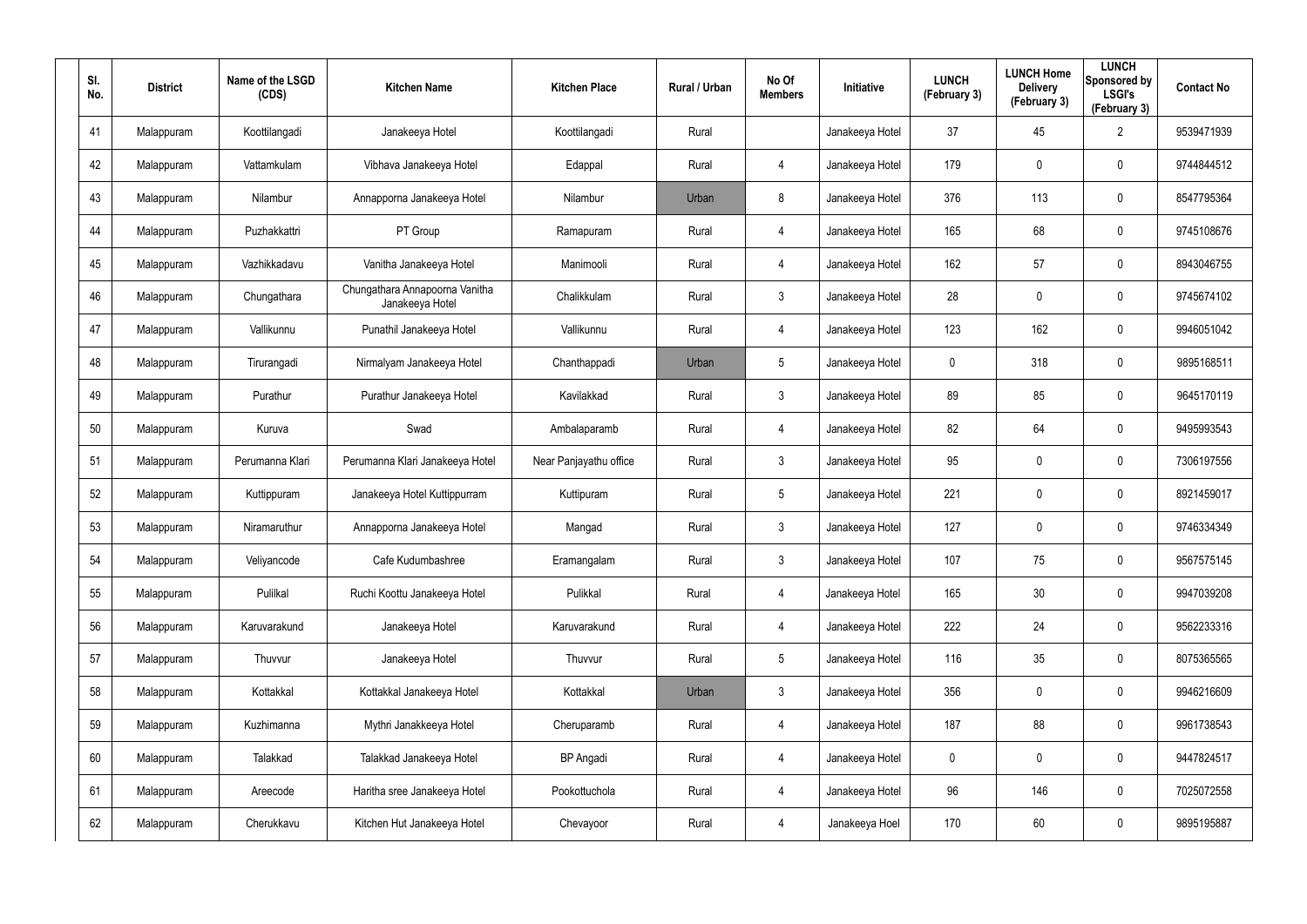| SI.<br>No. | <b>District</b> | Name of the LSGD<br>(CDS) | <b>Kitchen Name</b>                               | <b>Kitchen Place</b>   | Rural / Urban | No Of<br><b>Members</b> | <b>Initiative</b> | <b>LUNCH</b><br>(February 3) | <b>LUNCH Home</b><br><b>Delivery</b><br>(February 3) | <b>LUNCH</b><br>Sponsored by<br><b>LSGI's</b><br>(February 3) | <b>Contact No</b> |
|------------|-----------------|---------------------------|---------------------------------------------------|------------------------|---------------|-------------------------|-------------------|------------------------------|------------------------------------------------------|---------------------------------------------------------------|-------------------|
| 41         | Malappuram      | Koottilangadi             | Janakeeya Hotel                                   | Koottilangadi          | Rural         |                         | Janakeeya Hotel   | 37                           | 45                                                   | $\overline{2}$                                                | 9539471939        |
| 42         | Malappuram      | Vattamkulam               | Vibhava Janakeeya Hotel                           | Edappal                | Rural         | 4                       | Janakeeya Hotel   | 179                          | 0                                                    | $\mathbf 0$                                                   | 9744844512        |
| 43         | Malappuram      | Nilambur                  | Annapporna Janakeeya Hotel                        | Nilambur               | Urban         | 8                       | Janakeeya Hotel   | 376                          | 113                                                  | $\pmb{0}$                                                     | 8547795364        |
| 44         | Malappuram      | Puzhakkattri              | PT Group                                          | Ramapuram              | Rural         | 4                       | Janakeeya Hotel   | 165                          | 68                                                   | $\pmb{0}$                                                     | 9745108676        |
| 45         | Malappuram      | Vazhikkadavu              | Vanitha Janakeeya Hotel                           | Manimooli              | Rural         | 4                       | Janakeeya Hotel   | 162                          | 57                                                   | $\pmb{0}$                                                     | 8943046755        |
| 46         | Malappuram      | Chungathara               | Chungathara Annapoorna Vanitha<br>Janakeeya Hotel | Chalikkulam            | Rural         | $\mathbf{3}$            | Janakeeya Hotel   | 28                           | 0                                                    | $\mathbf 0$                                                   | 9745674102        |
| 47         | Malappuram      | Vallikunnu                | Punathil Janakeeya Hotel                          | Vallikunnu             | Rural         | 4                       | Janakeeya Hotel   | 123                          | 162                                                  | $\mathbf 0$                                                   | 9946051042        |
| 48         | Malappuram      | Tirurangadi               | Nirmalyam Janakeeya Hotel                         | Chanthappadi           | Urban         | $5\overline{)}$         | Janakeeya Hotel   | 0                            | 318                                                  | $\mathbf 0$                                                   | 9895168511        |
| 49         | Malappuram      | Purathur                  | Purathur Janakeeya Hotel                          | Kavilakkad             | Rural         | $\mathbf{3}$            | Janakeeya Hotel   | 89                           | 85                                                   | $\mathbf 0$                                                   | 9645170119        |
| 50         | Malappuram      | Kuruva                    | Swad                                              | Ambalaparamb           | Rural         | 4                       | Janakeeya Hotel   | 82                           | 64                                                   | $\mathbf 0$                                                   | 9495993543        |
| 51         | Malappuram      | Perumanna Klari           | Perumanna Klari Janakeeya Hotel                   | Near Panjayathu office | Rural         | $\mathbf{3}$            | Janakeeya Hotel   | 95                           | $\mathbf 0$                                          | $\mathbf 0$                                                   | 7306197556        |
| 52         | Malappuram      | Kuttippuram               | Janakeeya Hotel Kuttippurram                      | Kuttipuram             | Rural         | $5\overline{)}$         | Janakeeya Hotel   | 221                          | 0                                                    | $\mathbf 0$                                                   | 8921459017        |
| 53         | Malappuram      | Niramaruthur              | Annapporna Janakeeya Hotel                        | Mangad                 | Rural         | $\mathbf{3}$            | Janakeeya Hotel   | 127                          | $\mathbf 0$                                          | $\mathbf 0$                                                   | 9746334349        |
| 54         | Malappuram      | Veliyancode               | Cafe Kudumbashree                                 | Eramangalam            | Rural         | $\mathbf{3}$            | Janakeeya Hotel   | 107                          | 75                                                   | $\pmb{0}$                                                     | 9567575145        |
| 55         | Malappuram      | Pulilkal                  | Ruchi Koottu Janakeeya Hotel                      | Pulikkal               | Rural         | 4                       | Janakeeya Hotel   | 165                          | 30                                                   | $\mathbf 0$                                                   | 9947039208        |
| 56         | Malappuram      | Karuvarakund              | Janakeeya Hotel                                   | Karuvarakund           | Rural         | 4                       | Janakeeya Hotel   | 222                          | 24                                                   | $\mathbf 0$                                                   | 9562233316        |
| 57         | Malappuram      | Thuvvur                   | Janakeeya Hotel                                   | Thuvvur                | Rural         | $5\phantom{.0}$         | Janakeeya Hotel   | 116                          | 35                                                   | $\mathbf 0$                                                   | 8075365565        |
| 58         | Malappuram      | Kottakkal                 | Kottakkal Janakeeya Hotel                         | Kottakkal              | Urban         | $\mathbf{3}$            | Janakeeya Hotel   | 356                          | $\mathbf 0$                                          | $\mathbf 0$                                                   | 9946216609        |
| 59         | Malappuram      | Kuzhimanna                | Mythri Janakkeeya Hotel                           | Cheruparamb            | Rural         | 4                       | Janakeeya Hotel   | 187                          | 88                                                   | $\mathbf 0$                                                   | 9961738543        |
| 60         | Malappuram      | Talakkad                  | Talakkad Janakeeya Hotel                          | <b>BP</b> Angadi       | Rural         | 4                       | Janakeeya Hotel   | 0                            | 0                                                    | $\mathbf 0$                                                   | 9447824517        |
| 61         | Malappuram      | Areecode                  | Haritha sree Janakeeya Hotel                      | Pookottuchola          | Rural         | 4                       | Janakeeya Hotel   | 96                           | 146                                                  | $\mathbf 0$                                                   | 7025072558        |
| 62         | Malappuram      | Cherukkavu                | Kitchen Hut Janakeeya Hotel                       | Chevayoor              | Rural         | $\overline{4}$          | Janakeeya Hoel    | 170                          | 60                                                   | $\mathbf 0$                                                   | 9895195887        |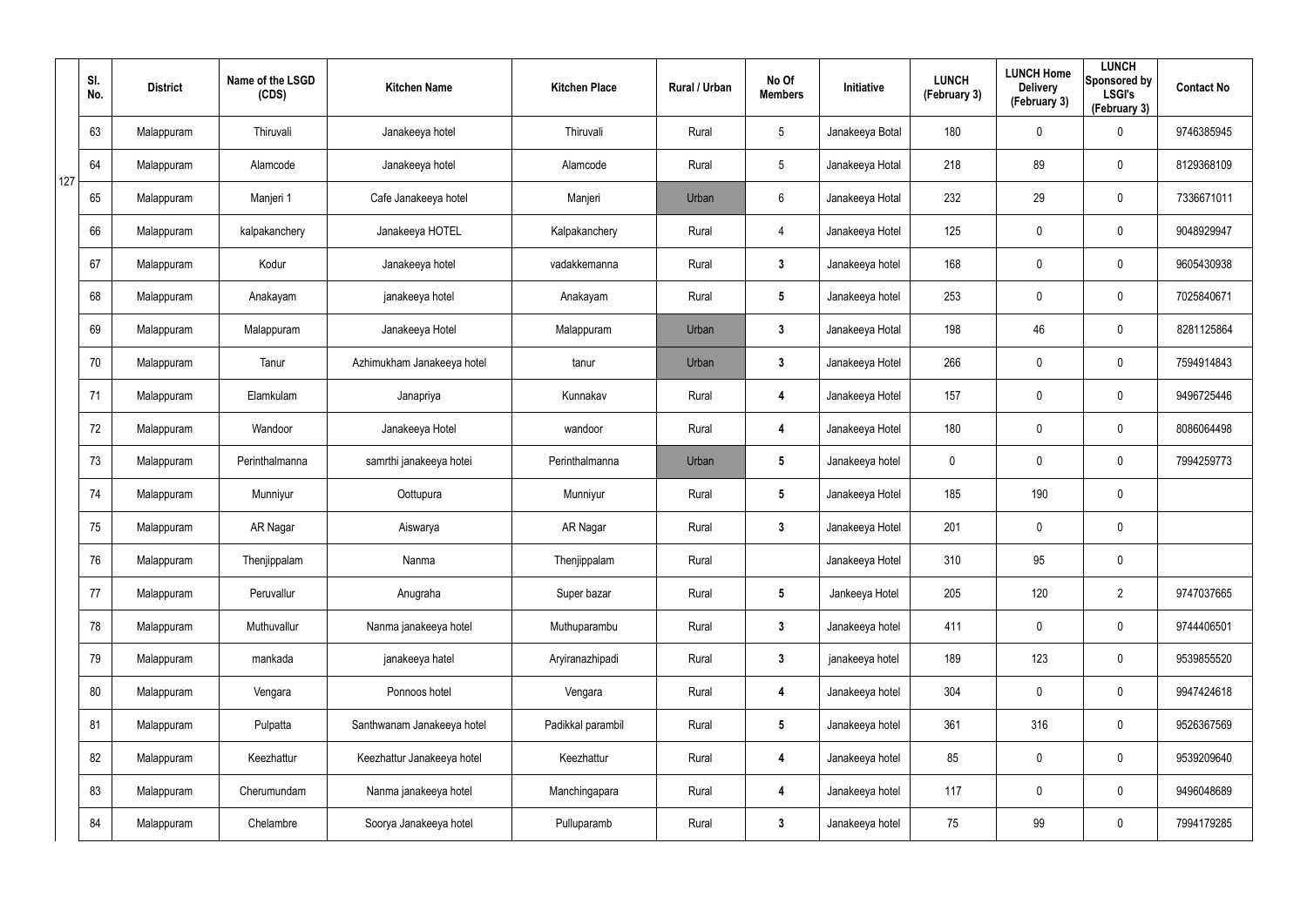|     | SI.<br>No. | <b>District</b> | Name of the LSGD<br>(CDS) | <b>Kitchen Name</b>        | <b>Kitchen Place</b> | Rural / Urban | No Of<br><b>Members</b> | Initiative      | <b>LUNCH</b><br>(February 3) | <b>LUNCH Home</b><br><b>Delivery</b><br>(February 3) | <b>LUNCH</b><br>Sponsored by<br><b>LSGI's</b><br>(February 3) | <b>Contact No</b> |
|-----|------------|-----------------|---------------------------|----------------------------|----------------------|---------------|-------------------------|-----------------|------------------------------|------------------------------------------------------|---------------------------------------------------------------|-------------------|
|     | 63         | Malappuram      | Thiruvali                 | Janakeeya hotel            | Thiruvali            | Rural         | $5\phantom{.0}$         | Janakeeya Botal | 180                          | 0                                                    | $\mathbf 0$                                                   | 9746385945        |
| 127 | 64         | Malappuram      | Alamcode                  | Janakeeya hotel            | Alamcode             | Rural         | $5\phantom{.0}$         | Janakeeya Hotal | 218                          | 89                                                   | $\mathbf 0$                                                   | 8129368109        |
|     | 65         | Malappuram      | Manjeri 1                 | Cafe Janakeeya hotel       | Manjeri              | Urban         | $6\phantom{.}6$         | Janakeeya Hotal | 232                          | 29                                                   | $\mathbf 0$                                                   | 7336671011        |
|     | 66         | Malappuram      | kalpakanchery             | Janakeeya HOTEL            | Kalpakanchery        | Rural         | 4                       | Janakeeya Hotel | 125                          | 0                                                    | $\mathbf 0$                                                   | 9048929947        |
|     | 67         | Malappuram      | Kodur                     | Janakeeya hotel            | vadakkemanna         | Rural         | $3\phantom{a}$          | Janakeeya hotel | 168                          | 0                                                    | $\mathbf 0$                                                   | 9605430938        |
|     | 68         | Malappuram      | Anakayam                  | janakeeya hotel            | Anakayam             | Rural         | $5\phantom{.0}$         | Janakeeya hotel | 253                          | 0                                                    | $\mathbf 0$                                                   | 7025840671        |
|     | 69         | Malappuram      | Malappuram                | Janakeeya Hotel            | Malappuram           | Urban         | $\mathbf{3}$            | Janakeeya Hotal | 198                          | 46                                                   | $\pmb{0}$                                                     | 8281125864        |
|     | 70         | Malappuram      | Tanur                     | Azhimukham Janakeeya hotel | tanur                | Urban         | $\mathbf{3}$            | Janakeeya Hotel | 266                          | 0                                                    | $\mathbf 0$                                                   | 7594914843        |
|     | 71         | Malappuram      | Elamkulam                 | Janapriya                  | Kunnakav             | Rural         | 4                       | Janakeeya Hotel | 157                          | 0                                                    | $\boldsymbol{0}$                                              | 9496725446        |
|     | 72         | Malappuram      | Wandoor                   | Janakeeya Hotel            | wandoor              | Rural         | 4                       | Janakeeya Hotel | 180                          | 0                                                    | $\mathbf 0$                                                   | 8086064498        |
|     | 73         | Malappuram      | Perinthalmanna            | samrthi janakeeya hotei    | Perinthalmanna       | Urban         | $5\phantom{.0}$         | Janakeeya hotel | $\mathbf 0$                  | 0                                                    | $\boldsymbol{0}$                                              | 7994259773        |
|     | 74         | Malappuram      | Munniyur                  | Oottupura                  | Munniyur             | Rural         | $5\phantom{.0}$         | Janakeeya Hotel | 185                          | 190                                                  | $\mathbf 0$                                                   |                   |
|     | 75         | Malappuram      | AR Nagar                  | Aiswarya                   | <b>AR Nagar</b>      | Rural         | $3\phantom{a}$          | Janakeeya Hotel | 201                          | 0                                                    | $\pmb{0}$                                                     |                   |
|     | 76         | Malappuram      | Thenjippalam              | Nanma                      | Thenjippalam         | Rural         |                         | Janakeeya Hotel | 310                          | 95                                                   | $\pmb{0}$                                                     |                   |
|     | 77         | Malappuram      | Peruvallur                | Anugraha                   | Super bazar          | Rural         | $5\phantom{.0}$         | Jankeeya Hotel  | 205                          | 120                                                  | $\overline{2}$                                                | 9747037665        |
|     | 78         | Malappuram      | Muthuvallur               | Nanma janakeeya hotel      | Muthuparambu         | Rural         | $3\phantom{a}$          | Janakeeya hotel | 411                          | 0                                                    | $\pmb{0}$                                                     | 9744406501        |
|     | 79         | Malappuram      | mankada                   | janakeeya hatel            | Aryiranazhipadi      | Rural         | $3\phantom{a}$          | janakeeya hotel | 189                          | 123                                                  | $\pmb{0}$                                                     | 9539855520        |
|     | 80         | Malappuram      | Vengara                   | Ponnoos hotel              | Vengara              | Rural         | $\overline{\mathbf{4}}$ | Janakeeya hotel | 304                          | 0                                                    | $\pmb{0}$                                                     | 9947424618        |
|     | 81         | Malappuram      | Pulpatta                  | Santhwanam Janakeeya hotel | Padikkal parambil    | Rural         | 5 <sub>5</sub>          | Janakeeya hotel | 361                          | 316                                                  | $\mathbf 0$                                                   | 9526367569        |
|     | 82         | Malappuram      | Keezhattur                | Keezhattur Janakeeya hotel | Keezhattur           | Rural         | $\overline{\mathbf{4}}$ | Janakeeya hotel | 85                           | 0                                                    | $\pmb{0}$                                                     | 9539209640        |
|     | 83         | Malappuram      | Cherumundam               | Nanma janakeeya hotel      | Manchingapara        | Rural         | 4                       | Janakeeya hotel | 117                          | 0                                                    | $\mathbf 0$                                                   | 9496048689        |
|     | 84         | Malappuram      | Chelambre                 | Soorya Janakeeya hotel     | Pulluparamb          | Rural         | $3\phantom{a}$          | Janakeeya hotel | 75                           | 99                                                   | $\pmb{0}$                                                     | 7994179285        |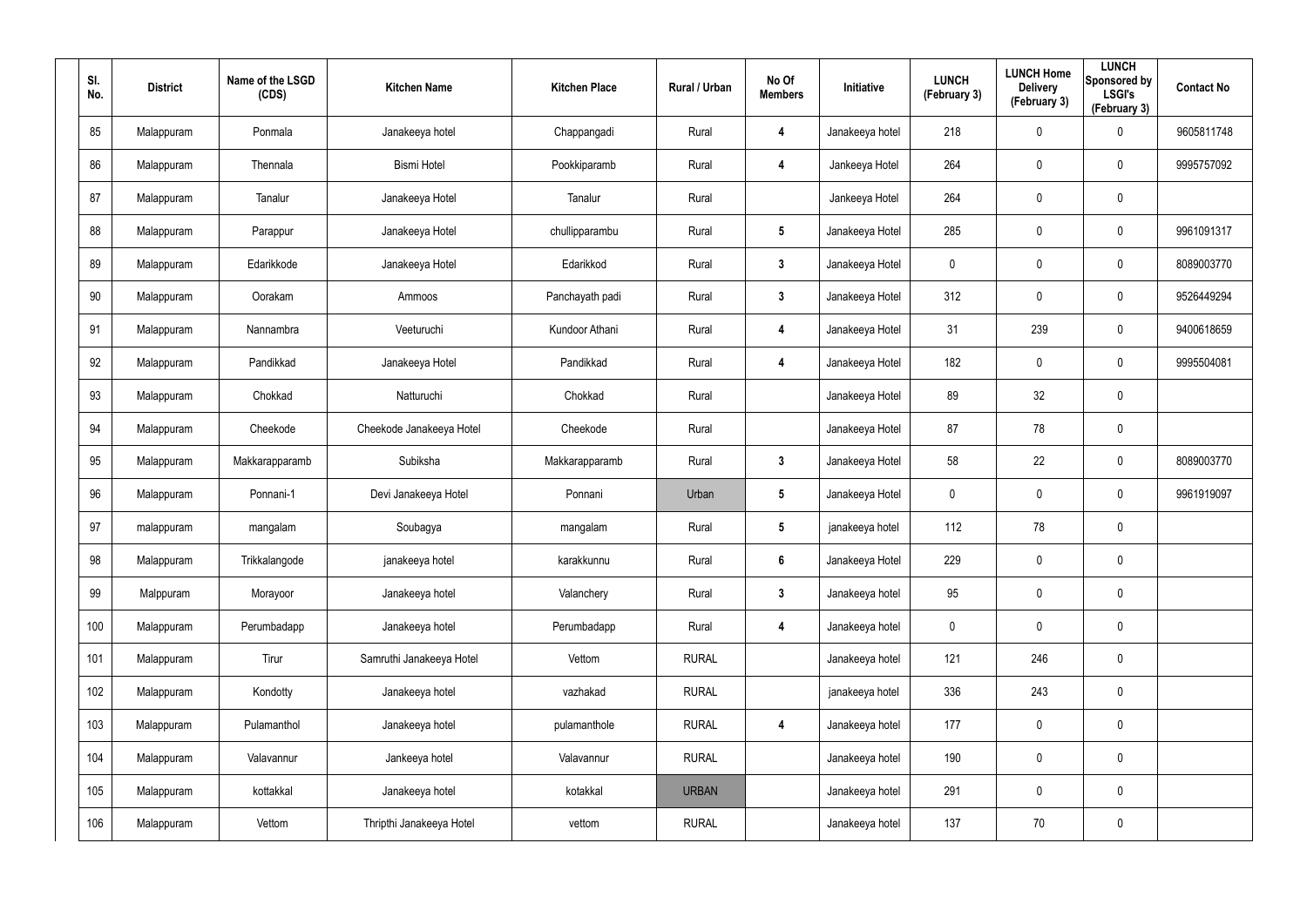| SI.<br>No. | <b>District</b> | Name of the LSGD<br>(CDS) | <b>Kitchen Name</b>      | <b>Kitchen Place</b> | Rural / Urban | No Of<br><b>Members</b> | Initiative      | <b>LUNCH</b><br>(February 3) | <b>LUNCH Home</b><br><b>Delivery</b><br>(February 3) | <b>LUNCH</b><br>Sponsored by<br><b>LSGI's</b><br>(February 3) | <b>Contact No</b> |
|------------|-----------------|---------------------------|--------------------------|----------------------|---------------|-------------------------|-----------------|------------------------------|------------------------------------------------------|---------------------------------------------------------------|-------------------|
| 85         | Malappuram      | Ponmala                   | Janakeeya hotel          | Chappangadi          | Rural         | 4                       | Janakeeya hotel | 218                          | 0                                                    | $\boldsymbol{0}$                                              | 9605811748        |
| 86         | Malappuram      | Thennala                  | <b>Bismi Hotel</b>       | Pookkiparamb         | Rural         | 4                       | Jankeeya Hotel  | 264                          | $\mathbf 0$                                          | $\mathbf 0$                                                   | 9995757092        |
| 87         | Malappuram      | Tanalur                   | Janakeeya Hotel          | Tanalur              | Rural         |                         | Jankeeya Hotel  | 264                          | $\mathbf 0$                                          | $\pmb{0}$                                                     |                   |
| 88         | Malappuram      | Parappur                  | Janakeeya Hotel          | chullipparambu       | Rural         | $5\phantom{.0}$         | Janakeeya Hotel | 285                          | $\mathbf 0$                                          | $\pmb{0}$                                                     | 9961091317        |
| 89         | Malappuram      | Edarikkode                | Janakeeya Hotel          | Edarikkod            | Rural         | $\mathbf{3}$            | Janakeeya Hotel | $\mathbf 0$                  | $\mathbf 0$                                          | $\mathbf 0$                                                   | 8089003770        |
| 90         | Malappuram      | Oorakam                   | Ammoos                   | Panchayath padi      | Rural         | $\mathbf{3}$            | Janakeeya Hotel | 312                          | 0                                                    | $\pmb{0}$                                                     | 9526449294        |
| 91         | Malappuram      | Nannambra                 | Veeturuchi               | Kundoor Athani       | Rural         | 4                       | Janakeeya Hotel | 31                           | 239                                                  | $\mathbf 0$                                                   | 9400618659        |
| 92         | Malappuram      | Pandikkad                 | Janakeeya Hotel          | Pandikkad            | Rural         | 4                       | Janakeeya Hotel | 182                          | 0                                                    | $\mathbf 0$                                                   | 9995504081        |
| 93         | Malappuram      | Chokkad                   | Natturuchi               | Chokkad              | Rural         |                         | Janakeeya Hotel | 89                           | 32                                                   | $\pmb{0}$                                                     |                   |
| 94         | Malappuram      | Cheekode                  | Cheekode Janakeeya Hotel | Cheekode             | Rural         |                         | Janakeeya Hotel | 87                           | 78                                                   | $\mathbf 0$                                                   |                   |
| 95         | Malappuram      | Makkarapparamb            | Subiksha                 | Makkarapparamb       | Rural         | $\mathbf{3}$            | Janakeeya Hotel | 58                           | 22                                                   | $\mathbf 0$                                                   | 8089003770        |
| 96         | Malappuram      | Ponnani-1                 | Devi Janakeeya Hotel     | Ponnani              | Urban         | $5\phantom{.0}$         | Janakeeya Hotel | $\mathbf 0$                  | 0                                                    | $\mathbf 0$                                                   | 9961919097        |
| 97         | malappuram      | mangalam                  | Soubagya                 | mangalam             | Rural         | $5\phantom{.0}$         | janakeeya hotel | 112                          | 78                                                   | $\pmb{0}$                                                     |                   |
| 98         | Malappuram      | Trikkalangode             | janakeeya hotel          | karakkunnu           | Rural         | $6\phantom{1}$          | Janakeeya Hotel | 229                          | $\pmb{0}$                                            | $\pmb{0}$                                                     |                   |
| 99         | Malppuram       | Morayoor                  | Janakeeya hotel          | Valanchery           | Rural         | $\mathbf{3}$            | Janakeeya hotel | 95                           | $\mathbf 0$                                          | $\mathbf 0$                                                   |                   |
| 100        | Malappuram      | Perumbadapp               | Janakeeya hotel          | Perumbadapp          | Rural         | 4                       | Janakeeya hotel | $\mathbf 0$                  | 0                                                    | $\mathbf 0$                                                   |                   |
| 101        | Malappuram      | Tirur                     | Samruthi Janakeeya Hotel | Vettom               | <b>RURAL</b>  |                         | Janakeeya hotel | 121                          | 246                                                  | $\mathbf 0$                                                   |                   |
| 102        | Malappuram      | Kondotty                  | Janakeeya hotel          | vazhakad             | <b>RURAL</b>  |                         | janakeeya hotel | 336                          | 243                                                  | $\pmb{0}$                                                     |                   |
| 103        | Malappuram      | Pulamanthol               | Janakeeya hotel          | pulamanthole         | <b>RURAL</b>  | 4                       | Janakeeya hotel | 177                          | $\pmb{0}$                                            | $\mathbf 0$                                                   |                   |
| 104        | Malappuram      | Valavannur                | Jankeeya hotel           | Valavannur           | <b>RURAL</b>  |                         | Janakeeya hotel | 190                          | $\pmb{0}$                                            | $\pmb{0}$                                                     |                   |
| 105        | Malappuram      | kottakkal                 | Janakeeya hotel          | kotakkal             | <b>URBAN</b>  |                         | Janakeeya hotel | 291                          | $\pmb{0}$                                            | $\mathbf 0$                                                   |                   |
| 106        | Malappuram      | Vettom                    | Thripthi Janakeeya Hotel | vettom               | <b>RURAL</b>  |                         | Janakeeya hotel | 137                          | 70                                                   | $\pmb{0}$                                                     |                   |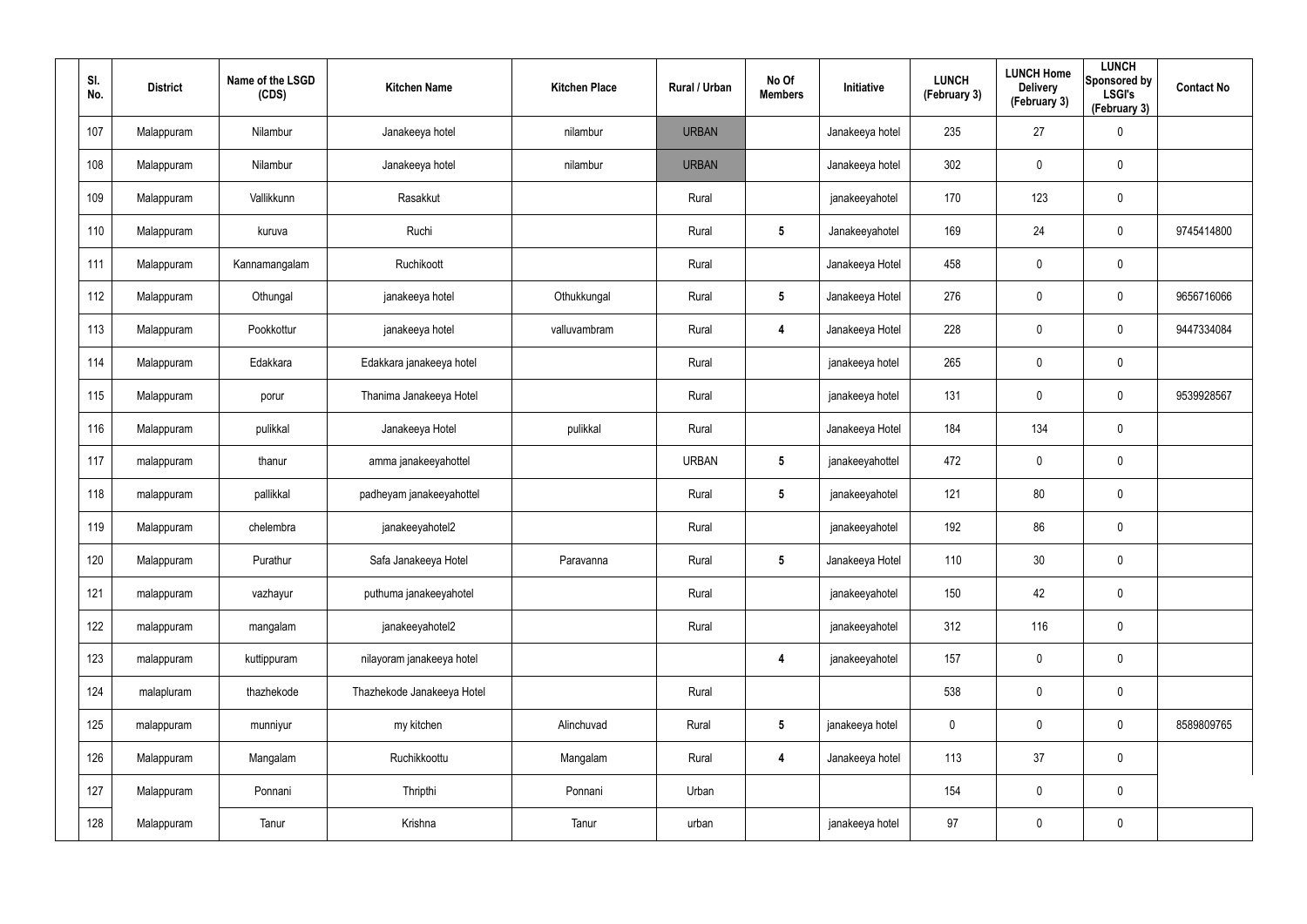| SI.<br>No. | <b>District</b> | Name of the LSGD<br>(CDS) | <b>Kitchen Name</b>        | <b>Kitchen Place</b> | Rural / Urban | No Of<br><b>Members</b> | Initiative      | <b>LUNCH</b><br>(February 3) | <b>LUNCH Home</b><br><b>Delivery</b><br>(February 3) | <b>LUNCH</b><br>Sponsored by<br><b>LSGI's</b><br>(February 3) | <b>Contact No</b> |
|------------|-----------------|---------------------------|----------------------------|----------------------|---------------|-------------------------|-----------------|------------------------------|------------------------------------------------------|---------------------------------------------------------------|-------------------|
| 107        | Malappuram      | Nilambur                  | Janakeeya hotel            | nilambur             | <b>URBAN</b>  |                         | Janakeeya hotel | 235                          | 27                                                   | $\pmb{0}$                                                     |                   |
| 108        | Malappuram      | Nilambur                  | Janakeeya hotel            | nilambur             | <b>URBAN</b>  |                         | Janakeeya hotel | 302                          | $\mathbf 0$                                          | $\pmb{0}$                                                     |                   |
| 109        | Malappuram      | Vallikkunn                | Rasakkut                   |                      | Rural         |                         | janakeeyahotel  | 170                          | 123                                                  | $\mathbf 0$                                                   |                   |
| 110        | Malappuram      | kuruva                    | Ruchi                      |                      | Rural         | $5\phantom{.0}$         | Janakeeyahotel  | 169                          | 24                                                   | $\mathbf 0$                                                   | 9745414800        |
| 111        | Malappuram      | Kannamangalam             | Ruchikoott                 |                      | Rural         |                         | Janakeeya Hotel | 458                          | 0                                                    | $\pmb{0}$                                                     |                   |
| 112        | Malappuram      | Othungal                  | janakeeya hotel            | Othukkungal          | Rural         | $5\phantom{.0}$         | Janakeeya Hotel | 276                          | $\mathbf 0$                                          | $\mathbf 0$                                                   | 9656716066        |
| 113        | Malappuram      | Pookkottur                | janakeeya hotel            | valluvambram         | Rural         | $\overline{\mathbf{4}}$ | Janakeeya Hotel | 228                          | 0                                                    | $\mathbf 0$                                                   | 9447334084        |
| 114        | Malappuram      | Edakkara                  | Edakkara janakeeya hotel   |                      | Rural         |                         | janakeeya hotel | 265                          | $\boldsymbol{0}$                                     | $\pmb{0}$                                                     |                   |
| 115        | Malappuram      | porur                     | Thanima Janakeeya Hotel    |                      | Rural         |                         | janakeeya hotel | 131                          | 0                                                    | $\mathbf 0$                                                   | 9539928567        |
| 116        | Malappuram      | pulikkal                  | Janakeeya Hotel            | pulikkal             | Rural         |                         | Janakeeya Hotel | 184                          | 134                                                  | $\mathbf 0$                                                   |                   |
| 117        | malappuram      | thanur                    | amma janakeeyahottel       |                      | <b>URBAN</b>  | $5\phantom{.0}$         | janakeeyahottel | 472                          | 0                                                    | $\mathbf 0$                                                   |                   |
| 118        | malappuram      | pallikkal                 | padheyam janakeeyahottel   |                      | Rural         | $5\phantom{.0}$         | janakeeyahotel  | 121                          | 80                                                   | $\mathbf 0$                                                   |                   |
| 119        | Malappuram      | chelembra                 | janakeeyahotel2            |                      | Rural         |                         | janakeeyahotel  | 192                          | 86                                                   | $\mathbf 0$                                                   |                   |
| 120        | Malappuram      | Purathur                  | Safa Janakeeya Hotel       | Paravanna            | Rural         | $5\phantom{.0}$         | Janakeeya Hotel | 110                          | 30                                                   | $\pmb{0}$                                                     |                   |
| 121        | malappuram      | vazhayur                  | puthuma janakeeyahotel     |                      | Rural         |                         | janakeeyahotel  | 150                          | 42                                                   | $\mathbf 0$                                                   |                   |
| 122        | malappuram      | mangalam                  | janakeeyahotel2            |                      | Rural         |                         | janakeeyahotel  | 312                          | 116                                                  | $\mathbf 0$                                                   |                   |
| 123        | malappuram      | kuttippuram               | nilayoram janakeeya hotel  |                      |               | $\overline{\mathbf{4}}$ | janakeeyahotel  | 157                          | $\pmb{0}$                                            | $\mathbf 0$                                                   |                   |
| 124        | malapluram      | thazhekode                | Thazhekode Janakeeya Hotel |                      | Rural         |                         |                 | 538                          | 0                                                    | $\mathbf 0$                                                   |                   |
| 125        | malappuram      | munniyur                  | my kitchen                 | Alinchuvad           | Rural         | $5\phantom{.0}$         | janakeeya hotel | $\mathbf 0$                  | 0                                                    | $\mathbf 0$                                                   | 8589809765        |
| 126        | Malappuram      | Mangalam                  | Ruchikkoottu               | Mangalam             | Rural         | $\overline{\mathbf{4}}$ | Janakeeya hotel | 113                          | 37                                                   | $\mathbf 0$                                                   |                   |
| 127        | Malappuram      | Ponnani                   | Thripthi                   | Ponnani              | Urban         |                         |                 | 154                          | 0                                                    | $\mathbf 0$                                                   |                   |
| 128        | Malappuram      | Tanur                     | Krishna                    | Tanur                | urban         |                         | janakeeya hotel | 97                           | 0                                                    | $\pmb{0}$                                                     |                   |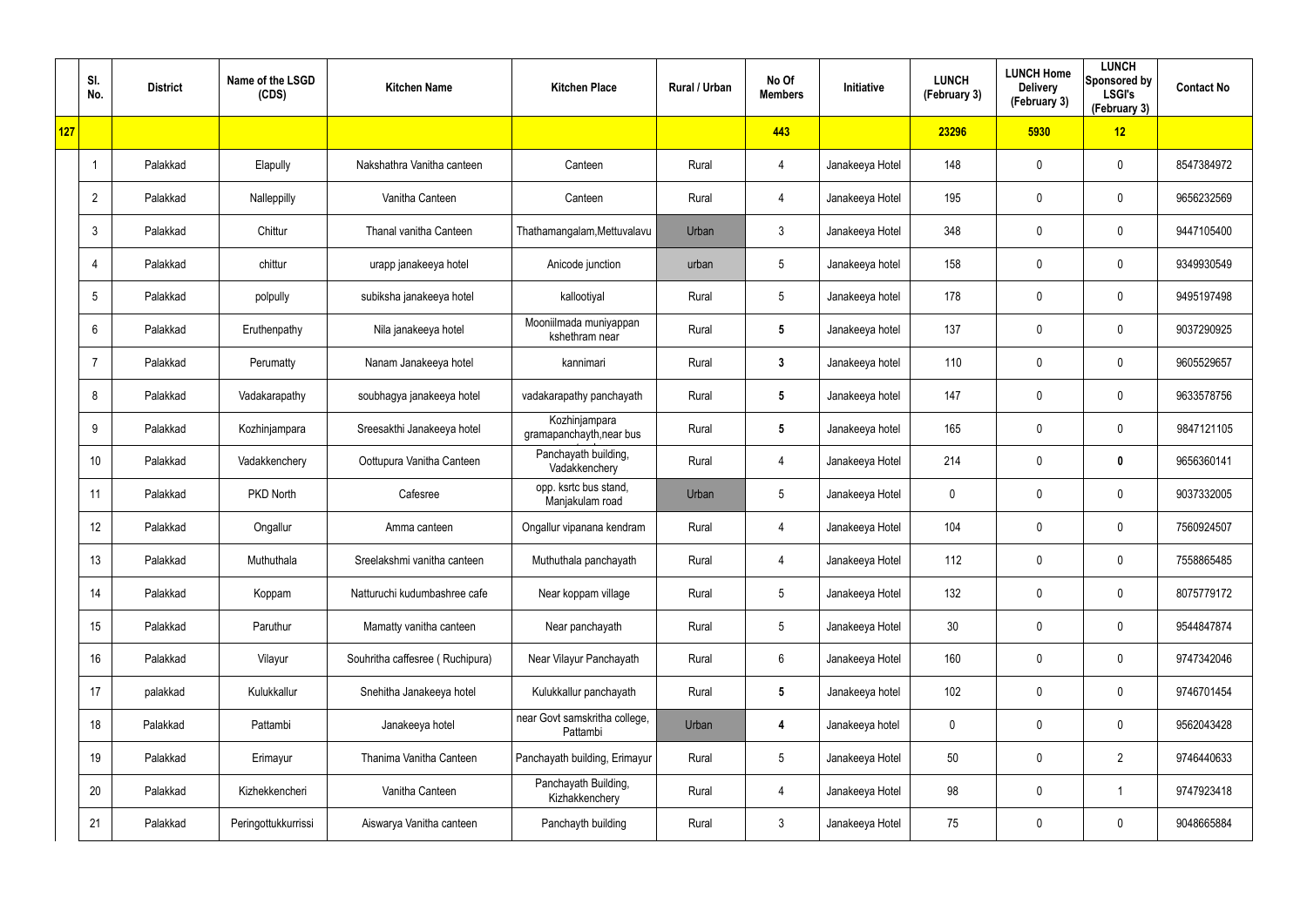|     | SI.<br>No.      | <b>District</b> | Name of the LSGD<br>(CDS) | <b>Kitchen Name</b>             | <b>Kitchen Place</b>                      | Rural / Urban | No Of<br><b>Members</b> | Initiative      | <b>LUNCH</b><br>(February 3) | <b>LUNCH Home</b><br><b>Delivery</b><br>(February 3) | <b>LUNCH</b><br>Sponsored by<br><b>LSGI's</b><br>(February 3) | <b>Contact No</b> |
|-----|-----------------|-----------------|---------------------------|---------------------------------|-------------------------------------------|---------------|-------------------------|-----------------|------------------------------|------------------------------------------------------|---------------------------------------------------------------|-------------------|
| 127 |                 |                 |                           |                                 |                                           |               | 443                     |                 | 23296                        | 5930                                                 | 12                                                            |                   |
|     |                 | Palakkad        | Elapully                  | Nakshathra Vanitha canteen      | Canteen                                   | Rural         | $\overline{4}$          | Janakeeya Hotel | 148                          | 0                                                    | $\mathbf 0$                                                   | 8547384972        |
|     | $\overline{2}$  | Palakkad        | Nalleppilly               | Vanitha Canteen                 | Canteen                                   | Rural         | $\overline{4}$          | Janakeeya Hotel | 195                          | 0                                                    | $\mathbf 0$                                                   | 9656232569        |
|     | 3               | Palakkad        | Chittur                   | Thanal vanitha Canteen          | Thathamangalam, Mettuvalavu               | Urban         | $\mathbf{3}$            | Janakeeya Hotel | 348                          | $\mathbf 0$                                          | $\boldsymbol{0}$                                              | 9447105400        |
|     | $\overline{4}$  | Palakkad        | chittur                   | urapp janakeeya hotel           | Anicode junction                          | urban         | $5\phantom{.0}$         | Janakeeya hotel | 158                          | $\mathbf 0$                                          | $\mathbf 0$                                                   | 9349930549        |
|     | 5               | Palakkad        | polpully                  | subiksha janakeeya hotel        | kallootiyal                               | Rural         | $5\phantom{.0}$         | Janakeeya hotel | 178                          | 0                                                    | $\boldsymbol{0}$                                              | 9495197498        |
|     | 6               | Palakkad        | Eruthenpathy              | Nila janakeeya hotel            | Mooniilmada muniyappan<br>kshethram near  | Rural         | $5\phantom{.0}$         | Janakeeya hotel | 137                          | 0                                                    | $\mathbf 0$                                                   | 9037290925        |
|     | 7               | Palakkad        | Perumatty                 | Nanam Janakeeya hotel           | kannimari                                 | Rural         | $\mathbf{3}$            | Janakeeya hotel | 110                          | 0                                                    | $\boldsymbol{0}$                                              | 9605529657        |
|     | 8               | Palakkad        | Vadakarapathy             | soubhagya janakeeya hotel       | vadakarapathy panchayath                  | Rural         | $5\phantom{.0}$         | Janakeeya hotel | 147                          | 0                                                    | $\mathbf 0$                                                   | 9633578756        |
|     | 9               | Palakkad        | Kozhinjampara             | Sreesakthi Janakeeya hotel      | Kozhinjampara<br>gramapanchayth, near bus | Rural         | $5\phantom{.0}$         | Janakeeya hotel | 165                          | 0                                                    | $\boldsymbol{0}$                                              | 9847121105        |
|     | 10              | Palakkad        | Vadakkenchery             | Oottupura Vanitha Canteen       | Panchayath building,<br>Vadakkenchery     | Rural         | $\overline{4}$          | Janakeeya Hotel | 214                          | 0                                                    | $\mathbf 0$                                                   | 9656360141        |
|     | 11              | Palakkad        | PKD North                 | Cafesree                        | opp. ksrtc bus stand,<br>Manjakulam road  | Urban         | $5\phantom{.0}$         | Janakeeya Hotel | 0                            | 0                                                    | $\boldsymbol{0}$                                              | 9037332005        |
|     | 12 <sup>°</sup> | Palakkad        | Ongallur                  | Amma canteen                    | Ongallur vipanana kendram                 | Rural         | $\overline{4}$          | Janakeeya Hotel | 104                          | 0                                                    | $\boldsymbol{0}$                                              | 7560924507        |
|     | 13              | Palakkad        | Muthuthala                | Sreelakshmi vanitha canteen     | Muthuthala panchayath                     | Rural         | $\overline{4}$          | Janakeeya Hotel | 112                          | 0                                                    | $\mathbf 0$                                                   | 7558865485        |
|     | 14              | Palakkad        | Koppam                    | Natturuchi kudumbashree cafe    | Near koppam village                       | Rural         | $5\phantom{.0}$         | Janakeeya Hotel | 132                          | $\mathbf 0$                                          | $\mathbf 0$                                                   | 8075779172        |
|     | 15              | Palakkad        | Paruthur                  | Mamatty vanitha canteen         | Near panchayath                           | Rural         | $5\phantom{.0}$         | Janakeeya Hotel | 30                           | 0                                                    | $\mathbf 0$                                                   | 9544847874        |
|     | 16              | Palakkad        | Vilayur                   | Souhritha caffesree (Ruchipura) | Near Vilayur Panchayath                   | Rural         | $6\phantom{.}6$         | Janakeeya Hotel | 160                          | $\boldsymbol{0}$                                     | $\mathbf 0$                                                   | 9747342046        |
|     | 17              | palakkad        | Kulukkallur               | Snehitha Janakeeya hotel        | Kulukkallur panchayath                    | Rural         | $5\phantom{.0}$         | Janakeeya hotel | 102                          | 0                                                    | $\mathbf 0$                                                   | 9746701454        |
|     | 18              | Palakkad        | Pattambi                  | Janakeeya hotel                 | near Govt samskritha college,<br>Pattambi | Urban         | 4                       | Janakeeya hotel | 0                            | $\boldsymbol{0}$                                     | $\mathbf 0$                                                   | 9562043428        |
|     | 19              | Palakkad        | Erimayur                  | Thanima Vanitha Canteen         | Panchayath building, Erimayur             | Rural         | $5\phantom{.0}$         | Janakeeya Hotel | 50                           | 0                                                    | $\overline{2}$                                                | 9746440633        |
|     | 20              | Palakkad        | Kizhekkencheri            | Vanitha Canteen                 | Panchayath Building,<br>Kizhakkenchery    | Rural         | $\overline{4}$          | Janakeeya Hotel | 98                           | $\boldsymbol{0}$                                     | 1                                                             | 9747923418        |
|     | 21              | Palakkad        | Peringottukkurrissi       | Aiswarya Vanitha canteen        | Panchayth building                        | Rural         | $\mathfrak{Z}$          | Janakeeya Hotel | 75                           | 0                                                    | $\boldsymbol{0}$                                              | 9048665884        |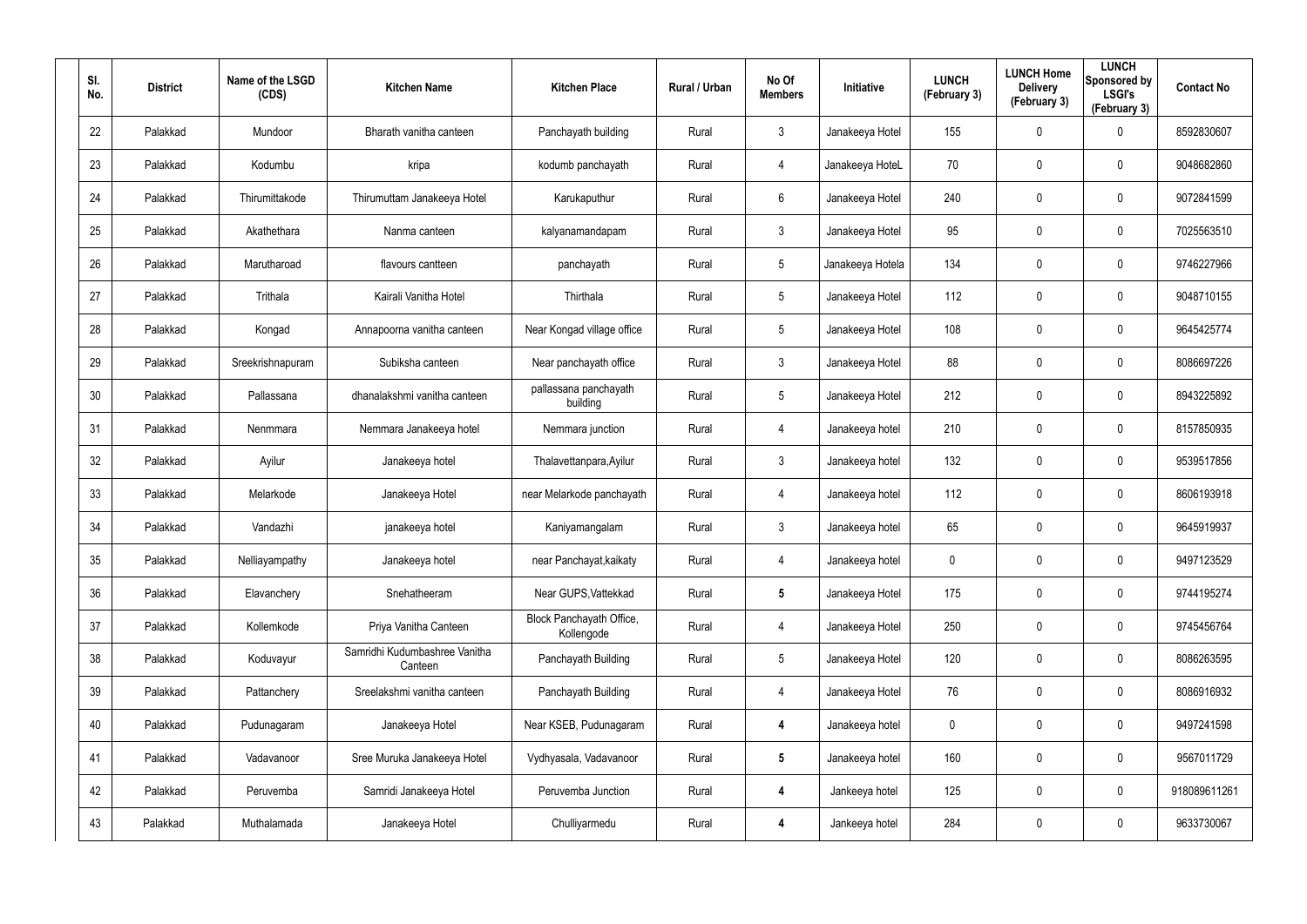| SI.<br>No. | <b>District</b> | Name of the LSGD<br>(CDS) | <b>Kitchen Name</b>                      | <b>Kitchen Place</b>                   | Rural / Urban | No Of<br><b>Members</b> | <b>Initiative</b> | <b>LUNCH</b><br>(February 3) | <b>LUNCH Home</b><br><b>Delivery</b><br>(February 3) | <b>LUNCH</b><br>Sponsored by<br><b>LSGI's</b><br>(February 3) | <b>Contact No</b> |
|------------|-----------------|---------------------------|------------------------------------------|----------------------------------------|---------------|-------------------------|-------------------|------------------------------|------------------------------------------------------|---------------------------------------------------------------|-------------------|
| 22         | Palakkad        | Mundoor                   | Bharath vanitha canteen                  | Panchayath building                    | Rural         | 3                       | Janakeeya Hotel   | 155                          | 0                                                    | $\mathbf 0$                                                   | 8592830607        |
| 23         | Palakkad        | Kodumbu                   | kripa                                    | kodumb panchayath                      | Rural         | 4                       | Janakeeya HoteL   | 70                           | 0                                                    | $\mathbf 0$                                                   | 9048682860        |
| 24         | Palakkad        | Thirumittakode            | Thirumuttam Janakeeya Hotel              | Karukaputhur                           | Rural         | 6                       | Janakeeya Hotel   | 240                          | 0                                                    | $\mathbf 0$                                                   | 9072841599        |
| 25         | Palakkad        | Akathethara               | Nanma canteen                            | kalyanamandapam                        | Rural         | $\mathbf{3}$            | Janakeeya Hotel   | 95                           | 0                                                    | $\mathbf 0$                                                   | 7025563510        |
| 26         | Palakkad        | Marutharoad               | flavours cantteen                        | panchayath                             | Rural         | $5\phantom{.0}$         | Janakeeya Hotela  | 134                          | 0                                                    | $\mathbf 0$                                                   | 9746227966        |
| 27         | Palakkad        | Trithala                  | Kairali Vanitha Hotel                    | Thirthala                              | Rural         | $5\overline{)}$         | Janakeeya Hotel   | 112                          | 0                                                    | $\mathbf 0$                                                   | 9048710155        |
| 28         | Palakkad        | Kongad                    | Annapoorna vanitha canteen               | Near Kongad village office             | Rural         | $5\phantom{.0}$         | Janakeeya Hotel   | 108                          | 0                                                    | $\mathbf 0$                                                   | 9645425774        |
| 29         | Palakkad        | Sreekrishnapuram          | Subiksha canteen                         | Near panchayath office                 | Rural         | $\mathbf{3}$            | Janakeeya Hotel   | 88                           | 0                                                    | $\mathbf 0$                                                   | 8086697226        |
| 30         | Palakkad        | Pallassana                | dhanalakshmi vanitha canteen             | pallassana panchayath<br>building      | Rural         | $5\phantom{.0}$         | Janakeeya Hotel   | 212                          | 0                                                    | $\mathbf 0$                                                   | 8943225892        |
| 31         | Palakkad        | Nenmmara                  | Nemmara Janakeeya hotel                  | Nemmara junction                       | Rural         | 4                       | Janakeeya hotel   | 210                          | 0                                                    | $\mathbf 0$                                                   | 8157850935        |
| 32         | Palakkad        | Ayilur                    | Janakeeya hotel                          | Thalavettanpara, Ayilur                | Rural         | $\mathbf{3}$            | Janakeeya hotel   | 132                          | 0                                                    | $\mathbf 0$                                                   | 9539517856        |
| 33         | Palakkad        | Melarkode                 | Janakeeya Hotel                          | near Melarkode panchayath              | Rural         | 4                       | Janakeeya hotel   | 112                          | $\mathbf 0$                                          | $\mathbf 0$                                                   | 8606193918        |
| 34         | Palakkad        | Vandazhi                  | janakeeya hotel                          | Kaniyamangalam                         | Rural         | $\mathbf{3}$            | Janakeeya hotel   | 65                           | $\mathbf 0$                                          | $\mathbf 0$                                                   | 9645919937        |
| 35         | Palakkad        | Nelliayampathy            | Janakeeya hotel                          | near Panchayat, kaikaty                | Rural         | 4                       | Janakeeya hotel   | 0                            | 0                                                    | $\pmb{0}$                                                     | 9497123529        |
| 36         | Palakkad        | Elavanchery               | Snehatheeram                             | Near GUPS, Vattekkad                   | Rural         | $5\phantom{.0}$         | Janakeeya Hotel   | 175                          | 0                                                    | $\mathbf 0$                                                   | 9744195274        |
| 37         | Palakkad        | Kollemkode                | Priya Vanitha Canteen                    | Block Panchayath Office,<br>Kollengode | Rural         | 4                       | Janakeeya Hotel   | 250                          | 0                                                    | $\mathbf 0$                                                   | 9745456764        |
| 38         | Palakkad        | Koduvayur                 | Samridhi Kudumbashree Vanitha<br>Canteen | Panchayath Building                    | Rural         | $5\phantom{.0}$         | Janakeeya Hotel   | 120                          | 0                                                    | $\mathbf 0$                                                   | 8086263595        |
| 39         | Palakkad        | Pattanchery               | Sreelakshmi vanitha canteen              | Panchayath Building                    | Rural         | 4                       | Janakeeya Hotel   | 76                           | 0                                                    | $\mathbf 0$                                                   | 8086916932        |
| 40         | Palakkad        | Pudunagaram               | Janakeeya Hotel                          | Near KSEB, Pudunagaram                 | Rural         | $\overline{\mathbf{4}}$ | Janakeeya hotel   | 0                            | 0                                                    | $\mathbf 0$                                                   | 9497241598        |
| 41         | Palakkad        | Vadavanoor                | Sree Muruka Janakeeya Hotel              | Vydhyasala, Vadavanoor                 | Rural         | $5\phantom{.0}$         | Janakeeya hotel   | 160                          | 0                                                    | $\pmb{0}$                                                     | 9567011729        |
| 42         | Palakkad        | Peruvemba                 | Samridi Janakeeya Hotel                  | Peruvemba Junction                     | Rural         | $\overline{\mathbf{4}}$ | Jankeeya hotel    | 125                          | 0                                                    | $\mathbf 0$                                                   | 918089611261      |
| 43         | Palakkad        | Muthalamada               | Janakeeya Hotel                          | Chulliyarmedu                          | Rural         | 4                       | Jankeeya hotel    | 284                          | 0                                                    | $\pmb{0}$                                                     | 9633730067        |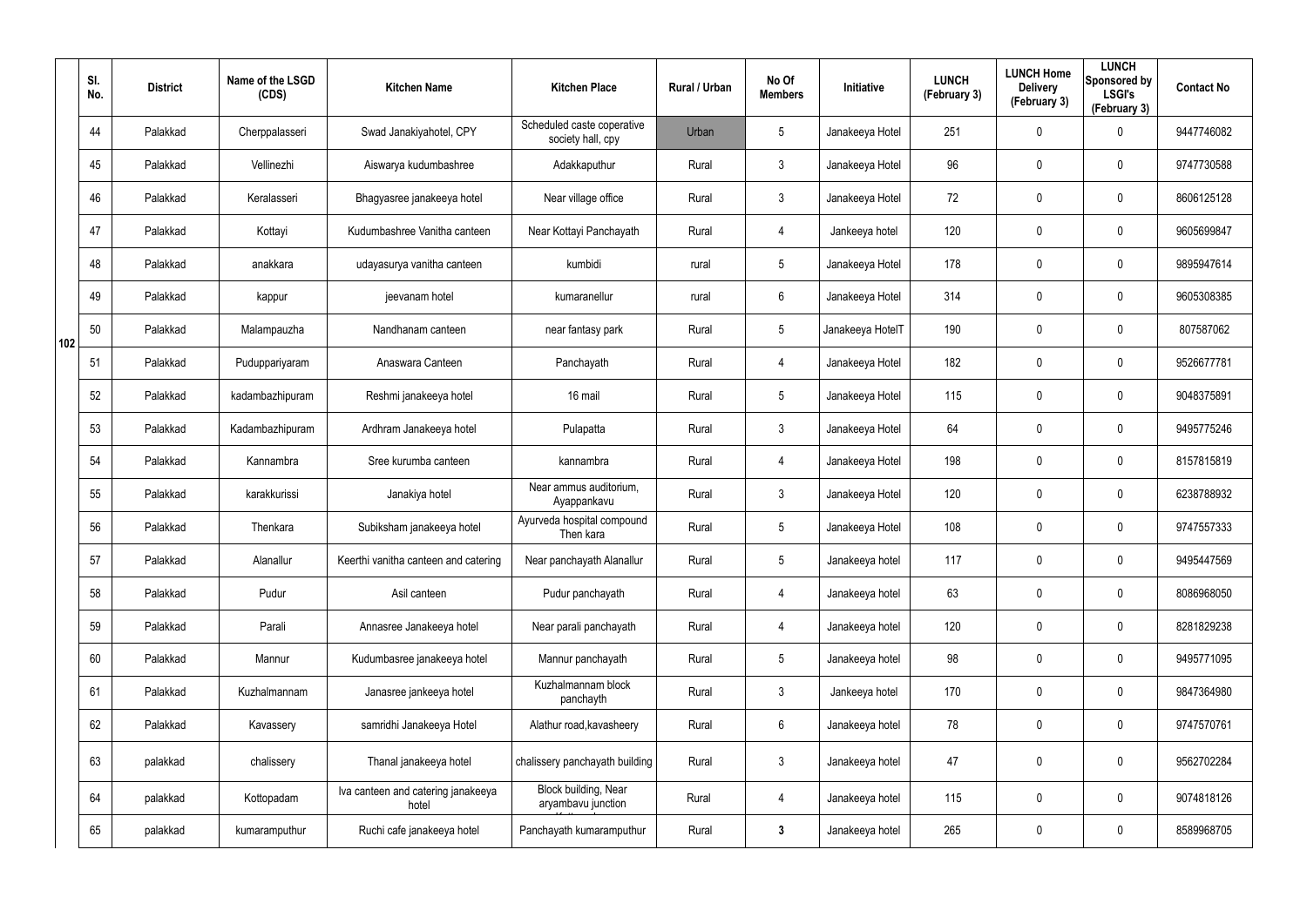|     | SI.<br>No. | <b>District</b> | Name of the LSGD<br>(CDS) | <b>Kitchen Name</b>                         | <b>Kitchen Place</b>                            | Rural / Urban | No Of<br><b>Members</b> | Initiative       | <b>LUNCH</b><br>(February 3) | <b>LUNCH Home</b><br><b>Delivery</b><br>(February 3) | <b>LUNCH</b><br>Sponsored by<br><b>LSGI's</b><br>(February 3) | <b>Contact No</b> |
|-----|------------|-----------------|---------------------------|---------------------------------------------|-------------------------------------------------|---------------|-------------------------|------------------|------------------------------|------------------------------------------------------|---------------------------------------------------------------|-------------------|
|     | 44         | Palakkad        | Cherppalasseri            | Swad Janakiyahotel, CPY                     | Scheduled caste coperative<br>society hall, cpy | Urban         | $5\phantom{.0}$         | Janakeeya Hotel  | 251                          | 0                                                    | 0                                                             | 9447746082        |
|     | 45         | Palakkad        | Vellinezhi                | Aiswarya kudumbashree                       | Adakkaputhur                                    | Rural         | $\mathbf{3}$            | Janakeeya Hotel  | 96                           | 0                                                    | $\mathbf 0$                                                   | 9747730588        |
|     | 46         | Palakkad        | Keralasseri               | Bhagyasree janakeeya hotel                  | Near village office                             | Rural         | $\mathbf{3}$            | Janakeeya Hotel  | 72                           | 0                                                    | $\mathbf 0$                                                   | 8606125128        |
|     | 47         | Palakkad        | Kottayi                   | Kudumbashree Vanitha canteen                | Near Kottayi Panchayath                         | Rural         | $\overline{4}$          | Jankeeya hotel   | 120                          | $\mathbf 0$                                          | $\mathbf 0$                                                   | 9605699847        |
|     | 48         | Palakkad        | anakkara                  | udayasurya vanitha canteen                  | kumbidi                                         | rural         | $5\phantom{.0}$         | Janakeeya Hotel  | 178                          | 0                                                    | $\mathbf 0$                                                   | 9895947614        |
|     | 49         | Palakkad        | kappur                    | jeevanam hotel                              | kumaranellur                                    | rural         | 6                       | Janakeeya Hotel  | 314                          | 0                                                    | $\mathbf 0$                                                   | 9605308385        |
| 102 | 50         | Palakkad        | Malampauzha               | Nandhanam canteen                           | near fantasy park                               | Rural         | $5\phantom{.0}$         | Janakeeya HotelT | 190                          | 0                                                    | $\mathbf 0$                                                   | 807587062         |
|     | 51         | Palakkad        | Puduppariyaram            | Anaswara Canteen                            | Panchayath                                      | Rural         | $\overline{4}$          | Janakeeya Hotel  | 182                          | 0                                                    | $\mathbf 0$                                                   | 9526677781        |
|     | 52         | Palakkad        | kadambazhipuram           | Reshmi janakeeya hotel                      | 16 mail                                         | Rural         | $5\overline{)}$         | Janakeeya Hotel  | 115                          | 0                                                    | $\mathbf 0$                                                   | 9048375891        |
|     | 53         | Palakkad        | Kadambazhipuram           | Ardhram Janakeeya hotel                     | Pulapatta                                       | Rural         | 3                       | Janakeeya Hotel  | 64                           | 0                                                    | $\mathbf 0$                                                   | 9495775246        |
|     | 54         | Palakkad        | Kannambra                 | Sree kurumba canteen                        | kannambra                                       | Rural         | $\overline{4}$          | Janakeeya Hotel  | 198                          | 0                                                    | $\mathbf 0$                                                   | 8157815819        |
|     | 55         | Palakkad        | karakkurissi              | Janakiya hotel                              | Near ammus auditorium,<br>Ayappankavu           | Rural         | $\mathbf{3}$            | Janakeeya Hotel  | 120                          | 0                                                    | $\mathbf 0$                                                   | 6238788932        |
|     | 56         | Palakkad        | Thenkara                  | Subiksham janakeeya hotel                   | Ayurveda hospital compound<br>Then kara         | Rural         | $5\phantom{.0}$         | Janakeeya Hotel  | 108                          | 0                                                    | $\mathbf 0$                                                   | 9747557333        |
|     | 57         | Palakkad        | Alanallur                 | Keerthi vanitha canteen and catering        | Near panchayath Alanallur                       | Rural         | $5\phantom{.0}$         | Janakeeya hotel  | 117                          | $\mathbf 0$                                          | $\pmb{0}$                                                     | 9495447569        |
|     | 58         | Palakkad        | Pudur                     | Asil canteen                                | Pudur panchayath                                | Rural         | $\overline{4}$          | Janakeeya hotel  | 63                           | $\mathbf 0$                                          | $\mathbf 0$                                                   | 8086968050        |
|     | 59         | Palakkad        | Parali                    | Annasree Janakeeya hotel                    | Near parali panchayath                          | Rural         | $\overline{4}$          | Janakeeya hotel  | 120                          | $\mathbf 0$                                          | $\mathbf 0$                                                   | 8281829238        |
|     | 60         | Palakkad        | Mannur                    | Kudumbasree janakeeya hotel                 | Mannur panchayath                               | Rural         | $5\phantom{.0}$         | Janakeeya hotel  | 98                           | $\mathbf 0$                                          | $\mathbf 0$                                                   | 9495771095        |
|     | 61         | Palakkad        | Kuzhalmannam              | Janasree jankeeya hotel                     | Kuzhalmannam block<br>panchayth                 | Rural         | 3 <sup>1</sup>          | Jankeeya hotel   | 170                          | 0                                                    | $\mathbf 0$                                                   | 9847364980        |
|     | 62         | Palakkad        | Kavassery                 | samridhi Janakeeya Hotel                    | Alathur road, kavasheery                        | Rural         | $6\phantom{.}6$         | Janakeeya hotel  | 78                           | 0                                                    | $\mathbf 0$                                                   | 9747570761        |
|     | 63         | palakkad        | chalissery                | Thanal janakeeya hotel                      | chalissery panchayath building                  | Rural         | $\mathfrak{Z}$          | Janakeeya hotel  | 47                           | 0                                                    | $\pmb{0}$                                                     | 9562702284        |
|     | 64         | palakkad        | Kottopadam                | Iva canteen and catering janakeeya<br>hotel | Block building, Near<br>aryambavu junction      | Rural         | 4                       | Janakeeya hotel  | 115                          | 0                                                    | $\pmb{0}$                                                     | 9074818126        |
|     | 65         | palakkad        | kumaramputhur             | Ruchi cafe janakeeya hotel                  | Panchayath kumaramputhur                        | Rural         | $3\phantom{a}$          | Janakeeya hotel  | 265                          | 0                                                    | $\pmb{0}$                                                     | 8589968705        |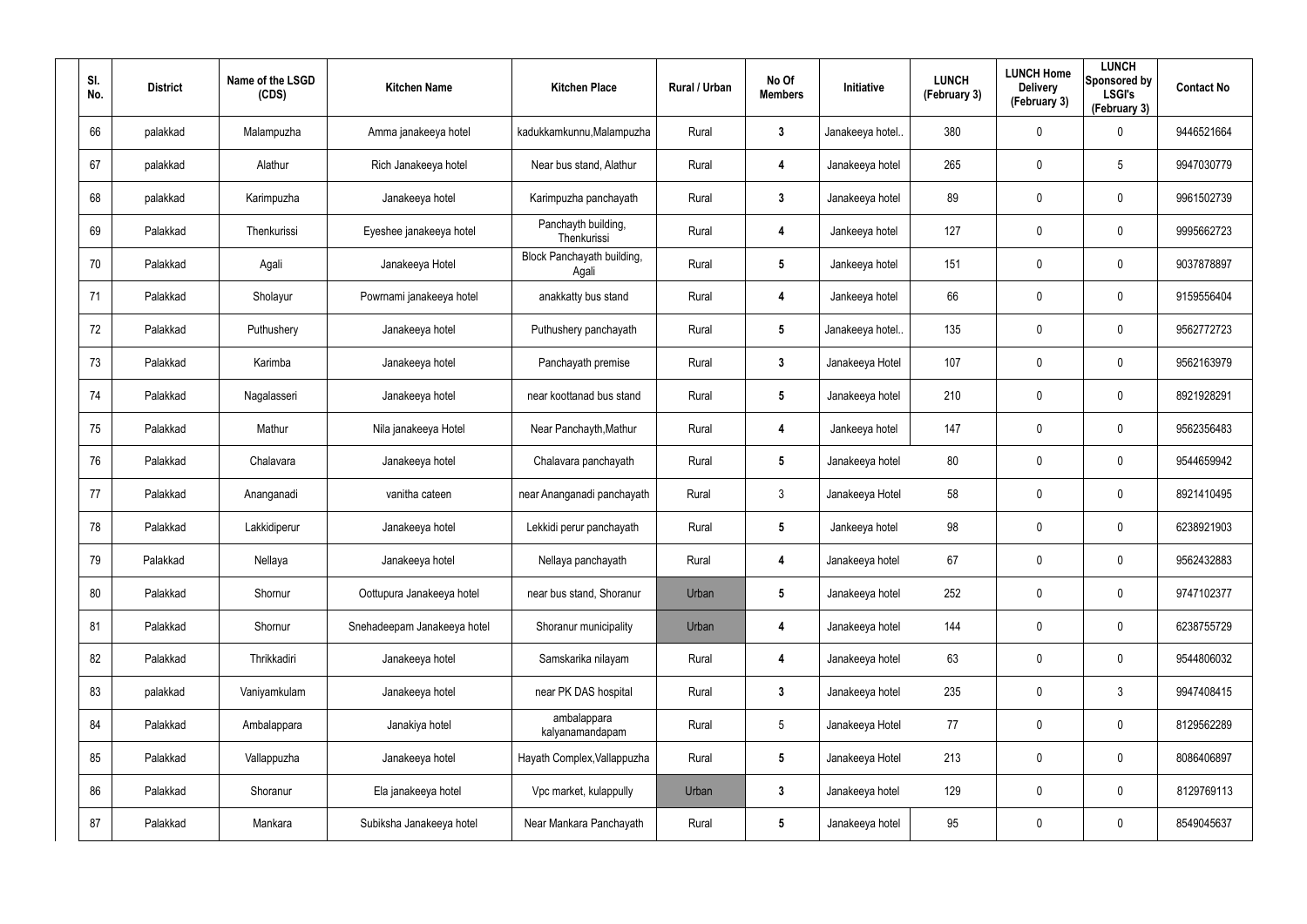| SI.<br>No. | <b>District</b> | Name of the LSGD<br>(CDS) | <b>Kitchen Name</b>         | <b>Kitchen Place</b>                | Rural / Urban | No Of<br><b>Members</b> | Initiative       | <b>LUNCH</b><br>(February 3) | <b>LUNCH Home</b><br><b>Delivery</b><br>(February 3) | <b>LUNCH</b><br>Sponsored by<br><b>LSGI's</b><br>(February 3) | <b>Contact No</b> |
|------------|-----------------|---------------------------|-----------------------------|-------------------------------------|---------------|-------------------------|------------------|------------------------------|------------------------------------------------------|---------------------------------------------------------------|-------------------|
| 66         | palakkad        | Malampuzha                | Amma janakeeya hotel        | kadukkamkunnu, Malampuzha           | Rural         | $\mathbf{3}$            | Janakeeya hotel. | 380                          | 0                                                    | $\mathbf 0$                                                   | 9446521664        |
| 67         | palakkad        | Alathur                   | Rich Janakeeya hotel        | Near bus stand, Alathur             | Rural         | 4                       | Janakeeya hotel  | 265                          | 0                                                    | $5\phantom{.0}$                                               | 9947030779        |
| 68         | palakkad        | Karimpuzha                | Janakeeya hotel             | Karimpuzha panchayath               | Rural         | $\mathbf{3}$            | Janakeeya hotel  | 89                           | 0                                                    | $\mathbf 0$                                                   | 9961502739        |
| 69         | Palakkad        | Thenkurissi               | Eyeshee janakeeya hotel     | Panchayth building,<br>Thenkurissi  | Rural         | 4                       | Jankeeya hotel   | 127                          | 0                                                    | $\mathbf 0$                                                   | 9995662723        |
| 70         | Palakkad        | Agali                     | Janakeeya Hotel             | Block Panchayath building,<br>Agali | Rural         | $5\phantom{.0}$         | Jankeeya hotel   | 151                          | 0                                                    | $\mathbf 0$                                                   | 9037878897        |
| 71         | Palakkad        | Sholayur                  | Powrnami janakeeya hotel    | anakkatty bus stand                 | Rural         | 4                       | Jankeeya hotel   | 66                           | 0                                                    | $\mathbf 0$                                                   | 9159556404        |
| 72         | Palakkad        | Puthushery                | Janakeeya hotel             | Puthushery panchayath               | Rural         | $5\phantom{.0}$         | Janakeeya hotel. | 135                          | 0                                                    | $\mathbf 0$                                                   | 9562772723        |
| 73         | Palakkad        | Karimba                   | Janakeeya hotel             | Panchayath premise                  | Rural         | $\mathbf{3}$            | Janakeeya Hotel  | 107                          | 0                                                    | $\mathbf 0$                                                   | 9562163979        |
| 74         | Palakkad        | Nagalasseri               | Janakeeya hotel             | near koottanad bus stand            | Rural         | $\sqrt{5}$              | Janakeeya hotel  | 210                          | 0                                                    | $\mathbf 0$                                                   | 8921928291        |
| 75         | Palakkad        | Mathur                    | Nila janakeeya Hotel        | Near Panchayth, Mathur              | Rural         | 4                       | Jankeeya hotel   | 147                          | 0                                                    | $\mathbf 0$                                                   | 9562356483        |
| 76         | Palakkad        | Chalavara                 | Janakeeya hotel             | Chalavara panchayath                | Rural         | $\sqrt{5}$              | Janakeeya hotel  | 80                           | 0                                                    | $\mathbf 0$                                                   | 9544659942        |
| 77         | Palakkad        | Ananganadi                | vanitha cateen              | near Ananganadi panchayath          | Rural         | $\mathbf{3}$            | Janakeeya Hotel  | 58                           | 0                                                    | $\mathbf 0$                                                   | 8921410495        |
| 78         | Palakkad        | Lakkidiperur              | Janakeeya hotel             | Lekkidi perur panchayath            | Rural         | $\sqrt{5}$              | Jankeeya hotel   | 98                           | $\mathbf 0$                                          | $\mathbf 0$                                                   | 6238921903        |
| 79         | Palakkad        | Nellaya                   | Janakeeya hotel             | Nellaya panchayath                  | Rural         | 4                       | Janakeeya hotel  | 67                           | 0                                                    | $\pmb{0}$                                                     | 9562432883        |
| 80         | Palakkad        | Shornur                   | Oottupura Janakeeya hotel   | near bus stand, Shoranur            | Urban         | $5\phantom{.0}$         | Janakeeya hotel  | 252                          | 0                                                    | $\mathbf 0$                                                   | 9747102377        |
| 81         | Palakkad        | Shornur                   | Snehadeepam Janakeeya hotel | Shoranur municipality               | Urban         | 4                       | Janakeeya hotel  | 144                          | 0                                                    | $\mathbf 0$                                                   | 6238755729        |
| 82         | Palakkad        | Thrikkadiri               | Janakeeya hotel             | Samskarika nilayam                  | Rural         | 4                       | Janakeeya hotel  | 63                           | 0                                                    | $\mathbf 0$                                                   | 9544806032        |
| 83         | palakkad        | Vaniyamkulam              | Janakeeya hotel             | near PK DAS hospital                | Rural         | $\mathbf{3}$            | Janakeeya hotel  | 235                          | 0                                                    | $\mathfrak{Z}$                                                | 9947408415        |
| 84         | Palakkad        | Ambalappara               | Janakiya hotel              | ambalappara<br>kalyanamandapam      | Rural         | $5\phantom{.0}$         | Janakeeya Hotel  | 77                           | 0                                                    | $\mathbf 0$                                                   | 8129562289        |
| 85         | Palakkad        | Vallappuzha               | Janakeeya hotel             | Hayath Complex, Vallappuzha         | Rural         | $5\phantom{.0}$         | Janakeeya Hotel  | 213                          | 0                                                    | $\mathbf 0$                                                   | 8086406897        |
| 86         | Palakkad        | Shoranur                  | Ela janakeeya hotel         | Vpc market, kulappully              | Urban         | $\mathbf{3}$            | Janakeeya hotel  | 129                          | 0                                                    | $\pmb{0}$                                                     | 8129769113        |
| 87         | Palakkad        | Mankara                   | Subiksha Janakeeya hotel    | Near Mankara Panchayath             | Rural         | $5\phantom{.0}$         | Janakeeya hotel  | 95                           | 0                                                    | $\pmb{0}$                                                     | 8549045637        |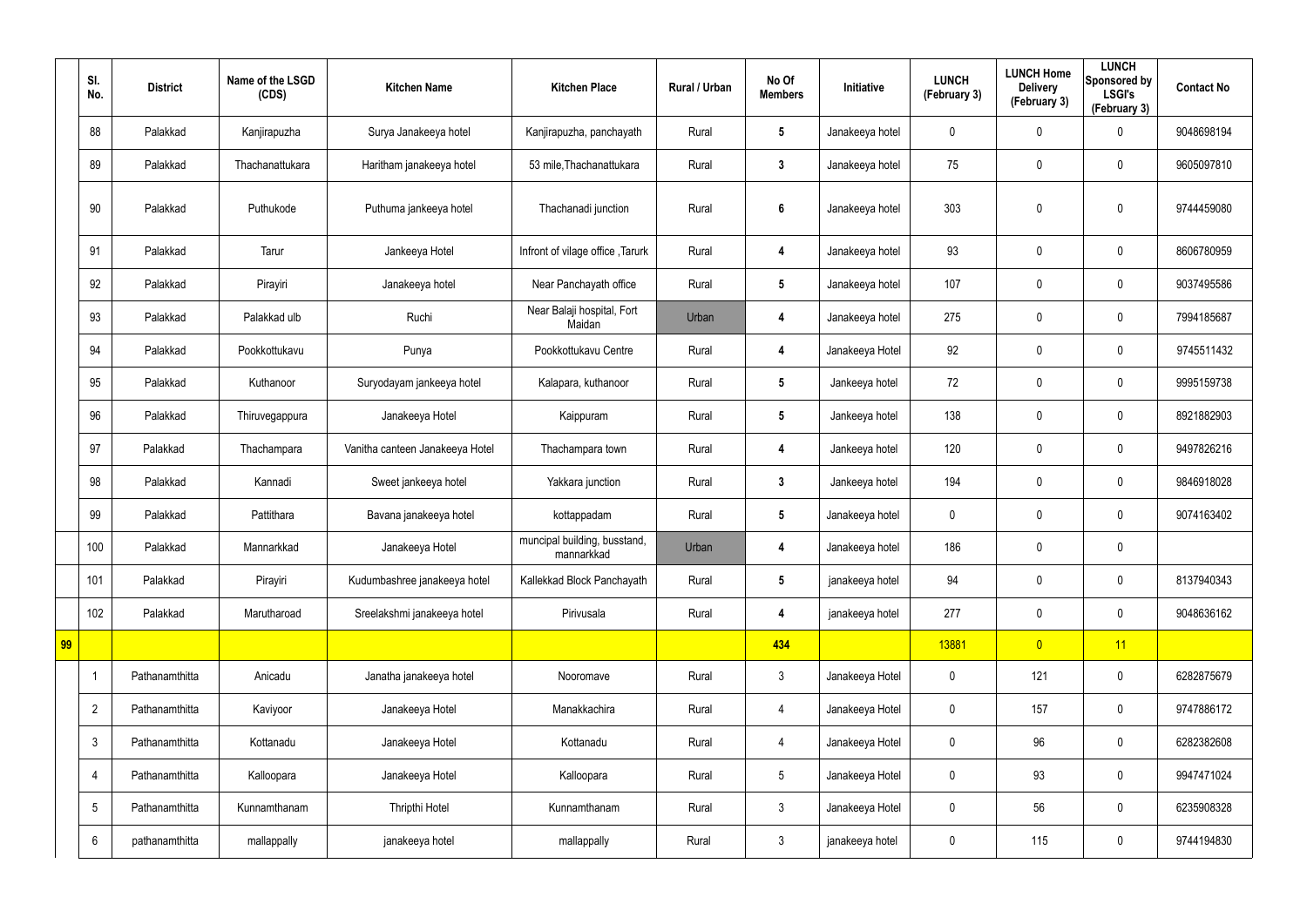|    | SI.<br>No.      | <b>District</b> | Name of the LSGD<br>(CDS) | <b>Kitchen Name</b>             | <b>Kitchen Place</b>                       | Rural / Urban | No Of<br><b>Members</b> | Initiative      | <b>LUNCH</b><br>(February 3) | <b>LUNCH Home</b><br><b>Delivery</b><br>(February 3) | <b>LUNCH</b><br>Sponsored by<br><b>LSGI's</b><br>(February 3) | <b>Contact No</b> |
|----|-----------------|-----------------|---------------------------|---------------------------------|--------------------------------------------|---------------|-------------------------|-----------------|------------------------------|------------------------------------------------------|---------------------------------------------------------------|-------------------|
|    | 88              | Palakkad        | Kanjirapuzha              | Surya Janakeeya hotel           | Kanjirapuzha, panchayath                   | Rural         | $5\overline{)}$         | Janakeeya hotel | 0                            | 0                                                    | $\boldsymbol{0}$                                              | 9048698194        |
|    | 89              | Palakkad        | Thachanattukara           | Haritham janakeeya hotel        | 53 mile, Thachanattukara                   | Rural         | $\mathbf{3}$            | Janakeeya hotel | 75                           | $\boldsymbol{0}$                                     | $\mathbf 0$                                                   | 9605097810        |
|    | 90              | Palakkad        | Puthukode                 | Puthuma jankeeya hotel          | Thachanadi junction                        | Rural         | $6\phantom{1}$          | Janakeeya hotel | 303                          | 0                                                    | $\mathbf 0$                                                   | 9744459080        |
|    | 91              | Palakkad        | Tarur                     | Jankeeya Hotel                  | Infront of vilage office, Tarurk           | Rural         | 4                       | Janakeeya hotel | 93                           | 0                                                    | $\pmb{0}$                                                     | 8606780959        |
|    | 92              | Palakkad        | Pirayiri                  | Janakeeya hotel                 | Near Panchayath office                     | Rural         | $5\phantom{.0}$         | Janakeeya hotel | 107                          | $\boldsymbol{0}$                                     | $\mathbf 0$                                                   | 9037495586        |
|    | 93              | Palakkad        | Palakkad ulb              | Ruchi                           | Near Balaji hospital, Fort<br>Maidan       | Urban         | 4                       | Janakeeya hotel | 275                          | 0                                                    | $\boldsymbol{0}$                                              | 7994185687        |
|    | 94              | Palakkad        | Pookkottukavu             | Punya                           | Pookkottukavu Centre                       | Rural         | 4                       | Janakeeya Hotel | 92                           | $\boldsymbol{0}$                                     | $\mathbf 0$                                                   | 9745511432        |
|    | 95              | Palakkad        | Kuthanoor                 | Suryodayam jankeeya hotel       | Kalapara, kuthanoor                        | Rural         | $5\overline{)}$         | Jankeeya hotel  | 72                           | 0                                                    | $\boldsymbol{0}$                                              | 9995159738        |
|    | 96              | Palakkad        | Thiruvegappura            | Janakeeya Hotel                 | Kaippuram                                  | Rural         | $5\overline{)}$         | Jankeeya hotel  | 138                          | 0                                                    | $\mathbf 0$                                                   | 8921882903        |
|    | 97              | Palakkad        | Thachampara               | Vanitha canteen Janakeeya Hotel | Thachampara town                           | Rural         | 4                       | Jankeeya hotel  | 120                          | 0                                                    | $\boldsymbol{0}$                                              | 9497826216        |
|    | 98              | Palakkad        | Kannadi                   | Sweet jankeeya hotel            | Yakkara junction                           | Rural         | $3\phantom{a}$          | Jankeeya hotel  | 194                          | 0                                                    | $\mathbf 0$                                                   | 9846918028        |
|    | 99              | Palakkad        | Pattithara                | Bavana janakeeya hotel          | kottappadam                                | Rural         | $5\phantom{.0}$         | Janakeeya hotel | 0                            | 0                                                    | $\boldsymbol{0}$                                              | 9074163402        |
|    | 100             | Palakkad        | Mannarkkad                | Janakeeya Hotel                 | muncipal building, busstand,<br>mannarkkad | Urban         | 4                       | Janakeeya hotel | 186                          | 0                                                    | $\mathbf 0$                                                   |                   |
|    | 101             | Palakkad        | Pirayiri                  | Kudumbashree janakeeya hotel    | Kallekkad Block Panchayath                 | Rural         | $5\phantom{.0}$         | janakeeya hotel | 94                           | 0                                                    | $\pmb{0}$                                                     | 8137940343        |
|    | 102             | Palakkad        | Marutharoad               | Sreelakshmi janakeeya hotel     | Pirivusala                                 | Rural         | 4                       | janakeeya hotel | 277                          | $\pmb{0}$                                            | $\pmb{0}$                                                     | 9048636162        |
| 99 |                 |                 |                           |                                 |                                            |               | 434                     |                 | 13881                        | $\overline{0}$                                       | 11                                                            |                   |
|    |                 | Pathanamthitta  | Anicadu                   | Janatha janakeeya hotel         | Nooromave                                  | Rural         | $\mathbf{3}$            | Janakeeya Hotel | 0                            | 121                                                  | $\pmb{0}$                                                     | 6282875679        |
|    | $\overline{2}$  | Pathanamthitta  | Kaviyoor                  | Janakeeya Hotel                 | Manakkachira                               | Rural         | $\overline{4}$          | Janakeeya Hotel | $\pmb{0}$                    | 157                                                  | $\pmb{0}$                                                     | 9747886172        |
|    | $\mathfrak{Z}$  | Pathanamthitta  | Kottanadu                 | Janakeeya Hotel                 | Kottanadu                                  | Rural         | $\overline{4}$          | Janakeeya Hotel | 0                            | 96                                                   | $\pmb{0}$                                                     | 6282382608        |
|    | 4               | Pathanamthitta  | Kalloopara                | Janakeeya Hotel                 | Kalloopara                                 | Rural         | $5\phantom{.0}$         | Janakeeya Hotel | $\mathbf 0$                  | 93                                                   | $\pmb{0}$                                                     | 9947471024        |
|    | $5\phantom{.0}$ | Pathanamthitta  | Kunnamthanam              | Thripthi Hotel                  | Kunnamthanam                               | Rural         | $\mathbf{3}$            | Janakeeya Hotel | 0                            | 56                                                   | $\pmb{0}$                                                     | 6235908328        |
|    | 6               | pathanamthitta  | mallappally               | janakeeya hotel                 | mallappally                                | Rural         | $\mathfrak{Z}$          | janakeeya hotel | 0                            | 115                                                  | $\pmb{0}$                                                     | 9744194830        |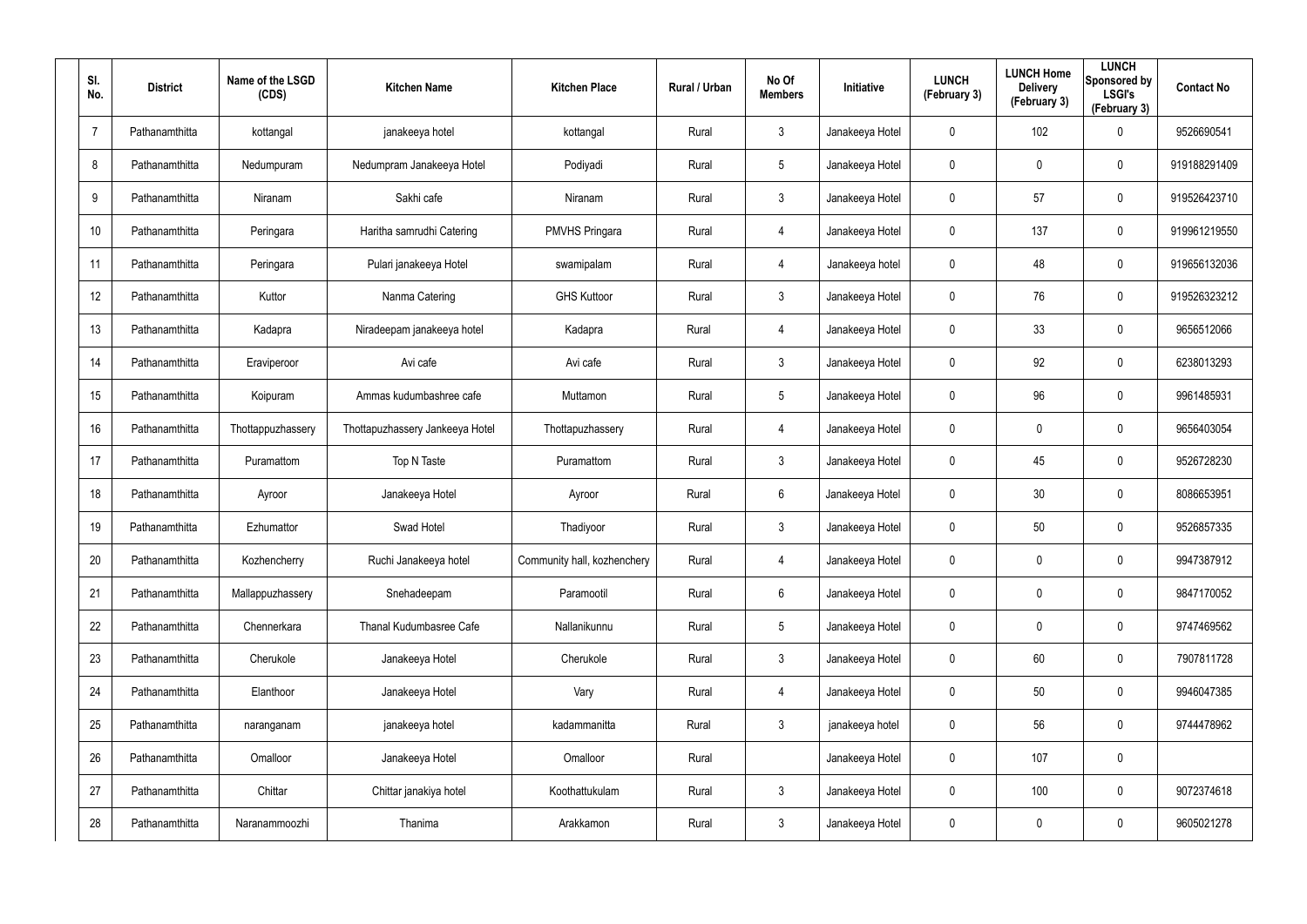| SI.<br>No.     | <b>District</b> | Name of the LSGD<br>(CDS) | <b>Kitchen Name</b>             | <b>Kitchen Place</b>        | <b>Rural / Urban</b> | No Of<br><b>Members</b> | <b>Initiative</b> | <b>LUNCH</b><br>(February 3) | <b>LUNCH Home</b><br><b>Delivery</b><br>(February 3) | <b>LUNCH</b><br>Sponsored by<br><b>LSGI's</b><br>(February 3) | <b>Contact No</b> |
|----------------|-----------------|---------------------------|---------------------------------|-----------------------------|----------------------|-------------------------|-------------------|------------------------------|------------------------------------------------------|---------------------------------------------------------------|-------------------|
| $\overline{7}$ | Pathanamthitta  | kottangal                 | janakeeya hotel                 | kottangal                   | Rural                | $\mathbf{3}$            | Janakeeya Hotel   | $\mathbf 0$                  | 102                                                  | $\mathbf 0$                                                   | 9526690541        |
| 8              | Pathanamthitta  | Nedumpuram                | Nedumpram Janakeeya Hotel       | Podiyadi                    | Rural                | $5\overline{)}$         | Janakeeya Hotel   | $\mathbf 0$                  | 0                                                    | $\mathbf 0$                                                   | 919188291409      |
| 9              | Pathanamthitta  | Niranam                   | Sakhi cafe                      | Niranam                     | Rural                | $\mathfrak{Z}$          | Janakeeya Hotel   | $\mathbf 0$                  | 57                                                   | $\mathbf 0$                                                   | 919526423710      |
| 10             | Pathanamthitta  | Peringara                 | Haritha samrudhi Catering       | <b>PMVHS Pringara</b>       | Rural                | 4                       | Janakeeya Hotel   | $\mathbf 0$                  | 137                                                  | $\mathbf 0$                                                   | 919961219550      |
| 11             | Pathanamthitta  | Peringara                 | Pulari janakeeya Hotel          | swamipalam                  | Rural                | 4                       | Janakeeya hotel   | $\mathbf 0$                  | 48                                                   | $\mathbf 0$                                                   | 919656132036      |
| 12             | Pathanamthitta  | Kuttor                    | Nanma Catering                  | <b>GHS Kuttoor</b>          | Rural                | $\mathbf{3}$            | Janakeeya Hotel   | 0                            | 76                                                   | $\pmb{0}$                                                     | 919526323212      |
| 13             | Pathanamthitta  | Kadapra                   | Niradeepam janakeeya hotel      | Kadapra                     | Rural                | 4                       | Janakeeya Hotel   | 0                            | 33                                                   | $\pmb{0}$                                                     | 9656512066        |
| 14             | Pathanamthitta  | Eraviperoor               | Avi cafe                        | Avi cafe                    | Rural                | $\mathbf{3}$            | Janakeeya Hotel   | 0                            | 92                                                   | $\pmb{0}$                                                     | 6238013293        |
| 15             | Pathanamthitta  | Koipuram                  | Ammas kudumbashree cafe         | Muttamon                    | Rural                | $5\phantom{.0}$         | Janakeeya Hotel   | 0                            | 96                                                   | $\pmb{0}$                                                     | 9961485931        |
| 16             | Pathanamthitta  | Thottappuzhassery         | Thottapuzhassery Jankeeya Hotel | Thottapuzhassery            | Rural                | 4                       | Janakeeya Hotel   | 0                            | 0                                                    | $\pmb{0}$                                                     | 9656403054        |
| 17             | Pathanamthitta  | Puramattom                | Top N Taste                     | Puramattom                  | Rural                | $\mathbf{3}$            | Janakeeya Hotel   | 0                            | 45                                                   | $\pmb{0}$                                                     | 9526728230        |
| 18             | Pathanamthitta  | Ayroor                    | Janakeeya Hotel                 | Ayroor                      | Rural                | $6\phantom{.}6$         | Janakeeya Hotel   | 0                            | 30                                                   | $\mathbf 0$                                                   | 8086653951        |
| 19             | Pathanamthitta  | Ezhumattor                | Swad Hotel                      | Thadiyoor                   | Rural                | $\mathbf{3}$            | Janakeeya Hotel   | 0                            | 50                                                   | $\boldsymbol{0}$                                              | 9526857335        |
| 20             | Pathanamthitta  | Kozhencherry              | Ruchi Janakeeya hotel           | Community hall, kozhenchery | Rural                | 4                       | Janakeeya Hotel   | 0                            | $\pmb{0}$                                            | $\pmb{0}$                                                     | 9947387912        |
| 21             | Pathanamthitta  | Mallappuzhassery          | Snehadeepam                     | Paramootil                  | Rural                | $6\phantom{.}6$         | Janakeeya Hotel   | $\mathbf 0$                  | $\mathbf 0$                                          | $\pmb{0}$                                                     | 9847170052        |
| 22             | Pathanamthitta  | Chennerkara               | Thanal Kudumbasree Cafe         | Nallanikunnu                | Rural                | $5\phantom{.0}$         | Janakeeya Hotel   | $\mathbf 0$                  | $\pmb{0}$                                            | $\pmb{0}$                                                     | 9747469562        |
| 23             | Pathanamthitta  | Cherukole                 | Janakeeya Hotel                 | Cherukole                   | Rural                | $\mathbf{3}$            | Janakeeya Hotel   | $\mathbf 0$                  | 60                                                   | $\pmb{0}$                                                     | 7907811728        |
| 24             | Pathanamthitta  | Elanthoor                 | Janakeeya Hotel                 | Vary                        | Rural                | 4                       | Janakeeya Hotel   | $\mathbf 0$                  | 50                                                   | $\pmb{0}$                                                     | 9946047385        |
| 25             | Pathanamthitta  | naranganam                | janakeeya hotel                 | kadammanitta                | Rural                | $\mathbf{3}$            | janakeeya hotel   | $\mathbf 0$                  | 56                                                   | $\pmb{0}$                                                     | 9744478962        |
| 26             | Pathanamthitta  | Omalloor                  | Janakeeya Hotel                 | Omalloor                    | Rural                |                         | Janakeeya Hotel   | $\mathbf 0$                  | 107                                                  | $\pmb{0}$                                                     |                   |
| 27             | Pathanamthitta  | Chittar                   | Chittar janakiya hotel          | Koothattukulam              | Rural                | $\mathbf{3}$            | Janakeeya Hotel   | $\mathbf 0$                  | 100                                                  | $\pmb{0}$                                                     | 9072374618        |
| 28             | Pathanamthitta  | Naranammoozhi             | Thanima                         | Arakkamon                   | Rural                | $\mathfrak{Z}$          | Janakeeya Hotel   | $\pmb{0}$                    | 0                                                    | $\pmb{0}$                                                     | 9605021278        |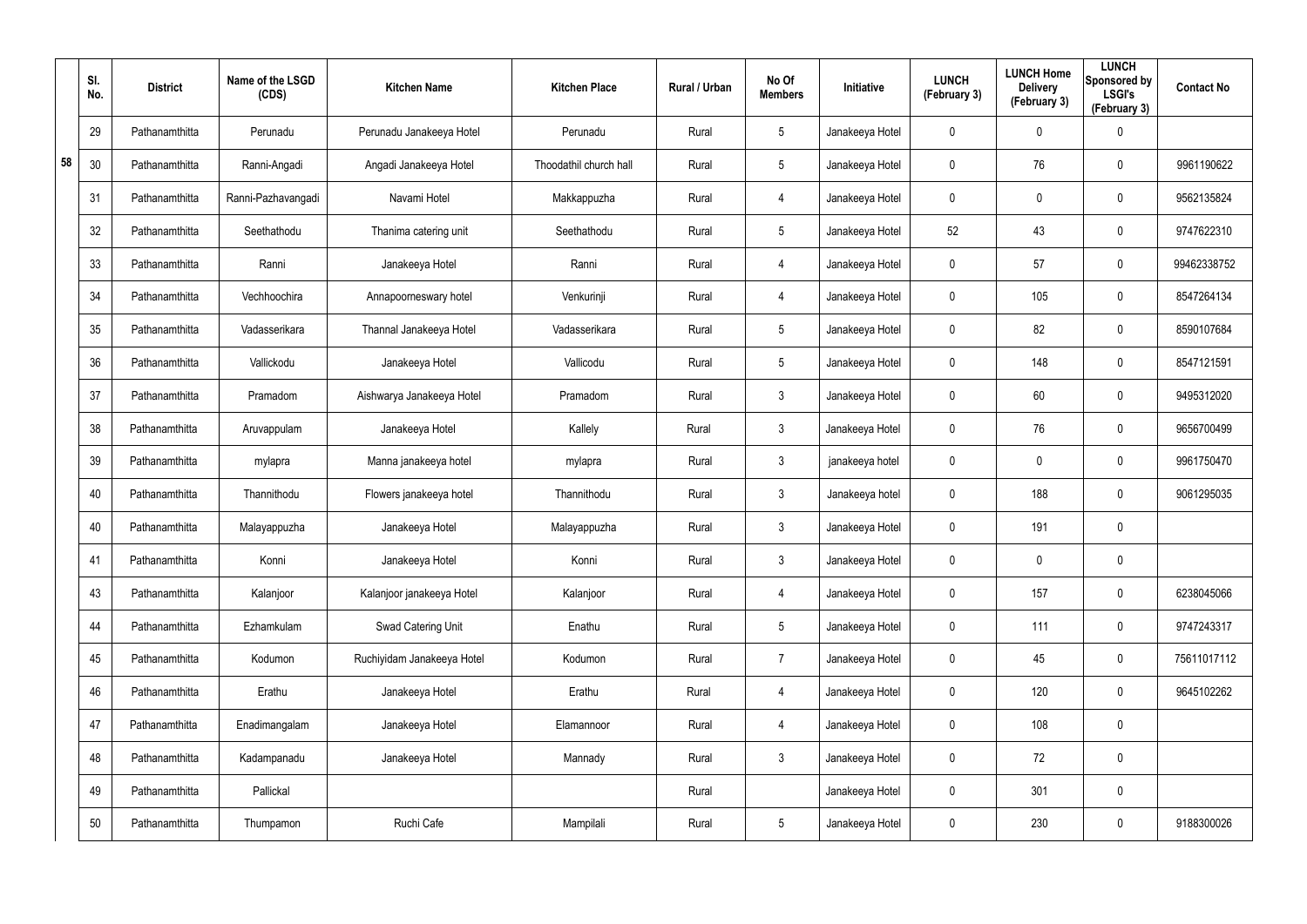|    | SI.<br>No. | <b>District</b> | Name of the LSGD<br>(CDS) | <b>Kitchen Name</b>        | <b>Kitchen Place</b>   | Rural / Urban | No Of<br><b>Members</b> | Initiative      | <b>LUNCH</b><br>(February 3) | <b>LUNCH Home</b><br><b>Delivery</b><br>(February 3) | <b>LUNCH</b><br>Sponsored by<br><b>LSGI's</b><br>(February 3) | <b>Contact No</b> |
|----|------------|-----------------|---------------------------|----------------------------|------------------------|---------------|-------------------------|-----------------|------------------------------|------------------------------------------------------|---------------------------------------------------------------|-------------------|
|    | 29         | Pathanamthitta  | Perunadu                  | Perunadu Janakeeya Hotel   | Perunadu               | Rural         | $5\phantom{.0}$         | Janakeeya Hotel | 0                            | 0                                                    | $\pmb{0}$                                                     |                   |
| 58 | 30         | Pathanamthitta  | Ranni-Angadi              | Angadi Janakeeya Hotel     | Thoodathil church hall | Rural         | $5\phantom{.0}$         | Janakeeya Hotel | 0                            | 76                                                   | $\pmb{0}$                                                     | 9961190622        |
|    | 31         | Pathanamthitta  | Ranni-Pazhavangadi        | Navami Hotel               | Makkappuzha            | Rural         | 4                       | Janakeeya Hotel | 0                            | 0                                                    | $\pmb{0}$                                                     | 9562135824        |
|    | 32         | Pathanamthitta  | Seethathodu               | Thanima catering unit      | Seethathodu            | Rural         | $5\phantom{.0}$         | Janakeeya Hotel | 52                           | 43                                                   | $\boldsymbol{0}$                                              | 9747622310        |
|    | 33         | Pathanamthitta  | Ranni                     | Janakeeya Hotel            | Ranni                  | Rural         | 4                       | Janakeeya Hotel | 0                            | 57                                                   | $\pmb{0}$                                                     | 99462338752       |
|    | 34         | Pathanamthitta  | Vechhoochira              | Annapoorneswary hotel      | Venkurinji             | Rural         | $\overline{4}$          | Janakeeya Hotel | 0                            | 105                                                  | $\boldsymbol{0}$                                              | 8547264134        |
|    | 35         | Pathanamthitta  | Vadasserikara             | Thannal Janakeeya Hotel    | Vadasserikara          | Rural         | $5\phantom{.0}$         | Janakeeya Hotel | 0                            | 82                                                   | $\pmb{0}$                                                     | 8590107684        |
|    | 36         | Pathanamthitta  | Vallickodu                | Janakeeya Hotel            | Vallicodu              | Rural         | $5\phantom{.0}$         | Janakeeya Hotel | 0                            | 148                                                  | $\boldsymbol{0}$                                              | 8547121591        |
|    | 37         | Pathanamthitta  | Pramadom                  | Aishwarya Janakeeya Hotel  | Pramadom               | Rural         | $\mathbf{3}$            | Janakeeya Hotel | 0                            | 60                                                   | $\boldsymbol{0}$                                              | 9495312020        |
|    | 38         | Pathanamthitta  | Aruvappulam               | Janakeeya Hotel            | Kallely                | Rural         | $\mathbf{3}$            | Janakeeya Hotel | 0                            | 76                                                   | $\boldsymbol{0}$                                              | 9656700499        |
|    | 39         | Pathanamthitta  | mylapra                   | Manna janakeeya hotel      | mylapra                | Rural         | $\mathbf{3}$            | janakeeya hotel | 0                            | 0                                                    | $\pmb{0}$                                                     | 9961750470        |
|    | 40         | Pathanamthitta  | Thannithodu               | Flowers janakeeya hotel    | Thannithodu            | Rural         | $\mathbf{3}$            | Janakeeya hotel | 0                            | 188                                                  | $\boldsymbol{0}$                                              | 9061295035        |
|    | 40         | Pathanamthitta  | Malayappuzha              | Janakeeya Hotel            | Malayappuzha           | Rural         | $\mathbf{3}$            | Janakeeya Hotel | 0                            | 191                                                  | $\pmb{0}$                                                     |                   |
|    | 41         | Pathanamthitta  | Konni                     | Janakeeya Hotel            | Konni                  | Rural         | $\mathfrak{Z}$          | Janakeeya Hotel | 0                            | $\pmb{0}$                                            | $\pmb{0}$                                                     |                   |
|    | 43         | Pathanamthitta  | Kalanjoor                 | Kalanjoor janakeeya Hotel  | Kalanjoor              | Rural         | $\overline{4}$          | Janakeeya Hotel | 0                            | 157                                                  | $\mathbf 0$                                                   | 6238045066        |
|    | 44         | Pathanamthitta  | Ezhamkulam                | Swad Catering Unit         | Enathu                 | Rural         | 5 <sup>5</sup>          | Janakeeya Hotel | 0                            | 111                                                  | $\mathbf 0$                                                   | 9747243317        |
|    | 45         | Pathanamthitta  | Kodumon                   | Ruchiyidam Janakeeya Hotel | Kodumon                | Rural         | $\overline{7}$          | Janakeeya Hotel | 0                            | 45                                                   | $\mathbf 0$                                                   | 75611017112       |
|    | 46         | Pathanamthitta  | Erathu                    | Janakeeya Hotel            | Erathu                 | Rural         | $\overline{4}$          | Janakeeya Hotel | 0                            | 120                                                  | $\mathbf 0$                                                   | 9645102262        |
|    | 47         | Pathanamthitta  | Enadimangalam             | Janakeeya Hotel            | Elamannoor             | Rural         | $\overline{4}$          | Janakeeya Hotel | 0                            | 108                                                  | $\mathbf 0$                                                   |                   |
|    | 48         | Pathanamthitta  | Kadampanadu               | Janakeeya Hotel            | Mannady                | Rural         | 3 <sup>1</sup>          | Janakeeya Hotel | 0                            | 72                                                   | $\mathbf 0$                                                   |                   |
|    | 49         | Pathanamthitta  | Pallickal                 |                            |                        | Rural         |                         | Janakeeya Hotel | 0                            | 301                                                  | $\pmb{0}$                                                     |                   |
|    | 50         | Pathanamthitta  | Thumpamon                 | Ruchi Cafe                 | Mampilali              | Rural         | $5\phantom{.0}$         | Janakeeya Hotel | 0                            | 230                                                  | $\pmb{0}$                                                     | 9188300026        |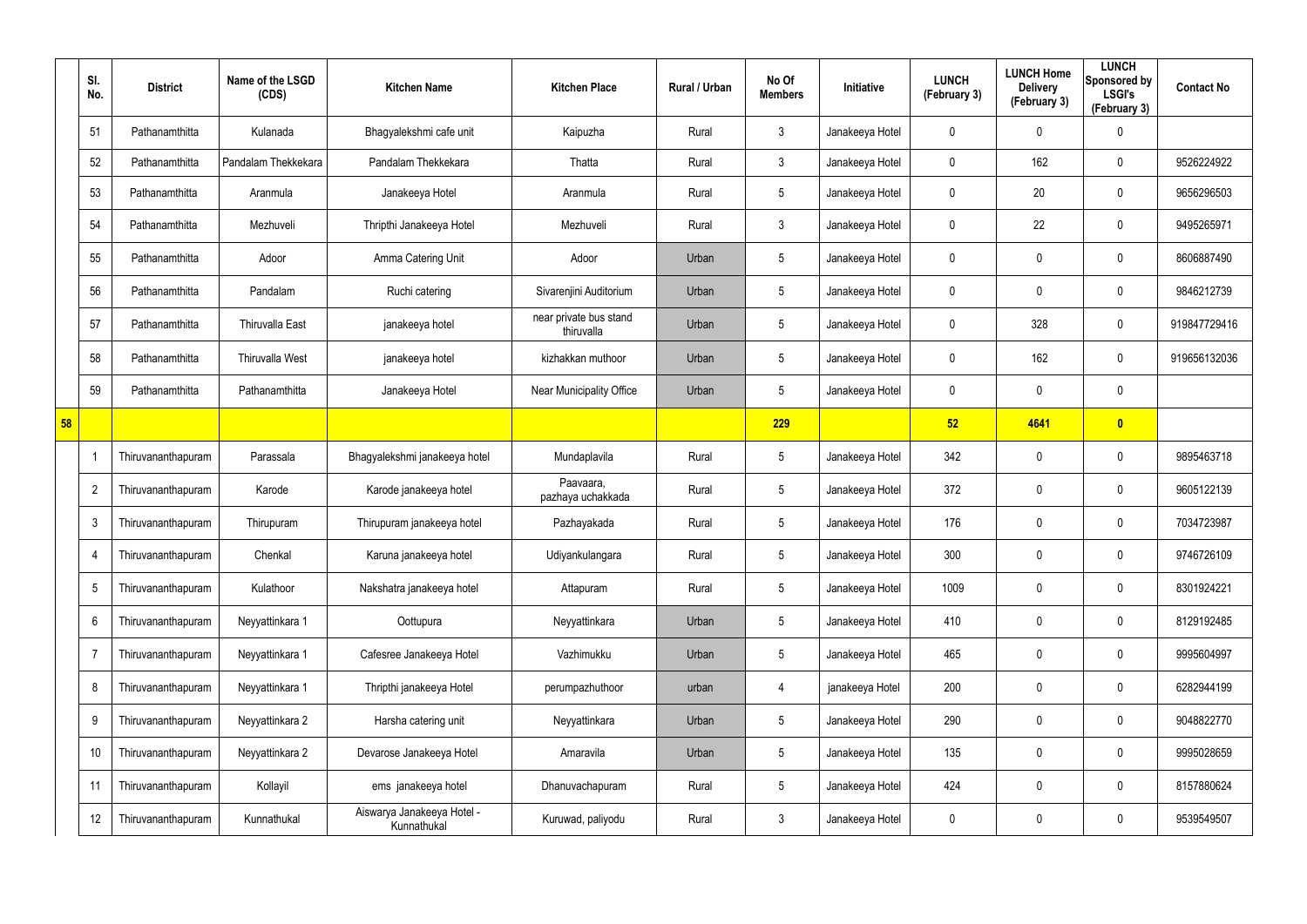|    | SI.<br>No.               | <b>District</b>    | Name of the LSGD<br>(CDS) | <b>Kitchen Name</b>                       | <b>Kitchen Place</b>                 | <b>Rural / Urban</b> | No Of<br><b>Members</b> | Initiative      | <b>LUNCH</b><br>(February 3) | <b>LUNCH Home</b><br><b>Delivery</b><br>(February 3) | <b>LUNCH</b><br>Sponsored by<br><b>LSGI's</b><br>(February 3) | <b>Contact No</b> |
|----|--------------------------|--------------------|---------------------------|-------------------------------------------|--------------------------------------|----------------------|-------------------------|-----------------|------------------------------|------------------------------------------------------|---------------------------------------------------------------|-------------------|
|    | 51                       | Pathanamthitta     | Kulanada                  | Bhagyalekshmi cafe unit                   | Kaipuzha                             | Rural                | $\mathbf{3}$            | Janakeeya Hotel | 0                            | 0                                                    | 0                                                             |                   |
|    | 52                       | Pathanamthitta     | Pandalam Thekkekara       | Pandalam Thekkekara                       | Thatta                               | Rural                | $\mathbf{3}$            | Janakeeya Hotel | $\mathbf 0$                  | 162                                                  | $\mathbf 0$                                                   | 9526224922        |
|    | 53                       | Pathanamthitta     | Aranmula                  | Janakeeya Hotel                           | Aranmula                             | Rural                | $5\overline{)}$         | Janakeeya Hotel | 0                            | 20                                                   | $\mathbf 0$                                                   | 9656296503        |
|    | 54                       | Pathanamthitta     | Mezhuveli                 | Thripthi Janakeeya Hotel                  | Mezhuveli                            | Rural                | $\mathbf{3}$            | Janakeeya Hotel | 0                            | 22                                                   | $\boldsymbol{0}$                                              | 9495265971        |
|    | 55                       | Pathanamthitta     | Adoor                     | Amma Catering Unit                        | Adoor                                | Urban                | $5\phantom{.0}$         | Janakeeya Hotel | 0                            | 0                                                    | $\mathbf 0$                                                   | 8606887490        |
|    | 56                       | Pathanamthitta     | Pandalam                  | Ruchi catering                            | Sivarenjini Auditorium               | Urban                | $5\phantom{.0}$         | Janakeeya Hotel | 0                            | 0                                                    | $\boldsymbol{0}$                                              | 9846212739        |
|    | 57                       | Pathanamthitta     | <b>Thiruvalla East</b>    | janakeeya hotel                           | near private bus stand<br>thiruvalla | Urban                | $5\phantom{.0}$         | Janakeeya Hotel | 0                            | 328                                                  | $\mathbf 0$                                                   | 919847729416      |
|    | 58                       | Pathanamthitta     | Thiruvalla West           | janakeeya hotel                           | kizhakkan muthoor                    | Urban                | $5\phantom{.0}$         | Janakeeya Hotel | 0                            | 162                                                  | $\mathbf 0$                                                   | 919656132036      |
|    | 59                       | Pathanamthitta     | Pathanamthitta            | Janakeeya Hotel                           | Near Municipality Office             | Urban                | $5\phantom{.0}$         | Janakeeya Hotel | 0                            | 0                                                    | $\mathbf 0$                                                   |                   |
| 58 |                          |                    |                           |                                           |                                      |                      | 229                     |                 | 52                           | 4641                                                 | $\bullet$                                                     |                   |
|    | $\overline{\phantom{a}}$ | Thiruvananthapuram | Parassala                 | Bhagyalekshmi janakeeya hotel             | Mundaplavila                         | Rural                | $5\phantom{.0}$         | Janakeeya Hotel | 342                          | $\boldsymbol{0}$                                     | $\boldsymbol{0}$                                              | 9895463718        |
|    | $\overline{2}$           | Thiruvananthapuram | Karode                    | Karode janakeeya hotel                    | Paavaara,<br>pazhaya uchakkada       | Rural                | $5\phantom{.0}$         | Janakeeya Hotel | 372                          | $\boldsymbol{0}$                                     | $\mathbf 0$                                                   | 9605122139        |
|    | 3                        | Thiruvananthapuram | Thirupuram                | Thirupuram janakeeya hotel                | Pazhayakada                          | Rural                | $5\phantom{.0}$         | Janakeeya Hotel | 176                          | $\boldsymbol{0}$                                     | $\boldsymbol{0}$                                              | 7034723987        |
|    | -4                       | Thiruvananthapuram | Chenkal                   | Karuna janakeeya hotel                    | Udiyankulangara                      | Rural                | $5\phantom{.0}$         | Janakeeya Hotel | 300                          | $\boldsymbol{0}$                                     | $\mathbf 0$                                                   | 9746726109        |
|    | $5\phantom{.0}$          | Thiruvananthapuram | Kulathoor                 | Nakshatra janakeeya hotel                 | Attapuram                            | Rural                | $5\phantom{.0}$         | Janakeeya Hotel | 1009                         | 0                                                    | $\pmb{0}$                                                     | 8301924221        |
|    | 6                        | Thiruvananthapuram | Neyyattinkara 1           | Oottupura                                 | Neyyattinkara                        | Urban                | $5\phantom{.0}$         | Janakeeya Hotel | 410                          | $\boldsymbol{0}$                                     | $\pmb{0}$                                                     | 8129192485        |
|    | $\overline{7}$           | Thiruvananthapuram | Neyyattinkara 1           | Cafesree Janakeeya Hotel                  | Vazhimukku                           | Urban                | $5\phantom{.0}$         | Janakeeya Hotel | 465                          | 0                                                    | $\pmb{0}$                                                     | 9995604997        |
|    | 8                        | Thiruvananthapuram | Neyyattinkara 1           | Thripthi janakeeya Hotel                  | perumpazhuthoor                      | urban                | 4                       | janakeeya Hotel | 200                          | $\boldsymbol{0}$                                     | $\pmb{0}$                                                     | 6282944199        |
|    | 9                        | Thiruvananthapuram | Neyyattinkara 2           | Harsha catering unit                      | Neyyattinkara                        | Urban                | $5\phantom{.0}$         | Janakeeya Hotel | 290                          | 0                                                    | $\pmb{0}$                                                     | 9048822770        |
|    | 10                       | Thiruvananthapuram | Neyyattinkara 2           | Devarose Janakeeya Hotel                  | Amaravila                            | Urban                | $5\phantom{.0}$         | Janakeeya Hotel | 135                          | $\boldsymbol{0}$                                     | $\pmb{0}$                                                     | 9995028659        |
|    | 11                       | Thiruvananthapuram | Kollayil                  | ems janakeeya hotel                       | Dhanuvachapuram                      | Rural                | $5\phantom{.0}$         | Janakeeya Hotel | 424                          | $\boldsymbol{0}$                                     | $\pmb{0}$                                                     | 8157880624        |
|    | 12                       | Thiruvananthapuram | Kunnathukal               | Aiswarya Janakeeya Hotel -<br>Kunnathukal | Kuruwad, paliyodu                    | Rural                | $\mathfrak{Z}$          | Janakeeya Hotel | 0                            | 0                                                    | $\pmb{0}$                                                     | 9539549507        |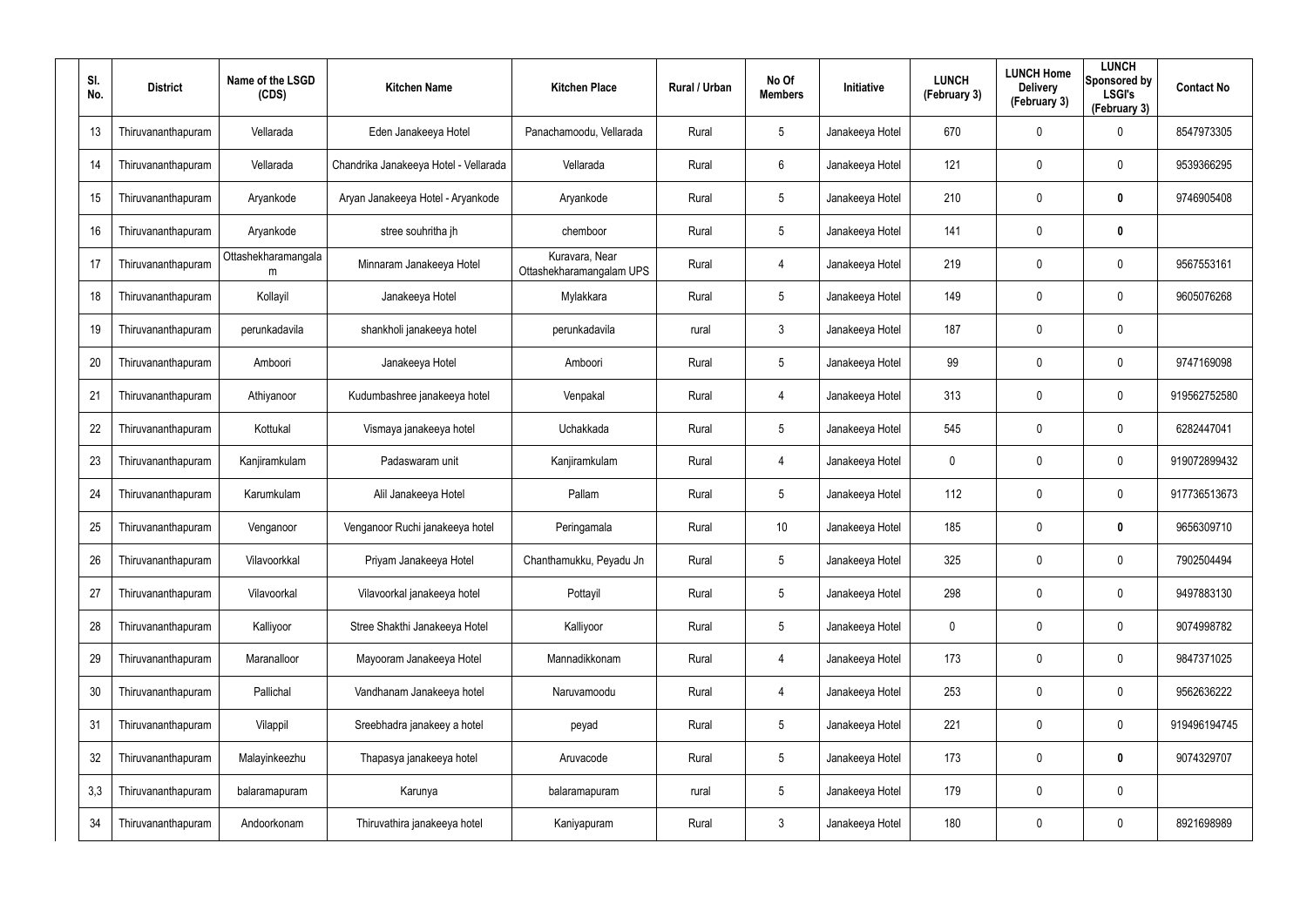| SI.<br>No. | <b>District</b>    | Name of the LSGD<br>(CDS) | <b>Kitchen Name</b>                   | <b>Kitchen Place</b>                       | Rural / Urban | No Of<br><b>Members</b> | Initiative      | <b>LUNCH</b><br>(February 3) | <b>LUNCH Home</b><br><b>Delivery</b><br>(February 3) | <b>LUNCH</b><br>Sponsored by<br><b>LSGI's</b><br>(February 3) | <b>Contact No</b> |
|------------|--------------------|---------------------------|---------------------------------------|--------------------------------------------|---------------|-------------------------|-----------------|------------------------------|------------------------------------------------------|---------------------------------------------------------------|-------------------|
| 13         | Thiruvananthapuram | Vellarada                 | Eden Janakeeya Hotel                  | Panachamoodu, Vellarada                    | Rural         | $5\phantom{.0}$         | Janakeeya Hotel | 670                          | 0                                                    | $\mathbf 0$                                                   | 8547973305        |
| 14         | Thiruvananthapuram | Vellarada                 | Chandrika Janakeeya Hotel - Vellarada | Vellarada                                  | Rural         | 6                       | Janakeeya Hotel | 121                          | 0                                                    | $\pmb{0}$                                                     | 9539366295        |
| 15         | Thiruvananthapuram | Aryankode                 | Aryan Janakeeya Hotel - Aryankode     | Aryankode                                  | Rural         | $5\phantom{.0}$         | Janakeeya Hotel | 210                          | 0                                                    | $\bm{0}$                                                      | 9746905408        |
| 16         | Thiruvananthapuram | Aryankode                 | stree souhritha jh                    | chemboor                                   | Rural         | $5\phantom{.0}$         | Janakeeya Hotel | 141                          | 0                                                    | $\mathbf 0$                                                   |                   |
| 17         | Thiruvananthapuram | Ottashekharamangala<br>m  | Minnaram Janakeeya Hotel              | Kuravara, Near<br>Ottashekharamangalam UPS | Rural         | 4                       | Janakeeya Hotel | 219                          | 0                                                    | $\mathbf 0$                                                   | 9567553161        |
| 18         | Thiruvananthapuram | Kollayil                  | Janakeeya Hotel                       | Mylakkara                                  | Rural         | $5\overline{)}$         | Janakeeya Hotel | 149                          | 0                                                    | $\mathbf 0$                                                   | 9605076268        |
| 19         | Thiruvananthapuram | perunkadavila             | shankholi janakeeya hotel             | perunkadavila                              | rural         | $\mathbf{3}$            | Janakeeya Hotel | 187                          | 0                                                    | $\pmb{0}$                                                     |                   |
| 20         | Thiruvananthapuram | Amboori                   | Janakeeya Hotel                       | Amboori                                    | Rural         | $5\phantom{.0}$         | Janakeeya Hotel | 99                           | 0                                                    | $\mathbf 0$                                                   | 9747169098        |
| 21         | Thiruvananthapuram | Athiyanoor                | Kudumbashree janakeeya hotel          | Venpakal                                   | Rural         | 4                       | Janakeeya Hotel | 313                          | 0                                                    | $\pmb{0}$                                                     | 919562752580      |
| 22         | Thiruvananthapuram | Kottukal                  | Vismaya janakeeya hotel               | Uchakkada                                  | Rural         | $5\phantom{.0}$         | Janakeeya Hotel | 545                          | 0                                                    | $\mathbf 0$                                                   | 6282447041        |
| 23         | Thiruvananthapuram | Kanjiramkulam             | Padaswaram unit                       | Kanjiramkulam                              | Rural         | 4                       | Janakeeya Hotel | 0                            | 0                                                    | $\pmb{0}$                                                     | 919072899432      |
| 24         | Thiruvananthapuram | Karumkulam                | Alil Janakeeya Hotel                  | Pallam                                     | Rural         | $5\phantom{.0}$         | Janakeeya Hotel | 112                          | 0                                                    | $\mathbf 0$                                                   | 917736513673      |
| 25         | Thiruvananthapuram | Venganoor                 | Venganoor Ruchi janakeeya hotel       | Peringamala                                | Rural         | 10                      | Janakeeya Hotel | 185                          | 0                                                    | $\bf{0}$                                                      | 9656309710        |
| 26         | Thiruvananthapuram | Vilavoorkkal              | Priyam Janakeeya Hotel                | Chanthamukku, Peyadu Jn                    | Rural         | 5                       | Janakeeya Hotel | 325                          | 0                                                    | $\pmb{0}$                                                     | 7902504494        |
| 27         | Thiruvananthapuram | Vilavoorkal               | Vilavoorkal janakeeya hotel           | Pottayil                                   | Rural         | $5\phantom{.0}$         | Janakeeya Hotel | 298                          | 0                                                    | $\pmb{0}$                                                     | 9497883130        |
| 28         | Thiruvananthapuram | Kalliyoor                 | Stree Shakthi Janakeeya Hotel         | Kalliyoor                                  | Rural         | $5\phantom{.0}$         | Janakeeya Hotel | $\mathbf 0$                  | 0                                                    | $\pmb{0}$                                                     | 9074998782        |
| 29         | Thiruvananthapuram | Maranalloor               | Mayooram Janakeeya Hotel              | Mannadikkonam                              | Rural         | 4                       | Janakeeya Hotel | 173                          | 0                                                    | $\pmb{0}$                                                     | 9847371025        |
| 30         | Thiruvananthapuram | Pallichal                 | Vandhanam Janakeeya hotel             | Naruvamoodu                                | Rural         | 4                       | Janakeeya Hotel | 253                          | 0                                                    | $\pmb{0}$                                                     | 9562636222        |
| 31         | Thiruvananthapuram | Vilappil                  | Sreebhadra janakeey a hotel           | peyad                                      | Rural         | $5\phantom{.0}$         | Janakeeya Hotel | 221                          | 0                                                    | $\pmb{0}$                                                     | 919496194745      |
| 32         | Thiruvananthapuram | Malayinkeezhu             | Thapasya janakeeya hotel              | Aruvacode                                  | Rural         | $5\phantom{.0}$         | Janakeeya Hotel | 173                          | 0                                                    | $\mathbf 0$                                                   | 9074329707        |
| 3,3        | Thiruvananthapuram | balaramapuram             | Karunya                               | balaramapuram                              | rural         | $5\phantom{.0}$         | Janakeeya Hotel | 179                          | 0                                                    | $\pmb{0}$                                                     |                   |
| 34         | Thiruvananthapuram | Andoorkonam               | Thiruvathira janakeeya hotel          | Kaniyapuram                                | Rural         | $\mathfrak{Z}$          | Janakeeya Hotel | 180                          | 0                                                    | $\pmb{0}$                                                     | 8921698989        |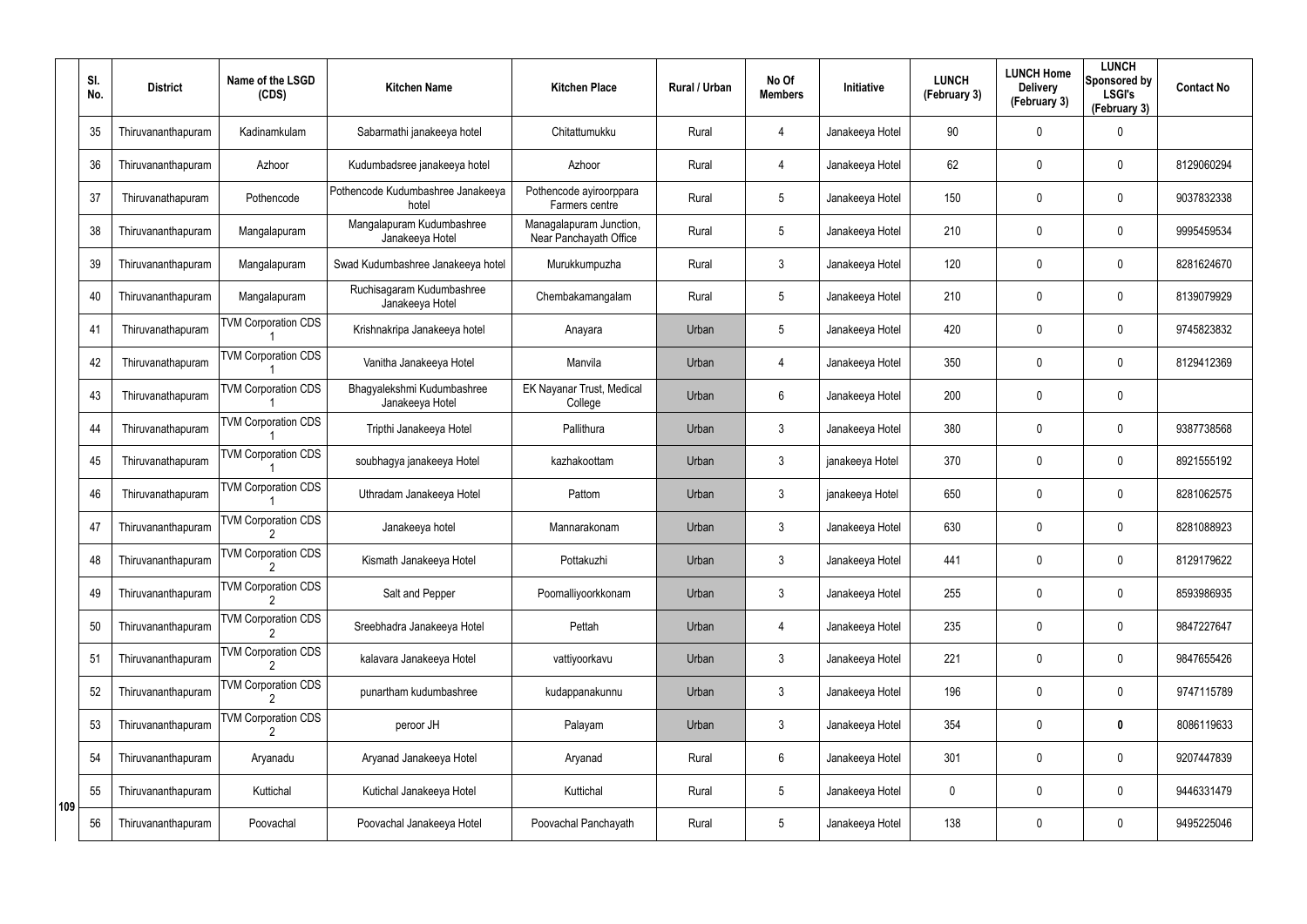|     | SI.<br>No. | <b>District</b>    | Name of the LSGD<br>(CDS)  | <b>Kitchen Name</b>                           | <b>Kitchen Place</b>                              | Rural / Urban | No Of<br><b>Members</b> | Initiative      | <b>LUNCH</b><br>(February 3) | <b>LUNCH Home</b><br><b>Delivery</b><br>(February 3) | <b>LUNCH</b><br>Sponsored by<br><b>LSGI's</b><br>(February 3) | <b>Contact No</b> |
|-----|------------|--------------------|----------------------------|-----------------------------------------------|---------------------------------------------------|---------------|-------------------------|-----------------|------------------------------|------------------------------------------------------|---------------------------------------------------------------|-------------------|
|     | 35         | Thiruvananthapuram | Kadinamkulam               | Sabarmathi janakeeya hotel                    | Chitattumukku                                     | Rural         | 4                       | Janakeeya Hotel | 90                           | 0                                                    | $\mathbf 0$                                                   |                   |
|     | 36         | Thiruvananthapuram | Azhoor                     | Kudumbadsree janakeeya hotel                  | Azhoor                                            | Rural         | 4                       | Janakeeya Hotel | 62                           | 0                                                    | $\mathbf 0$                                                   | 8129060294        |
|     | 37         | Thiruvanathapuram  | Pothencode                 | Pothencode Kudumbashree Janakeeya<br>hotel    | Pothencode ayiroorppara<br>Farmers centre         | Rural         | $5\phantom{.0}$         | Janakeeya Hotel | 150                          | 0                                                    | $\mathbf 0$                                                   | 9037832338        |
|     | 38         | Thiruvananthapuram | Mangalapuram               | Mangalapuram Kudumbashree<br>Janakeeya Hotel  | Managalapuram Junction,<br>Near Panchayath Office | Rural         | $5\overline{)}$         | Janakeeya Hotel | 210                          | 0                                                    | $\mathbf 0$                                                   | 9995459534        |
|     | 39         | Thiruvananthapuram | Mangalapuram               | Swad Kudumbashree Janakeeya hotel             | Murukkumpuzha                                     | Rural         | $\mathbf{3}$            | Janakeeya Hotel | 120                          | 0                                                    | $\mathbf 0$                                                   | 8281624670        |
|     | 40         | Thiruvananthapuram | Mangalapuram               | Ruchisagaram Kudumbashree<br>Janakeeya Hotel  | Chembakamangalam                                  | Rural         | $5\overline{)}$         | Janakeeya Hotel | 210                          | 0                                                    | $\mathbf 0$                                                   | 8139079929        |
|     | 41         | Thiruvanathapuram  | <b>TVM Corporation CDS</b> | Krishnakripa Janakeeya hotel                  | Anayara                                           | Urban         | $5\phantom{.0}$         | Janakeeya Hotel | 420                          | 0                                                    | $\mathbf 0$                                                   | 9745823832        |
|     | 42         | Thiruvanathapuram  | <b>TVM Corporation CDS</b> | Vanitha Janakeeya Hotel                       | Manvila                                           | Urban         | 4                       | Janakeeya Hotel | 350                          | 0                                                    | $\mathbf 0$                                                   | 8129412369        |
|     | 43         | Thiruvanathapuram  | <b>TVM Corporation CDS</b> | Bhagyalekshmi Kudumbashree<br>Janakeeya Hotel | EK Nayanar Trust, Medical<br>College              | Urban         | $6\phantom{.}$          | Janakeeya Hotel | 200                          | 0                                                    | $\mathbf 0$                                                   |                   |
|     | 44         | Thiruvanathapuram  | <b>TVM Corporation CDS</b> | Tripthi Janakeeya Hotel                       | Pallithura                                        | Urban         | 3                       | Janakeeya Hotel | 380                          | 0                                                    | $\mathbf 0$                                                   | 9387738568        |
|     | 45         | Thiruvanathapuram  | <b>TVM Corporation CDS</b> | soubhagya janakeeya Hotel                     | kazhakoottam                                      | Urban         | 3                       | janakeeya Hotel | 370                          | 0                                                    | $\mathbf 0$                                                   | 8921555192        |
|     | 46         | Thiruvanathapuram  | <b>TVM Corporation CDS</b> | Uthradam Janakeeya Hotel                      | Pattom                                            | Urban         | 3                       | janakeeya Hotel | 650                          | 0                                                    | $\mathbf 0$                                                   | 8281062575        |
|     | 47         | Thiruvananthapuram | <b>TVM Corporation CDS</b> | Janakeeya hotel                               | Mannarakonam                                      | Urban         | 3                       | Janakeeya Hotel | 630                          | 0                                                    | $\mathbf 0$                                                   | 8281088923        |
|     | 48         | Thiruvananthapuram | <b>TVM Corporation CDS</b> | Kismath Janakeeya Hotel                       | Pottakuzhi                                        | Urban         | 3                       | Janakeeya Hotel | 441                          | 0                                                    | 0                                                             | 8129179622        |
|     | 49         | Thiruvananthapuram | <b>TVM Corporation CDS</b> | Salt and Pepper                               | Poomalliyoorkkonam                                | Urban         | $\mathfrak{Z}$          | Janakeeya Hotel | 255                          | 0                                                    | 0                                                             | 8593986935        |
|     | 50         | Thiruvananthapuram | <b>TVM Corporation CDS</b> | Sreebhadra Janakeeya Hotel                    | Pettah                                            | Urban         | 4                       | Janakeeya Hotel | 235                          | $\pmb{0}$                                            | $\pmb{0}$                                                     | 9847227647        |
|     | 51         | Thiruvananthapuram | <b>TVM Corporation CDS</b> | kalavara Janakeeya Hotel                      | vattiyoorkavu                                     | Urban         | $\mathfrak{Z}$          | Janakeeya Hotel | 221                          | 0                                                    | $\pmb{0}$                                                     | 9847655426        |
|     | 52         | Thiruvananthapuram | <b>TVM Corporation CDS</b> | punartham kudumbashree                        | kudappanakunnu                                    | Urban         | $\mathfrak{Z}$          | Janakeeya Hotel | 196                          | 0                                                    | 0                                                             | 9747115789        |
|     | 53         | Thiruvananthapuram | <b>TVM Corporation CDS</b> | peroor JH                                     | Palayam                                           | Urban         | $\mathbf{3}$            | Janakeeya Hotel | 354                          | 0                                                    | $\pmb{0}$                                                     | 8086119633        |
|     | 54         | Thiruvananthapuram | Aryanadu                   | Aryanad Janakeeya Hotel                       | Aryanad                                           | Rural         | 6                       | Janakeeya Hotel | 301                          | 0                                                    | 0                                                             | 9207447839        |
| 109 | 55         | Thiruvananthapuram | Kuttichal                  | Kutichal Janakeeya Hotel                      | Kuttichal                                         | Rural         | $5\phantom{.0}$         | Janakeeya Hotel | 0                            | 0                                                    | 0                                                             | 9446331479        |
|     | 56         | Thiruvananthapuram | Poovachal                  | Poovachal Janakeeya Hotel                     | Poovachal Panchayath                              | Rural         | $5\phantom{.0}$         | Janakeeya Hotel | 138                          | 0                                                    | 0                                                             | 9495225046        |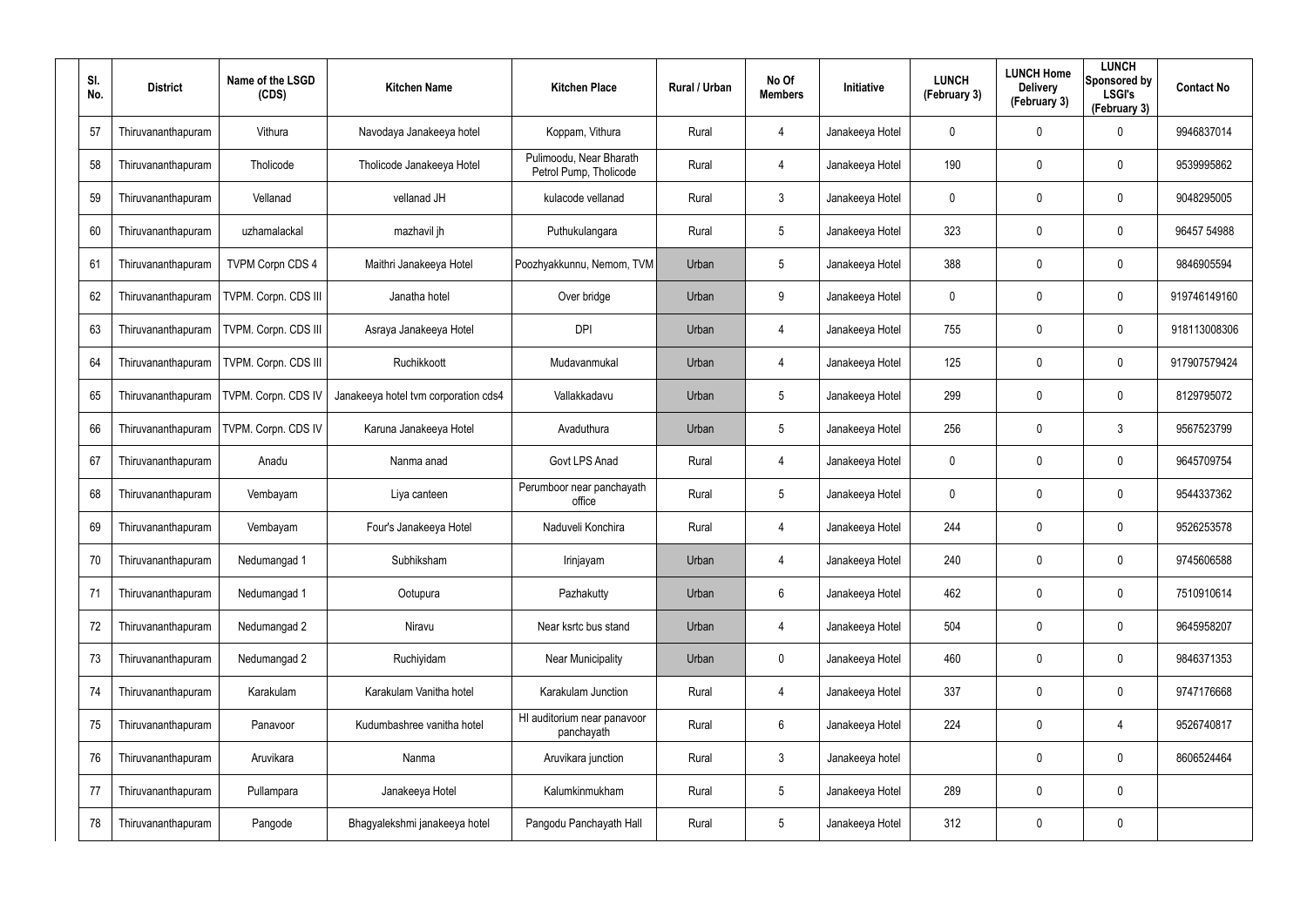| SI.<br>No. | <b>District</b>    | Name of the LSGD<br>(CDS) | <b>Kitchen Name</b>                  | <b>Kitchen Place</b>                              | <b>Rural / Urban</b> | No Of<br><b>Members</b> | Initiative      | <b>LUNCH</b><br>(February 3) | <b>LUNCH Home</b><br><b>Delivery</b><br>(February 3) | <b>LUNCH</b><br>Sponsored by<br><b>LSGI's</b><br>(February 3) | <b>Contact No</b> |
|------------|--------------------|---------------------------|--------------------------------------|---------------------------------------------------|----------------------|-------------------------|-----------------|------------------------------|------------------------------------------------------|---------------------------------------------------------------|-------------------|
| 57         | Thiruvananthapuram | Vithura                   | Navodaya Janakeeya hotel             | Koppam, Vithura                                   | Rural                | 4                       | Janakeeya Hotel | 0                            | 0                                                    | $\mathbf 0$                                                   | 9946837014        |
| 58         | Thiruvananthapuram | Tholicode                 | Tholicode Janakeeya Hotel            | Pulimoodu, Near Bharath<br>Petrol Pump, Tholicode | Rural                | 4                       | Janakeeya Hotel | 190                          | 0                                                    | $\mathbf 0$                                                   | 9539995862        |
| 59         | Thiruvananthapuram | Vellanad                  | vellanad JH                          | kulacode vellanad                                 | Rural                | $\mathbf{3}$            | Janakeeya Hotel | 0                            | 0                                                    | $\mathbf 0$                                                   | 9048295005        |
| 60         | Thiruvananthapuram | uzhamalackal              | mazhavil jh                          | Puthukulangara                                    | Rural                | $5\overline{)}$         | Janakeeya Hotel | 323                          | 0                                                    | $\mathbf 0$                                                   | 96457 54988       |
| 61         | Thiruvananthapuram | <b>TVPM Corpn CDS 4</b>   | Maithri Janakeeya Hotel              | Poozhyakkunnu, Nemom, TVM                         | Urban                | 5                       | Janakeeya Hotel | 388                          | $\mathbf 0$                                          | $\mathbf 0$                                                   | 9846905594        |
| 62         | Thiruvananthapuram | TVPM. Corpn. CDS III      | Janatha hotel                        | Over bridge                                       | Urban                | 9                       | Janakeeya Hotel | 0                            | 0                                                    | $\mathbf 0$                                                   | 919746149160      |
| 63         | Thiruvananthapuram | TVPM. Corpn. CDS III      | Asraya Janakeeya Hotel               | <b>DPI</b>                                        | Urban                | 4                       | Janakeeya Hotel | 755                          | $\mathbf 0$                                          | $\mathbf 0$                                                   | 918113008306      |
| 64         | Thiruvananthapuram | TVPM. Corpn. CDS III      | Ruchikkoott                          | Mudavanmukal                                      | Urban                | 4                       | Janakeeya Hotel | 125                          | $\mathbf 0$                                          | $\mathbf 0$                                                   | 917907579424      |
| 65         | Thiruvananthapuram | TVPM. Corpn. CDS IV       | Janakeeya hotel tvm corporation cds4 | Vallakkadavu                                      | Urban                | 5                       | Janakeeya Hotel | 299                          | $\mathbf 0$                                          | $\mathbf 0$                                                   | 8129795072        |
| 66         | Thiruvananthapuram | TVPM. Corpn. CDS IV       | Karuna Janakeeya Hotel               | Avaduthura                                        | Urban                | $5\overline{)}$         | Janakeeya Hotel | 256                          | $\mathbf 0$                                          | $\mathbf{3}$                                                  | 9567523799        |
| 67         | Thiruvananthapuram | Anadu                     | Nanma anad                           | Govt LPS Anad                                     | Rural                | 4                       | Janakeeya Hotel | 0                            | $\mathbf 0$                                          | $\mathbf 0$                                                   | 9645709754        |
| 68         | Thiruvananthapuram | Vembayam                  | Liya canteen                         | Perumboor near panchayath<br>office               | Rural                | $5\overline{)}$         | Janakeeya Hotel | 0                            | $\mathbf 0$                                          | $\mathbf 0$                                                   | 9544337362        |
| 69         | Thiruvananthapuram | Vembayam                  | Four's Janakeeya Hotel               | Naduveli Konchira                                 | Rural                | 4                       | Janakeeya Hotel | 244                          | $\mathbf 0$                                          | $\mathbf 0$                                                   | 9526253578        |
| 70         | Thiruvananthapuram | Nedumangad 1              | Subhiksham                           | Irinjayam                                         | Urban                | 4                       | Janakeeya Hotel | 240                          | $\mathbf 0$                                          | $\boldsymbol{0}$                                              | 9745606588        |
| 71         | Thiruvananthapuram | Nedumangad 1              | Ootupura                             | Pazhakutty                                        | Urban                | 6                       | Janakeeya Hotel | 462                          | 0                                                    | $\boldsymbol{0}$                                              | 7510910614        |
| 72         | Thiruvananthapuram | Nedumangad 2              | Niravu                               | Near ksrtc bus stand                              | Urban                | $\overline{4}$          | Janakeeya Hotel | 504                          | $\mathbf 0$                                          | $\pmb{0}$                                                     | 9645958207        |
| 73         | Thiruvananthapuram | Nedumangad 2              | Ruchiyidam                           | <b>Near Municipality</b>                          | Urban                | $\mathbf 0$             | Janakeeya Hotel | 460                          | 0                                                    | $\boldsymbol{0}$                                              | 9846371353        |
| 74         | Thiruvananthapuram | Karakulam                 | Karakulam Vanitha hotel              | Karakulam Junction                                | Rural                | 4                       | Janakeeya Hotel | 337                          | 0                                                    | $\boldsymbol{0}$                                              | 9747176668        |
| 75         | Thiruvananthapuram | Panavoor                  | Kudumbashree vanitha hotel           | HI auditorium near panavoor<br>panchayath         | Rural                | 6                       | Janakeeya Hotel | 224                          | 0                                                    | $\overline{4}$                                                | 9526740817        |
| 76         | Thiruvananthapuram | Aruvikara                 | Nanma                                | Aruvikara junction                                | Rural                | $\mathbf{3}$            | Janakeeya hotel |                              | 0                                                    | $\boldsymbol{0}$                                              | 8606524464        |
| 77         | Thiruvananthapuram | Pullampara                | Janakeeya Hotel                      | Kalumkinmukham                                    | Rural                | 5                       | Janakeeya Hotel | 289                          | 0                                                    | $\boldsymbol{0}$                                              |                   |
| 78         | Thiruvananthapuram | Pangode                   | Bhagyalekshmi janakeeya hotel        | Pangodu Panchayath Hall                           | Rural                | 5                       | Janakeeya Hotel | 312                          | $\mathbf 0$                                          | $\pmb{0}$                                                     |                   |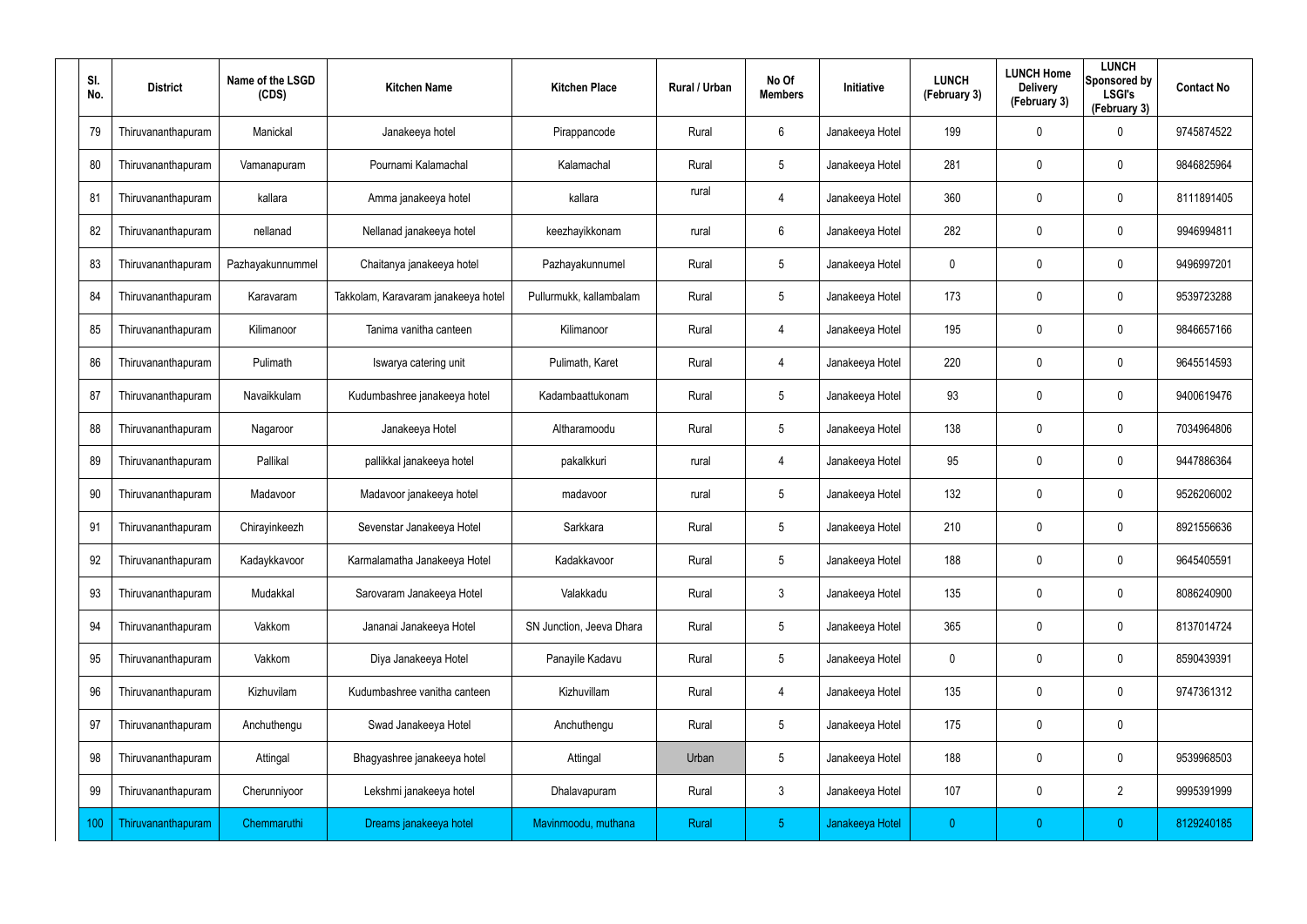| SI.<br>No. | <b>District</b>    | Name of the LSGD<br>(CDS) | <b>Kitchen Name</b>                 | <b>Kitchen Place</b>     | <b>Rural / Urban</b> | No Of<br><b>Members</b> | Initiative      | <b>LUNCH</b><br>(February 3) | <b>LUNCH Home</b><br><b>Delivery</b><br>(February 3) | <b>LUNCH</b><br>Sponsored by<br><b>LSGI's</b><br>(February 3) | <b>Contact No</b> |
|------------|--------------------|---------------------------|-------------------------------------|--------------------------|----------------------|-------------------------|-----------------|------------------------------|------------------------------------------------------|---------------------------------------------------------------|-------------------|
| 79         | Thiruvananthapuram | Manickal                  | Janakeeya hotel                     | Pirappancode             | Rural                | 6                       | Janakeeya Hotel | 199                          | $\mathbf 0$                                          | 0                                                             | 9745874522        |
| 80         | Thiruvananthapuram | Vamanapuram               | Pournami Kalamachal                 | Kalamachal               | Rural                | $5\phantom{.0}$         | Janakeeya Hotel | 281                          | $\mathbf 0$                                          | $\mathbf 0$                                                   | 9846825964        |
| 81         | Thiruvananthapuram | kallara                   | Amma janakeeya hotel                | kallara                  | rural                | $\overline{4}$          | Janakeeya Hotel | 360                          | $\pmb{0}$                                            | $\mathbf 0$                                                   | 8111891405        |
| 82         | Thiruvananthapuram | nellanad                  | Nellanad janakeeya hotel            | keezhayikkonam           | rural                | $6\phantom{.}$          | Janakeeya Hotel | 282                          | 0                                                    | $\mathbf 0$                                                   | 9946994811        |
| 83         | Thiruvananthapuram | Pazhayakunnummel          | Chaitanya janakeeya hotel           | Pazhayakunnumel          | Rural                | $5\overline{)}$         | Janakeeya Hotel | 0                            | $\mathbf 0$                                          | $\mathbf 0$                                                   | 9496997201        |
| 84         | Thiruvananthapuram | Karavaram                 | Takkolam, Karavaram janakeeya hotel | Pullurmukk, kallambalam  | Rural                | $5\overline{)}$         | Janakeeya Hotel | 173                          | $\mathbf 0$                                          | $\mathbf 0$                                                   | 9539723288        |
| 85         | Thiruvananthapuram | Kilimanoor                | Tanima vanitha canteen              | Kilimanoor               | Rural                | $\overline{4}$          | Janakeeya Hotel | 195                          | $\mathbf 0$                                          | $\mathbf 0$                                                   | 9846657166        |
| 86         | Thiruvananthapuram | Pulimath                  | Iswarya catering unit               | Pulimath, Karet          | Rural                | $\overline{4}$          | Janakeeya Hotel | 220                          | 0                                                    | $\mathbf 0$                                                   | 9645514593        |
| 87         | Thiruvananthapuram | Navaikkulam               | Kudumbashree janakeeya hotel        | Kadambaattukonam         | Rural                | $5\phantom{.0}$         | Janakeeya Hotel | 93                           | $\pmb{0}$                                            | $\mathbf 0$                                                   | 9400619476        |
| 88         | Thiruvananthapuram | Nagaroor                  | Janakeeya Hotel                     | Altharamoodu             | Rural                | $5\overline{)}$         | Janakeeya Hotel | 138                          | $\mathbf 0$                                          | $\mathbf 0$                                                   | 7034964806        |
| 89         | Thiruvananthapuram | Pallikal                  | pallikkal janakeeya hotel           | pakalkkuri               | rural                | 4                       | Janakeeya Hotel | 95                           | $\pmb{0}$                                            | $\mathbf 0$                                                   | 9447886364        |
| 90         | Thiruvananthapuram | Madavoor                  | Madavoor janakeeya hotel            | madavoor                 | rural                | $5\overline{)}$         | Janakeeya Hotel | 132                          | $\mathbf 0$                                          | $\mathbf 0$                                                   | 9526206002        |
| 91         | Thiruvananthapuram | Chirayinkeezh             | Sevenstar Janakeeya Hotel           | Sarkkara                 | Rural                | $5\phantom{.0}$         | Janakeeya Hotel | 210                          | $\mathbf 0$                                          | $\mathbf 0$                                                   | 8921556636        |
| 92         | Thiruvananthapuram | Kadaykkavoor              | Karmalamatha Janakeeya Hotel        | Kadakkavoor              | Rural                | $5\phantom{.0}$         | Janakeeya Hotel | 188                          | $\overline{0}$                                       | $\mathbf 0$                                                   | 9645405591        |
| 93         | Thiruvananthapuram | Mudakkal                  | Sarovaram Janakeeya Hotel           | Valakkadu                | Rural                | $\mathbf{3}$            | Janakeeya Hotel | 135                          | $\overline{0}$                                       | $\mathbf 0$                                                   | 8086240900        |
| 94         | Thiruvananthapuram | Vakkom                    | Jananai Janakeeya Hotel             | SN Junction, Jeeva Dhara | Rural                | $5\overline{)}$         | Janakeeya Hotel | 365                          | $\mathbf 0$                                          | $\mathbf 0$                                                   | 8137014724        |
| 95         | Thiruvananthapuram | Vakkom                    | Diya Janakeeya Hotel                | Panayile Kadavu          | Rural                | $5\overline{)}$         | Janakeeya Hotel | 0                            | $\overline{0}$                                       | $\mathbf 0$                                                   | 8590439391        |
| 96         | Thiruvananthapuram | Kizhuvilam                | Kudumbashree vanitha canteen        | Kizhuvillam              | Rural                | 4                       | Janakeeya Hotel | 135                          | $\overline{0}$                                       | $\pmb{0}$                                                     | 9747361312        |
| 97         | Thiruvananthapuram | Anchuthengu               | Swad Janakeeya Hotel                | Anchuthengu              | Rural                | $5\overline{)}$         | Janakeeya Hotel | 175                          | $\overline{0}$                                       | $\pmb{0}$                                                     |                   |
| 98         | Thiruvananthapuram | Attingal                  | Bhagyashree janakeeya hotel         | Attingal                 | Urban                | $5\overline{)}$         | Janakeeya Hotel | 188                          | $\overline{0}$                                       | $\pmb{0}$                                                     | 9539968503        |
| 99         | Thiruvananthapuram | Cherunniyoor              | Lekshmi janakeeya hotel             | Dhalavapuram             | Rural                | $\mathbf{3}$            | Janakeeya Hotel | 107                          | 0                                                    | $\overline{2}$                                                | 9995391999        |
| 100        | Thiruvananthapuram | Chemmaruthi               | Dreams janakeeya hotel              | Mavinmoodu, muthana      | Rural                | 5 <sub>5</sub>          | Janakeeya Hotel | $\mathbf{0}$                 | $\overline{0}$                                       | $\boldsymbol{0}$                                              | 8129240185        |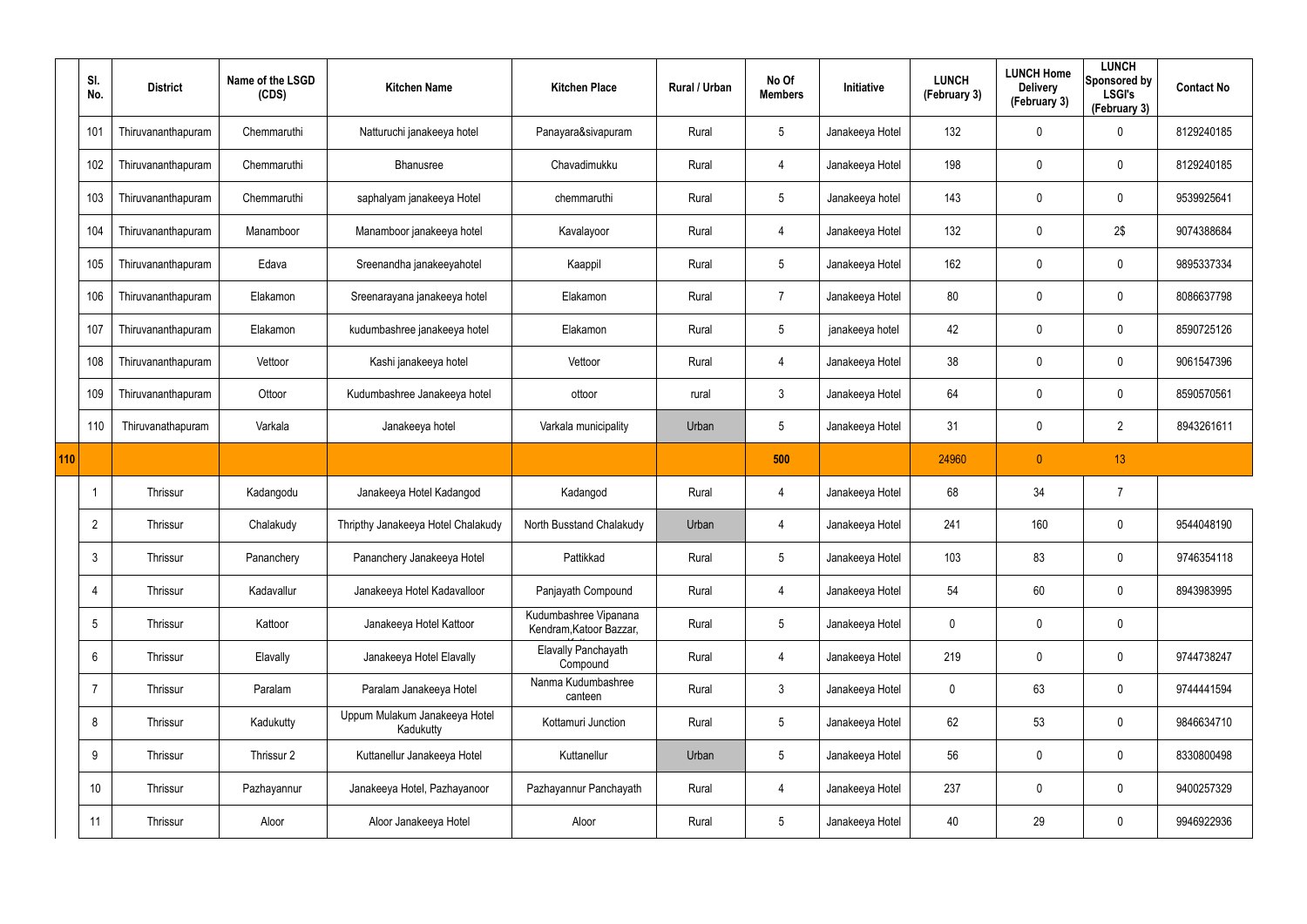|     | SI.<br>No.      | <b>District</b>    | Name of the LSGD<br>(CDS) | <b>Kitchen Name</b>                        | <b>Kitchen Place</b>                             | Rural / Urban | No Of<br><b>Members</b> | Initiative      | <b>LUNCH</b><br>(February 3) | <b>LUNCH Home</b><br><b>Delivery</b><br>(February 3) | <b>LUNCH</b><br>Sponsored by<br><b>LSGI's</b><br>(February 3) | <b>Contact No</b> |
|-----|-----------------|--------------------|---------------------------|--------------------------------------------|--------------------------------------------------|---------------|-------------------------|-----------------|------------------------------|------------------------------------------------------|---------------------------------------------------------------|-------------------|
|     | 101             | Thiruvananthapuram | Chemmaruthi               | Natturuchi janakeeya hotel                 | Panayara&sivapuram                               | Rural         | $5\phantom{.0}$         | Janakeeya Hotel | 132                          | 0                                                    | 0                                                             | 8129240185        |
|     | 102             | Thiruvananthapuram | Chemmaruthi               | Bhanusree                                  | Chavadimukku                                     | Rural         | $\overline{4}$          | Janakeeya Hotel | 198                          | 0                                                    | $\boldsymbol{0}$                                              | 8129240185        |
|     | 103             | Thiruvananthapuram | Chemmaruthi               | saphalyam janakeeya Hotel                  | chemmaruthi                                      | Rural         | $\sqrt{5}$              | Janakeeya hotel | 143                          | 0                                                    | $\mathbf 0$                                                   | 9539925641        |
|     | 104             | Thiruvananthapuram | Manamboor                 | Manamboor janakeeya hotel                  | Kavalayoor                                       | Rural         | $\overline{4}$          | Janakeeya Hotel | 132                          | 0                                                    | 2\$                                                           | 9074388684        |
|     | 105             | Thiruvananthapuram | Edava                     | Sreenandha janakeeyahotel                  | Kaappil                                          | Rural         | $5\phantom{.0}$         | Janakeeya Hotel | 162                          | 0                                                    | $\mathbf 0$                                                   | 9895337334        |
|     | 106             | Thiruvananthapuram | Elakamon                  | Sreenarayana janakeeya hotel               | Elakamon                                         | Rural         | $\overline{7}$          | Janakeeya Hotel | 80                           | 0                                                    | $\mathbf 0$                                                   | 8086637798        |
|     | 107             | Thiruvananthapuram | Elakamon                  | kudumbashree janakeeya hotel               | Elakamon                                         | Rural         | $5\phantom{.0}$         | janakeeya hotel | 42                           | 0                                                    | $\mathbf 0$                                                   | 8590725126        |
|     | 108             | Thiruvananthapuram | Vettoor                   | Kashi janakeeya hotel                      | Vettoor                                          | Rural         | $\overline{4}$          | Janakeeya Hotel | 38                           | 0                                                    | $\pmb{0}$                                                     | 9061547396        |
|     | 109             | Thiruvananthapuram | Ottoor                    | Kudumbashree Janakeeya hotel               | ottoor                                           | rural         | $\mathbf{3}$            | Janakeeya Hotel | 64                           | 0                                                    | $\mathbf 0$                                                   | 8590570561        |
|     | 110             | Thiruvanathapuram  | Varkala                   | Janakeeya hotel                            | Varkala municipality                             | Urban         | $5\phantom{.0}$         | Janakeeya Hotel | 31                           | 0                                                    | $\overline{2}$                                                | 8943261611        |
| 110 |                 |                    |                           |                                            |                                                  |               |                         |                 |                              |                                                      |                                                               |                   |
|     |                 |                    |                           |                                            |                                                  |               | 500                     |                 | 24960                        | $\overline{0}$                                       | 13                                                            |                   |
|     |                 | Thrissur           | Kadangodu                 | Janakeeya Hotel Kadangod                   | Kadangod                                         | Rural         | 4                       | Janakeeya Hotel | 68                           | 34                                                   | $\overline{7}$                                                |                   |
|     | $\overline{2}$  | Thrissur           | Chalakudy                 | Thripthy Janakeeya Hotel Chalakudy         | North Busstand Chalakudy                         | Urban         | 4                       | Janakeeya Hotel | 241                          | 160                                                  | $\pmb{0}$                                                     | 9544048190        |
|     | $\mathbf{3}$    | Thrissur           | Pananchery                | Pananchery Janakeeya Hotel                 | Pattikkad                                        | Rural         | $5\phantom{.0}$         | Janakeeya Hotel | 103                          | 83                                                   | $\pmb{0}$                                                     | 9746354118        |
|     | $\overline{4}$  | Thrissur           | Kadavallur                | Janakeeya Hotel Kadavalloor                | Panjayath Compound                               | Rural         | $\overline{4}$          | Janakeeya Hotel | 54                           | 60                                                   | $\mathbf 0$                                                   | 8943983995        |
|     | $5\overline{)}$ | Thrissur           | Kattoor                   | Janakeeya Hotel Kattoor                    | Kudumbashree Vipanana<br>Kendram, Katoor Bazzar, | Rural         | $5\phantom{.0}$         | Janakeeya Hotel | 0                            | $\mathbf 0$                                          | $\pmb{0}$                                                     |                   |
|     | $6\overline{6}$ | Thrissur           | Elavally                  | Janakeeya Hotel Elavally                   | Elavally Panchayath<br>Compound                  | Rural         | $\overline{4}$          | Janakeeya Hotel | 219                          | 0                                                    | $\pmb{0}$                                                     | 9744738247        |
|     | $\overline{7}$  | Thrissur           | Paralam                   | Paralam Janakeeya Hotel                    | Nanma Kudumbashree<br>canteen                    | Rural         | $\mathfrak{Z}$          | Janakeeya Hotel | 0                            | 63                                                   | $\pmb{0}$                                                     | 9744441594        |
|     | 8               | Thrissur           | Kadukutty                 | Uppum Mulakum Janakeeya Hotel<br>Kadukutty | Kottamuri Junction                               | Rural         | $5\,$                   | Janakeeya Hotel | 62                           | 53                                                   | $\pmb{0}$                                                     | 9846634710        |
|     | 9               | Thrissur           | Thrissur 2                | Kuttanellur Janakeeya Hotel                | Kuttanellur                                      | Urban         | $5\phantom{.0}$         | Janakeeya Hotel | 56                           | $\mathbf 0$                                          | $\pmb{0}$                                                     | 8330800498        |
|     | 10              | Thrissur           | Pazhayannur               | Janakeeya Hotel, Pazhayanoor               | Pazhayannur Panchayath                           | Rural         | 4                       | Janakeeya Hotel | 237                          | $\mathbf 0$                                          | $\pmb{0}$                                                     | 9400257329        |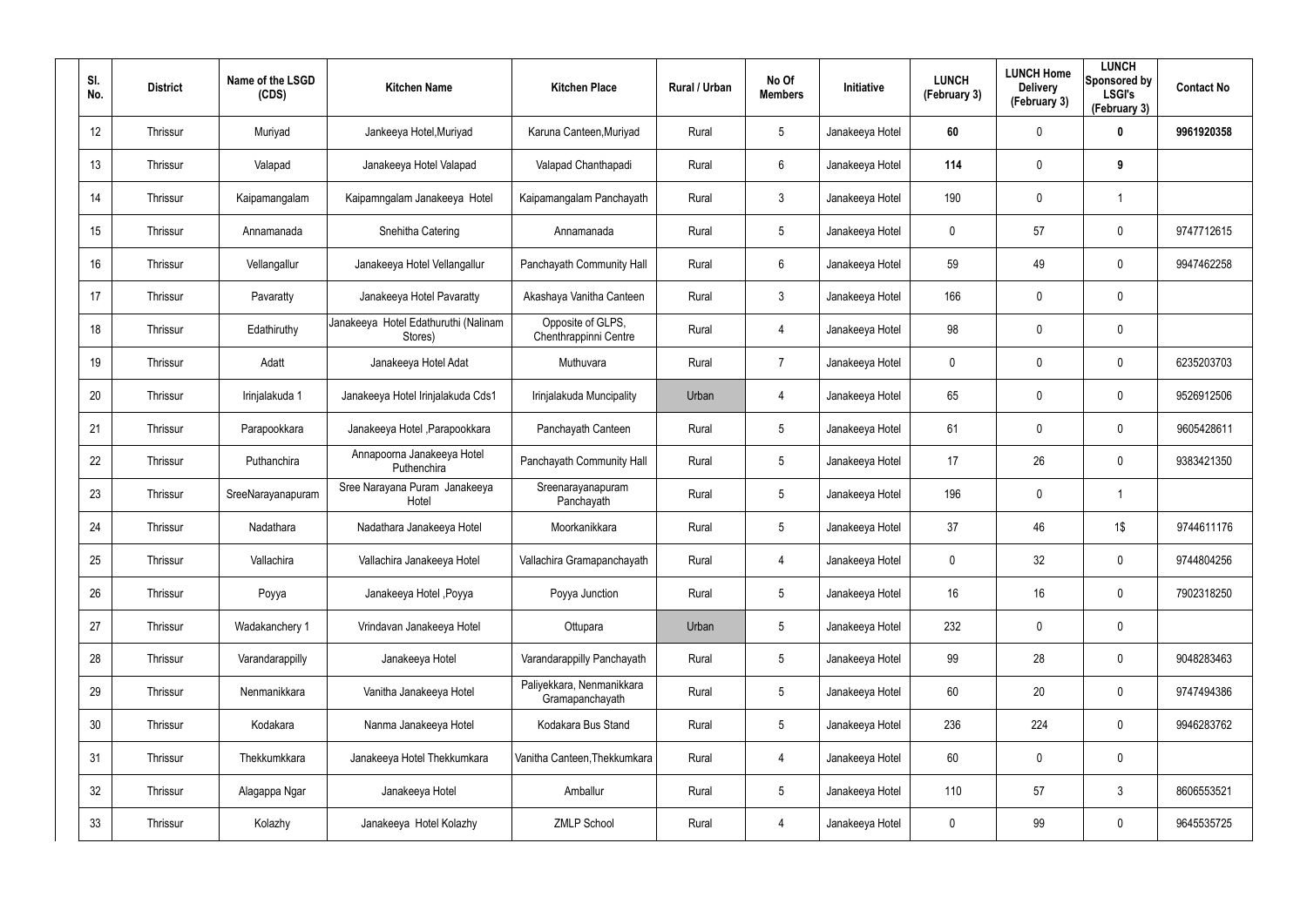| SI.<br>No. | <b>District</b> | Name of the LSGD<br>(CDS) | <b>Kitchen Name</b>                             | <b>Kitchen Place</b>                         | Rural / Urban | No Of<br><b>Members</b> | Initiative      | <b>LUNCH</b><br>(February 3) | <b>LUNCH Home</b><br><b>Delivery</b><br>(February 3) | <b>LUNCH</b><br>Sponsored by<br><b>LSGI's</b><br>(February 3) | <b>Contact No</b> |
|------------|-----------------|---------------------------|-------------------------------------------------|----------------------------------------------|---------------|-------------------------|-----------------|------------------------------|------------------------------------------------------|---------------------------------------------------------------|-------------------|
| 12         | Thrissur        | Muriyad                   | Jankeeya Hotel, Muriyad                         | Karuna Canteen, Muriyad                      | Rural         | 5                       | Janakeeya Hotel | 60                           | 0                                                    | 0                                                             | 9961920358        |
| 13         | Thrissur        | Valapad                   | Janakeeya Hotel Valapad                         | Valapad Chanthapadi                          | Rural         | 6                       | Janakeeya Hotel | 114                          | 0                                                    | 9                                                             |                   |
| 14         | Thrissur        | Kaipamangalam             | Kaipamngalam Janakeeya Hotel                    | Kaipamangalam Panchayath                     | Rural         | $\mathfrak{Z}$          | Janakeeya Hotel | 190                          | $\mathbf 0$                                          | 1                                                             |                   |
| 15         | Thrissur        | Annamanada                | Snehitha Catering                               | Annamanada                                   | Rural         | 5                       | Janakeeya Hotel | 0                            | 57                                                   | $\mathbf 0$                                                   | 9747712615        |
| 16         | Thrissur        | Vellangallur              | Janakeeya Hotel Vellangallur                    | Panchayath Community Hall                    | Rural         | 6                       | Janakeeya Hotel | 59                           | 49                                                   | $\mathbf 0$                                                   | 9947462258        |
| 17         | Thrissur        | Pavaratty                 | Janakeeya Hotel Pavaratty                       | Akashaya Vanitha Canteen                     | Rural         | $\mathbf{3}$            | Janakeeya Hotel | 166                          | 0                                                    | $\mathbf 0$                                                   |                   |
| 18         | Thrissur        | Edathiruthy               | Janakeeya Hotel Edathuruthi (Nalinam<br>Stores) | Opposite of GLPS,<br>Chenthrappinni Centre   | Rural         | 4                       | Janakeeya Hotel | 98                           | 0                                                    | $\pmb{0}$                                                     |                   |
| 19         | Thrissur        | Adatt                     | Janakeeya Hotel Adat                            | Muthuvara                                    | Rural         | $\overline{7}$          | Janakeeya Hotel | 0                            | 0                                                    | $\mathbf 0$                                                   | 6235203703        |
| 20         | Thrissur        | Irinjalakuda 1            | Janakeeya Hotel Irinjalakuda Cds1               | Irinjalakuda Muncipality                     | Urban         | 4                       | Janakeeya Hotel | 65                           | 0                                                    | $\mathbf 0$                                                   | 9526912506        |
| 21         | Thrissur        | Parapookkara              | Janakeeya Hotel , Parapookkara                  | Panchayath Canteen                           | Rural         | $5\overline{)}$         | Janakeeya Hotel | 61                           | 0                                                    | $\mathbf 0$                                                   | 9605428611        |
| 22         | Thrissur        | Puthanchira               | Annapoorna Janakeeya Hotel<br>Puthenchira       | Panchayath Community Hall                    | Rural         | $5\phantom{.0}$         | Janakeeya Hotel | 17                           | 26                                                   | $\mathbf 0$                                                   | 9383421350        |
| 23         | Thrissur        | SreeNarayanapuram         | Sree Narayana Puram Janakeeya<br>Hotel          | Sreenarayanapuram<br>Panchayath              | Rural         | $5\overline{)}$         | Janakeeya Hotel | 196                          | 0                                                    | 1                                                             |                   |
| 24         | Thrissur        | Nadathara                 | Nadathara Janakeeya Hotel                       | Moorkanikkara                                | Rural         | $5\phantom{.0}$         | Janakeeya Hotel | 37                           | 46                                                   | 1\$                                                           | 9744611176        |
| 25         | Thrissur        | Vallachira                | Vallachira Janakeeya Hotel                      | Vallachira Gramapanchayath                   | Rural         | 4                       | Janakeeya Hotel | 0                            | 32                                                   | $\mathbf 0$                                                   | 9744804256        |
| 26         | Thrissur        | Poyya                     | Janakeeya Hotel , Poyya                         | Poyya Junction                               | Rural         | $5\phantom{.0}$         | Janakeeya Hotel | 16                           | 16                                                   | $\mathbf 0$                                                   | 7902318250        |
| 27         | Thrissur        | Wadakanchery 1            | Vrindavan Janakeeya Hotel                       | Ottupara                                     | Urban         | $5\phantom{.0}$         | Janakeeya Hotel | 232                          | $\mathbf 0$                                          | $\pmb{0}$                                                     |                   |
| 28         | Thrissur        | Varandarappilly           | Janakeeya Hotel                                 | Varandarappilly Panchayath                   | Rural         | 5                       | Janakeeya Hotel | 99                           | 28                                                   | $\mathbf 0$                                                   | 9048283463        |
| 29         | Thrissur        | Nenmanikkara              | Vanitha Janakeeya Hotel                         | Paliyekkara, Nenmanikkara<br>Gramapanchayath | Rural         | $5\phantom{.0}$         | Janakeeya Hotel | 60                           | 20                                                   | $\mathbf 0$                                                   | 9747494386        |
| 30         | Thrissur        | Kodakara                  | Nanma Janakeeya Hotel                           | Kodakara Bus Stand                           | Rural         | 5                       | Janakeeya Hotel | 236                          | 224                                                  | $\mathbf 0$                                                   | 9946283762        |
| 31         | Thrissur        | Thekkumkkara              | Janakeeya Hotel Thekkumkara                     | Vanitha Canteen, Thekkumkara                 | Rural         | 4                       | Janakeeya Hotel | 60                           | $\mathbf 0$                                          | $\pmb{0}$                                                     |                   |
| 32         | Thrissur        | Alagappa Ngar             | Janakeeya Hotel                                 | Amballur                                     | Rural         | 5                       | Janakeeya Hotel | 110                          | 57                                                   | $3\phantom{.0}$                                               | 8606553521        |
| 33         | Thrissur        | Kolazhy                   | Janakeeya Hotel Kolazhy                         | <b>ZMLP School</b>                           | Rural         | 4                       | Janakeeya Hotel | 0                            | 99                                                   | $\pmb{0}$                                                     | 9645535725        |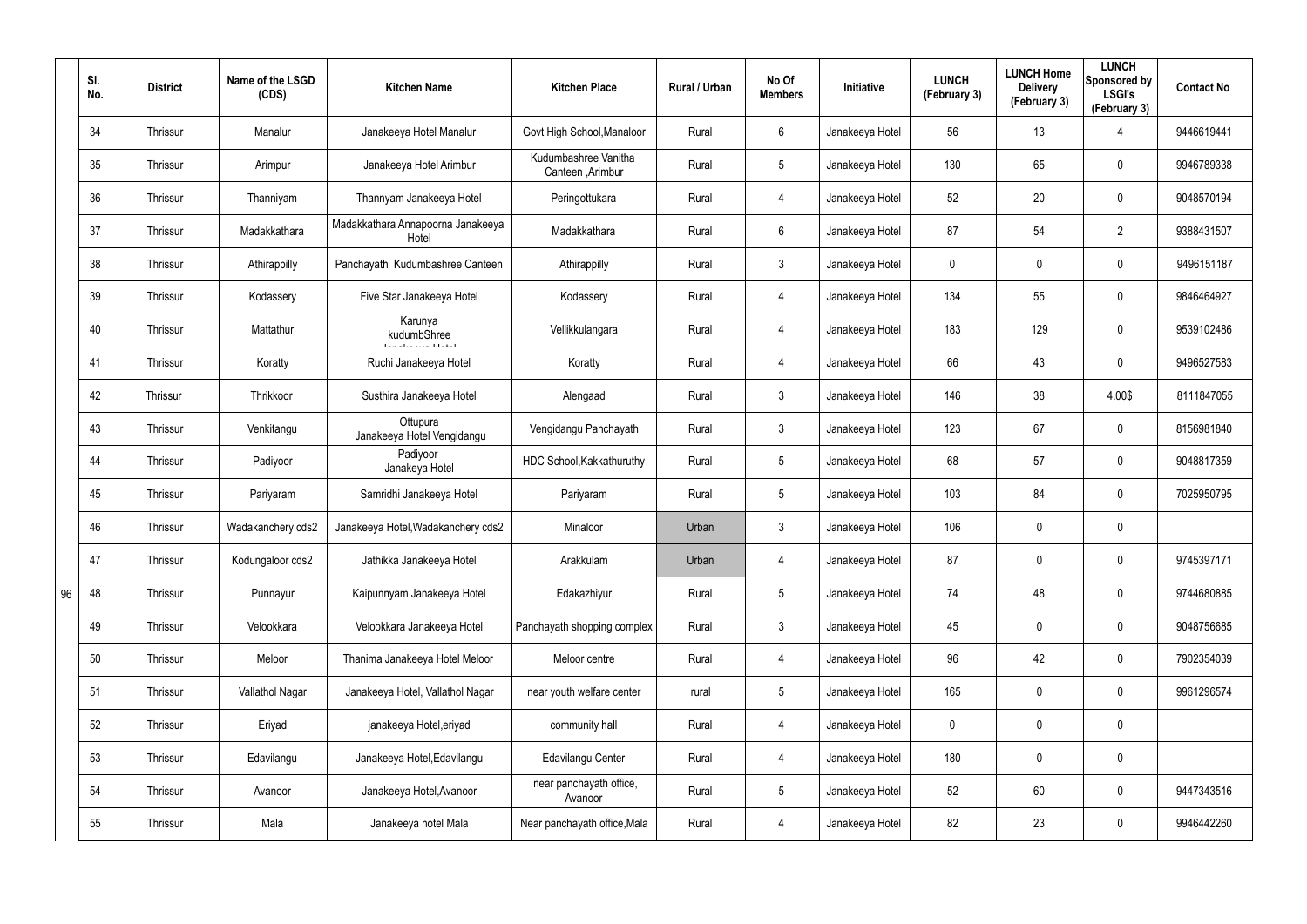|    | SI.<br>No. | <b>District</b> | Name of the LSGD<br>(CDS) | <b>Kitchen Name</b>                        | <b>Kitchen Place</b>                      | Rural / Urban | No Of<br><b>Members</b> | Initiative      | <b>LUNCH</b><br>(February 3) | <b>LUNCH Home</b><br><b>Delivery</b><br>(February 3) | <b>LUNCH</b><br>Sponsored by<br><b>LSGI's</b><br>(February 3) | <b>Contact No</b> |
|----|------------|-----------------|---------------------------|--------------------------------------------|-------------------------------------------|---------------|-------------------------|-----------------|------------------------------|------------------------------------------------------|---------------------------------------------------------------|-------------------|
|    | 34         | Thrissur        | Manalur                   | Janakeeya Hotel Manalur                    | Govt High School, Manaloor                | Rural         | 6                       | Janakeeya Hotel | 56                           | 13                                                   | 4                                                             | 9446619441        |
|    | 35         | Thrissur        | Arimpur                   | Janakeeya Hotel Arimbur                    | Kudumbashree Vanitha<br>Canteen , Arimbur | Rural         | $5\phantom{.0}$         | Janakeeya Hotel | 130                          | 65                                                   | $\pmb{0}$                                                     | 9946789338        |
|    | 36         | Thrissur        | Thanniyam                 | Thannyam Janakeeya Hotel                   | Peringottukara                            | Rural         | $\overline{4}$          | Janakeeya Hotel | 52                           | 20                                                   | $\pmb{0}$                                                     | 9048570194        |
|    | 37         | Thrissur        | Madakkathara              | Madakkathara Annapoorna Janakeeya<br>Hotel | Madakkathara                              | Rural         | 6                       | Janakeeya Hotel | 87                           | 54                                                   | $\overline{2}$                                                | 9388431507        |
|    | 38         | Thrissur        | Athirappilly              | Panchayath Kudumbashree Canteen            | Athirappilly                              | Rural         | $\mathfrak{Z}$          | Janakeeya Hotel | 0                            | $\mathbf 0$                                          | $\pmb{0}$                                                     | 9496151187        |
|    | 39         | Thrissur        | Kodassery                 | Five Star Janakeeya Hotel                  | Kodassery                                 | Rural         | 4                       | Janakeeya Hotel | 134                          | 55                                                   | $\pmb{0}$                                                     | 9846464927        |
|    | 40         | Thrissur        | Mattathur                 | Karunya<br>kudumbShree                     | Vellikkulangara                           | Rural         | 4                       | Janakeeya Hotel | 183                          | 129                                                  | $\pmb{0}$                                                     | 9539102486        |
|    | 41         | Thrissur        | Koratty                   | Ruchi Janakeeya Hotel                      | Koratty                                   | Rural         | 4                       | Janakeeya Hotel | 66                           | 43                                                   | $\pmb{0}$                                                     | 9496527583        |
|    | 42         | Thrissur        | Thrikkoor                 | Susthira Janakeeya Hotel                   | Alengaad                                  | Rural         | $\mathbf{3}$            | Janakeeya Hotel | 146                          | 38                                                   | 4.00\$                                                        | 8111847055        |
|    | 43         | Thrissur        | Venkitangu                | Ottupura<br>Janakeeya Hotel Vengidangu     | Vengidangu Panchayath                     | Rural         | $\mathbf{3}$            | Janakeeya Hotel | 123                          | 67                                                   | $\mathbf 0$                                                   | 8156981840        |
|    | 44         | Thrissur        | Padiyoor                  | Padiyoor<br>Janakeya Hotel                 | HDC School, Kakkathuruthy                 | Rural         | $5\phantom{.0}$         | Janakeeya Hotel | 68                           | 57                                                   | $\pmb{0}$                                                     | 9048817359        |
|    | 45         | Thrissur        | Pariyaram                 | Samridhi Janakeeya Hotel                   | Pariyaram                                 | Rural         | $5\overline{)}$         | Janakeeya Hotel | 103                          | 84                                                   | $\pmb{0}$                                                     | 7025950795        |
|    | 46         | Thrissur        | Wadakanchery cds2         | Janakeeya Hotel, Wadakanchery cds2         | Minaloor                                  | Urban         | $\mathfrak{Z}$          | Janakeeya Hotel | 106                          | 0                                                    | $\pmb{0}$                                                     |                   |
|    | 47         | Thrissur        | Kodungaloor cds2          | Jathikka Janakeeya Hotel                   | Arakkulam                                 | Urban         | 4                       | Janakeeya Hotel | 87                           | $\mathbf 0$                                          | $\pmb{0}$                                                     | 9745397171        |
| 96 | 48         | Thrissur        | Punnayur                  | Kaipunnyam Janakeeya Hotel                 | Edakazhiyur                               | Rural         | $5\phantom{.0}$         | Janakeeya Hotel | 74                           | 48                                                   | $\mathbf 0$                                                   | 9744680885        |
|    | 49         | Thrissur        | Velookkara                | Velookkara Janakeeya Hotel                 | Panchayath shopping complex               | Rural         | $\mathfrak{Z}$          | Janakeeya Hotel | 45                           | 0                                                    | $\mathbf 0$                                                   | 9048756685        |
|    | 50         | Thrissur        | Meloor                    | Thanima Janakeeya Hotel Meloor             | Meloor centre                             | Rural         | 4                       | Janakeeya Hotel | 96                           | 42                                                   | $\mathbf 0$                                                   | 7902354039        |
|    | 51         | Thrissur        | Vallathol Nagar           | Janakeeya Hotel, Vallathol Nagar           | near youth welfare center                 | rural         | $5\phantom{.0}$         | Janakeeya Hotel | 165                          | $\mathbf 0$                                          | $\mathbf 0$                                                   | 9961296574        |
|    | 52         | Thrissur        | Eriyad                    | janakeeya Hotel, eriyad                    | community hall                            | Rural         | 4                       | Janakeeya Hotel | $\mathbf 0$                  | 0                                                    | $\pmb{0}$                                                     |                   |
|    | 53         | Thrissur        | Edavilangu                | Janakeeya Hotel, Edavilangu                | Edavilangu Center                         | Rural         | 4                       | Janakeeya Hotel | 180                          | $\mathbf 0$                                          | $\pmb{0}$                                                     |                   |
|    | 54         | Thrissur        | Avanoor                   | Janakeeya Hotel, Avanoor                   | near panchayath office,<br>Avanoor        | Rural         | $5\phantom{.0}$         | Janakeeya Hotel | 52                           | 60                                                   | $\mathbf 0$                                                   | 9447343516        |
|    | 55         | Thrissur        | Mala                      | Janakeeya hotel Mala                       | Near panchayath office, Mala              | Rural         | 4                       | Janakeeya Hotel | 82                           | 23                                                   | $\mathsf{0}$                                                  | 9946442260        |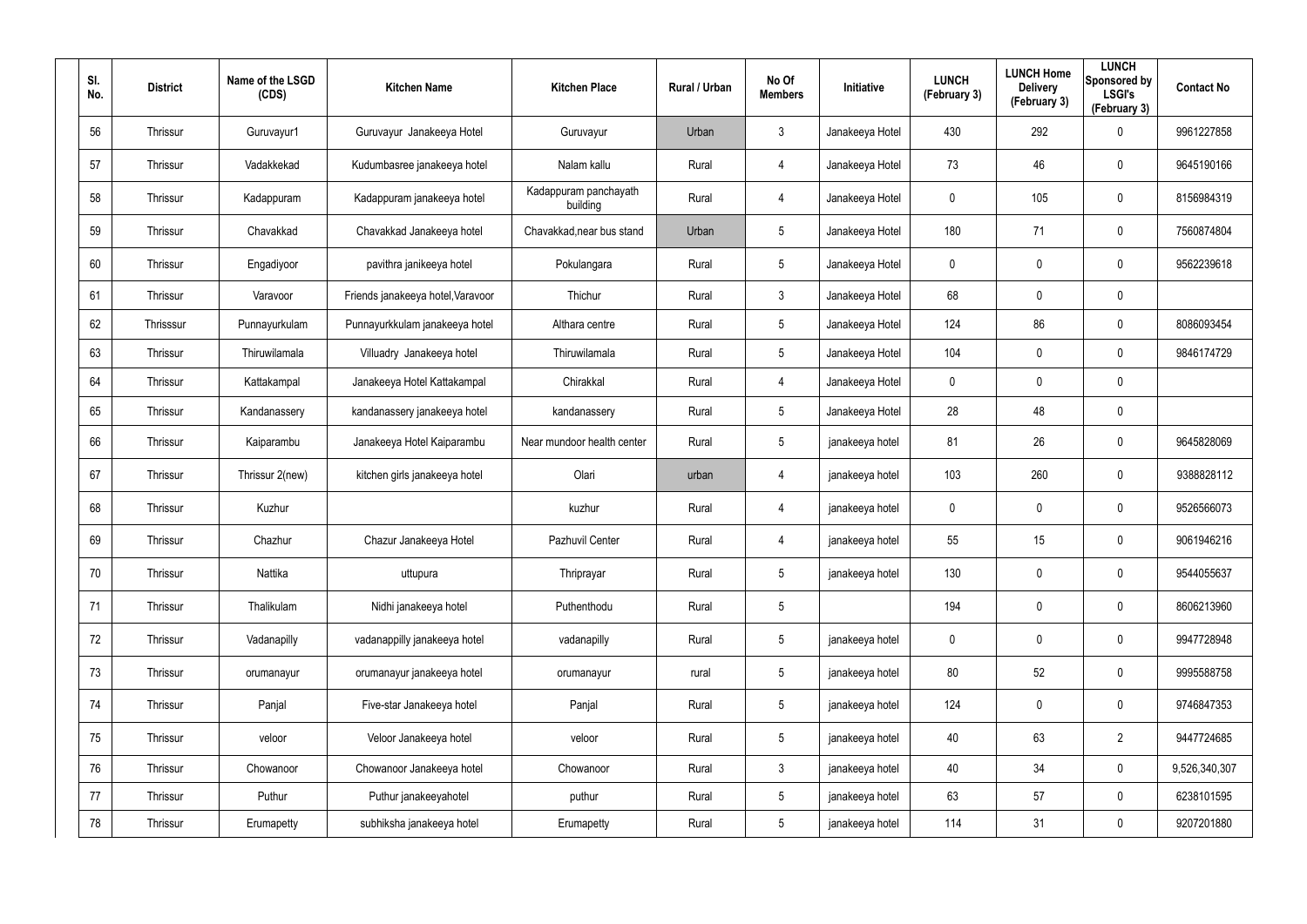| SI.<br>No. | <b>District</b> | Name of the LSGD<br>(CDS) | <b>Kitchen Name</b>               | <b>Kitchen Place</b>              | Rural / Urban | No Of<br><b>Members</b> | Initiative      | <b>LUNCH</b><br>(February 3) | <b>LUNCH Home</b><br><b>Delivery</b><br>(February 3) | <b>LUNCH</b><br>Sponsored by<br><b>LSGI's</b><br>(February 3) | <b>Contact No</b> |
|------------|-----------------|---------------------------|-----------------------------------|-----------------------------------|---------------|-------------------------|-----------------|------------------------------|------------------------------------------------------|---------------------------------------------------------------|-------------------|
| 56         | Thrissur        | Guruvayur1                | Guruvayur Janakeeya Hotel         | Guruvayur                         | Urban         | $\mathbf{3}$            | Janakeeya Hotel | 430                          | 292                                                  | $\mathbf 0$                                                   | 9961227858        |
| 57         | Thrissur        | Vadakkekad                | Kudumbasree janakeeya hotel       | Nalam kallu                       | Rural         | 4                       | Janakeeya Hotel | 73                           | 46                                                   | $\mathbf 0$                                                   | 9645190166        |
| 58         | Thrissur        | Kadappuram                | Kadappuram janakeeya hotel        | Kadappuram panchayath<br>building | Rural         | $\overline{4}$          | Janakeeya Hotel | $\mathbf 0$                  | 105                                                  | $\mathbf 0$                                                   | 8156984319        |
| 59         | Thrissur        | Chavakkad                 | Chavakkad Janakeeya hotel         | Chavakkad, near bus stand         | Urban         | $5\overline{)}$         | Janakeeya Hotel | 180                          | 71                                                   | $\mathbf 0$                                                   | 7560874804        |
| 60         | Thrissur        | Engadiyoor                | pavithra janikeeya hotel          | Pokulangara                       | Rural         | $5\phantom{.0}$         | Janakeeya Hotel | $\mathbf 0$                  | 0                                                    | $\mathbf 0$                                                   | 9562239618        |
| 61         | Thrissur        | Varavoor                  | Friends janakeeya hotel, Varavoor | Thichur                           | Rural         | $\mathbf{3}$            | Janakeeya Hotel | 68                           | 0                                                    | $\pmb{0}$                                                     |                   |
| 62         | Thrisssur       | Punnayurkulam             | Punnayurkkulam janakeeya hotel    | Althara centre                    | Rural         | $5\overline{)}$         | Janakeeya Hotel | 124                          | 86                                                   | $\mathbf 0$                                                   | 8086093454        |
| 63         | Thrissur        | Thiruwilamala             | Villuadry Janakeeya hotel         | Thiruwilamala                     | Rural         | $5\phantom{.0}$         | Janakeeya Hotel | 104                          | 0                                                    | $\pmb{0}$                                                     | 9846174729        |
| 64         | Thrissur        | Kattakampal               | Janakeeya Hotel Kattakampal       | Chirakkal                         | Rural         | $\overline{4}$          | Janakeeya Hotel | $\mathbf 0$                  | 0                                                    | $\pmb{0}$                                                     |                   |
| 65         | Thrissur        | Kandanassery              | kandanassery janakeeya hotel      | kandanassery                      | Rural         | $5\phantom{.0}$         | Janakeeya Hotel | 28                           | 48                                                   | $\pmb{0}$                                                     |                   |
| 66         | Thrissur        | Kaiparambu                | Janakeeya Hotel Kaiparambu        | Near mundoor health center        | Rural         | $5\phantom{.0}$         | janakeeya hotel | 81                           | 26                                                   | $\pmb{0}$                                                     | 9645828069        |
| 67         | Thrissur        | Thrissur 2(new)           | kitchen girls janakeeya hotel     | Olari                             | urban         | 4                       | janakeeya hotel | 103                          | 260                                                  | $\mathbf 0$                                                   | 9388828112        |
| 68         | Thrissur        | Kuzhur                    |                                   | kuzhur                            | Rural         | 4                       | janakeeya hotel | 0                            | 0                                                    | $\pmb{0}$                                                     | 9526566073        |
| 69         | Thrissur        | Chazhur                   | Chazur Janakeeya Hotel            | Pazhuvil Center                   | Rural         | 4                       | janakeeya hotel | 55                           | 15                                                   | $\mathbf 0$                                                   | 9061946216        |
| 70         | Thrissur        | Nattika                   | uttupura                          | Thriprayar                        | Rural         | $5\phantom{.0}$         | janakeeya hotel | 130                          | 0                                                    | $\pmb{0}$                                                     | 9544055637        |
| 71         | Thrissur        | Thalikulam                | Nidhi janakeeya hotel             | Puthenthodu                       | Rural         | $5\phantom{.0}$         |                 | 194                          | 0                                                    | $\mathbf 0$                                                   | 8606213960        |
| 72         | Thrissur        | Vadanapilly               | vadanappilly janakeeya hotel      | vadanapilly                       | Rural         | $5\phantom{.0}$         | janakeeya hotel | $\mathbf 0$                  | 0                                                    | $\mathbf 0$                                                   | 9947728948        |
| 73         | Thrissur        | orumanayur                | orumanayur janakeeya hotel        | orumanayur                        | rural         | $5\phantom{.0}$         | janakeeya hotel | 80                           | 52                                                   | $\mathbf 0$                                                   | 9995588758        |
| 74         | Thrissur        | Panjal                    | Five-star Janakeeya hotel         | Panjal                            | Rural         | $5\phantom{.0}$         | janakeeya hotel | 124                          | 0                                                    | $\mathbf 0$                                                   | 9746847353        |
| 75         | Thrissur        | veloor                    | Veloor Janakeeya hotel            | veloor                            | Rural         | $5\phantom{.0}$         | janakeeya hotel | 40                           | 63                                                   | $\overline{2}$                                                | 9447724685        |
| 76         | Thrissur        | Chowanoor                 | Chowanoor Janakeeya hotel         | Chowanoor                         | Rural         | $\mathfrak{Z}$          | janakeeya hotel | 40                           | 34                                                   | $\mathbf 0$                                                   | 9,526,340,307     |
| 77         | Thrissur        | Puthur                    | Puthur janakeeyahotel             | puthur                            | Rural         | $5\phantom{.0}$         | janakeeya hotel | 63                           | 57                                                   | $\mathbf 0$                                                   | 6238101595        |
| 78         | Thrissur        | Erumapetty                | subhiksha janakeeya hotel         | Erumapetty                        | Rural         | $5\phantom{.0}$         | janakeeya hotel | 114                          | 31                                                   | $\mathsf{0}$                                                  | 9207201880        |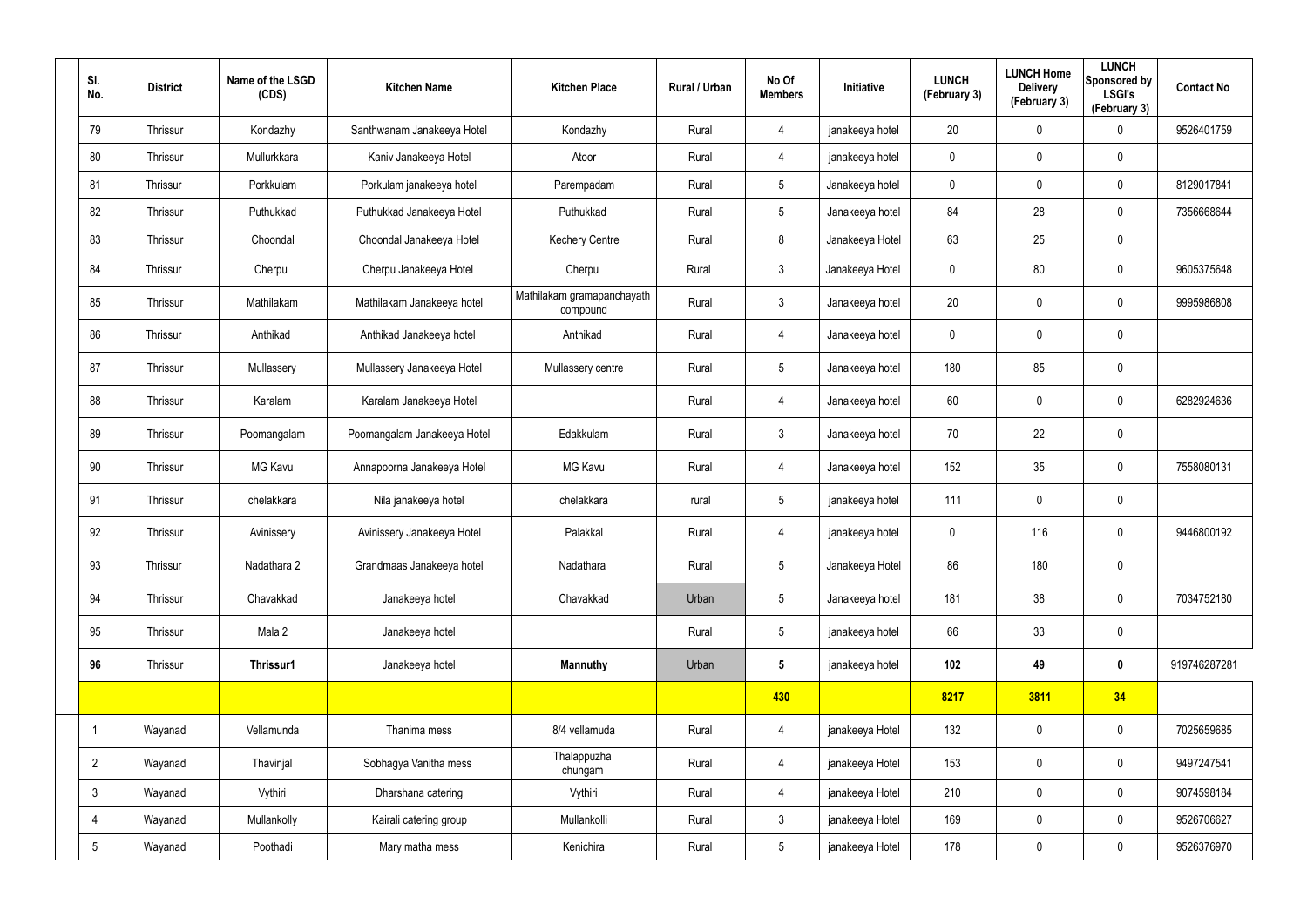| SI.<br>No.      | <b>District</b> | Name of the LSGD<br>(CDS) | <b>Kitchen Name</b>         | <b>Kitchen Place</b>                   | Rural / Urban | No Of<br><b>Members</b> | Initiative      | <b>LUNCH</b><br>(February 3) | <b>LUNCH Home</b><br><b>Delivery</b><br>(February 3) | <b>LUNCH</b><br>Sponsored by<br><b>LSGI's</b><br>(February 3) | <b>Contact No</b> |
|-----------------|-----------------|---------------------------|-----------------------------|----------------------------------------|---------------|-------------------------|-----------------|------------------------------|------------------------------------------------------|---------------------------------------------------------------|-------------------|
| 79              | Thrissur        | Kondazhy                  | Santhwanam Janakeeya Hotel  | Kondazhy                               | Rural         | 4                       | janakeeya hotel | 20                           | $\mathbf 0$                                          | $\mathbf 0$                                                   | 9526401759        |
| 80              | Thrissur        | Mullurkkara               | Kaniv Janakeeya Hotel       | Atoor                                  | Rural         | $\overline{4}$          | janakeeya hotel | $\mathbf 0$                  | $\mathbf 0$                                          | $\mathbf 0$                                                   |                   |
| 81              | Thrissur        | Porkkulam                 | Porkulam janakeeya hotel    | Parempadam                             | Rural         | 5 <sup>5</sup>          | Janakeeya hotel | $\mathbf 0$                  | $\mathbf 0$                                          | $\mathbf 0$                                                   | 8129017841        |
| 82              | <b>Thrissur</b> | Puthukkad                 | Puthukkad Janakeeya Hotel   | Puthukkad                              | Rural         | $5\phantom{.0}$         | Janakeeya hotel | 84                           | 28                                                   | $\mathbf 0$                                                   | 7356668644        |
| 83              | <b>Thrissur</b> | Choondal                  | Choondal Janakeeya Hotel    | <b>Kechery Centre</b>                  | Rural         | 8                       | Janakeeya Hotel | 63                           | 25                                                   | $\mathbf 0$                                                   |                   |
| 84              | Thrissur        | Cherpu                    | Cherpu Janakeeya Hotel      | Cherpu                                 | Rural         | $\mathbf{3}$            | Janakeeya Hotel | $\mathbf 0$                  | 80                                                   | $\mathbf 0$                                                   | 9605375648        |
| 85              | <b>Thrissur</b> | Mathilakam                | Mathilakam Janakeeya hotel  | Mathilakam gramapanchayath<br>compound | Rural         | $\mathbf{3}$            | Janakeeya hotel | 20                           | $\mathbf 0$                                          | $\mathbf 0$                                                   | 9995986808        |
| 86              | Thrissur        | Anthikad                  | Anthikad Janakeeya hotel    | Anthikad                               | Rural         | 4                       | Janakeeya hotel | $\mathbf 0$                  | $\mathbf 0$                                          | $\mathbf 0$                                                   |                   |
| 87              | <b>Thrissur</b> | Mullassery                | Mullassery Janakeeya Hotel  | Mullassery centre                      | Rural         | $5\overline{)}$         | Janakeeya hotel | 180                          | 85                                                   | $\mathbf 0$                                                   |                   |
| 88              | <b>Thrissur</b> | Karalam                   | Karalam Janakeeya Hotel     |                                        | Rural         | 4                       | Janakeeya hotel | 60                           | $\mathbf 0$                                          | $\mathbf 0$                                                   | 6282924636        |
| 89              | <b>Thrissur</b> | Poomangalam               | Poomangalam Janakeeya Hotel | Edakkulam                              | Rural         | $\mathbf{3}$            | Janakeeya hotel | 70                           | 22                                                   | $\mathbf 0$                                                   |                   |
| 90              | <b>Thrissur</b> | MG Kavu                   | Annapoorna Janakeeya Hotel  | <b>MG Kavu</b>                         | Rural         | 4                       | Janakeeya hotel | 152                          | 35                                                   | $\mathbf 0$                                                   | 7558080131        |
| 91              | <b>Thrissur</b> | chelakkara                | Nila janakeeya hotel        | chelakkara                             | rural         | $5\phantom{.0}$         | janakeeya hotel | 111                          | 0                                                    | $\pmb{0}$                                                     |                   |
| 92              | <b>Thrissur</b> | Avinissery                | Avinissery Janakeeya Hotel  | Palakkal                               | Rural         | 4                       | janakeeya hotel | $\mathbf 0$                  | 116                                                  | $\mathbf 0$                                                   | 9446800192        |
| 93              | Thrissur        | Nadathara 2               | Grandmaas Janakeeya hotel   | Nadathara                              | Rural         | $5\phantom{.0}$         | Janakeeya Hotel | 86                           | 180                                                  | $\mathbf 0$                                                   |                   |
| 94              | Thrissur        | Chavakkad                 | Janakeeya hotel             | Chavakkad                              | Urban         | $5\overline{)}$         | Janakeeya hotel | 181                          | 38                                                   | $\mathbf 0$                                                   | 7034752180        |
| 95              | Thrissur        | Mala 2                    | Janakeeya hotel             |                                        | Rural         | $5\phantom{.0}$         | janakeeya hotel | 66                           | 33                                                   | $\mathbf 0$                                                   |                   |
| 96              | Thrissur        | Thrissur1                 | Janakeeya hotel             | <b>Mannuthy</b>                        | Urban         | $5\phantom{.0}$         | janakeeya hotel | 102                          | 49                                                   | $\mathbf 0$                                                   | 919746287281      |
|                 |                 |                           |                             |                                        |               | 430                     |                 | 8217                         | 3811                                                 | 34                                                            |                   |
|                 | Wayanad         | Vellamunda                | Thanima mess                | 8/4 vellamuda                          | Rural         | $\overline{4}$          | janakeeya Hotel | 132                          | $\pmb{0}$                                            | $\mathbf 0$                                                   | 7025659685        |
| $\overline{2}$  | Wayanad         | Thavinjal                 | Sobhagya Vanitha mess       | Thalappuzha<br>chungam                 | Rural         | $\overline{4}$          | janakeeya Hotel | 153                          | $\pmb{0}$                                            | $\mathbf 0$                                                   | 9497247541        |
| $\mathbf{3}$    | Wayanad         | Vythiri                   | Dharshana catering          | Vythiri                                | Rural         | $\overline{4}$          | janakeeya Hotel | 210                          | $\pmb{0}$                                            | $\mathbf 0$                                                   | 9074598184        |
| $\overline{4}$  | Wayanad         | Mullankolly               | Kairali catering group      | Mullankolli                            | Rural         | 3                       | janakeeya Hotel | 169                          | $\pmb{0}$                                            | $\mathbf 0$                                                   | 9526706627        |
| $5\phantom{.0}$ | Wayanad         | Poothadi                  | Mary matha mess             | Kenichira                              | Rural         | $5\overline{)}$         | janakeeya Hotel | 178                          | 0                                                    | $\mathbf 0$                                                   | 9526376970        |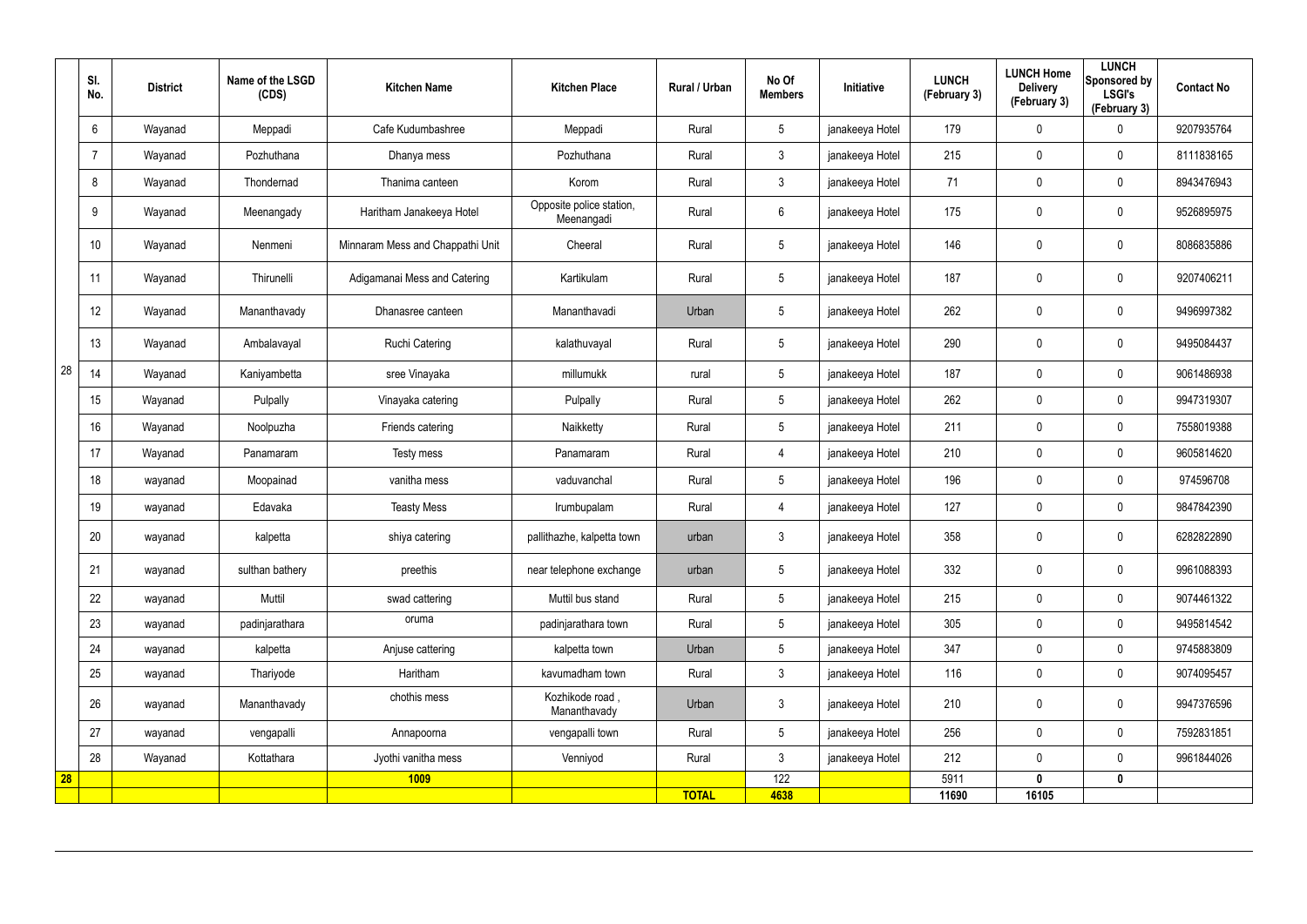|    | SI.<br>No. | <b>District</b> | Name of the LSGD<br>(CDS) | <b>Kitchen Name</b>              | <b>Kitchen Place</b>                   | <b>Rural / Urban</b> | No Of<br><b>Members</b> | Initiative      | <b>LUNCH</b><br>(February 3) | <b>LUNCH Home</b><br><b>Delivery</b><br>(February 3) | <b>LUNCH</b><br>Sponsored by<br><b>LSGI's</b><br>(February 3) | <b>Contact No</b> |
|----|------------|-----------------|---------------------------|----------------------------------|----------------------------------------|----------------------|-------------------------|-----------------|------------------------------|------------------------------------------------------|---------------------------------------------------------------|-------------------|
|    | 6          | Wayanad         | Meppadi                   | Cafe Kudumbashree                | Meppadi                                | Rural                | 5                       | janakeeya Hotel | 179                          | $\mathbf 0$                                          | 0                                                             | 9207935764        |
|    | 7          | Wayanad         | Pozhuthana                | Dhanya mess                      | Pozhuthana                             | Rural                | $\mathbf{3}$            | janakeeya Hotel | 215                          | $\mathbf 0$                                          | $\mathbf 0$                                                   | 8111838165        |
|    | 8          | Wayanad         | Thondernad                | Thanima canteen                  | Korom                                  | Rural                | 3                       | janakeeya Hotel | 71                           | $\mathbf 0$                                          | $\mathbf 0$                                                   | 8943476943        |
|    | 9          | Wayanad         | Meenangady                | Haritham Janakeeya Hotel         | Opposite police station,<br>Meenangadi | Rural                | $6\phantom{.}6$         | janakeeya Hotel | 175                          | $\mathbf 0$                                          | $\mathbf 0$                                                   | 9526895975        |
|    | 10         | Wayanad         | Nenmeni                   | Minnaram Mess and Chappathi Unit | Cheeral                                | Rural                | $5\phantom{.0}$         | janakeeya Hotel | 146                          | 0                                                    | $\mathbf 0$                                                   | 8086835886        |
|    | -11        | Wayanad         | Thirunelli                | Adigamanai Mess and Catering     | Kartikulam                             | Rural                | $5\phantom{.0}$         | janakeeya Hotel | 187                          | $\mathbf 0$                                          | $\mathbf 0$                                                   | 9207406211        |
|    | 12         | Wayanad         | Mananthavady              | Dhanasree canteen                | Mananthavadi                           | Urban                | $5\overline{)}$         | janakeeya Hotel | 262                          | 0                                                    | $\mathbf 0$                                                   | 9496997382        |
|    | 13         | Wayanad         | Ambalavayal               | <b>Ruchi Catering</b>            | kalathuvayal                           | Rural                | $5\phantom{.0}$         | janakeeya Hotel | 290                          | $\mathbf 0$                                          | $\mathbf 0$                                                   | 9495084437        |
| 28 | 14         | Wayanad         | Kaniyambetta              | sree Vinayaka                    | millumukk                              | rural                | $5\overline{)}$         | janakeeya Hotel | 187                          | $\mathbf 0$                                          | $\mathbf 0$                                                   | 9061486938        |
|    | 15         | Wayanad         | Pulpally                  | Vinayaka catering                | Pulpally                               | Rural                | $5\overline{)}$         | janakeeya Hotel | 262                          | $\mathbf 0$                                          | $\mathbf 0$                                                   | 9947319307        |
|    | 16         | Wayanad         | Noolpuzha                 | Friends catering                 | Naikketty                              | Rural                | $5\overline{)}$         | janakeeya Hotel | 211                          | $\mathbf 0$                                          | $\mathbf 0$                                                   | 7558019388        |
|    | 17         | Wayanad         | Panamaram                 | Testy mess                       | Panamaram                              | Rural                | 4                       | janakeeya Hotel | 210                          | $\mathbf 0$                                          | $\mathbf 0$                                                   | 9605814620        |
|    | 18         | wayanad         | Moopainad                 | vanitha mess                     | vaduvanchal                            | Rural                | $5\overline{)}$         | janakeeya Hotel | 196                          | $\mathbf 0$                                          | $\mathbf 0$                                                   | 974596708         |
|    | 19         | wayanad         | Edavaka                   | <b>Teasty Mess</b>               | Irumbupalam                            | Rural                | $\overline{4}$          | janakeeya Hotel | 127                          | $\mathbf 0$                                          | $\mathbf 0$                                                   | 9847842390        |
|    | 20         | wayanad         | kalpetta                  | shiya catering                   | pallithazhe, kalpetta town             | urban                | $\mathbf{3}$            | janakeeya Hotel | 358                          | $\mathbf 0$                                          | $\mathbf 0$                                                   | 6282822890        |
|    | 21         | wayanad         | sulthan bathery           | preethis                         | near telephone exchange                | urban                | 5 <sub>5</sub>          | janakeeya Hotel | 332                          | $\pmb{0}$                                            | $\mathbf 0$                                                   | 9961088393        |
|    | 22         | wayanad         | Muttil                    | swad cattering                   | Muttil bus stand                       | Rural                | $5\overline{)}$         | janakeeya Hotel | 215                          | $\mathbf 0$                                          | $\mathbf 0$                                                   | 9074461322        |
|    | 23         | wayanad         | padinjarathara            | oruma                            | padinjarathara town                    | Rural                | 5 <sup>5</sup>          | janakeeya Hotel | 305                          | $\mathbf 0$                                          | $\mathbf 0$                                                   | 9495814542        |
|    | 24         | wayanad         | kalpetta                  | Anjuse cattering                 | kalpetta town                          | Urban                | 5 <sup>5</sup>          | janakeeya Hotel | 347                          | $\mathbf 0$                                          | $\mathbf 0$                                                   | 9745883809        |
|    | 25         | wayanad         | Thariyode                 | Haritham                         | kavumadham town                        | Rural                | $3\phantom{a}$          | janakeeya Hotel | 116                          | $\pmb{0}$                                            | $\mathbf 0$                                                   | 9074095457        |
|    | 26         | wayanad         | Mananthavady              | chothis mess                     | Kozhikode road,<br>Mananthavady        | Urban                | $3\phantom{.0}$         | janakeeya Hotel | 210                          | $\pmb{0}$                                            | $\mathbf 0$                                                   | 9947376596        |
|    | 27         | wayanad         | vengapalli                | Annapoorna                       | vengapalli town                        | Rural                | $5\overline{)}$         | janakeeya Hotel | 256                          | $\pmb{0}$                                            | $\mathbf 0$                                                   | 7592831851        |
|    | 28         | Wayanad         | Kottathara                | Jyothi vanitha mess              | Venniyod                               | Rural                | 3                       | janakeeya Hotel | 212                          | $\mathbf 0$                                          | $\mathbf 0$                                                   | 9961844026        |
| 28 |            |                 |                           | <b>1009</b>                      |                                        | <b>TOTAL</b>         | 122<br>4638             |                 | 5911<br>11690                | $\mathbf{0}$<br>16105                                | $\mathbf 0$                                                   |                   |
|    |            |                 |                           |                                  |                                        |                      |                         |                 |                              |                                                      |                                                               |                   |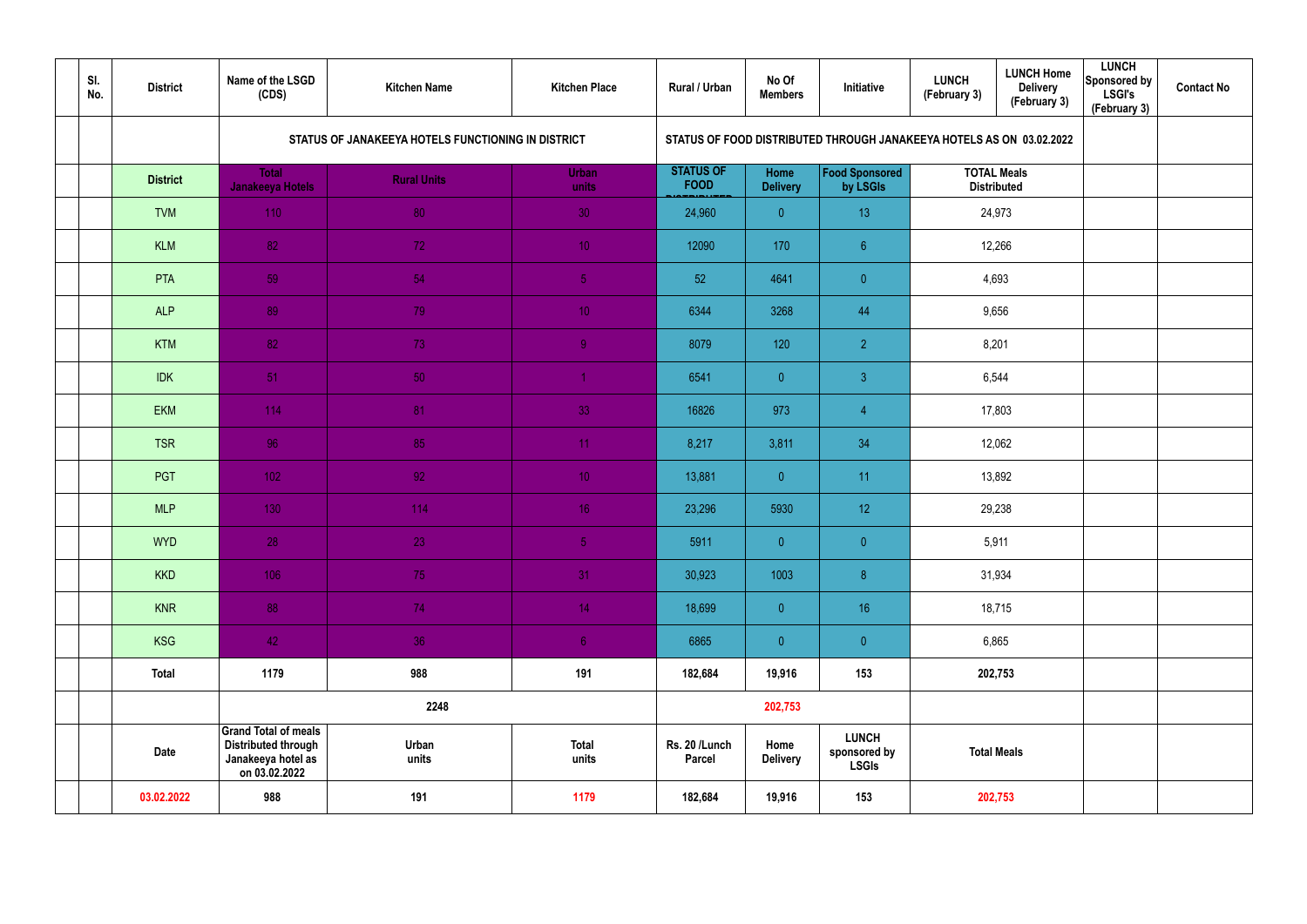| SI.<br>No. | <b>District</b> | Name of the LSGD<br>(CDS)                                                                        | <b>Kitchen Name</b>                                                                                                        | <b>Kitchen Place</b>  | Rural / Urban                   | No Of<br><b>Members</b> | Initiative                                   | <b>LUNCH</b><br>(February 3)             | <b>LUNCH Home</b><br><b>Delivery</b><br>(February 3) | <b>LUNCH</b><br>Sponsored by<br><b>LSGI's</b><br>(February 3) | <b>Contact No</b> |  |  |  |  |
|------------|-----------------|--------------------------------------------------------------------------------------------------|----------------------------------------------------------------------------------------------------------------------------|-----------------------|---------------------------------|-------------------------|----------------------------------------------|------------------------------------------|------------------------------------------------------|---------------------------------------------------------------|-------------------|--|--|--|--|
|            |                 |                                                                                                  | STATUS OF JANAKEEYA HOTELS FUNCTIONING IN DISTRICT<br>STATUS OF FOOD DISTRIBUTED THROUGH JANAKEEYA HOTELS AS ON 03.02.2022 |                       |                                 |                         |                                              |                                          |                                                      |                                                               |                   |  |  |  |  |
|            | <b>District</b> | <b>Total</b><br>Janakeeya Hotels                                                                 | <b>Rural Units</b>                                                                                                         | Urban<br>units        | <b>STATUS OF</b><br><b>FOOD</b> | Home<br><b>Delivery</b> | Food Sponsored<br>by LSGIs                   | <b>TOTAL Meals</b><br><b>Distributed</b> |                                                      |                                                               |                   |  |  |  |  |
|            | <b>TVM</b>      | 110                                                                                              | 80                                                                                                                         | 30                    | 24,960                          | $\overline{0}$          | 13                                           |                                          | 24,973                                               |                                                               |                   |  |  |  |  |
|            | <b>KLM</b>      | 82                                                                                               | 72                                                                                                                         | 10 <sup>°</sup>       | 12090                           | 170                     | $6\phantom{.}$                               |                                          | 12,266                                               |                                                               |                   |  |  |  |  |
|            | PTA             | 59                                                                                               | 54                                                                                                                         | 5 <sub>1</sub>        | 52                              | 4641                    | $\overline{0}$                               |                                          | 4,693                                                |                                                               |                   |  |  |  |  |
|            | <b>ALP</b>      | 89                                                                                               | 79                                                                                                                         | 10 <sup>°</sup>       | 6344                            | 3268                    | 44                                           | 9,656                                    |                                                      |                                                               |                   |  |  |  |  |
|            | <b>KTM</b>      | 82                                                                                               | 73                                                                                                                         | 9 <sup>°</sup>        | 8079                            | 120                     | $\overline{2}$                               |                                          | 8,201                                                |                                                               |                   |  |  |  |  |
|            | <b>IDK</b>      | 51                                                                                               | 50                                                                                                                         |                       | 6541                            | $\overline{0}$          | 3 <sup>1</sup>                               | 6,544                                    |                                                      |                                                               |                   |  |  |  |  |
|            | EKM             | 114                                                                                              | 81                                                                                                                         | 33                    | 16826                           | 973                     | $\overline{4}$                               |                                          | 17,803                                               |                                                               |                   |  |  |  |  |
|            | <b>TSR</b>      | 96                                                                                               | 85                                                                                                                         | 11                    | 8,217                           | 3,811                   | 34                                           |                                          | 12,062                                               |                                                               |                   |  |  |  |  |
|            | PGT             | 102 <sub>1</sub>                                                                                 | 92 <sub>1</sub>                                                                                                            | 10 <sup>°</sup>       | 13,881                          | $\overline{0}$          | 11                                           |                                          | 13,892                                               |                                                               |                   |  |  |  |  |
|            | <b>MLP</b>      | 130                                                                                              | 114                                                                                                                        | 16 <sup>°</sup>       | 23,296                          | 5930                    | 12                                           |                                          | 29,238                                               |                                                               |                   |  |  |  |  |
|            | <b>WYD</b>      | 28                                                                                               | 23                                                                                                                         | 5 <sub>1</sub>        | 5911                            | $\overline{0}$          | $\overline{0}$                               |                                          | 5,911                                                |                                                               |                   |  |  |  |  |
|            | <b>KKD</b>      | 106                                                                                              | 75                                                                                                                         | 31                    | 30,923                          | 1003                    | $\bf{8}$                                     |                                          | 31,934                                               |                                                               |                   |  |  |  |  |
|            | <b>KNR</b>      | 88                                                                                               | 74                                                                                                                         | 14 <sub>1</sub>       | 18,699                          | $\overline{0}$          | 16                                           |                                          | 18,715                                               |                                                               |                   |  |  |  |  |
|            | <b>KSG</b>      | 42                                                                                               | 36                                                                                                                         | 6 <sup>1</sup>        | 6865                            | $\overline{0}$          | $\pmb{0}$                                    |                                          | 6,865                                                |                                                               |                   |  |  |  |  |
|            | <b>Total</b>    | 1179                                                                                             | 988                                                                                                                        | 191                   | 182,684                         | 19,916                  | 153                                          | 202,753                                  |                                                      |                                                               |                   |  |  |  |  |
|            |                 |                                                                                                  | 2248                                                                                                                       |                       |                                 | 202,753                 |                                              |                                          |                                                      |                                                               |                   |  |  |  |  |
|            | <b>Date</b>     | <b>Grand Total of meals</b><br><b>Distributed through</b><br>Janakeeya hotel as<br>on 03.02.2022 | Urban<br>units                                                                                                             | <b>Total</b><br>units | Rs. 20 /Lunch<br>Parcel         | Home<br><b>Delivery</b> | <b>LUNCH</b><br>sponsored by<br><b>LSGIs</b> |                                          | <b>Total Meals</b>                                   |                                                               |                   |  |  |  |  |
|            | 03.02.2022      | 988                                                                                              | 191                                                                                                                        | 1179                  | 182,684                         | 19,916                  | 153                                          |                                          | 202,753                                              |                                                               |                   |  |  |  |  |